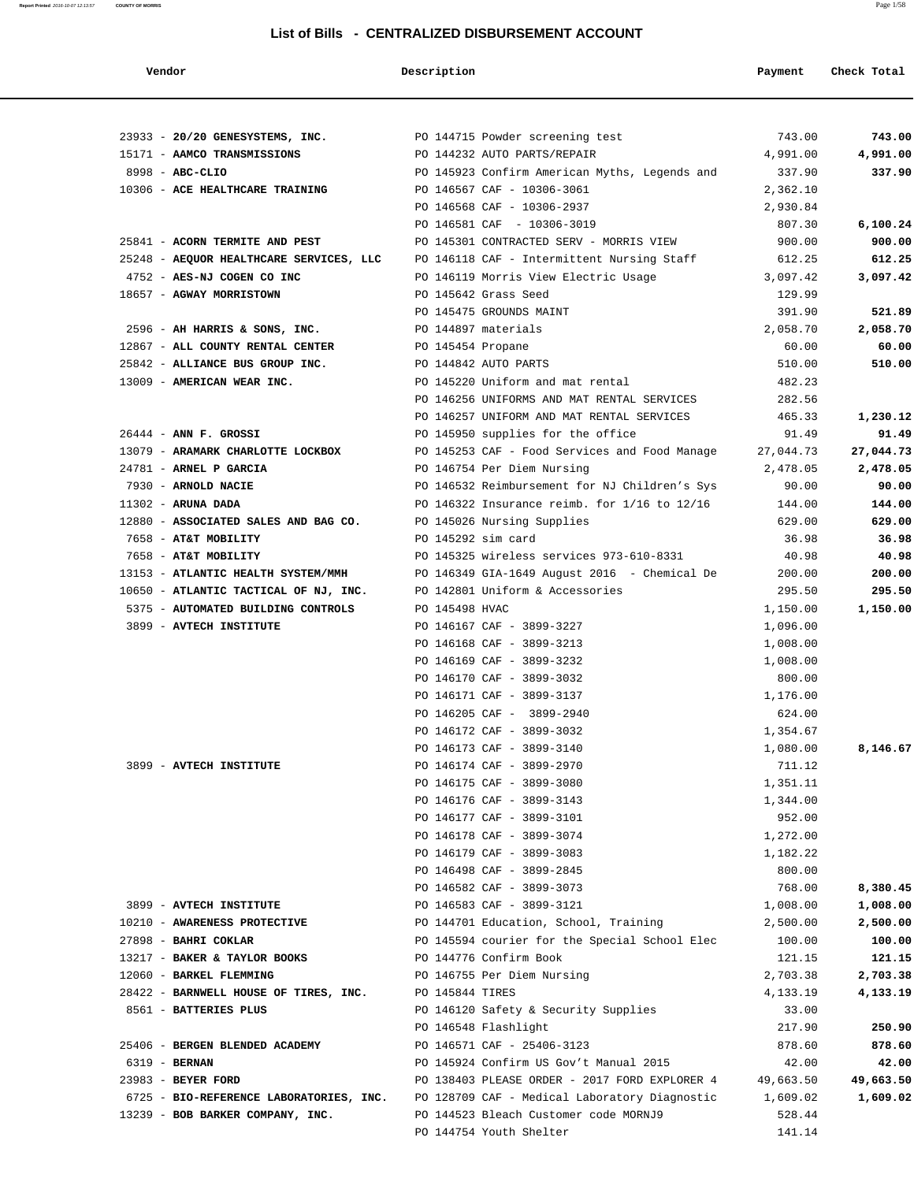| Vendor                                                                             | Description       |                                                                       | Payment          | Check Total      |
|------------------------------------------------------------------------------------|-------------------|-----------------------------------------------------------------------|------------------|------------------|
|                                                                                    |                   |                                                                       |                  |                  |
| 23933 - 20/20 GENESYSTEMS, INC. PO 144715 Powder screening test                    |                   |                                                                       | 743.00           | 743.00           |
| 15171 - AAMCO TRANSMISSIONS                                                        |                   | PO 144232 AUTO PARTS/REPAIR                                           | 4,991.00         | 4,991.00         |
| 8998 - ABC-CLIO                                                                    |                   | PO 145923 Confirm American Myths, Legends and                         | 337.90           | 337.90           |
| 10306 - ACE HEALTHCARE TRAINING                                                    |                   | PO 146567 CAF - 10306-3061                                            | 2,362.10         |                  |
|                                                                                    |                   | PO 146568 CAF - 10306-2937                                            | 2,930.84         |                  |
| 25841 - ACORN TERMITE AND PEST                                                     |                   | PO 146581 CAF - 10306-3019<br>PO 145301 CONTRACTED SERV - MORRIS VIEW | 807.30           | 6,100.24         |
| 25248 - AEQUOR HEALTHCARE SERVICES, LLC PO 146118 CAF - Intermittent Nursing Staff |                   |                                                                       | 900.00<br>612.25 | 900.00<br>612.25 |
| 4752 - AES-NJ COGEN CO INC                                                         |                   | PO 146119 Morris View Electric Usage                                  | 3,097.42         | 3,097.42         |
| 18657 - AGWAY MORRISTOWN                                                           |                   | PO 145642 Grass Seed                                                  | 129.99           |                  |
|                                                                                    |                   | PO 145475 GROUNDS MAINT                                               | 391.90           | 521.89           |
| 2596 - AH HARRIS & SONS, INC.                                                      |                   | PO 144897 materials                                                   | 2,058.70         | 2,058.70         |
| 12867 - ALL COUNTY RENTAL CENTER                                                   | PO 145454 Propane |                                                                       | 60.00            | 60.00            |
| 25842 - ALLIANCE BUS GROUP INC.                                                    |                   | PO 144842 AUTO PARTS                                                  | 510.00           | 510.00           |
| 13009 - AMERICAN WEAR INC.                                                         |                   | PO 145220 Uniform and mat rental                                      | 482.23           |                  |
|                                                                                    |                   | PO 146256 UNIFORMS AND MAT RENTAL SERVICES                            | 282.56           |                  |
|                                                                                    |                   | PO 146257 UNIFORM AND MAT RENTAL SERVICES                             | 465.33           | 1,230.12         |
| $26444$ - ANN F. GROSSI                                                            |                   | PO 145950 supplies for the office                                     | 91.49            | 91.49            |
| 13079 - ARAMARK CHARLOTTE LOCKBOX                                                  |                   | PO 145253 CAF - Food Services and Food Manage                         | 27,044.73        | 27,044.73        |
| 24781 - ARNEL P GARCIA                                                             |                   | PO 146754 Per Diem Nursing                                            | 2,478.05         | 2,478.05         |
| 7930 - ARNOLD NACIE                                                                |                   | PO 146532 Reimbursement for NJ Children's Sys                         | 90.00            | 90.00            |
| $11302$ - ARUNA DADA                                                               |                   | PO 146322 Insurance reimb. for $1/16$ to $12/16$                      | 144.00           | 144.00           |
| 12880 - ASSOCIATED SALES AND BAG CO.                                               |                   | PO 145026 Nursing Supplies                                            | 629.00           | 629.00           |
| 7658 - AT&T MOBILITY                                                               |                   | PO 145292 sim card                                                    | 36.98            | 36.98            |
| 7658 - AT&T MOBILITY                                                               |                   | PO 145325 wireless services 973-610-8331                              | 40.98            | 40.98            |
| 13153 - ATLANTIC HEALTH SYSTEM/MMH                                                 |                   | PO 146349 GIA-1649 August 2016 - Chemical De                          | 200.00           | 200.00           |
| 10650 - ATLANTIC TACTICAL OF NJ, INC.                                              |                   | PO 142801 Uniform & Accessories                                       | 295.50           | 295.50           |
| 5375 - AUTOMATED BUILDING CONTROLS                                                 | PO 145498 HVAC    |                                                                       | 1,150.00         | 1,150.00         |
| 3899 - AVTECH INSTITUTE                                                            |                   | PO 146167 CAF - 3899-3227                                             | 1,096.00         |                  |
|                                                                                    |                   | PO 146168 CAF - 3899-3213                                             | 1,008.00         |                  |
|                                                                                    |                   | PO 146169 CAF - 3899-3232                                             | 1,008.00         |                  |
|                                                                                    |                   | PO 146170 CAF - 3899-3032                                             | 800.00           |                  |
|                                                                                    |                   | PO 146171 CAF - 3899-3137                                             | 1,176.00         |                  |
|                                                                                    |                   | PO 146205 CAF - 3899-2940                                             | 624.00           |                  |
|                                                                                    |                   | PO 146172 CAF - 3899-3032                                             | 1,354.67         |                  |
|                                                                                    |                   | PO 146173 CAF - 3899-3140                                             | 1,080.00         | 8,146.67         |
| 3899 - AVTECH INSTITUTE                                                            |                   | PO 146174 CAF - 3899-2970                                             | 711.12           |                  |
|                                                                                    |                   | PO 146175 CAF - 3899-3080                                             | 1,351.11         |                  |
|                                                                                    |                   | PO 146176 CAF - 3899-3143                                             | 1,344.00         |                  |
|                                                                                    |                   | PO 146177 CAF - 3899-3101                                             | 952.00           |                  |
|                                                                                    |                   | PO 146178 CAF - 3899-3074                                             | 1,272.00         |                  |
|                                                                                    |                   | PO 146179 CAF - 3899-3083                                             | 1,182.22         |                  |
|                                                                                    |                   | PO 146498 CAF - 3899-2845                                             | 800.00           |                  |
|                                                                                    |                   | PO 146582 CAF - 3899-3073                                             | 768.00           | 8,380.45         |
| 3899 - AVTECH INSTITUTE                                                            |                   | PO 146583 CAF - 3899-3121                                             | 1,008.00         | 1,008.00         |
| 10210 - AWARENESS PROTECTIVE                                                       |                   | PO 144701 Education, School, Training                                 | 2,500.00         | 2,500.00         |
| 27898 - BAHRI COKLAR                                                               |                   | PO 145594 courier for the Special School Elec                         | 100.00           | 100.00           |
| 13217 - BAKER & TAYLOR BOOKS                                                       |                   | PO 144776 Confirm Book                                                | 121.15           | 121.15           |
| 12060 - BARKEL FLEMMING                                                            |                   | PO 146755 Per Diem Nursing                                            | 2,703.38         | 2,703.38         |
| 28422 - BARNWELL HOUSE OF TIRES, INC.                                              | PO 145844 TIRES   |                                                                       | 4,133.19         | 4,133.19         |
| 8561 - BATTERIES PLUS                                                              |                   | PO 146120 Safety & Security Supplies                                  | 33.00            |                  |
|                                                                                    |                   | PO 146548 Flashlight                                                  | 217.90           | 250.90           |
| 25406 - BERGEN BLENDED ACADEMY                                                     |                   | PO 146571 CAF - 25406-3123                                            | 878.60           | 878.60           |
| 6319 - BERNAN                                                                      |                   | PO 145924 Confirm US Gov't Manual 2015                                | 42.00            | 42.00            |
| 23983 - BEYER FORD                                                                 |                   | PO 138403 PLEASE ORDER - 2017 FORD EXPLORER 4                         | 49,663.50        | 49,663.50        |
| 6725 - BIO-REFERENCE LABORATORIES, INC.                                            |                   | PO 128709 CAF - Medical Laboratory Diagnostic                         | 1,609.02         | 1,609.02         |
| 13239 - BOB BARKER COMPANY, INC.                                                   |                   | PO 144523 Bleach Customer code MORNJ9                                 | 528.44           |                  |
|                                                                                    |                   | PO 144754 Youth Shelter                                               | 141.14           |                  |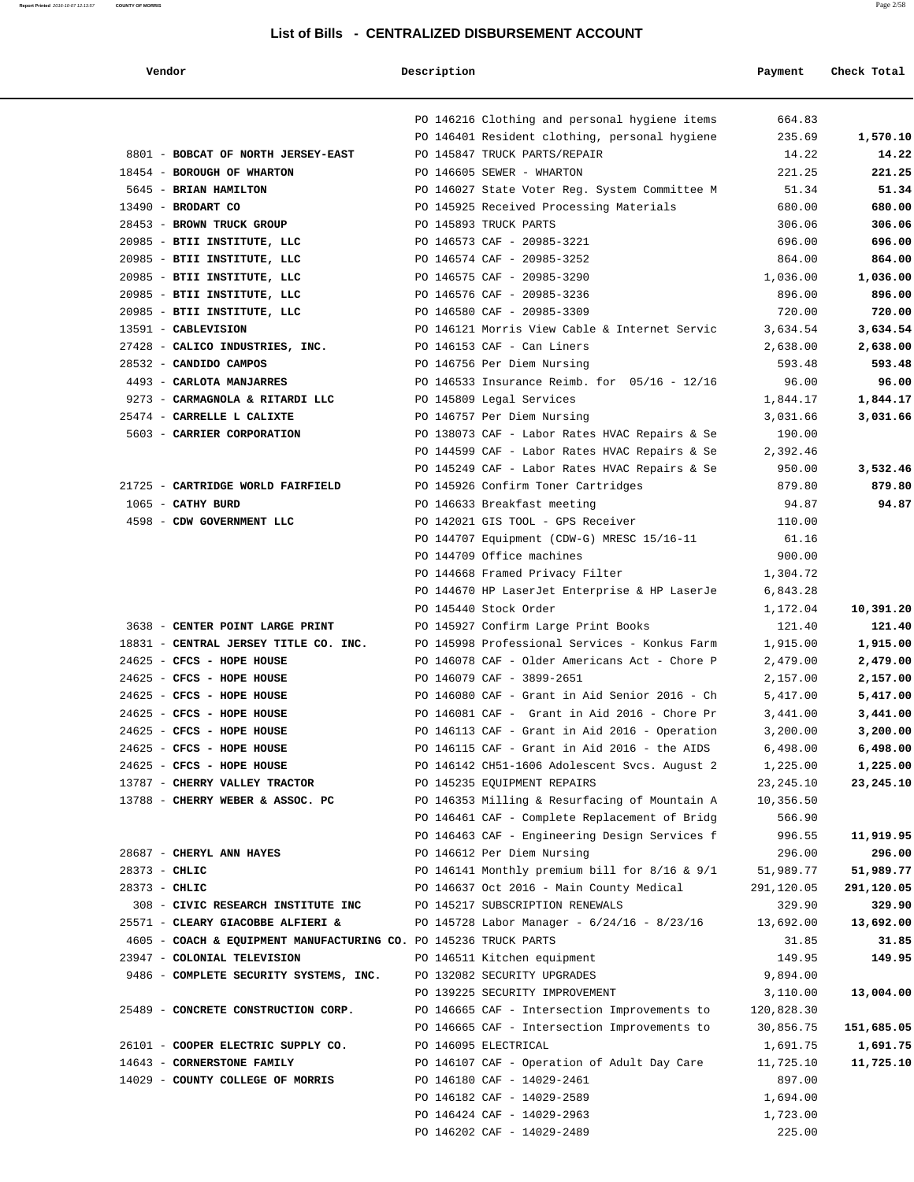**Vendor Description Payment Check Total**

|                                                                  | PO 146216 Clothing and personal hygiene items                                    | 664.83               |            |
|------------------------------------------------------------------|----------------------------------------------------------------------------------|----------------------|------------|
|                                                                  | PO 146401 Resident clothing, personal hygiene                                    | 235.69               | 1,570.10   |
| 8801 - BOBCAT OF NORTH JERSEY-EAST                               | PO 145847 TRUCK PARTS/REPAIR                                                     | 14.22                | 14.22      |
| 18454 - BOROUGH OF WHARTON                                       | PO 146605 SEWER - WHARTON                                                        | 221.25               | 221.25     |
| 5645 - BRIAN HAMILTON                                            | PO 146027 State Voter Reg. System Committee M                                    | 51.34                | 51.34      |
| $13490$ - BRODART CO                                             | PO 145925 Received Processing Materials                                          | 680.00               | 680.00     |
| 28453 - BROWN TRUCK GROUP                                        | PO 145893 TRUCK PARTS                                                            | 306.06               | 306.06     |
| 20985 - BTII INSTITUTE, LLC                                      | PO 146573 CAF - 20985-3221                                                       | 696.00               | 696.00     |
| 20985 - BTII INSTITUTE, LLC                                      | PO 146574 CAF - 20985-3252                                                       | 864.00               | 864.00     |
| 20985 - BTII INSTITUTE, LLC                                      | PO 146575 CAF - 20985-3290                                                       | 1,036.00             | 1,036.00   |
| 20985 - BTII INSTITUTE, LLC                                      | PO 146576 CAF - 20985-3236                                                       | 896.00               | 896.00     |
| 20985 - BTII INSTITUTE, LLC                                      | PO 146580 CAF - 20985-3309                                                       | 720.00               | 720.00     |
| 13591 - CABLEVISION                                              | PO 146121 Morris View Cable & Internet Servic                                    | 3,634.54             | 3,634.54   |
| 27428 - CALICO INDUSTRIES, INC.                                  | PO 146153 CAF - Can Liners                                                       | 2,638.00             | 2,638.00   |
| 28532 - CANDIDO CAMPOS                                           | PO 146756 Per Diem Nursing                                                       | 593.48               | 593.48     |
| 4493 - CARLOTA MANJARRES                                         | PO 146533 Insurance Reimb. for 05/16 - 12/16                                     | 96.00                | 96.00      |
| 9273 - CARMAGNOLA & RITARDI LLC                                  | PO 145809 Legal Services                                                         | 1,844.17             | 1,844.17   |
| 25474 - CARRELLE L CALIXTE                                       | PO 146757 Per Diem Nursing                                                       | 3,031.66             | 3,031.66   |
| 5603 - CARRIER CORPORATION                                       | PO 138073 CAF - Labor Rates HVAC Repairs & Se                                    | 190.00               |            |
|                                                                  | PO 144599 CAF - Labor Rates HVAC Repairs & Se                                    | 2,392.46             |            |
|                                                                  | PO 145249 CAF - Labor Rates HVAC Repairs & Se                                    | 950.00               | 3,532.46   |
| 21725 - CARTRIDGE WORLD FAIRFIELD                                | PO 145926 Confirm Toner Cartridges                                               | 879.80               | 879.80     |
| 1065 - CATHY BURD                                                | PO 146633 Breakfast meeting                                                      | 94.87                | 94.87      |
| 4598 - CDW GOVERNMENT LLC                                        | PO 142021 GIS TOOL - GPS Receiver                                                | 110.00               |            |
|                                                                  | PO 144707 Equipment (CDW-G) MRESC 15/16-11                                       | 61.16                |            |
|                                                                  | PO 144709 Office machines                                                        | 900.00               |            |
|                                                                  | PO 144668 Framed Privacy Filter<br>PO 144670 HP LaserJet Enterprise & HP LaserJe | 1,304.72             |            |
|                                                                  | PO 145440 Stock Order                                                            | 6,843.28<br>1,172.04 | 10,391.20  |
| 3638 - CENTER POINT LARGE PRINT                                  | PO 145927 Confirm Large Print Books                                              | 121.40               | 121.40     |
| 18831 - CENTRAL JERSEY TITLE CO. INC.                            | PO 145998 Professional Services - Konkus Farm                                    | 1,915.00             | 1,915.00   |
| 24625 - CFCS - HOPE HOUSE                                        | PO 146078 CAF - Older Americans Act - Chore P                                    | 2,479.00             | 2,479.00   |
| 24625 - CFCS - HOPE HOUSE                                        | PO 146079 CAF - 3899-2651                                                        | 2,157.00             | 2,157.00   |
| 24625 - CFCS - HOPE HOUSE                                        | PO 146080 CAF - Grant in Aid Senior 2016 - Ch                                    | 5,417.00             | 5,417.00   |
| $24625$ - CFCS - HOPE HOUSE                                      | PO 146081 CAF - Grant in Aid 2016 - Chore Pr                                     | 3,441.00             | 3,441.00   |
| 24625 - CFCS - HOPE HOUSE                                        | PO 146113 CAF - Grant in Aid 2016 - Operation                                    | 3,200.00             | 3,200.00   |
| 24625 - CFCS - HOPE HOUSE                                        | PO 146115 CAF - Grant in Aid 2016 - the AIDS                                     | 6,498.00             | 6,498.00   |
| 24625 - CFCS - HOPE HOUSE                                        | PO 146142 CH51-1606 Adolescent Svcs. August 2                                    | 1,225.00             | 1,225.00   |
| 13787 - CHERRY VALLEY TRACTOR                                    | PO 145235 EQUIPMENT REPAIRS                                                      | 23, 245.10           | 23,245.10  |
| 13788 - CHERRY WEBER & ASSOC. PC                                 | PO 146353 Milling & Resurfacing of Mountain A                                    | 10,356.50            |            |
|                                                                  | PO 146461 CAF - Complete Replacement of Bridg                                    | 566.90               |            |
|                                                                  | PO 146463 CAF - Engineering Design Services f                                    | 996.55               | 11,919.95  |
| 28687 - CHERYL ANN HAYES                                         | PO 146612 Per Diem Nursing                                                       | 296.00               | 296.00     |
| 28373 - CHLIC                                                    | PO 146141 Monthly premium bill for $8/16 \approx 9/1$                            | 51,989.77            | 51,989.77  |
| $28373 - CHLIC$                                                  | PO 146637 Oct 2016 - Main County Medical                                         | 291,120.05           | 291,120.05 |
| 308 - CIVIC RESEARCH INSTITUTE INC                               | PO 145217 SUBSCRIPTION RENEWALS                                                  | 329.90               | 329.90     |
| 25571 - CLEARY GIACOBBE ALFIERI &                                | PO 145728 Labor Manager - 6/24/16 - 8/23/16                                      | 13,692.00            | 13,692.00  |
| 4605 - COACH & EQUIPMENT MANUFACTURING CO. PO 145236 TRUCK PARTS |                                                                                  | 31.85                | 31.85      |
| 23947 - COLONIAL TELEVISION                                      | PO 146511 Kitchen equipment                                                      | 149.95               | 149.95     |
| 9486 - COMPLETE SECURITY SYSTEMS, INC.                           | PO 132082 SECURITY UPGRADES                                                      | 9,894.00             |            |
|                                                                  | PO 139225 SECURITY IMPROVEMENT                                                   | 3,110.00             | 13,004.00  |
| 25489 - CONCRETE CONSTRUCTION CORP.                              | PO 146665 CAF - Intersection Improvements to                                     | 120,828.30           |            |
|                                                                  | PO 146665 CAF - Intersection Improvements to                                     | 30,856.75            | 151,685.05 |
| 26101 - COOPER ELECTRIC SUPPLY CO.                               | PO 146095 ELECTRICAL                                                             | 1,691.75             | 1,691.75   |
| 14643 - CORNERSTONE FAMILY                                       | PO 146107 CAF - Operation of Adult Day Care                                      | 11,725.10            | 11,725.10  |
| 14029 - COUNTY COLLEGE OF MORRIS                                 | PO 146180 CAF - 14029-2461                                                       | 897.00               |            |
|                                                                  | PO 146182 CAF - 14029-2589                                                       | 1,694.00             |            |
|                                                                  | PO 146424 CAF - 14029-2963                                                       | 1,723.00             |            |
|                                                                  | PO 146202 CAF - 14029-2489                                                       | 225.00               |            |
|                                                                  |                                                                                  |                      |            |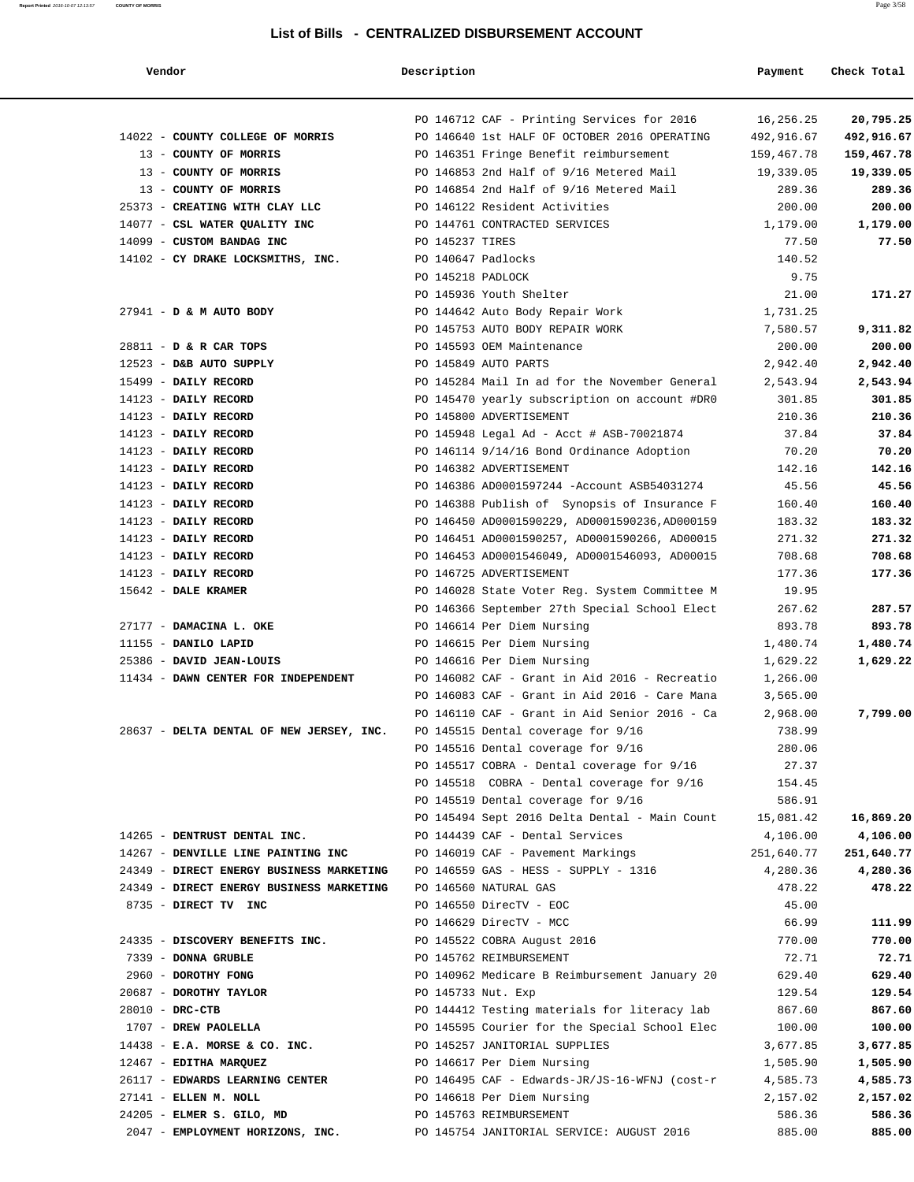| Vendor                                                                    | Description        |                                                | Payment    | Check Total |
|---------------------------------------------------------------------------|--------------------|------------------------------------------------|------------|-------------|
|                                                                           |                    | PO 146712 CAF - Printing Services for 2016     | 16,256.25  | 20,795.25   |
| 14022 - COUNTY COLLEGE OF MORRIS                                          |                    | PO 146640 1st HALF OF OCTOBER 2016 OPERATING   | 492,916.67 | 492,916.67  |
| 13 - COUNTY OF MORRIS                                                     |                    | PO 146351 Fringe Benefit reimbursement         | 159,467.78 | 159,467.78  |
| 13 - COUNTY OF MORRIS                                                     |                    | PO 146853 2nd Half of 9/16 Metered Mail        | 19,339.05  | 19,339.05   |
| 13 - COUNTY OF MORRIS                                                     |                    | PO 146854 2nd Half of 9/16 Metered Mail        | 289.36     | 289.36      |
| 25373 - CREATING WITH CLAY LLC THE RESOLUTE PO 146122 Resident Activities |                    |                                                | 200.00     | 200.00      |
| 14077 - CSL WATER QUALITY INC                                             |                    | PO 144761 CONTRACTED SERVICES                  | 1,179.00   | 1,179.00    |
| 14099 - CUSTOM BANDAG INC                                                 | PO 145237 TIRES    |                                                | 77.50      | 77.50       |
| 14102 - CY DRAKE LOCKSMITHS, INC.                                         | PO 140647 Padlocks |                                                | 140.52     |             |
|                                                                           | PO 145218 PADLOCK  |                                                | 9.75       |             |
|                                                                           |                    | PO 145936 Youth Shelter                        | 21.00      | 171.27      |
|                                                                           |                    |                                                |            |             |
| 27941 - D & M AUTO BODY                                                   |                    | PO 144642 Auto Body Repair Work                | 1,731.25   |             |
|                                                                           |                    | PO 145753 AUTO BODY REPAIR WORK                | 7,580.57   | 9,311.82    |
| 28811 - D & R CAR TOPS                                                    |                    | PO 145593 OEM Maintenance                      | 200.00     | 200.00      |
| 12523 - D&B AUTO SUPPLY                                                   |                    | PO 145849 AUTO PARTS                           | 2,942.40   | 2,942.40    |
| 15499 - DAILY RECORD                                                      |                    | PO 145284 Mail In ad for the November General  | 2,543.94   | 2,543.94    |
| 14123 - DAILY RECORD                                                      |                    | PO 145470 yearly subscription on account #DRO  | 301.85     | 301.85      |
| 14123 - DAILY RECORD                                                      |                    | PO 145800 ADVERTISEMENT                        | 210.36     | 210.36      |
| 14123 - DAILY RECORD                                                      |                    | PO 145948 Legal Ad - Acct # ASB-70021874       | 37.84      | 37.84       |
| 14123 - DAILY RECORD                                                      |                    | PO 146114 9/14/16 Bond Ordinance Adoption      | 70.20      | 70.20       |
| 14123 - DAILY RECORD                                                      |                    | PO 146382 ADVERTISEMENT                        | 142.16     | 142.16      |
| 14123 - DAILY RECORD                                                      |                    | PO 146386 AD0001597244 -Account ASB54031274    | 45.56      | 45.56       |
| 14123 - DAILY RECORD                                                      |                    | PO 146388 Publish of Synopsis of Insurance F   | 160.40     | 160.40      |
| 14123 - DAILY RECORD                                                      |                    | PO 146450 AD0001590229, AD0001590236, AD000159 | 183.32     | 183.32      |
| 14123 - DAILY RECORD                                                      |                    | PO 146451 AD0001590257, AD0001590266, AD00015  | 271.32     | 271.32      |
| 14123 - DAILY RECORD                                                      |                    | PO 146453 AD0001546049, AD0001546093, AD00015  | 708.68     | 708.68      |
| 14123 - DAILY RECORD                                                      |                    | PO 146725 ADVERTISEMENT                        | 177.36     | 177.36      |
| $15642$ - DALE KRAMER                                                     |                    | PO 146028 State Voter Reg. System Committee M  | 19.95      |             |
|                                                                           |                    | PO 146366 September 27th Special School Elect  | 267.62     | 287.57      |
| 27177 - DAMACINA L. OKE                                                   |                    | PO 146614 Per Diem Nursing                     | 893.78     | 893.78      |
| 11155 - DANILO LAPID                                                      |                    | PO 146615 Per Diem Nursing                     | 1,480.74   | 1,480.74    |
| 25386 - DAVID JEAN-LOUIS                                                  |                    | PO 146616 Per Diem Nursing                     | 1,629.22   | 1,629.22    |
| 11434 - DAWN CENTER FOR INDEPENDENT                                       |                    | PO 146082 CAF - Grant in Aid 2016 - Recreatio  |            |             |
|                                                                           |                    | PO 146083 CAF - Grant in Aid 2016 - Care Mana  | 1,266.00   |             |
|                                                                           |                    |                                                | 3,565.00   |             |
|                                                                           |                    | PO 146110 CAF - Grant in Aid Senior 2016 - Ca  | 2,968.00   | 7,799.00    |
| 28637 - DELTA DENTAL OF NEW JERSEY, INC.                                  |                    | PO 145515 Dental coverage for 9/16             | 738.99     |             |
|                                                                           |                    | PO 145516 Dental coverage for 9/16             | 280.06     |             |
|                                                                           |                    | PO 145517 COBRA - Dental coverage for 9/16     | 27.37      |             |
|                                                                           |                    | PO 145518 COBRA - Dental coverage for 9/16     | 154.45     |             |
|                                                                           |                    | PO 145519 Dental coverage for 9/16             | 586.91     |             |
|                                                                           |                    | PO 145494 Sept 2016 Delta Dental - Main Count  | 15,081.42  | 16,869.20   |
| 14265 - DENTRUST DENTAL INC.                                              |                    | PO 144439 CAF - Dental Services                | 4,106.00   | 4,106.00    |
| 14267 - DENVILLE LINE PAINTING INC                                        |                    | PO 146019 CAF - Pavement Markings              | 251,640.77 | 251,640.77  |
| 24349 - DIRECT ENERGY BUSINESS MARKETING                                  |                    | PO 146559 GAS - HESS - SUPPLY - 1316           | 4,280.36   | 4,280.36    |
| 24349 - DIRECT ENERGY BUSINESS MARKETING                                  |                    | PO 146560 NATURAL GAS                          | 478.22     | 478.22      |
| 8735 - DIRECT TV INC                                                      |                    | PO 146550 DirecTV - EOC                        | 45.00      |             |
|                                                                           |                    | PO 146629 DirecTV - MCC                        | 66.99      | 111.99      |
| 24335 - DISCOVERY BENEFITS INC.                                           |                    | PO 145522 COBRA August 2016                    | 770.00     | 770.00      |
| 7339 - DONNA GRUBLE                                                       |                    | PO 145762 REIMBURSEMENT                        | 72.71      | 72.71       |
| 2960 - DOROTHY FONG                                                       |                    | PO 140962 Medicare B Reimbursement January 20  | 629.40     | 629.40      |
| 20687 - DOROTHY TAYLOR                                                    | PO 145733 Nut. Exp |                                                | 129.54     | 129.54      |
| 28010 - DRC-CTB                                                           |                    | PO 144412 Testing materials for literacy lab   | 867.60     | 867.60      |
| 1707 - DREW PAOLELLA                                                      |                    | PO 145595 Courier for the Special School Elec  | 100.00     | 100.00      |
| $14438$ - E.A. MORSE & CO. INC.                                           |                    | PO 145257 JANITORIAL SUPPLIES                  | 3,677.85   | 3,677.85    |
| 12467 - EDITHA MARQUEZ                                                    |                    | PO 146617 Per Diem Nursing                     | 1,505.90   | 1,505.90    |
| 26117 - EDWARDS LEARNING CENTER                                           |                    | PO 146495 CAF - Edwards-JR/JS-16-WFNJ (cost-r  | 4,585.73   | 4,585.73    |
| 27141 - ELLEN M. NOLL                                                     |                    | PO 146618 Per Diem Nursing                     | 2,157.02   | 2,157.02    |
| 24205 - ELMER S. GILO, MD                                                 |                    | PO 145763 REIMBURSEMENT                        | 586.36     | 586.36      |
| 2047 - EMPLOYMENT HORIZONS, INC.                                          |                    | PO 145754 JANITORIAL SERVICE: AUGUST 2016      | 885.00     | 885.00      |
|                                                                           |                    |                                                |            |             |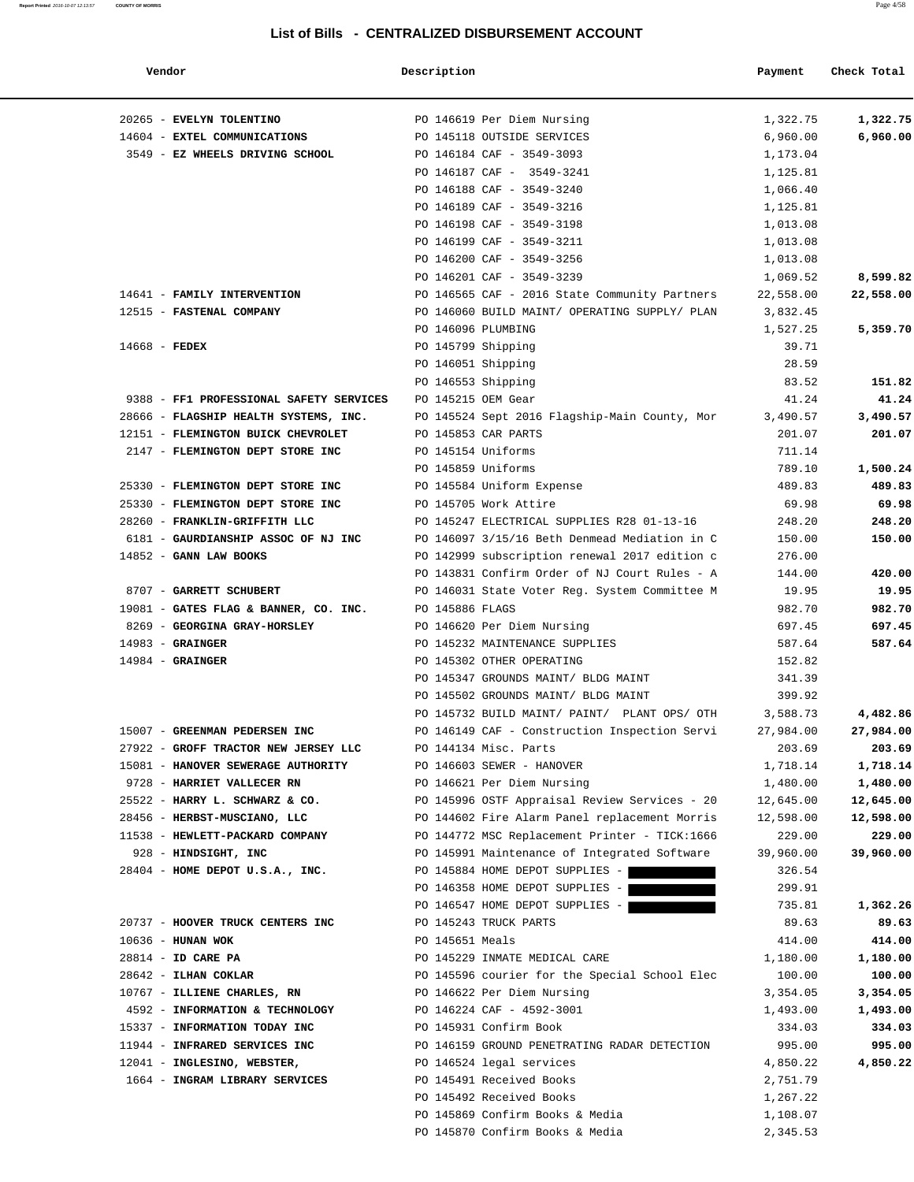| Vendor                                                | Description        |                                               | Payment   | Check Total |
|-------------------------------------------------------|--------------------|-----------------------------------------------|-----------|-------------|
| 20265 - EVELYN TOLENTINO                              |                    | PO 146619 Per Diem Nursing                    | 1,322.75  | 1,322.75    |
| 14604 - EXTEL COMMUNICATIONS                          |                    | PO 145118 OUTSIDE SERVICES                    | 6,960.00  | 6,960.00    |
| 3549 - EZ WHEELS DRIVING SCHOOL                       |                    | PO 146184 CAF - 3549-3093                     | 1,173.04  |             |
|                                                       |                    | PO 146187 CAF - 3549-3241                     | 1,125.81  |             |
|                                                       |                    | PO 146188 CAF - 3549-3240                     | 1,066.40  |             |
|                                                       |                    | PO 146189 CAF - 3549-3216                     | 1,125.81  |             |
|                                                       |                    | PO 146198 CAF - 3549-3198                     | 1,013.08  |             |
|                                                       |                    | PO 146199 CAF - 3549-3211                     | 1,013.08  |             |
|                                                       |                    | PO 146200 CAF - 3549-3256                     | 1,013.08  |             |
|                                                       |                    | PO 146201 CAF - 3549-3239                     | 1,069.52  | 8,599.82    |
| 14641 - FAMILY INTERVENTION                           |                    | PO 146565 CAF - 2016 State Community Partners | 22,558.00 | 22,558.00   |
| 12515 - FASTENAL COMPANY                              |                    | PO 146060 BUILD MAINT/ OPERATING SUPPLY/ PLAN | 3,832.45  |             |
|                                                       | PO 146096 PLUMBING |                                               | 1,527.25  | 5,359.70    |
| $14668$ - FEDEX                                       | PO 145799 Shipping |                                               | 39.71     |             |
|                                                       | PO 146051 Shipping |                                               | 28.59     |             |
|                                                       | PO 146553 Shipping |                                               | 83.52     | 151.82      |
| 9388 - FF1 PROFESSIONAL SAFETY SERVICES               | PO 145215 OEM Gear |                                               | 41.24     | 41.24       |
| 28666 - FLAGSHIP HEALTH SYSTEMS, INC.                 |                    | PO 145524 Sept 2016 Flagship-Main County, Mor | 3,490.57  | 3,490.57    |
| 12151 - FLEMINGTON BUICK CHEVROLET                    |                    | PO 145853 CAR PARTS                           | 201.07    | 201.07      |
| 2147 - FLEMINGTON DEPT STORE INC                      | PO 145154 Uniforms |                                               | 711.14    |             |
|                                                       | PO 145859 Uniforms |                                               | 789.10    | 1,500.24    |
| 25330 - FLEMINGTON DEPT STORE INC                     |                    | PO 145584 Uniform Expense                     | 489.83    | 489.83      |
| 25330 - FLEMINGTON DEPT STORE INC                     |                    | PO 145705 Work Attire                         | 69.98     | 69.98       |
| 28260 - FRANKLIN-GRIFFITH LLC                         |                    | PO 145247 ELECTRICAL SUPPLIES R28 01-13-16    | 248.20    | 248.20      |
| 6181 - GAURDIANSHIP ASSOC OF NJ INC                   |                    | PO 146097 3/15/16 Beth Denmead Mediation in C | 150.00    | 150.00      |
| $14852$ - GANN LAW BOOKS                              |                    | PO 142999 subscription renewal 2017 edition c | 276.00    |             |
|                                                       |                    | PO 143831 Confirm Order of NJ Court Rules - A | 144.00    | 420.00      |
| 8707 - GARRETT SCHUBERT                               |                    | PO 146031 State Voter Reg. System Committee M | 19.95     | 19.95       |
| 19081 - GATES FLAG & BANNER, CO. INC. PO 145886 FLAGS |                    |                                               | 982.70    | 982.70      |
| 8269 - GEORGINA GRAY-HORSLEY                          |                    | PO 146620 Per Diem Nursing                    | 697.45    | 697.45      |
| $14983$ - GRAINGER                                    |                    | PO 145232 MAINTENANCE SUPPLIES                | 587.64    | 587.64      |
| $14984$ - GRAINGER                                    |                    | PO 145302 OTHER OPERATING                     | 152.82    |             |
|                                                       |                    | PO 145347 GROUNDS MAINT/ BLDG MAINT           | 341.39    |             |
|                                                       |                    | PO 145502 GROUNDS MAINT/ BLDG MAINT           | 399.92    |             |
|                                                       |                    | PO 145732 BUILD MAINT/ PAINT/ PLANT OPS/ OTH  | 3,588.73  | 4,482.86    |
| 15007 - GREENMAN PEDERSEN INC                         |                    | PO 146149 CAF - Construction Inspection Servi | 27,984.00 | 27,984.00   |
| 27922 - GROFF TRACTOR NEW JERSEY LLC                  |                    | PO 144134 Misc. Parts                         | 203.69    | 203.69      |
| 15081 - HANOVER SEWERAGE AUTHORITY                    |                    | PO 146603 SEWER - HANOVER                     | 1,718.14  | 1,718.14    |
| 9728 - HARRIET VALLECER RN                            |                    | PO 146621 Per Diem Nursing                    | 1,480.00  | 1,480.00    |
| 25522 - HARRY L. SCHWARZ & CO.                        |                    | PO 145996 OSTF Appraisal Review Services - 20 | 12,645.00 | 12,645.00   |
| 28456 - HERBST-MUSCIANO, LLC                          |                    | PO 144602 Fire Alarm Panel replacement Morris | 12,598.00 | 12,598.00   |
| 11538 - HEWLETT-PACKARD COMPANY                       |                    | PO 144772 MSC Replacement Printer - TICK:1666 | 229.00    | 229.00      |
| 928 - HINDSIGHT, INC                                  |                    | PO 145991 Maintenance of Integrated Software  | 39,960.00 | 39,960.00   |
| $28404$ - HOME DEPOT U.S.A., INC.                     |                    | PO 145884 HOME DEPOT SUPPLIES -               | 326.54    |             |
|                                                       |                    | PO 146358 HOME DEPOT SUPPLIES -               | 299.91    |             |
|                                                       |                    | PO 146547 HOME DEPOT SUPPLIES -               | 735.81    | 1,362.26    |
| 20737 - HOOVER TRUCK CENTERS INC                      |                    | PO 145243 TRUCK PARTS                         | 89.63     | 89.63       |
| $10636$ - HUNAN WOK                                   | PO 145651 Meals    |                                               | 414.00    | 414.00      |
| 28814 - ID CARE PA                                    |                    | PO 145229 INMATE MEDICAL CARE                 | 1,180.00  | 1,180.00    |
| 28642 - ILHAN COKLAR                                  |                    | PO 145596 courier for the Special School Elec | 100.00    | 100.00      |
| 10767 - ILLIENE CHARLES, RN                           |                    | PO 146622 Per Diem Nursing                    | 3,354.05  | 3,354.05    |
| 4592 - INFORMATION & TECHNOLOGY                       |                    | PO 146224 CAF - 4592-3001                     | 1,493.00  | 1,493.00    |
| 15337 - INFORMATION TODAY INC                         |                    | PO 145931 Confirm Book                        | 334.03    | 334.03      |
| 11944 - INFRARED SERVICES INC                         |                    | PO 146159 GROUND PENETRATING RADAR DETECTION  | 995.00    | 995.00      |
| 12041 - INGLESINO, WEBSTER,                           |                    | PO 146524 legal services                      | 4,850.22  | 4,850.22    |
| 1664 - INGRAM LIBRARY SERVICES                        |                    | PO 145491 Received Books                      | 2,751.79  |             |
|                                                       |                    | PO 145492 Received Books                      | 1,267.22  |             |
|                                                       |                    | PO 145869 Confirm Books & Media               | 1,108.07  |             |
|                                                       |                    | PO 145870 Confirm Books & Media               | 2,345.53  |             |
|                                                       |                    |                                               |           |             |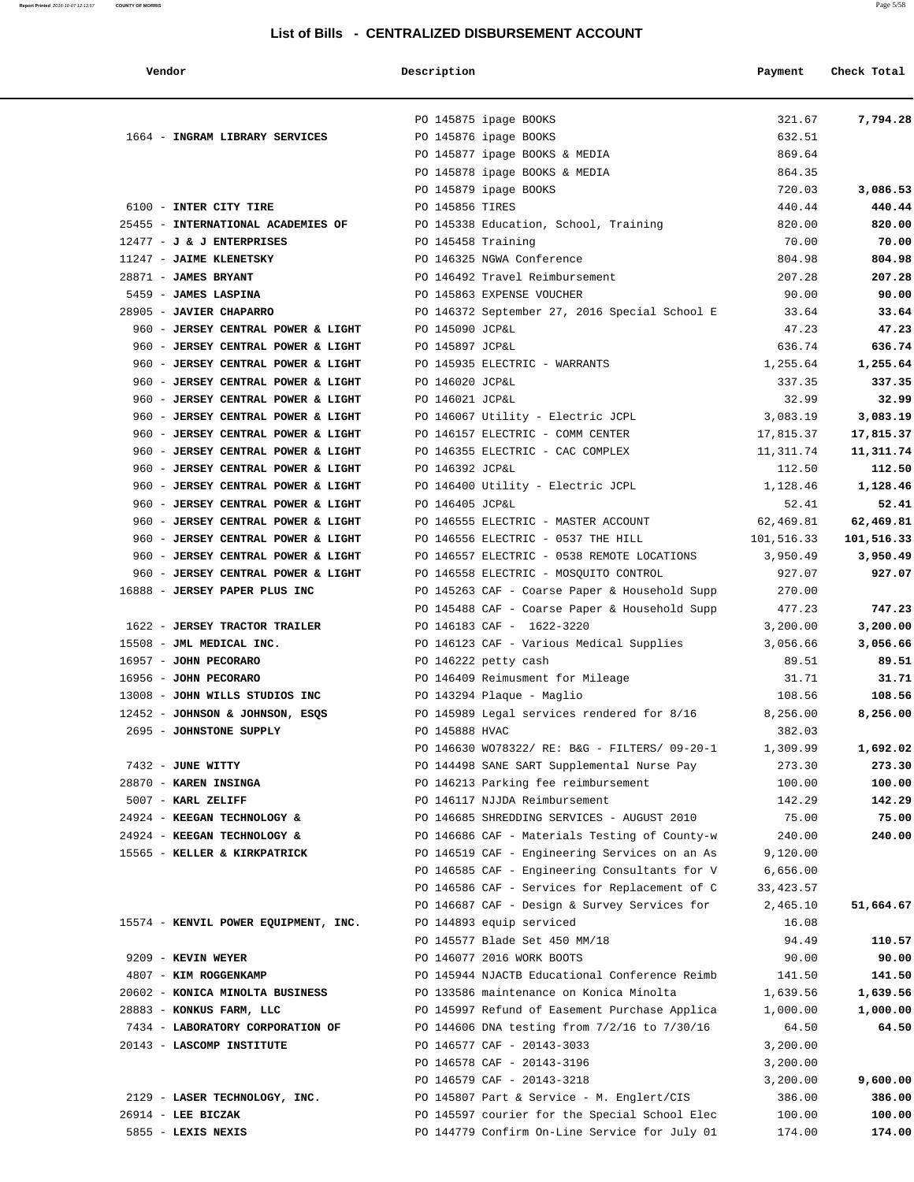| Vendor |  |
|--------|--|
|--------|--|

| Vendor                                                                   | Description     |                                                                       | Payment               | Check Total            |
|--------------------------------------------------------------------------|-----------------|-----------------------------------------------------------------------|-----------------------|------------------------|
|                                                                          |                 | PO 145875 ipage BOOKS                                                 | 321.67                | 7,794.28               |
| 1664 - INGRAM LIBRARY SERVICES                                           |                 | PO 145876 ipage BOOKS                                                 | 632.51                |                        |
|                                                                          |                 | PO 145877 ipage BOOKS & MEDIA                                         | 869.64                |                        |
|                                                                          |                 | PO 145878 ipage BOOKS & MEDIA                                         | 864.35                |                        |
|                                                                          |                 | PO 145879 ipage BOOKS                                                 | 720.03                | 3,086.53               |
| 6100 - INTER CITY TIRE                                                   | PO 145856 TIRES |                                                                       | 440.44                | 440.44                 |
| 25455 - INTERNATIONAL ACADEMIES OF                                       |                 | PO 145338 Education, School, Training                                 | 820.00                | 820.00                 |
| 12477 - J & J ENTERPRISES                                                |                 | PO 145458 Training                                                    | 70.00                 | 70.00                  |
| 11247 - JAIME KLENETSKY                                                  |                 | PO 146325 NGWA Conference                                             | 804.98                | 804.98                 |
| 28871 - JAMES BRYANT                                                     |                 | PO 146492 Travel Reimbursement                                        | 207.28                | 207.28                 |
| 5459 - JAMES LASPINA                                                     |                 | PO 145863 EXPENSE VOUCHER                                             | 90.00                 | 90.00                  |
| 28905 - JAVIER CHAPARRO                                                  |                 | PO 146372 September 27, 2016 Special School E                         | 33.64                 | 33.64                  |
| 960 - JERSEY CENTRAL POWER & LIGHT                                       | PO 145090 JCP&L |                                                                       | 47.23                 | 47.23                  |
| 960 - JERSEY CENTRAL POWER & LIGHT                                       | PO 145897 JCP&L |                                                                       | 636.74                | 636.74                 |
| 960 - JERSEY CENTRAL POWER & LIGHT                                       |                 | PO 145935 ELECTRIC - WARRANTS                                         | 1,255.64              | 1,255.64               |
| 960 - JERSEY CENTRAL POWER & LIGHT                                       | PO 146020 JCP&L |                                                                       | 337.35                | 337.35                 |
| 960 - JERSEY CENTRAL POWER & LIGHT                                       | PO 146021 JCP&L |                                                                       | 32.99                 | 32.99                  |
| 960 - JERSEY CENTRAL POWER & LIGHT<br>960 - JERSEY CENTRAL POWER & LIGHT |                 | PO 146067 Utility - Electric JCPL<br>PO 146157 ELECTRIC - COMM CENTER | 3,083.19<br>17,815.37 | 3,083.19               |
| 960 - JERSEY CENTRAL POWER & LIGHT                                       |                 | PO 146355 ELECTRIC - CAC COMPLEX                                      | 11,311.74             | 17,815.37<br>11,311.74 |
| 960 - JERSEY CENTRAL POWER & LIGHT                                       | PO 146392 JCP&L |                                                                       | 112.50                | 112.50                 |
| 960 - JERSEY CENTRAL POWER & LIGHT                                       |                 | PO 146400 Utility - Electric JCPL                                     | 1,128.46              | 1,128.46               |
| 960 - JERSEY CENTRAL POWER & LIGHT                                       | PO 146405 JCP&L |                                                                       | 52.41                 | 52.41                  |
| 960 - JERSEY CENTRAL POWER & LIGHT                                       |                 | PO 146555 ELECTRIC - MASTER ACCOUNT                                   | 62,469.81             | 62,469.81              |
| 960 - JERSEY CENTRAL POWER & LIGHT                                       |                 | PO 146556 ELECTRIC - 0537 THE HILL                                    | 101,516.33            | 101,516.33             |
| 960 - JERSEY CENTRAL POWER & LIGHT                                       |                 | PO 146557 ELECTRIC - 0538 REMOTE LOCATIONS                            | 3,950.49              | 3,950.49               |
| 960 - JERSEY CENTRAL POWER & LIGHT                                       |                 | PO 146558 ELECTRIC - MOSQUITO CONTROL                                 | 927.07                | 927.07                 |
| 16888 - JERSEY PAPER PLUS INC                                            |                 | PO 145263 CAF - Coarse Paper & Household Supp                         | 270.00                |                        |
|                                                                          |                 | PO 145488 CAF - Coarse Paper & Household Supp                         | 477.23                | 747.23                 |
| 1622 - JERSEY TRACTOR TRAILER                                            |                 | PO 146183 CAF - 1622-3220                                             | 3,200.00              | 3,200.00               |
| 15508 - JML MEDICAL INC.                                                 |                 | PO 146123 CAF - Various Medical Supplies                              | 3,056.66              | 3,056.66               |
| 16957 - JOHN PECORARO                                                    |                 | PO 146222 petty cash                                                  | 89.51                 | 89.51                  |
| 16956 - JOHN PECORARO                                                    |                 | PO 146409 Reimusment for Mileage                                      | 31.71                 | 31.71                  |
| 13008 - JOHN WILLS STUDIOS INC                                           |                 | PO 143294 Plaque - Maglio                                             | 108.56                | 108.56                 |
| 12452 - JOHNSON & JOHNSON, ESQS                                          |                 | PO 145989 Legal services rendered for 8/16                            | 8,256.00              | 8,256.00               |
| 2695 - JOHNSTONE SUPPLY                                                  | PO 145888 HVAC  |                                                                       | 382.03                |                        |
|                                                                          |                 | PO 146630 WO78322/ RE: B&G - FILTERS/ 09-20-1                         | 1,309.99              | 1,692.02               |
| 7432 - JUNE WITTY                                                        |                 | PO 144498 SANE SART Supplemental Nurse Pay                            | 273.30                | 273.30                 |
| 28870 - KAREN INSINGA                                                    |                 | PO 146213 Parking fee reimbursement                                   | 100.00                | 100.00                 |
| 5007 - KARL ZELIFF                                                       |                 | PO 146117 NJJDA Reimbursement                                         | 142.29                | 142.29                 |
| 24924 - KEEGAN TECHNOLOGY &                                              |                 | PO 146685 SHREDDING SERVICES - AUGUST 2010                            | 75.00                 | 75.00                  |
| 24924 - KEEGAN TECHNOLOGY &                                              |                 | PO 146686 CAF - Materials Testing of County-w                         | 240.00                | 240.00                 |
| 15565 - KELLER & KIRKPATRICK                                             |                 | PO 146519 CAF - Engineering Services on an As                         | 9,120.00              |                        |
|                                                                          |                 | PO 146585 CAF - Engineering Consultants for V                         | 6,656.00              |                        |
|                                                                          |                 | PO 146586 CAF - Services for Replacement of C                         | 33,423.57             |                        |
|                                                                          |                 | PO 146687 CAF - Design & Survey Services for                          | 2,465.10              | 51,664.67              |
| 15574 - KENVIL POWER EQUIPMENT, INC.                                     |                 | PO 144893 equip serviced<br>PO 145577 Blade Set 450 MM/18             | 16.08<br>94.49        | 110.57                 |
| 9209 - KEVIN WEYER                                                       |                 | PO 146077 2016 WORK BOOTS                                             | 90.00                 | 90.00                  |
| 4807 - KIM ROGGENKAMP                                                    |                 | PO 145944 NJACTB Educational Conference Reimb                         | 141.50                | 141.50                 |
| 20602 - KONICA MINOLTA BUSINESS                                          |                 | PO 133586 maintenance on Konica Minolta                               | 1,639.56              | 1,639.56               |
| 28883 - KONKUS FARM, LLC                                                 |                 | PO 145997 Refund of Easement Purchase Applica                         | 1,000.00              | 1,000.00               |
| 7434 - LABORATORY CORPORATION OF                                         |                 | PO 144606 DNA testing from 7/2/16 to 7/30/16                          | 64.50                 | 64.50                  |
| 20143 - LASCOMP INSTITUTE                                                |                 | PO 146577 CAF - 20143-3033                                            | 3,200.00              |                        |
|                                                                          |                 | PO 146578 CAF - 20143-3196                                            | 3,200.00              |                        |
|                                                                          |                 | PO 146579 CAF - 20143-3218                                            | 3,200.00              | 9,600.00               |
| 2129 - LASER TECHNOLOGY, INC.                                            |                 | PO 145807 Part & Service - M. Englert/CIS                             | 386.00                | 386.00                 |
| $26914$ - LEE BICZAK                                                     |                 | PO 145597 courier for the Special School Elec                         | 100.00                | 100.00                 |
| 5855 - LEXIS NEXIS                                                       |                 | PO 144779 Confirm On-Line Service for July 01                         | 174.00                | 174.00                 |
|                                                                          |                 |                                                                       |                       |                        |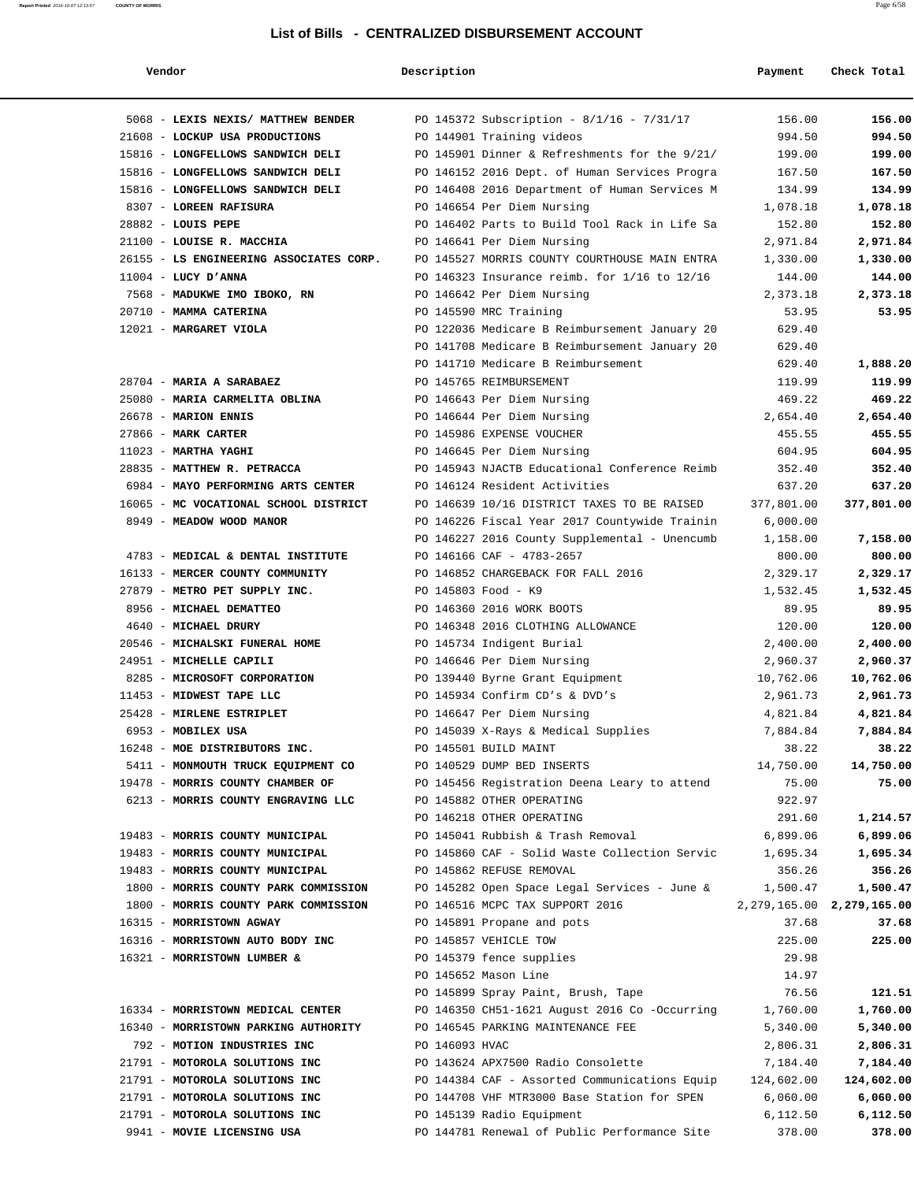**Report Printed** 2016-10-07 12:13:57 **COUNTY OF MORRIS** Page 6/58

#### **Vendor Description Payment Check Total**

| 5068 - LEXIS NEXIS/ MATTHEW BENDER                       |                | PO 145372 Subscription - 8/1/16 - 7/31/17        | 156.00            | 156.00                        |
|----------------------------------------------------------|----------------|--------------------------------------------------|-------------------|-------------------------------|
| 21608 - LOCKUP USA PRODUCTIONS                           |                | PO 144901 Training videos                        | 994.50            | 994.50                        |
| 15816 - LONGFELLOWS SANDWICH DELI                        |                | PO 145901 Dinner & Refreshments for the 9/21/    | 199.00            | 199.00                        |
| 15816 - LONGFELLOWS SANDWICH DELI                        |                | PO 146152 2016 Dept. of Human Services Progra    | 167.50            | 167.50                        |
| 15816 - LONGFELLOWS SANDWICH DELI                        |                | PO 146408 2016 Department of Human Services M    | 134.99            | 134.99                        |
| 8307 - LOREEN RAFISURA                                   |                | PO 146654 Per Diem Nursing                       | 1,078.18          | 1,078.18                      |
| $28882$ - LOUIS PEPE                                     |                | PO 146402 Parts to Build Tool Rack in Life Sa    | 152.80            | 152.80                        |
| 21100 - LOUISE R. MACCHIA                                |                | PO 146641 Per Diem Nursing                       | 2,971.84          | 2,971.84                      |
| 26155 - LS ENGINEERING ASSOCIATES CORP.                  |                | PO 145527 MORRIS COUNTY COURTHOUSE MAIN ENTRA    | 1,330.00          | 1,330.00                      |
| $11004$ - LUCY D'ANNA                                    |                | PO 146323 Insurance reimb. for $1/16$ to $12/16$ | 144.00            | 144.00                        |
| 7568 - MADUKWE IMO IBOKO, RN                             |                | PO 146642 Per Diem Nursing                       | 2,373.18          | 2,373.18                      |
| 20710 - MAMMA CATERINA                                   |                | PO 145590 MRC Training                           | 53.95             | 53.95                         |
| 12021 - MARGARET VIOLA                                   |                | PO 122036 Medicare B Reimbursement January 20    | 629.40            |                               |
|                                                          |                | PO 141708 Medicare B Reimbursement January 20    | 629.40            |                               |
|                                                          |                | PO 141710 Medicare B Reimbursement               | 629.40            | 1,888.20                      |
| 28704 - MARIA A SARABAEZ                                 |                | PO 145765 REIMBURSEMENT                          | 119.99            | 119.99                        |
| 25080 - MARIA CARMELITA OBLINA                           |                | PO 146643 Per Diem Nursing                       | 469.22            | 469.22                        |
| 26678 - MARION ENNIS                                     |                | PO 146644 Per Diem Nursing                       | 2,654.40          | 2,654.40                      |
| 27866 - MARK CARTER                                      |                | PO 145986 EXPENSE VOUCHER                        | 455.55            | 455.55                        |
| $11023$ - MARTHA YAGHI                                   |                | PO 146645 Per Diem Nursing                       | 604.95            | 604.95                        |
| 28835 - MATTHEW R. PETRACCA                              |                | PO 145943 NJACTB Educational Conference Reimb    | 352.40            | 352.40                        |
| 6984 - MAYO PERFORMING ARTS CENTER                       |                | PO 146124 Resident Activities                    | 637.20            | 637.20                        |
| 16065 - MC VOCATIONAL SCHOOL DISTRICT                    |                | PO 146639 10/16 DISTRICT TAXES TO BE RAISED      | 377,801.00        | 377,801.00                    |
| 8949 - MEADOW WOOD MANOR                                 |                | PO 146226 Fiscal Year 2017 Countywide Trainin    | 6,000.00          |                               |
|                                                          |                | PO 146227 2016 County Supplemental - Unencumb    | 1,158.00          | 7,158.00                      |
| 4783 - MEDICAL & DENTAL INSTITUTE                        |                | PO 146166 CAF - 4783-2657                        | 800.00            | 800.00                        |
| 16133 - MERCER COUNTY COMMUNITY                          |                | PO 146852 CHARGEBACK FOR FALL 2016               | 2,329.17          | 2,329.17                      |
| 27879 - METRO PET SUPPLY INC.<br>8956 - MICHAEL DEMATTEO |                | PO 145803 Food - K9<br>PO 146360 2016 WORK BOOTS | 1,532.45<br>89.95 | 1,532.45<br>89.95             |
| 4640 - MICHAEL DRURY                                     |                | PO 146348 2016 CLOTHING ALLOWANCE                | 120.00            | 120.00                        |
| 20546 - MICHALSKI FUNERAL HOME                           |                | PO 145734 Indigent Burial                        | 2,400.00          | 2,400.00                      |
| 24951 - MICHELLE CAPILI                                  |                | PO 146646 Per Diem Nursing                       | 2,960.37          | 2,960.37                      |
| 8285 - MICROSOFT CORPORATION                             |                | PO 139440 Byrne Grant Equipment                  | 10,762.06         | 10,762.06                     |
| 11453 - MIDWEST TAPE LLC                                 |                | PO 145934 Confirm CD's & DVD's                   | 2,961.73          | 2,961.73                      |
| 25428 - MIRLENE ESTRIPLET                                |                | PO 146647 Per Diem Nursing                       | 4,821.84          | 4,821.84                      |
| 6953 - MOBILEX USA                                       |                | PO 145039 X-Rays & Medical Supplies              | 7,884.84          | 7,884.84                      |
| 16248 - MOE DISTRIBUTORS INC.                            |                | PO 145501 BUILD MAINT                            | 38.22             | 38.22                         |
| 5411 - MONMOUTH TRUCK EQUIPMENT CO                       |                | PO 140529 DUMP BED INSERTS                       | 14,750.00         | 14,750.00                     |
| 19478 - MORRIS COUNTY CHAMBER OF                         |                | PO 145456 Registration Deena Leary to attend     | 75.00             | 75.00                         |
| 6213 - MORRIS COUNTY ENGRAVING LLC                       |                | PO 145882 OTHER OPERATING                        | 922.97            |                               |
|                                                          |                | PO 146218 OTHER OPERATING                        | 291.60            | 1,214.57                      |
| 19483 - MORRIS COUNTY MUNICIPAL                          |                | PO 145041 Rubbish & Trash Removal                | 6,899.06          | 6,899.06                      |
| 19483 - MORRIS COUNTY MUNICIPAL                          |                | PO 145860 CAF - Solid Waste Collection Servic    | 1,695.34          | 1,695.34                      |
| 19483 - MORRIS COUNTY MUNICIPAL                          |                | PO 145862 REFUSE REMOVAL                         | 356.26            | 356.26                        |
| 1800 - MORRIS COUNTY PARK COMMISSION                     |                | PO 145282 Open Space Legal Services - June &     | 1,500.47          | 1,500.47                      |
| 1800 - MORRIS COUNTY PARK COMMISSION                     |                | PO 146516 MCPC TAX SUPPORT 2016                  |                   | 2, 279, 165.00 2, 279, 165.00 |
| 16315 - MORRISTOWN AGWAY                                 |                | PO 145891 Propane and pots                       | 37.68             | 37.68                         |
| 16316 - MORRISTOWN AUTO BODY INC                         |                | PO 145857 VEHICLE TOW                            | 225.00            | 225.00                        |
| 16321 - MORRISTOWN LUMBER &                              |                | PO 145379 fence supplies                         | 29.98             |                               |
|                                                          |                | PO 145652 Mason Line                             | 14.97             |                               |
|                                                          |                | PO 145899 Spray Paint, Brush, Tape               | 76.56             | 121.51                        |
| 16334 - MORRISTOWN MEDICAL CENTER                        |                | PO 146350 CH51-1621 August 2016 Co -Occurring    | 1,760.00          | 1,760.00                      |
| 16340 - MORRISTOWN PARKING AUTHORITY                     |                | PO 146545 PARKING MAINTENANCE FEE                | 5,340.00          | 5,340.00                      |
| 792 - MOTION INDUSTRIES INC                              | PO 146093 HVAC |                                                  | 2,806.31          | 2,806.31                      |
| 21791 - MOTOROLA SOLUTIONS INC                           |                | PO 143624 APX7500 Radio Consolette               | 7,184.40          | 7,184.40                      |
| 21791 - MOTOROLA SOLUTIONS INC                           |                | PO 144384 CAF - Assorted Communications Equip    | 124,602.00        | 124,602.00                    |
| 21791 - MOTOROLA SOLUTIONS INC                           |                | PO 144708 VHF MTR3000 Base Station for SPEN      | 6,060.00          | 6,060.00                      |
| 21791 - MOTOROLA SOLUTIONS INC                           |                | PO 145139 Radio Equipment                        | 6,112.50          | 6,112.50                      |
| 9941 - MOVIE LICENSING USA                               |                | PO 144781 Renewal of Public Performance Site     | 378.00            | 378.00                        |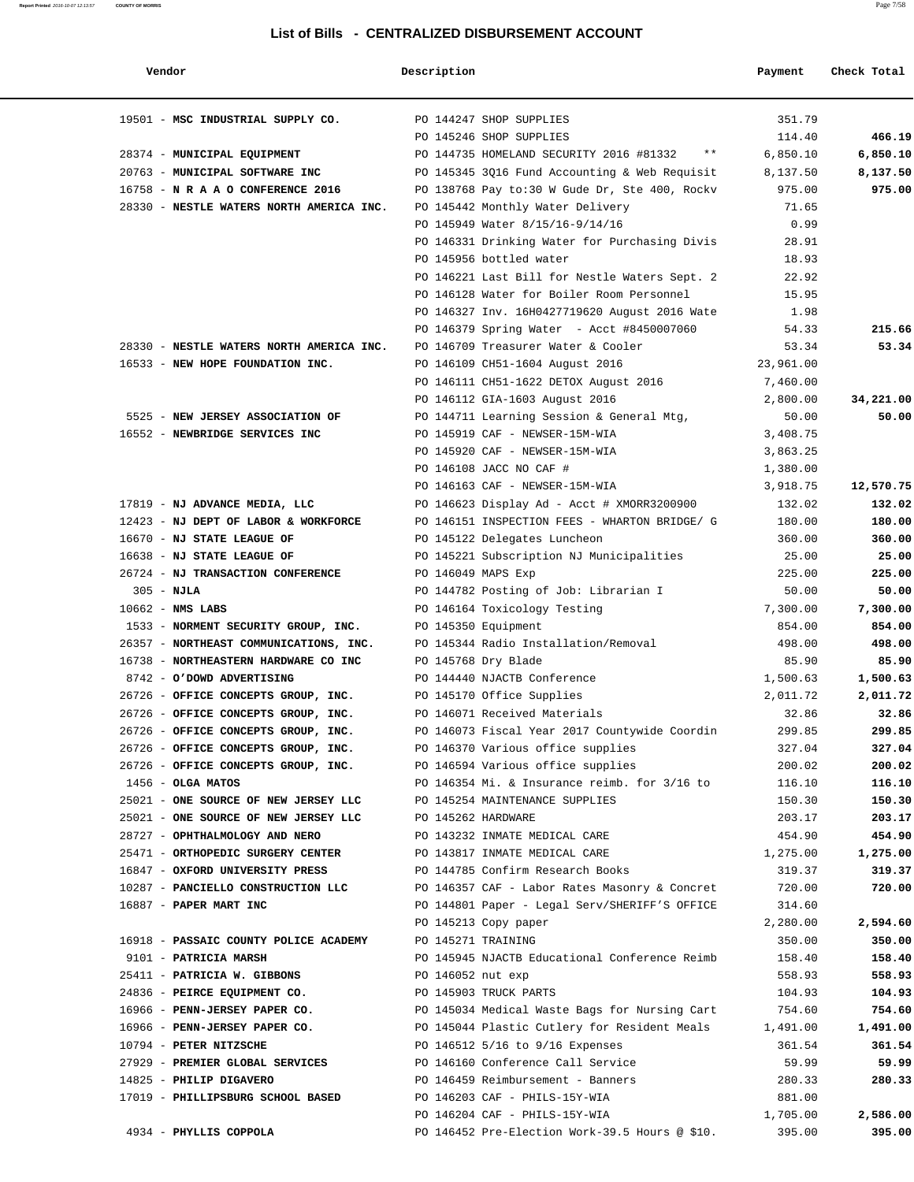| Vendor                                                                 | Description        |                                                | Payment          | Check Total      |
|------------------------------------------------------------------------|--------------------|------------------------------------------------|------------------|------------------|
| 19501 - MSC INDUSTRIAL SUPPLY CO.                                      |                    | PO 144247 SHOP SUPPLIES                        | 351.79           |                  |
|                                                                        |                    | PO 145246 SHOP SUPPLIES                        | 114.40           | 466.19           |
| 28374 - MUNICIPAL EQUIPMENT                                            |                    | PO 144735 HOMELAND SECURITY 2016 #81332 **     | 6,850.10         | 6,850.10         |
| 20763 - MUNICIPAL SOFTWARE INC                                         |                    | PO 145345 3Q16 Fund Accounting & Web Requisit  | 8,137.50         | 8,137.50         |
| 16758 - N R A A O CONFERENCE 2016                                      |                    | PO 138768 Pay to:30 W Gude Dr, Ste 400, Rockv  | 975.00           | 975.00           |
| 28330 - NESTLE WATERS NORTH AMERICA INC.                               |                    | PO 145442 Monthly Water Delivery               | 71.65            |                  |
|                                                                        |                    | PO 145949 Water 8/15/16-9/14/16                | 0.99             |                  |
|                                                                        |                    | PO 146331 Drinking Water for Purchasing Divis  | 28.91            |                  |
|                                                                        |                    | PO 145956 bottled water                        | 18.93            |                  |
|                                                                        |                    | PO 146221 Last Bill for Nestle Waters Sept. 2  | 22.92            |                  |
|                                                                        |                    | PO 146128 Water for Boiler Room Personnel      | 15.95            |                  |
|                                                                        |                    | PO 146327 Inv. 16H0427719620 August 2016 Wate  | 1.98             |                  |
|                                                                        |                    | PO 146379 Spring Water - Acct #8450007060      | 54.33            | 215.66           |
| 28330 - NESTLE WATERS NORTH AMERICA INC.                               |                    | PO 146709 Treasurer Water & Cooler             | 53.34            | 53.34            |
| 16533 - NEW HOPE FOUNDATION INC.                                       |                    | PO 146109 CH51-1604 August 2016                | 23,961.00        |                  |
|                                                                        |                    | PO 146111 CH51-1622 DETOX August 2016          | 7,460.00         |                  |
|                                                                        |                    | PO 146112 GIA-1603 August 2016                 | 2,800.00         | 34,221.00        |
| 5525 - NEW JERSEY ASSOCIATION OF                                       |                    | PO 144711 Learning Session & General Mtg,      | 50.00            | 50.00            |
| 16552 - NEWBRIDGE SERVICES INC                                         |                    | PO 145919 CAF - NEWSER-15M-WIA                 | 3,408.75         |                  |
|                                                                        |                    | PO 145920 CAF - NEWSER-15M-WIA                 | 3,863.25         |                  |
|                                                                        |                    | PO 146108 JACC NO CAF #                        | 1,380.00         |                  |
|                                                                        |                    | PO 146163 CAF - NEWSER-15M-WIA                 | 3,918.75         | 12,570.75        |
| 17819 - NJ ADVANCE MEDIA, LLC                                          |                    | PO 146623 Display Ad - Acct # XMORR3200900     | 132.02           | 132.02           |
| 12423 - NJ DEPT OF LABOR & WORKFORCE                                   |                    | PO 146151 INSPECTION FEES - WHARTON BRIDGE/ G  | 180.00           | 180.00           |
| 16670 - NJ STATE LEAGUE OF                                             |                    | PO 145122 Delegates Luncheon                   | 360.00           | 360.00           |
| 16638 - NJ STATE LEAGUE OF                                             |                    | PO 145221 Subscription NJ Municipalities       | 25.00            | 25.00            |
| 26724 - NJ TRANSACTION CONFERENCE                                      | PO 146049 MAPS Exp |                                                | 225.00           | 225.00           |
| $305 - NJLA$                                                           |                    | PO 144782 Posting of Job: Librarian I          | 50.00            | 50.00            |
| $10662$ - NMS LABS                                                     |                    | PO 146164 Toxicology Testing                   | 7,300.00         | 7,300.00         |
| 1533 - NORMENT SECURITY GROUP, INC.                                    |                    | PO 145350 Equipment                            | 854.00           | 854.00           |
| 26357 - NORTHEAST COMMUNICATIONS, INC.                                 |                    | PO 145344 Radio Installation/Removal           | 498.00           | 498.00           |
| 16738 - NORTHEASTERN HARDWARE CO INC                                   |                    | PO 145768 Dry Blade                            | 85.90            | 85.90            |
| 8742 - O'DOWD ADVERTISING                                              |                    | PO 144440 NJACTB Conference                    | 1,500.63         | 1,500.63         |
| 26726 - OFFICE CONCEPTS GROUP, INC.                                    |                    | PO 145170 Office Supplies                      | 2,011.72         | 2,011.72         |
| 26726 - OFFICE CONCEPTS GROUP, INC.                                    |                    | PO 146071 Received Materials                   | 32.86            | 32.86            |
| 26726 - OFFICE CONCEPTS GROUP, INC.                                    |                    | PO 146073 Fiscal Year 2017 Countywide Coordin  | 299.85           | 299.85           |
| 26726 - OFFICE CONCEPTS GROUP, INC.                                    |                    | PO 146370 Various office supplies              | 327.04           | 327.04           |
| 26726 - OFFICE CONCEPTS GROUP, INC.                                    |                    | PO 146594 Various office supplies              | 200.02           | 200.02           |
| $1456 - OLGA$ MATOS                                                    |                    | PO 146354 Mi. & Insurance reimb. for 3/16 to   | 116.10           | 116.10           |
| 25021 - ONE SOURCE OF NEW JERSEY LLC                                   |                    | PO 145254 MAINTENANCE SUPPLIES                 | 150.30           | 150.30           |
| 25021 - ONE SOURCE OF NEW JERSEY LLC<br>28727 - OPHTHALMOLOGY AND NERO | PO 145262 HARDWARE | PO 143232 INMATE MEDICAL CARE                  | 203.17<br>454.90 | 203.17<br>454.90 |
| 25471 - ORTHOPEDIC SURGERY CENTER                                      |                    | PO 143817 INMATE MEDICAL CARE                  | 1,275.00         | 1,275.00         |
| 16847 - OXFORD UNIVERSITY PRESS                                        |                    | PO 144785 Confirm Research Books               | 319.37           | 319.37           |
| 10287 - PANCIELLO CONSTRUCTION LLC                                     |                    | PO 146357 CAF - Labor Rates Masonry & Concret  | 720.00           | 720.00           |
| 16887 - PAPER MART INC                                                 |                    | PO 144801 Paper - Legal Serv/SHERIFF'S OFFICE  | 314.60           |                  |
|                                                                        |                    | PO 145213 Copy paper                           | 2,280.00         | 2,594.60         |
| 16918 - PASSAIC COUNTY POLICE ACADEMY                                  | PO 145271 TRAINING |                                                | 350.00           | 350.00           |
| 9101 - PATRICIA MARSH                                                  |                    | PO 145945 NJACTB Educational Conference Reimb  | 158.40           | 158.40           |
| 25411 - PATRICIA W. GIBBONS                                            | PO 146052 nut exp  |                                                | 558.93           | 558.93           |
| 24836 - PEIRCE EQUIPMENT CO.                                           |                    | PO 145903 TRUCK PARTS                          | 104.93           | 104.93           |
| 16966 - PENN-JERSEY PAPER CO.                                          |                    | PO 145034 Medical Waste Bags for Nursing Cart  | 754.60           | 754.60           |
| 16966 - PENN-JERSEY PAPER CO.                                          |                    | PO 145044 Plastic Cutlery for Resident Meals   | 1,491.00         | 1,491.00         |
| 10794 - PETER NITZSCHE                                                 |                    | PO 146512 5/16 to 9/16 Expenses                | 361.54           | 361.54           |
| 27929 - PREMIER GLOBAL SERVICES                                        |                    | PO 146160 Conference Call Service              | 59.99            | 59.99            |
| 14825 - PHILIP DIGAVERO                                                |                    | PO 146459 Reimbursement - Banners              | 280.33           | 280.33           |
| 17019 - PHILLIPSBURG SCHOOL BASED                                      |                    | PO 146203 CAF - PHILS-15Y-WIA                  | 881.00           |                  |
|                                                                        |                    | PO 146204 CAF - PHILS-15Y-WIA                  | 1,705.00         | 2,586.00         |
| 4934 - PHYLLIS COPPOLA                                                 |                    | PO 146452 Pre-Election Work-39.5 Hours @ \$10. | 395.00           | 395.00           |
|                                                                        |                    |                                                |                  |                  |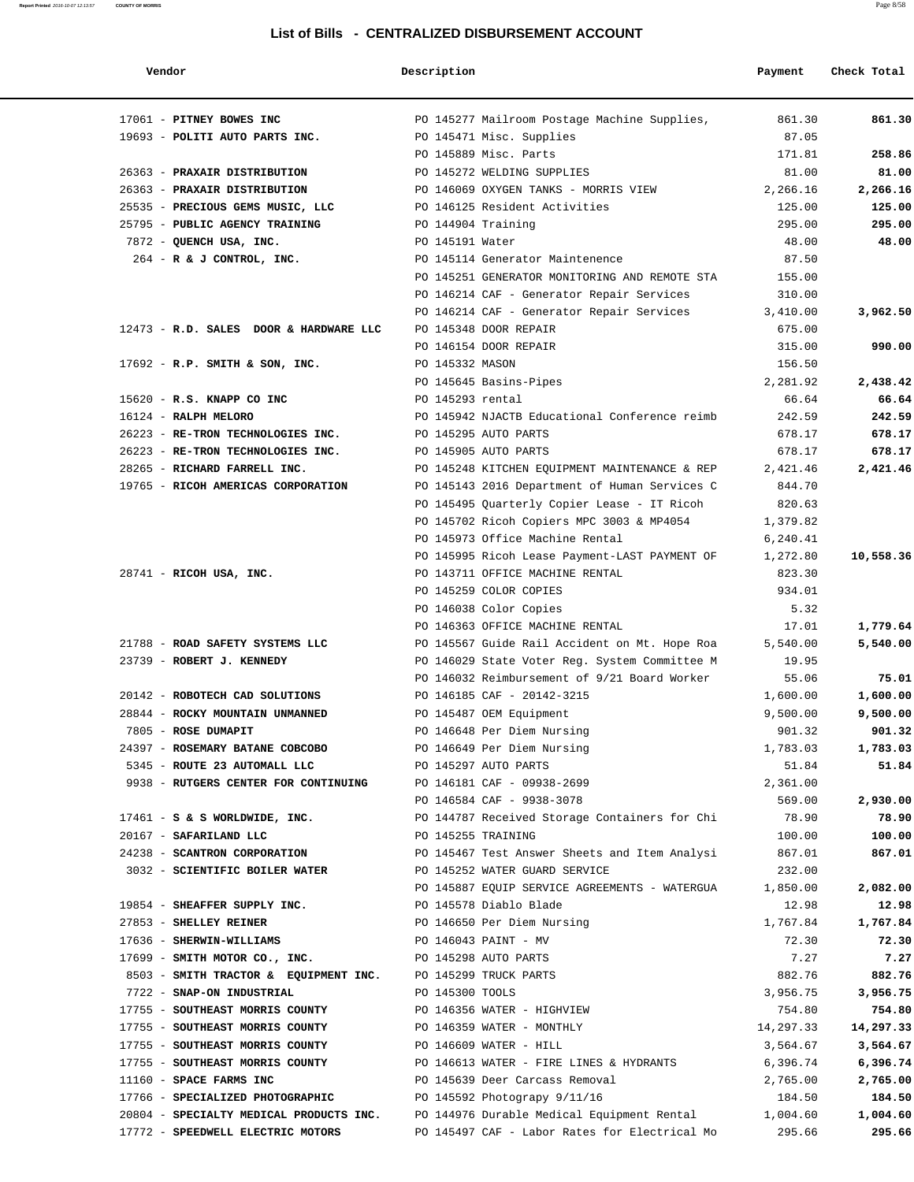| LISLUI DIIIS - CENTRALIZED DISBURSEMENT ACCOUNT |                                               |          |             |  |  |  |
|-------------------------------------------------|-----------------------------------------------|----------|-------------|--|--|--|
| Vendor                                          | Description                                   | Payment  | Check Total |  |  |  |
| 17061 - PITNEY BOWES INC                        | PO 145277 Mailroom Postage Machine Supplies,  | 861.30   | 861.30      |  |  |  |
| 19693 - POLITI AUTO PARTS INC.                  | PO 145471 Misc. Supplies                      | 87.05    |             |  |  |  |
|                                                 | PO 145889 Misc. Parts                         | 171.81   | 258.86      |  |  |  |
| 26363 - PRAXAIR DISTRIBUTION                    | PO 145272 WELDING SUPPLIES                    | 81.00    | 81.00       |  |  |  |
| 26363 - PRAXAIR DISTRIBUTION                    | PO 146069 OXYGEN TANKS - MORRIS VIEW          | 2,266.16 | 2,266.16    |  |  |  |
| 25535 - PRECIOUS GEMS MUSIC, LLC                | PO 146125 Resident Activities                 | 125.00   | 125.00      |  |  |  |
| 25795 - PUBLIC AGENCY TRAINING                  | PO 144904 Training                            | 295.00   | 295.00      |  |  |  |
| 7872 - QUENCH USA, INC.                         | PO 145191 Water                               | 48.00    | 48.00       |  |  |  |
| $264$ - R & J CONTROL, INC.                     | PO 145114 Generator Maintenence               | 87.50    |             |  |  |  |
|                                                 | PO 145251 GENERATOR MONITORING AND REMOTE STA | 155.00   |             |  |  |  |
|                                                 | PO 146214 CAF - Generator Repair Services     | 310.00   |             |  |  |  |
|                                                 | PO 146214 CAF - Generator Repair Services     | 3,410.00 | 3,962.50    |  |  |  |
| 12473 - R.D. SALES DOOR & HARDWARE LLC          | PO 145348 DOOR REPAIR                         | 675.00   |             |  |  |  |
|                                                 | PO 146154 DOOR REPAIR                         | 315.00   | 990.00      |  |  |  |
| $17692$ - R.P. SMITH & SON, INC.                | PO 145332 MASON                               | 156.50   |             |  |  |  |
|                                                 | PO 145645 Basins-Pipes                        | 2,281.92 | 2,438.42    |  |  |  |
| 15620 - R.S. KNAPP CO INC                       | PO 145293 rental                              | 66.64    | 66.64       |  |  |  |
| 16124 - RALPH MELORO                            | PO 145942 NJACTB Educational Conference reimb | 242.59   | 242.59      |  |  |  |
| 26223 - RE-TRON TECHNOLOGIES INC.               | PO 145295 AUTO PARTS                          | 678.17   | 678.17      |  |  |  |
| 26223 - RE-TRON TECHNOLOGIES INC.               | PO 145905 AUTO PARTS                          | 678.17   | 678.17      |  |  |  |
| 28265 - RICHARD FARRELL INC.                    | PO 145248 KITCHEN EOUIPMENT MAINTENANCE & REP | 2,421.46 | 2,421.46    |  |  |  |
| 19765 - RICOH AMERICAS CORPORATION              | PO 145143 2016 Department of Human Services C | 844.70   |             |  |  |  |
|                                                 | PO 145495 Quarterly Copier Lease - IT Ricoh   | 820.63   |             |  |  |  |

PO 145702 Ricoh Copiers MPC 3003 & MP4054 1,379.82 PO 145973 Office Machine Rental 6,240.41

 PO 145259 COLOR COPIES 934.01 PO 146038 Color Copies 5.32

 24397 - **ROSEMARY BATANE COBCOBO** PO 146649 Per Diem Nursing 1,783.03 **1,783.03** 5345 - **ROUTE 23 AUTOMALL LLC** PO 145297 AUTO PARTS 51.84 **51.84**

PO 145995 Ricoh Lease Payment-LAST PAYMENT OF 1,272.80 **10,558.36**

PO 146363 OFFICE MACHINE RENTAL 17.01 **1,779.64** 

PO 146032 Reimbursement of 9/21 Board Worker 55.06 **75.01**

PO 146584 CAF - 9938-3078 569.00 **2,930.00**

PO 145887 EQUIP SERVICE AGREEMENTS - WATERGUA 1,850.00 **2,082.00**

28741 - **RICOH USA, INC.** PO 143711 OFFICE MACHINE RENTAL 823.30

 21788 - **ROAD SAFETY SYSTEMS LLC** PO 145567 Guide Rail Accident on Mt. Hope Roa 5,540.00 **5,540.00** 23739 - **ROBERT J. KENNEDY** PO 146029 State Voter Reg. System Committee M 19.95 20142 - **ROBOTECH CAD SOLUTIONS** PO 146185 CAF - 20142-3215 1,600.00 **1,600.00** 28844 - **ROCKY MOUNTAIN UNMANNED** PO 145487 OEM Equipment 9,500.00 **9,500.00** 7805 - **ROSE DUMAPIT** PO 146648 Per Diem Nursing 901.32 **901.32**

 9938 - **RUTGERS CENTER FOR CONTINUING** PO 146181 CAF - 09938-2699 2,361.00 17461 - **S & S WORLDWIDE, INC.** PO 144787 Received Storage Containers for Chi 78.90 **78.90** 20167 - **SAFARILAND LLC** PO 145255 TRAINING 100.00 **100.00** 24238 - **SCANTRON CORPORATION** PO 145467 Test Answer Sheets and Item Analysi 867.01 **867.01** 3032 - **SCIENTIFIC BOILER WATER** PO 145252 WATER GUARD SERVICE 232.00 19854 - **SHEAFFER SUPPLY INC.** PO 145578 Diablo Blade 12.98 **12.98** 27853 - **SHELLEY REINER** PO 146650 Per Diem Nursing 1,767.84 **1,767.84** 17636 - **SHERWIN-WILLIAMS** PO 146043 PAINT - MV 72.30 **72.30** 17699 - **SMITH MOTOR CO., INC.** PO 145298 AUTO PARTS 7.27 **7.27** 8503 - **SMITH TRACTOR & EQUIPMENT INC.** PO 145299 TRUCK PARTS **882.76** 882.76 882.76 7722 - **SNAP-ON INDUSTRIAL** PO 145300 TOOLS 3,956.75 **3,956.75** 17755 - **SOUTHEAST MORRIS COUNTY** PO 146356 WATER - HIGHVIEW 754.80 **754.80** 17755 - **SOUTHEAST MORRIS COUNTY** PO 146359 WATER - MONTHLY 14,297.33 **14,297.33** 17755 - **SOUTHEAST MORRIS COUNTY** PO 146609 WATER - HILL 3,564.67 **3,564.67** 17755 - **SOUTHEAST MORRIS COUNTY** PO 146613 WATER - FIRE LINES & HYDRANTS 6,396.74 **6,396.74** 11160 - **SPACE FARMS INC** PO 145639 Deer Carcass Removal 2,765.00 **2,765.00** 17766 - **SPECIALIZED PHOTOGRAPHIC** PO 145592 Photograpy 9/11/16 184.50 **184.50** 20804 - **SPECIALTY MEDICAL PRODUCTS INC.** PO 144976 Durable Medical Equipment Rental 1,004.60 **1,004.60** 17772 - **SPEEDWELL ELECTRIC MOTORS** PO 145497 CAF - Labor Rates for Electrical Mo 295.66 **295.66**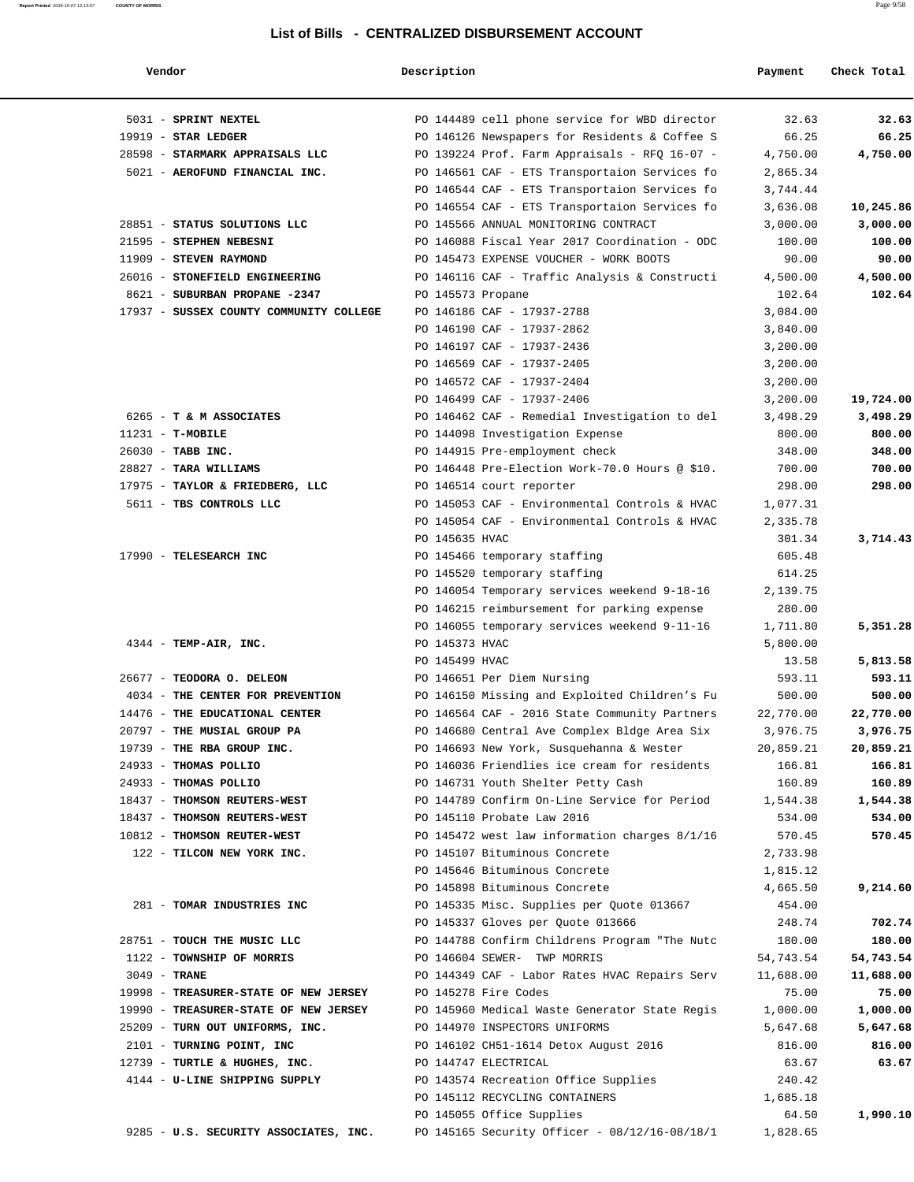| Vendor                                  | Description       |                                                | Payment   | Check Total |
|-----------------------------------------|-------------------|------------------------------------------------|-----------|-------------|
| 5031 - SPRINT NEXTEL                    |                   | PO 144489 cell phone service for WBD director  | 32.63     | 32.63       |
| $19919$ - STAR LEDGER                   |                   | PO 146126 Newspapers for Residents & Coffee S  | 66.25     | 66.25       |
| 28598 - STARMARK APPRAISALS LLC         |                   | PO 139224 Prof. Farm Appraisals - RFQ 16-07 -  | 4,750.00  | 4,750.00    |
| 5021 - AEROFUND FINANCIAL INC.          |                   | PO 146561 CAF - ETS Transportaion Services fo  | 2,865.34  |             |
|                                         |                   | PO 146544 CAF - ETS Transportaion Services fo  | 3,744.44  |             |
|                                         |                   | PO 146554 CAF - ETS Transportaion Services fo  | 3,636.08  | 10,245.86   |
| 28851 - STATUS SOLUTIONS LLC            |                   | PO 145566 ANNUAL MONITORING CONTRACT           | 3,000.00  | 3,000.00    |
| 21595 - STEPHEN NEBESNI                 |                   | PO 146088 Fiscal Year 2017 Coordination - ODC  | 100.00    | 100.00      |
| 11909 - STEVEN RAYMOND                  |                   | PO 145473 EXPENSE VOUCHER - WORK BOOTS         | 90.00     | 90.00       |
| 26016 - STONEFIELD ENGINEERING          |                   | PO 146116 CAF - Traffic Analysis & Constructi  | 4,500.00  | 4,500.00    |
| 8621 - SUBURBAN PROPANE -2347           | PO 145573 Propane |                                                | 102.64    | 102.64      |
| 17937 - SUSSEX COUNTY COMMUNITY COLLEGE |                   | PO 146186 CAF - 17937-2788                     | 3,084.00  |             |
|                                         |                   | PO 146190 CAF - 17937-2862                     | 3,840.00  |             |
|                                         |                   | PO 146197 CAF - 17937-2436                     | 3,200.00  |             |
|                                         |                   | PO 146569 CAF - 17937-2405                     | 3,200.00  |             |
|                                         |                   | PO 146572 CAF - 17937-2404                     | 3,200.00  |             |
|                                         |                   | PO 146499 CAF - 17937-2406                     | 3,200.00  | 19,724.00   |
| 6265 - T & M ASSOCIATES                 |                   | PO 146462 CAF - Remedial Investigation to del  | 3,498.29  | 3,498.29    |
| $11231 - T-MOBILE$                      |                   | PO 144098 Investigation Expense                | 800.00    | 800.00      |
| 26030 - TABB INC.                       |                   | PO 144915 Pre-employment check                 | 348.00    | 348.00      |
| 28827 - TARA WILLIAMS                   |                   | PO 146448 Pre-Election Work-70.0 Hours @ \$10. | 700.00    | 700.00      |
| 17975 - TAYLOR & FRIEDBERG, LLC         |                   | PO 146514 court reporter                       | 298.00    | 298.00      |
| 5611 - TBS CONTROLS LLC                 |                   | PO 145053 CAF - Environmental Controls & HVAC  | 1,077.31  |             |
|                                         |                   | PO 145054 CAF - Environmental Controls & HVAC  | 2,335.78  |             |
|                                         | PO 145635 HVAC    |                                                | 301.34    | 3,714.43    |
| 17990 - TELESEARCH INC                  |                   | PO 145466 temporary staffing                   | 605.48    |             |
|                                         |                   | PO 145520 temporary staffing                   | 614.25    |             |
|                                         |                   | PO 146054 Temporary services weekend 9-18-16   | 2,139.75  |             |
|                                         |                   | PO 146215 reimbursement for parking expense    | 280.00    |             |
|                                         |                   | PO 146055 temporary services weekend 9-11-16   | 1,711.80  | 5,351.28    |
| $4344$ - TEMP-AIR, INC.                 | PO 145373 HVAC    |                                                | 5,800.00  |             |
|                                         | PO 145499 HVAC    |                                                | 13.58     | 5,813.58    |
| 26677 - TEODORA O. DELEON               |                   | PO 146651 Per Diem Nursing                     | 593.11    | 593.11      |
| 4034 - THE CENTER FOR PREVENTION        |                   | PO 146150 Missing and Exploited Children's Fu  | 500.00    | 500.00      |
| 14476 - THE EDUCATIONAL CENTER          |                   | PO 146564 CAF - 2016 State Community Partners  | 22,770.00 | 22,770.00   |
| 20797 - THE MUSIAL GROUP PA             |                   | PO 146680 Central Ave Complex Bldge Area Six   | 3,976.75  | 3,976.75    |
| 19739 - THE RBA GROUP INC.              |                   | PO 146693 New York, Susquehanna & Wester       | 20,859.21 | 20,859.21   |
| 24933 - THOMAS POLLIO                   |                   | PO 146036 Friendlies ice cream for residents   | 166.81    | 166.81      |
| 24933 - THOMAS POLLIO                   |                   | PO 146731 Youth Shelter Petty Cash             | 160.89    | 160.89      |
| 18437 - THOMSON REUTERS-WEST            |                   | PO 144789 Confirm On-Line Service for Period   | 1,544.38  | 1,544.38    |
| 18437 - THOMSON REUTERS-WEST            |                   | PO 145110 Probate Law 2016                     | 534.00    | 534.00      |
| 10812 - THOMSON REUTER-WEST             |                   | PO 145472 west law information charges 8/1/16  | 570.45    | 570.45      |
| 122 - TILCON NEW YORK INC.              |                   | PO 145107 Bituminous Concrete                  | 2,733.98  |             |
|                                         |                   | PO 145646 Bituminous Concrete                  | 1,815.12  |             |
|                                         |                   | PO 145898 Bituminous Concrete                  | 4,665.50  | 9,214.60    |
| 281 - TOMAR INDUSTRIES INC              |                   | PO 145335 Misc. Supplies per Quote 013667      | 454.00    |             |
|                                         |                   | PO 145337 Gloves per Quote 013666              | 248.74    | 702.74      |
| 28751 - TOUCH THE MUSIC LLC             |                   | PO 144788 Confirm Childrens Program "The Nutc  | 180.00    | 180.00      |
| 1122 - TOWNSHIP OF MORRIS               |                   | PO 146604 SEWER- TWP MORRIS                    | 54,743.54 | 54,743.54   |
| $3049$ - TRANE                          |                   | PO 144349 CAF - Labor Rates HVAC Repairs Serv  | 11,688.00 | 11,688.00   |
| 19998 - TREASURER-STATE OF NEW JERSEY   |                   | PO 145278 Fire Codes                           | 75.00     | 75.00       |
| 19990 - TREASURER-STATE OF NEW JERSEY   |                   | PO 145960 Medical Waste Generator State Regis  | 1,000.00  | 1,000.00    |
| 25209 - TURN OUT UNIFORMS, INC.         |                   | PO 144970 INSPECTORS UNIFORMS                  | 5,647.68  | 5,647.68    |
| 2101 - TURNING POINT, INC               |                   | PO 146102 CH51-1614 Detox August 2016          | 816.00    | 816.00      |
| 12739 - TURTLE & HUGHES, INC.           |                   | PO 144747 ELECTRICAL                           | 63.67     | 63.67       |
| 4144 - U-LINE SHIPPING SUPPLY           |                   | PO 143574 Recreation Office Supplies           | 240.42    |             |
|                                         |                   | PO 145112 RECYCLING CONTAINERS                 | 1,685.18  |             |
|                                         |                   | PO 145055 Office Supplies                      | 64.50     | 1,990.10    |
| 9285 - U.S. SECURITY ASSOCIATES, INC.   |                   | PO 145165 Security Officer - 08/12/16-08/18/1  | 1,828.65  |             |

**Report Printed** 2016-10-07 12:13:57 **COUNTY OF MORRIS** Page 9/58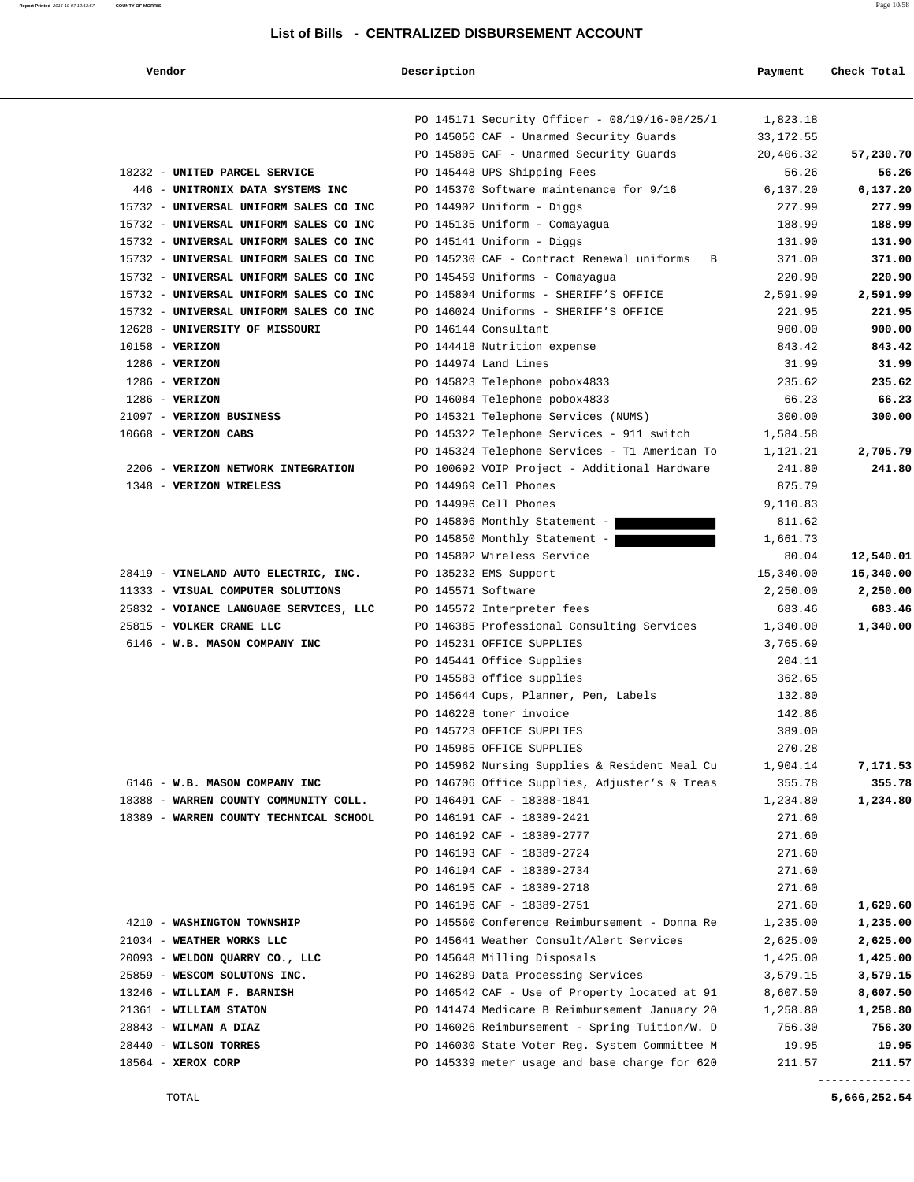| ٦7. | endo: |  |
|-----|-------|--|
|     |       |  |

### **Vendor Description Payment Check Total**

|                                        | PO 145171 Security Officer - 08/19/16-08/25/1 | 1,823.18   |           |
|----------------------------------------|-----------------------------------------------|------------|-----------|
|                                        | PO 145056 CAF - Unarmed Security Guards       | 33, 172.55 |           |
|                                        | PO 145805 CAF - Unarmed Security Guards       | 20,406.32  | 57,230.70 |
| 18232 - UNITED PARCEL SERVICE          | PO 145448 UPS Shipping Fees                   | 56.26      | 56.26     |
| 446 - UNITRONIX DATA SYSTEMS INC       | PO 145370 Software maintenance for 9/16       | 6,137.20   | 6,137.20  |
| 15732 - UNIVERSAL UNIFORM SALES CO INC | PO 144902 Uniform - Diggs                     | 277.99     | 277.99    |
| 15732 - UNIVERSAL UNIFORM SALES CO INC | PO 145135 Uniform - Comayagua                 | 188.99     | 188.99    |
| 15732 - UNIVERSAL UNIFORM SALES CO INC | PO 145141 Uniform - Diggs                     | 131.90     | 131.90    |
| 15732 - UNIVERSAL UNIFORM SALES CO INC | PO 145230 CAF - Contract Renewal uniforms B   | 371.00     | 371.00    |
| 15732 - UNIVERSAL UNIFORM SALES CO INC | PO 145459 Uniforms - Comayagua                | 220.90     | 220.90    |
| 15732 - UNIVERSAL UNIFORM SALES CO INC | PO 145804 Uniforms - SHERIFF'S OFFICE         | 2,591.99   | 2,591.99  |
| 15732 - UNIVERSAL UNIFORM SALES CO INC | PO 146024 Uniforms - SHERIFF'S OFFICE         | 221.95     | 221.95    |
| 12628 - UNIVERSITY OF MISSOURI         | PO 146144 Consultant                          | 900.00     | 900.00    |
| $10158 - VERIZON$                      | PO 144418 Nutrition expense                   | 843.42     | 843.42    |
| $1286$ - VERIZON                       | PO 144974 Land Lines                          | 31.99      | 31.99     |
| $1286$ - VERIZON                       | PO 145823 Telephone pobox4833                 | 235.62     | 235.62    |
| $1286$ - VERIZON                       | PO 146084 Telephone pobox4833                 | 66.23      | 66.23     |
| 21097 - VERIZON BUSINESS               | PO 145321 Telephone Services (NUMS)           | 300.00     | 300.00    |
| $10668$ - VERIZON CABS                 | PO 145322 Telephone Services - 911 switch     | 1,584.58   |           |
|                                        | PO 145324 Telephone Services - T1 American To | 1,121.21   | 2,705.79  |
| 2206 - VERIZON NETWORK INTEGRATION     | PO 100692 VOIP Project - Additional Hardware  | 241.80     | 241.80    |
| 1348 - VERIZON WIRELESS                | PO 144969 Cell Phones                         | 875.79     |           |
|                                        | PO 144996 Cell Phones                         | 9,110.83   |           |
|                                        | PO 145806 Monthly Statement -                 | 811.62     |           |
|                                        | PO 145850 Monthly Statement -                 | 1,661.73   |           |
|                                        | PO 145802 Wireless Service                    | 80.04      | 12,540.01 |
| 28419 - VINELAND AUTO ELECTRIC, INC.   | PO 135232 EMS Support                         | 15,340.00  | 15,340.00 |
| 11333 - VISUAL COMPUTER SOLUTIONS      | PO 145571 Software                            | 2,250.00   | 2,250.00  |
| 25832 - VOIANCE LANGUAGE SERVICES, LLC | PO 145572 Interpreter fees                    | 683.46     | 683.46    |
| 25815 - VOLKER CRANE LLC               | PO 146385 Professional Consulting Services    | 1,340.00   | 1,340.00  |
| 6146 - W.B. MASON COMPANY INC          | PO 145231 OFFICE SUPPLIES                     | 3,765.69   |           |
|                                        | PO 145441 Office Supplies                     | 204.11     |           |
|                                        | PO 145583 office supplies                     | 362.65     |           |
|                                        | PO 145644 Cups, Planner, Pen, Labels          | 132.80     |           |
|                                        | PO 146228 toner invoice                       | 142.86     |           |
|                                        | PO 145723 OFFICE SUPPLIES                     | 389.00     |           |
|                                        | PO 145985 OFFICE SUPPLIES                     | 270.28     |           |
|                                        | PO 145962 Nursing Supplies & Resident Meal Cu | 1,904.14   | 7,171.53  |
| 6146 - W.B. MASON COMPANY INC          | PO 146706 Office Supplies, Adjuster's & Treas | 355.78     | 355.78    |
| 18388 - WARREN COUNTY COMMUNITY COLL.  | PO 146491 CAF - 18388-1841                    | 1,234.80   | 1,234.80  |
| 18389 - WARREN COUNTY TECHNICAL SCHOOL | PO 146191 CAF - 18389-2421                    | 271.60     |           |
|                                        | PO 146192 CAF - 18389-2777                    | 271.60     |           |
|                                        | PO 146193 CAF - 18389-2724                    | 271.60     |           |
|                                        | PO 146194 CAF - 18389-2734                    | 271.60     |           |
|                                        | PO 146195 CAF - 18389-2718                    | 271.60     |           |
|                                        | PO 146196 CAF - 18389-2751                    | 271.60     | 1,629.60  |
| 4210 - WASHINGTON TOWNSHIP             | PO 145560 Conference Reimbursement - Donna Re | 1,235.00   | 1,235.00  |
| 21034 - WEATHER WORKS LLC              | PO 145641 Weather Consult/Alert Services      | 2,625.00   | 2,625.00  |
| 20093 - WELDON QUARRY CO., LLC         | PO 145648 Milling Disposals                   | 1,425.00   | 1,425.00  |
| 25859 - WESCOM SOLUTONS INC.           | PO 146289 Data Processing Services            |            | 3,579.15  |
|                                        |                                               | 3,579.15   |           |
| 13246 - WILLIAM F. BARNISH             | PO 146542 CAF - Use of Property located at 91 | 8,607.50   | 8,607.50  |
| 21361 - WILLIAM STATON                 | PO 141474 Medicare B Reimbursement January 20 | 1,258.80   | 1,258.80  |
| $28843$ - WILMAN A DIAZ                | PO 146026 Reimbursement - Spring Tuition/W. D | 756.30     | 756.30    |
| 28440 - WILSON TORRES                  | PO 146030 State Voter Reg. System Committee M | 19.95      | 19.95     |
| $18564$ - XEROX CORP                   | PO 145339 meter usage and base charge for 620 | 211.57     | 211.57    |

--------------

TOTAL **5,666,252.54**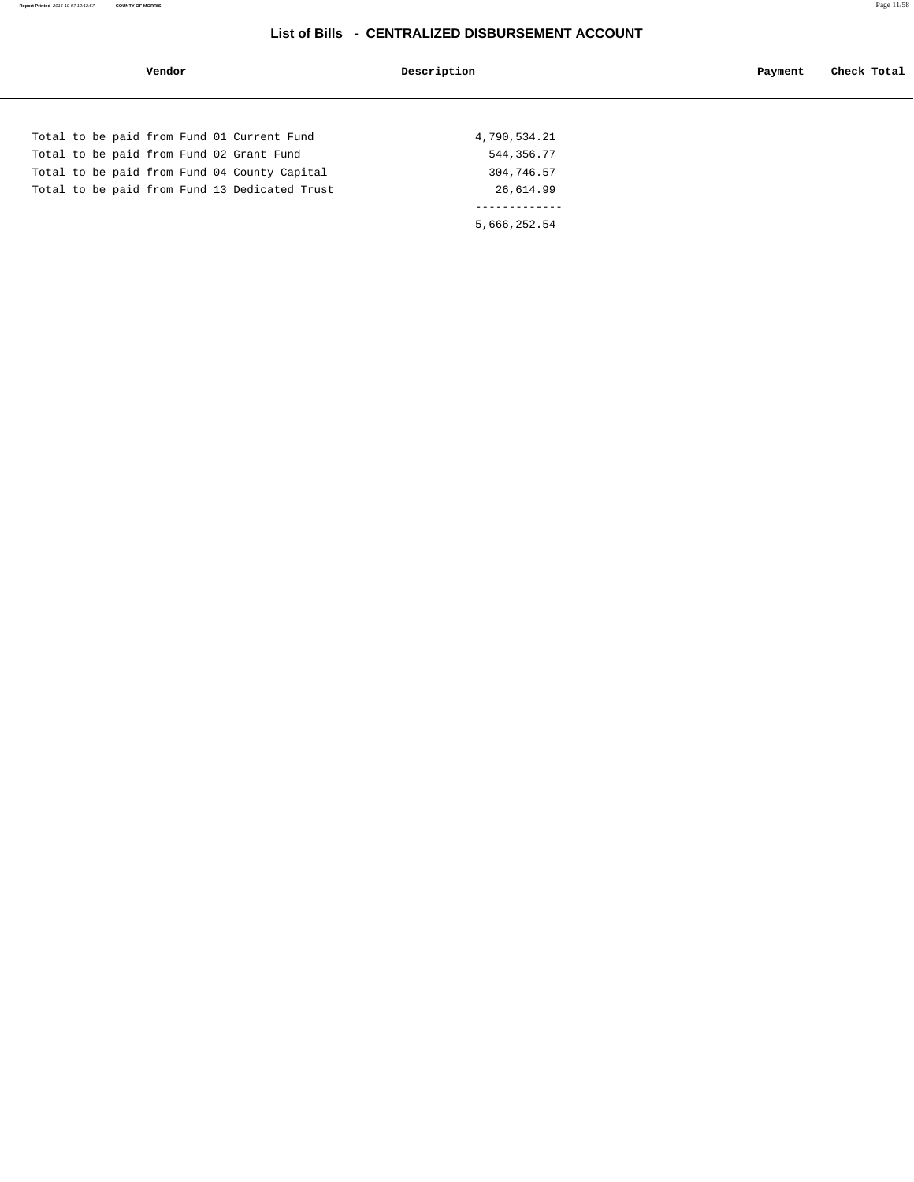| Vendor                                        | Description  | Check Total<br>Payment |
|-----------------------------------------------|--------------|------------------------|
|                                               |              |                        |
| Total to be paid from Fund 01 Current Fund    | 4,790,534.21 |                        |
| Total to be paid from Fund 02 Grant Fund      | 544, 356. 77 |                        |
| Total to be paid from Fund 04 County Capital  | 304,746.57   |                        |
| Total to be paid from Fund 13 Dedicated Trust | 26,614.99    |                        |
|                                               |              |                        |
|                                               | 5,666,252.54 |                        |
|                                               |              |                        |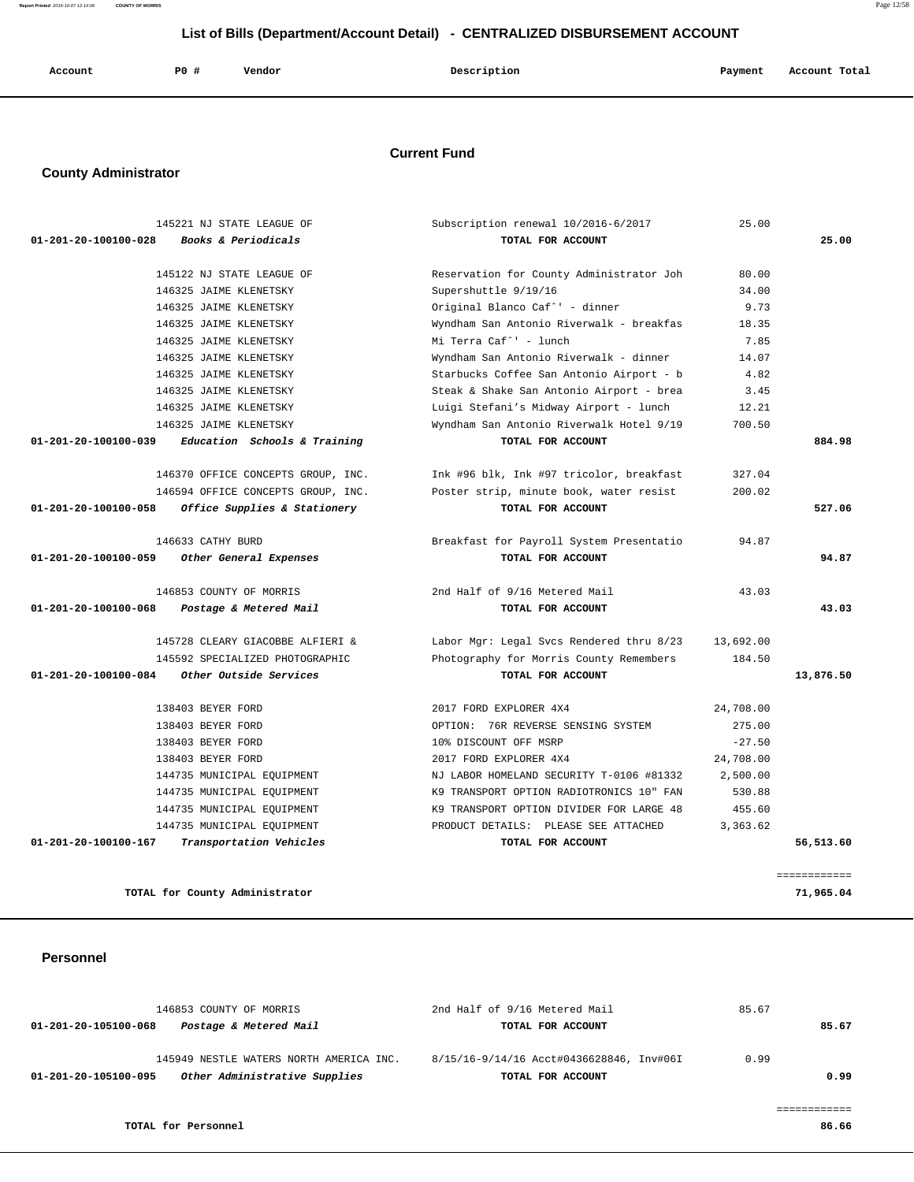**Report Printed** 2016-10-07 12:14:08 **COUNTY OF MORRIS** Page 12/58

# **List of Bills (Department/Account Detail) - CENTRALIZED DISBURSEMENT ACCOUNT**

| Account | PO# | Vendor | Description | Payment<br>the control of the control of the con- | Account Total |
|---------|-----|--------|-------------|---------------------------------------------------|---------------|
|         |     |        |             |                                                   |               |

## **Current Fund**

# **County Administrator**

|           | 25.00     | Subscription renewal 10/2016-6/2017      | 145221 NJ STATE LEAGUE OF          |                                |
|-----------|-----------|------------------------------------------|------------------------------------|--------------------------------|
| 25.00     |           | TOTAL FOR ACCOUNT                        | Books & Periodicals                | $01 - 201 - 20 - 100100 - 028$ |
|           | 80.00     | Reservation for County Administrator Joh | 145122 NJ STATE LEAGUE OF          |                                |
|           | 34.00     | Supershuttle 9/19/16                     | 146325 JAIME KLENETSKY             |                                |
|           | 9.73      | Original Blanco Caf^' - dinner           | 146325 JAIME KLENETSKY             |                                |
|           | 18.35     | Wyndham San Antonio Riverwalk - breakfas | 146325 JAIME KLENETSKY             |                                |
|           | 7.85      | Mi Terra Caf^' - lunch                   | 146325 JAIME KLENETSKY             |                                |
|           | 14.07     | Wyndham San Antonio Riverwalk - dinner   | 146325 JAIME KLENETSKY             |                                |
|           | 4.82      | Starbucks Coffee San Antonio Airport - b | 146325 JAIME KLENETSKY             |                                |
|           | 3.45      | Steak & Shake San Antonio Airport - brea | 146325 JAIME KLENETSKY             |                                |
|           | 12.21     | Luigi Stefani's Midway Airport - lunch   | 146325 JAIME KLENETSKY             |                                |
|           | 700.50    | Wyndham San Antonio Riverwalk Hotel 9/19 | 146325 JAIME KLENETSKY             |                                |
| 884.98    |           | TOTAL FOR ACCOUNT                        | Education Schools & Training       | 01-201-20-100100-039           |
|           | 327.04    | Ink #96 blk, Ink #97 tricolor, breakfast | 146370 OFFICE CONCEPTS GROUP, INC. |                                |
|           | 200.02    | Poster strip, minute book, water resist  | 146594 OFFICE CONCEPTS GROUP, INC. |                                |
| 527.06    |           | TOTAL FOR ACCOUNT                        | Office Supplies & Stationery       | 01-201-20-100100-058           |
|           | 94.87     | Breakfast for Payroll System Presentatio | 146633 CATHY BURD                  |                                |
| 94.87     |           | TOTAL FOR ACCOUNT                        | Other General Expenses             | 01-201-20-100100-059           |
|           | 43.03     | 2nd Half of 9/16 Metered Mail            | 146853 COUNTY OF MORRIS            |                                |
| 43.03     |           | TOTAL FOR ACCOUNT                        | Postage & Metered Mail             | 01-201-20-100100-068           |
|           | 13,692.00 | Labor Mgr: Legal Svcs Rendered thru 8/23 | 145728 CLEARY GIACOBBE ALFIERI &   |                                |
|           | 184.50    | Photography for Morris County Remembers  | 145592 SPECIALIZED PHOTOGRAPHIC    |                                |
| 13,876.50 |           | TOTAL FOR ACCOUNT                        | Other Outside Services             | 01-201-20-100100-084           |
|           | 24,708.00 | 2017 FORD EXPLORER 4X4                   | 138403 BEYER FORD                  |                                |
|           | 275.00    | OPTION: 76R REVERSE SENSING SYSTEM       | 138403 BEYER FORD                  |                                |
|           | $-27.50$  | 10% DISCOUNT OFF MSRP                    | 138403 BEYER FORD                  |                                |
|           | 24,708.00 | 2017 FORD EXPLORER 4X4                   | 138403 BEYER FORD                  |                                |
|           | 2,500.00  | NJ LABOR HOMELAND SECURITY T-0106 #81332 | 144735 MUNICIPAL EQUIPMENT         |                                |
|           | 530.88    | K9 TRANSPORT OPTION RADIOTRONICS 10" FAN | 144735 MUNICIPAL EQUIPMENT         |                                |
|           | 455.60    | K9 TRANSPORT OPTION DIVIDER FOR LARGE 48 | 144735 MUNICIPAL EOUIPMENT         |                                |
|           |           |                                          |                                    |                                |
|           | 3,363.62  | PRODUCT DETAILS: PLEASE SEE ATTACHED     | 144735 MUNICIPAL EQUIPMENT         |                                |

#### **Personnel**

|                      | 146853 COUNTY OF MORRIS                 | 2nd Half of 9/16 Metered Mail            | 85.67 |
|----------------------|-----------------------------------------|------------------------------------------|-------|
| 01-201-20-105100-068 | Postage & Metered Mail                  | TOTAL FOR ACCOUNT                        | 85.67 |
|                      |                                         |                                          |       |
|                      | 145949 NESTLE WATERS NORTH AMERICA INC. | 8/15/16-9/14/16 Acct#0436628846, Inv#06I | 0.99  |
| 01-201-20-105100-095 | Other Administrative Supplies           | TOTAL FOR ACCOUNT                        | 0.99  |
|                      |                                         |                                          |       |
|                      |                                         |                                          |       |
|                      | TOTAL for Personnel                     |                                          | 86.66 |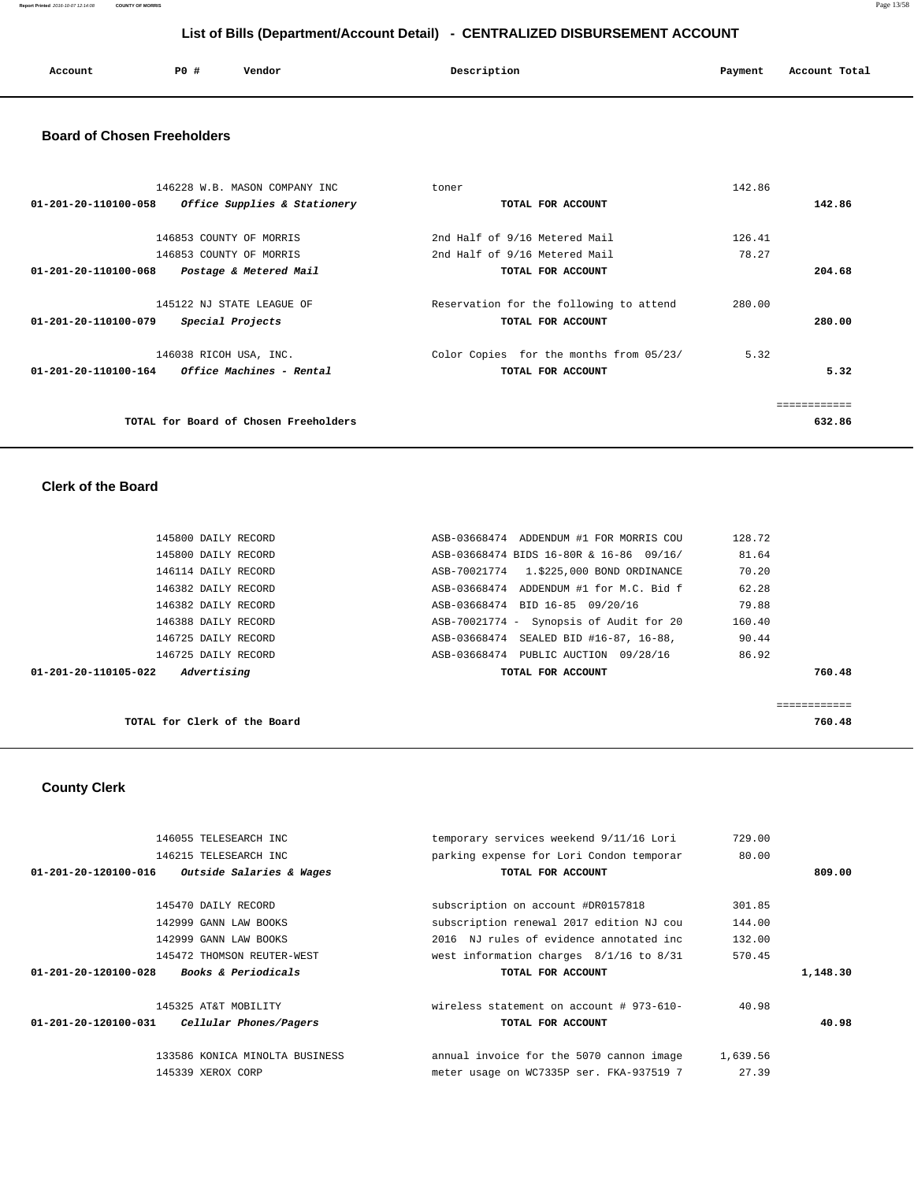**Report Printed** 2016-10-07 12:14:08 **COUNTY OF MORRIS** Page 13/58

# **List of Bills (Department/Account Detail) - CENTRALIZED DISBURSEMENT ACCOUNT**

| Account | P0 # | Vendor | Description | Payment | Account Total |
|---------|------|--------|-------------|---------|---------------|
|         |      |        |             |         |               |

## **Board of Chosen Freeholders**

| 146228 W.B. MASON COMPANY INC                           | toner                                   | 142.86 |        |
|---------------------------------------------------------|-----------------------------------------|--------|--------|
| 01-201-20-110100-058<br>Office Supplies & Stationery    | TOTAL FOR ACCOUNT                       |        | 142.86 |
|                                                         |                                         |        |        |
| 146853 COUNTY OF MORRIS                                 | 2nd Half of 9/16 Metered Mail           | 126.41 |        |
| 146853 COUNTY OF MORRIS                                 | 2nd Half of 9/16 Metered Mail           | 78.27  |        |
| 01-201-20-110100-068<br>Postage & Metered Mail          | TOTAL FOR ACCOUNT                       |        | 204.68 |
| 145122 NJ STATE LEAGUE OF                               | Reservation for the following to attend | 280.00 |        |
| 01-201-20-110100-079<br>Special Projects                | TOTAL FOR ACCOUNT                       |        | 280.00 |
| 146038 RICOH USA, INC.                                  | Color Copies for the months from 05/23/ | 5.32   |        |
| $01 - 201 - 20 - 110100 - 164$ Office Machines - Rental | TOTAL FOR ACCOUNT                       |        | 5.32   |
|                                                         |                                         |        |        |
| TOTAL for Board of Chosen Freeholders                   |                                         |        | 632.86 |

## **Clerk of the Board**

| 145800 DAILY RECORD                 | ASB-03668474 ADDENDUM #1 FOR MORRIS COU   | 128.72 |
|-------------------------------------|-------------------------------------------|--------|
| 145800 DAILY RECORD                 | ASB-03668474 BIDS 16-80R & 16-86 09/16/   | 81.64  |
| 146114 DAILY RECORD                 | ASB-70021774   1.\$225,000 BOND ORDINANCE | 70.20  |
| 146382 DAILY RECORD                 | ASB-03668474 ADDENDUM #1 for M.C. Bid f   | 62.28  |
| 146382 DAILY RECORD                 | ASB-03668474 BID 16-85 09/20/16           | 79.88  |
| 146388 DAILY RECORD                 | ASB-70021774 - Synopsis of Audit for 20   | 160.40 |
| 146725 DAILY RECORD                 | SEALED BID #16-87, 16-88,<br>ASB-03668474 | 90.44  |
| 146725 DAILY RECORD                 | ASB-03668474 PUBLIC AUCTION 09/28/16      | 86.92  |
| Advertising<br>01-201-20-110105-022 | TOTAL FOR ACCOUNT                         | 760.48 |
|                                     |                                           |        |
|                                     |                                           | .      |
| TOTAL for Clerk of the Board        |                                           | 760.48 |

# **County Clerk**

| 146055 TELESEARCH INC                                    | temporary services weekend 9/11/16 Lori     | 729.00   |          |
|----------------------------------------------------------|---------------------------------------------|----------|----------|
| 146215 TELESEARCH INC                                    | parking expense for Lori Condon temporar    | 80.00    |          |
| Outside Salaries & Wages<br>01-201-20-120100-016         | TOTAL FOR ACCOUNT                           |          | 809.00   |
| 145470 DAILY RECORD                                      | subscription on account #DR0157818          | 301.85   |          |
| 142999 GANN LAW BOOKS                                    | subscription renewal 2017 edition NJ cou    | 144.00   |          |
| 142999 GANN LAW BOOKS                                    | 2016 NJ rules of evidence annotated inc     | 132.00   |          |
| 145472 THOMSON REUTER-WEST                               | west information charges $8/1/16$ to $8/31$ | 570.45   |          |
| 01-201-20-120100-028<br><b>Books &amp; Periodicals</b>   | TOTAL FOR ACCOUNT                           |          | 1,148.30 |
| 145325 AT&T MOBILITY                                     | wireless statement on account # 973-610-    | 40.98    |          |
| $01 - 201 - 20 - 120100 - 031$<br>Cellular Phones/Pagers | TOTAL FOR ACCOUNT                           |          | 40.98    |
|                                                          |                                             |          |          |
| 133586 KONICA MINOLTA BUSINESS                           | annual invoice for the 5070 cannon image    | 1,639.56 |          |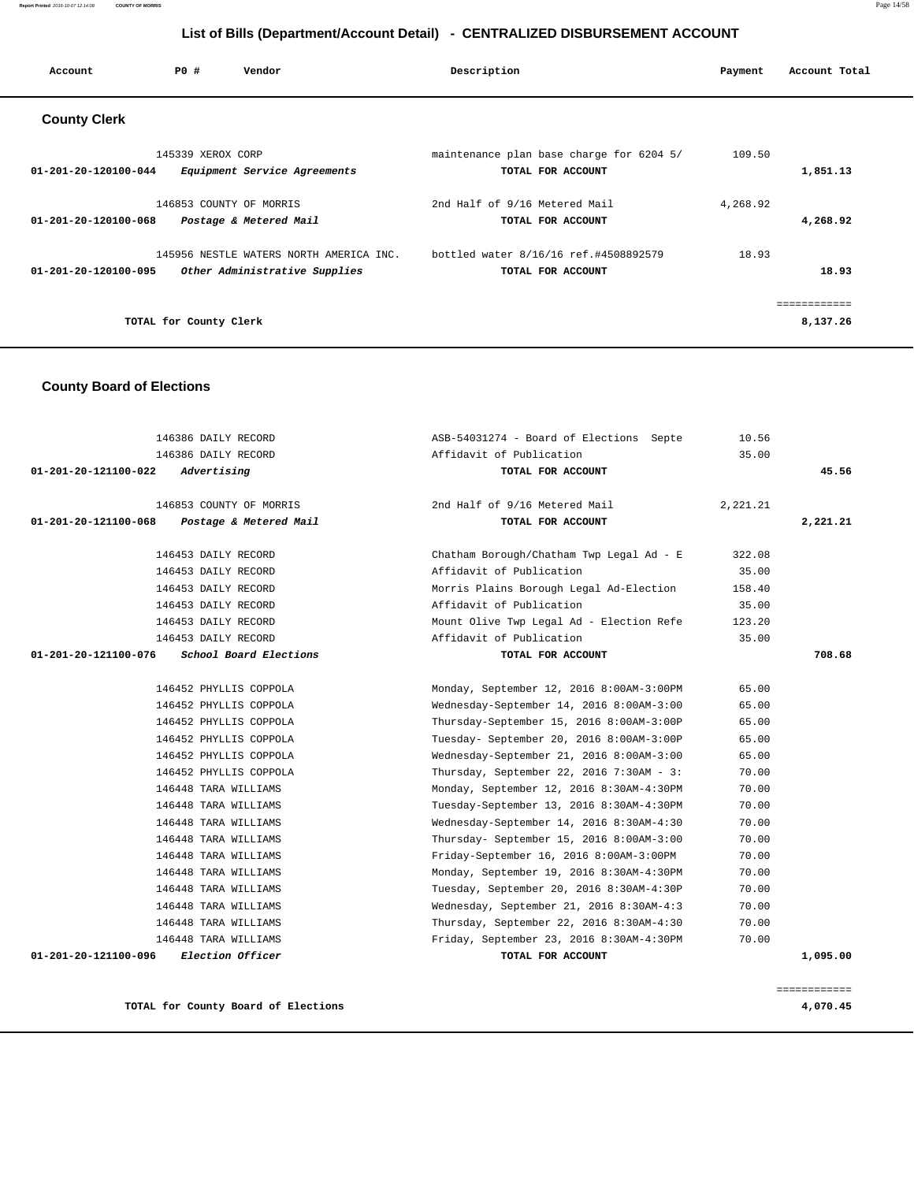| Account                        | PO#                    | Vendor                                  | Description                              | Payment  | Account Total |
|--------------------------------|------------------------|-----------------------------------------|------------------------------------------|----------|---------------|
| <b>County Clerk</b>            |                        |                                         |                                          |          |               |
|                                | 145339 XEROX CORP      |                                         | maintenance plan base charge for 6204 5/ | 109.50   |               |
| 01-201-20-120100-044           |                        | Equipment Service Agreements            | TOTAL FOR ACCOUNT                        |          | 1,851.13      |
|                                |                        | 146853 COUNTY OF MORRIS                 | 2nd Half of 9/16 Metered Mail            | 4,268.92 |               |
| 01-201-20-120100-068           |                        | Postage & Metered Mail                  | TOTAL FOR ACCOUNT                        |          | 4,268.92      |
|                                |                        | 145956 NESTLE WATERS NORTH AMERICA INC. | bottled water 8/16/16 ref.#4508892579    | 18.93    |               |
| $01 - 201 - 20 - 120100 - 095$ |                        | Other Administrative Supplies           | TOTAL FOR ACCOUNT                        |          | 18.93         |
|                                |                        |                                         |                                          |          | ---------     |
|                                | TOTAL for County Clerk |                                         |                                          |          | 8,137.26      |

## **County Board of Elections**

| 146386 DAILY RECORD                            | ASB-54031274 - Board of Elections Septe  | 10.56    |          |
|------------------------------------------------|------------------------------------------|----------|----------|
| 146386 DAILY RECORD                            | Affidavit of Publication                 | 35.00    |          |
| Advertising<br>01-201-20-121100-022            | TOTAL FOR ACCOUNT                        |          | 45.56    |
| 146853 COUNTY OF MORRIS                        | 2nd Half of 9/16 Metered Mail            | 2,221.21 |          |
| 01-201-20-121100-068<br>Postage & Metered Mail | TOTAL FOR ACCOUNT                        |          | 2,221.21 |
| 146453 DAILY RECORD                            | Chatham Borough/Chatham Twp Legal Ad - E | 322.08   |          |
| 146453 DAILY RECORD                            | Affidavit of Publication                 | 35.00    |          |
| 146453 DAILY RECORD                            | Morris Plains Borough Legal Ad-Election  | 158.40   |          |
| 146453 DAILY RECORD                            | Affidavit of Publication                 | 35.00    |          |
| 146453 DAILY RECORD                            | Mount Olive Twp Legal Ad - Election Refe | 123.20   |          |
| 146453 DAILY RECORD                            | Affidavit of Publication                 | 35.00    |          |
| School Board Elections<br>01-201-20-121100-076 | TOTAL FOR ACCOUNT                        |          | 708.68   |
| 146452 PHYLLIS COPPOLA                         | Monday, September 12, 2016 8:00AM-3:00PM | 65.00    |          |
| 146452 PHYLLIS COPPOLA                         | Wednesday-September 14, 2016 8:00AM-3:00 | 65.00    |          |
| 146452 PHYLLIS COPPOLA                         | Thursday-September 15, 2016 8:00AM-3:00P | 65.00    |          |
| 146452 PHYLLIS COPPOLA                         | Tuesday- September 20, 2016 8:00AM-3:00P | 65.00    |          |
| 146452 PHYLLIS COPPOLA                         | Wednesday-September 21, 2016 8:00AM-3:00 | 65.00    |          |
| 146452 PHYLLIS COPPOLA                         | Thursday, September 22, 2016 7:30AM - 3: | 70.00    |          |
| 146448 TARA WILLIAMS                           | Monday, September 12, 2016 8:30AM-4:30PM | 70.00    |          |
| 146448 TARA WILLIAMS                           | Tuesday-September 13, 2016 8:30AM-4:30PM | 70.00    |          |
| 146448 TARA WILLIAMS                           | Wednesday-September 14, 2016 8:30AM-4:30 | 70.00    |          |
| 146448 TARA WILLIAMS                           | Thursday- September 15, 2016 8:00AM-3:00 | 70.00    |          |
| 146448 TARA WILLIAMS                           | Friday-September 16, 2016 8:00AM-3:00PM  | 70.00    |          |
| 146448 TARA WILLIAMS                           | Monday, September 19, 2016 8:30AM-4:30PM | 70.00    |          |
| 146448 TARA WILLIAMS                           | Tuesday, September 20, 2016 8:30AM-4:30P | 70.00    |          |
| 146448 TARA WILLIAMS                           | Wednesday, September 21, 2016 8:30AM-4:3 | 70.00    |          |
| 146448 TARA WILLIAMS                           | Thursday, September 22, 2016 8:30AM-4:30 | 70.00    |          |
| 146448 TARA WILLIAMS                           | Friday, September 23, 2016 8:30AM-4:30PM | 70.00    |          |
| 01-201-20-121100-096<br>Election Officer       | TOTAL FOR ACCOUNT                        |          | 1,095.00 |
|                                                |                                          |          |          |

**TOTAL for County Board of Elections 4,070.45**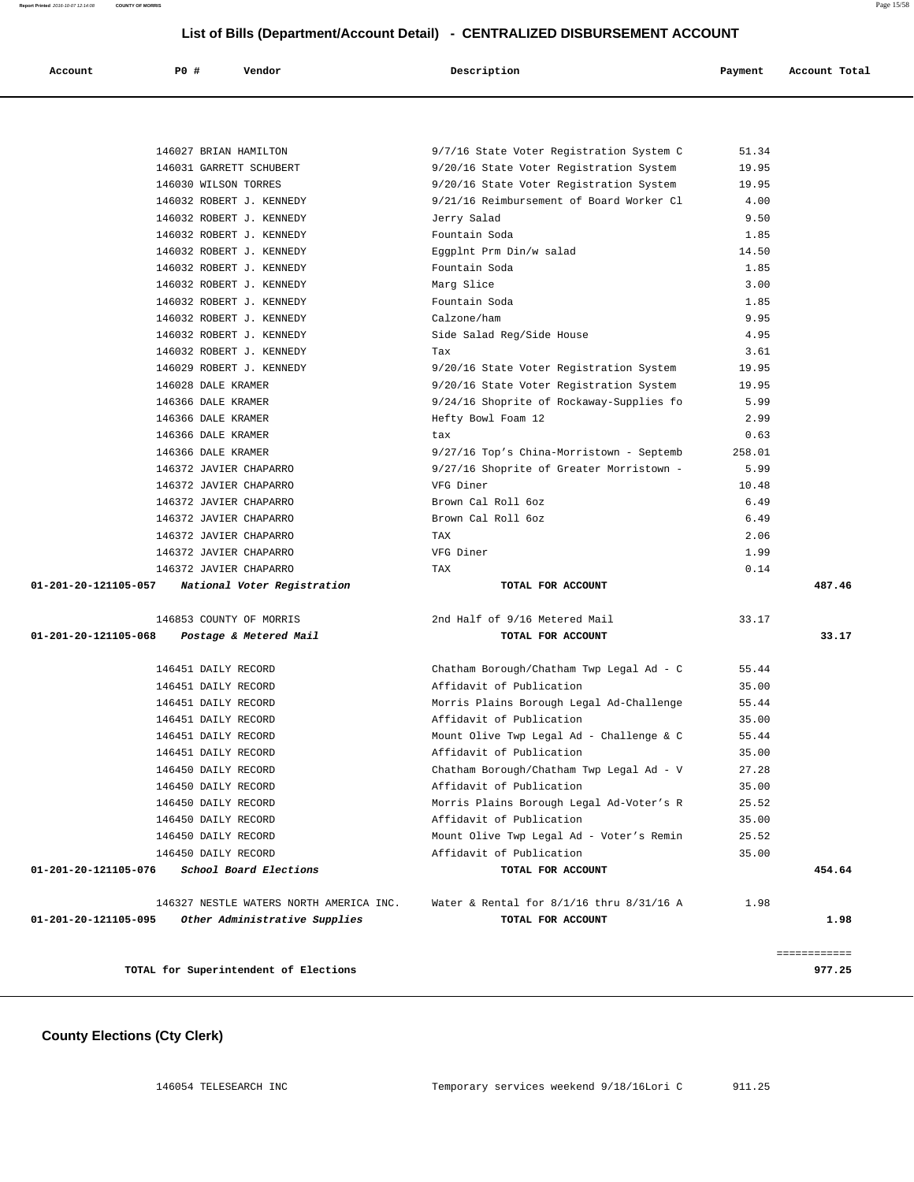| Account | PO # | Vendor | Description | Payment | Account Total |
|---------|------|--------|-------------|---------|---------------|

|                      | TOTAL for Superintendent of Elections                |                                                                                    |               | ============<br>977.25 |
|----------------------|------------------------------------------------------|------------------------------------------------------------------------------------|---------------|------------------------|
| 01-201-20-121105-095 | Other Administrative Supplies                        | TOTAL FOR ACCOUNT                                                                  |               | 1.98                   |
|                      | 146327 NESTLE WATERS NORTH AMERICA INC.              | Water & Rental for 8/1/16 thru 8/31/16 A                                           | 1.98          |                        |
| 01-201-20-121105-076 | School Board Elections                               | TOTAL FOR ACCOUNT                                                                  |               | 454.64                 |
|                      | 146450 DAILY RECORD                                  | Affidavit of Publication                                                           | 35.00         |                        |
|                      | 146450 DAILY RECORD                                  | Mount Olive Twp Legal Ad - Voter's Remin                                           | 25.52         |                        |
|                      | 146450 DAILY RECORD                                  | Affidavit of Publication                                                           | 35.00         |                        |
|                      | 146450 DAILY RECORD                                  | Morris Plains Borough Legal Ad-Voter's R                                           | 25.52         |                        |
|                      | 146450 DAILY RECORD                                  | Affidavit of Publication                                                           | 35.00         |                        |
|                      | 146450 DAILY RECORD                                  | Chatham Borough/Chatham Twp Legal Ad - V                                           | 27.28         |                        |
|                      | 146451 DAILY RECORD                                  | Affidavit of Publication                                                           | 35.00         |                        |
|                      | 146451 DAILY RECORD                                  | Mount Olive Twp Legal Ad - Challenge & C                                           | 55.44         |                        |
|                      | 146451 DAILY RECORD                                  | Affidavit of Publication                                                           | 35.00         |                        |
|                      | 146451 DAILY RECORD                                  | Morris Plains Borough Legal Ad-Challenge                                           | 55.44         |                        |
|                      | 146451 DAILY RECORD                                  | Affidavit of Publication                                                           | 35.00         |                        |
|                      | 146451 DAILY RECORD                                  | Chatham Borough/Chatham Twp Legal Ad - C                                           | 55.44         |                        |
| 01-201-20-121105-068 | Postage & Metered Mail                               | TOTAL FOR ACCOUNT                                                                  |               | 33.17                  |
|                      | 146853 COUNTY OF MORRIS                              | 2nd Half of 9/16 Metered Mail                                                      | 33.17         |                        |
| 01-201-20-121105-057 | National Voter Registration                          | TOTAL FOR ACCOUNT                                                                  |               | 487.46                 |
|                      | 146372 JAVIER CHAPARRO                               | TAX                                                                                | 0.14          |                        |
|                      | 146372 JAVIER CHAPARRO                               | VFG Diner                                                                          | 1.99          |                        |
|                      | 146372 JAVIER CHAPARRO                               | TAX                                                                                | 2.06          |                        |
|                      | 146372 JAVIER CHAPARRO                               | Brown Cal Roll 6oz                                                                 | 6.49          |                        |
|                      | 146372 JAVIER CHAPARRO                               | Brown Cal Roll 6oz                                                                 | 6.49          |                        |
|                      | 146372 JAVIER CHAPARRO                               | VFG Diner                                                                          | 10.48         |                        |
|                      | 146372 JAVIER CHAPARRO                               | 9/27/16 Shoprite of Greater Morristown -                                           | 5.99          |                        |
|                      | 146366 DALE KRAMER                                   | 9/27/16 Top's China-Morristown - Septemb                                           | 258.01        |                        |
|                      | 146366 DALE KRAMER                                   | tax                                                                                | 0.63          |                        |
|                      | 146366 DALE KRAMER                                   | Hefty Bowl Foam 12                                                                 | 2.99          |                        |
|                      | 146366 DALE KRAMER                                   | 9/24/16 Shoprite of Rockaway-Supplies fo                                           | 5.99          |                        |
|                      | 146028 DALE KRAMER                                   | 9/20/16 State Voter Registration System<br>9/20/16 State Voter Registration System | 19.95         |                        |
|                      | 146032 ROBERT J. KENNEDY<br>146029 ROBERT J. KENNEDY | Tax                                                                                | 3.61<br>19.95 |                        |
|                      | 146032 ROBERT J. KENNEDY                             | Side Salad Reg/Side House                                                          | 4.95          |                        |
|                      | 146032 ROBERT J. KENNEDY                             | Calzone/ham                                                                        | 9.95          |                        |
|                      | 146032 ROBERT J. KENNEDY                             | Fountain Soda                                                                      | 1.85          |                        |
|                      | 146032 ROBERT J. KENNEDY                             | Marg Slice                                                                         | 3.00          |                        |
|                      | 146032 ROBERT J. KENNEDY                             | Fountain Soda                                                                      | 1.85          |                        |
|                      | 146032 ROBERT J. KENNEDY                             | Eggplnt Prm Din/w salad                                                            | 14.50         |                        |
|                      | 146032 ROBERT J. KENNEDY                             | Fountain Soda                                                                      | 1.85          |                        |
|                      | 146032 ROBERT J. KENNEDY                             | Jerry Salad                                                                        | 9.50          |                        |
|                      | 146032 ROBERT J. KENNEDY                             | 9/21/16 Reimbursement of Board Worker Cl                                           | 4.00          |                        |
|                      | 146030 WILSON TORRES                                 | 9/20/16 State Voter Registration System                                            | 19.95         |                        |
|                      | 146031 GARRETT SCHUBERT                              | 9/20/16 State Voter Registration System                                            | 19.95         |                        |
|                      | 146027 BRIAN HAMILTON                                | 9/7/16 State Voter Registration System C                                           | 51.34         |                        |

# **County Elections (Cty Clerk)**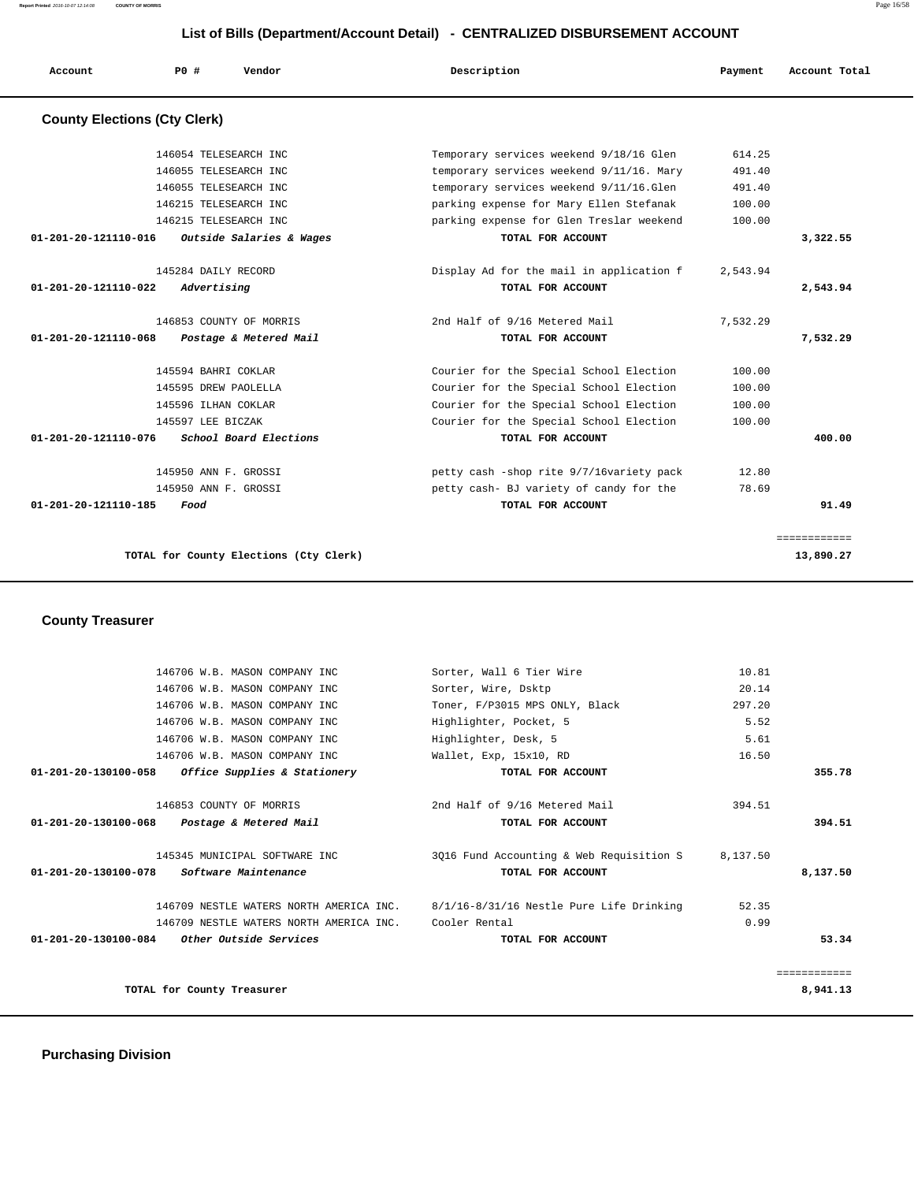**Report Printed** 2016-10-07 12:14:08 **COUNTY OF MORRIS** Page 16/58

# **List of Bills (Department/Account Detail) - CENTRALIZED DISBURSEMENT ACCOUNT**

| Account                             | PO#               | Vendor                                 | Description                              | Payment  | Account Total |
|-------------------------------------|-------------------|----------------------------------------|------------------------------------------|----------|---------------|
| <b>County Elections (Cty Clerk)</b> |                   |                                        |                                          |          |               |
|                                     |                   | 146054 TELESEARCH INC                  | Temporary services weekend 9/18/16 Glen  | 614.25   |               |
|                                     |                   | 146055 TELESEARCH INC                  | temporary services weekend 9/11/16. Mary | 491.40   |               |
|                                     |                   | 146055 TELESEARCH INC                  | temporary services weekend 9/11/16.Glen  | 491.40   |               |
|                                     |                   | 146215 TELESEARCH INC                  | parking expense for Mary Ellen Stefanak  | 100.00   |               |
|                                     |                   | 146215 TELESEARCH INC                  | parking expense for Glen Treslar weekend | 100.00   |               |
| 01-201-20-121110-016                |                   | Outside Salaries & Wages               | TOTAL FOR ACCOUNT                        |          | 3,322.55      |
|                                     |                   | 145284 DAILY RECORD                    | Display Ad for the mail in application f | 2,543.94 |               |
| 01-201-20-121110-022                | Advertising       |                                        | TOTAL FOR ACCOUNT                        |          | 2,543.94      |
|                                     |                   | 146853 COUNTY OF MORRIS                | 2nd Half of 9/16 Metered Mail            | 7,532.29 |               |
| $01 - 201 - 20 - 121110 - 068$      |                   | Postage & Metered Mail                 | TOTAL FOR ACCOUNT                        |          | 7,532.29      |
|                                     |                   | 145594 BAHRI COKLAR                    | Courier for the Special School Election  | 100.00   |               |
|                                     |                   | 145595 DREW PAOLELLA                   | Courier for the Special School Election  | 100.00   |               |
|                                     |                   | 145596 ILHAN COKLAR                    | Courier for the Special School Election  | 100.00   |               |
|                                     | 145597 LEE BICZAK |                                        | Courier for the Special School Election  | 100.00   |               |
| 01-201-20-121110-076                |                   | School Board Elections                 | TOTAL FOR ACCOUNT                        |          | 400.00        |
|                                     |                   | 145950 ANN F. GROSSI                   | petty cash -shop rite 9/7/16variety pack | 12.80    |               |
|                                     |                   | 145950 ANN F. GROSSI                   | petty cash- BJ variety of candy for the  | 78.69    |               |
| 01-201-20-121110-185                | Food              |                                        | TOTAL FOR ACCOUNT                        |          | 91.49         |
|                                     |                   |                                        |                                          |          | ============  |
|                                     |                   | TOTAL for County Elections (Cty Clerk) |                                          |          | 13,890.27     |

 **County Treasurer** 

| 146706 W.B. MASON COMPANY INC                     | Sorter, Wall 6 Tier Wire                                                         | 10.81    |              |
|---------------------------------------------------|----------------------------------------------------------------------------------|----------|--------------|
| 146706 W.B. MASON COMPANY INC                     | Sorter, Wire, Dsktp                                                              | 20.14    |              |
| 146706 W.B. MASON COMPANY INC                     | Toner, F/P3015 MPS ONLY, Black                                                   | 297.20   |              |
| 146706 W.B. MASON COMPANY INC                     | Highlighter, Pocket, 5                                                           | 5.52     |              |
| 146706 W.B. MASON COMPANY INC                     | Highlighter, Desk, 5                                                             | 5.61     |              |
| 146706 W.B. MASON COMPANY INC                     | Wallet, Exp, 15x10, RD                                                           | 16.50    |              |
| 01-201-20-130100-058 Office Supplies & Stationery | TOTAL FOR ACCOUNT                                                                |          | 355.78       |
| 146853 COUNTY OF MORRIS                           | 2nd Half of 9/16 Metered Mail                                                    | 394.51   |              |
| 01-201-20-130100-068<br>Postage & Metered Mail    | TOTAL FOR ACCOUNT                                                                |          | 394.51       |
| 145345 MUNICIPAL SOFTWARE INC                     | 3016 Fund Accounting & Web Requisition S                                         | 8,137.50 |              |
| 01-201-20-130100-078 Software Maintenance         | TOTAL FOR ACCOUNT                                                                |          | 8,137.50     |
|                                                   | 146709 NESTLE WATERS NORTH AMERICA INC. 8/1/16-8/31/16 Nestle Pure Life Drinking | 52.35    |              |
| 146709 NESTLE WATERS NORTH AMERICA INC.           | Cooler Rental                                                                    | 0.99     |              |
| $01-201-20-130100-084$ Other Outside Services     | TOTAL FOR ACCOUNT                                                                |          | 53.34        |
|                                                   |                                                                                  |          | ============ |
| TOTAL for County Treasurer                        |                                                                                  |          | 8,941.13     |
|                                                   |                                                                                  |          |              |

 **Purchasing Division**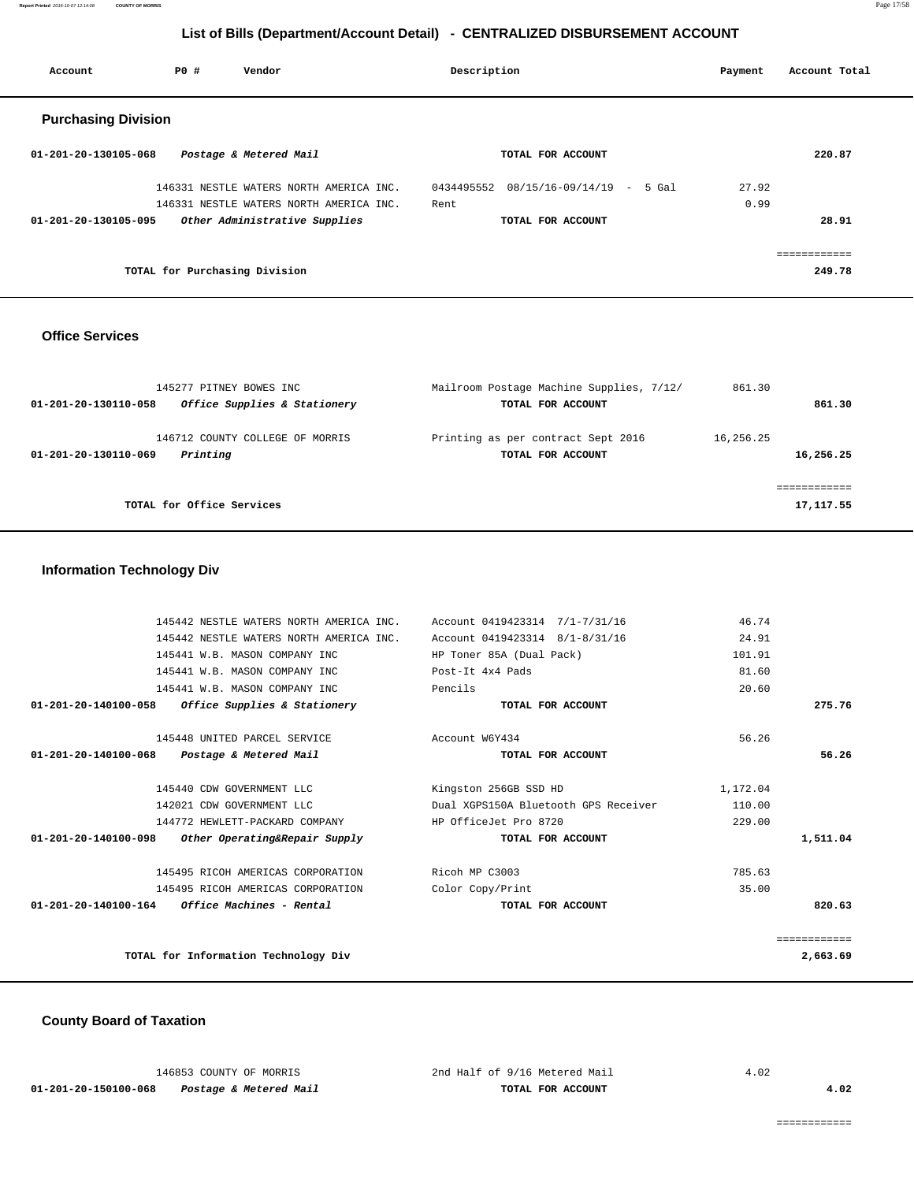**Report Printed** 2016-10-07 12:14:08 **COUNTY OF MORRIS** Page 17/58

# **List of Bills (Department/Account Detail) - CENTRALIZED DISBURSEMENT ACCOUNT**

| Account                    | PO# | Vendor                                  | Description |                               | Payment | Account Total |
|----------------------------|-----|-----------------------------------------|-------------|-------------------------------|---------|---------------|
| <b>Purchasing Division</b> |     |                                         |             |                               |         |               |
| 01-201-20-130105-068       |     | Postage & Metered Mail                  |             | TOTAL FOR ACCOUNT             |         | 220.87        |
|                            |     | 146331 NESTLE WATERS NORTH AMERICA INC. | 0434495552  | $08/15/16 - 09/14/19$ - 5 Gal | 27.92   |               |
|                            |     | 146331 NESTLE WATERS NORTH AMERICA INC. | Rent        |                               | 0.99    |               |
| 01-201-20-130105-095       |     | Other Administrative Supplies           |             | TOTAL FOR ACCOUNT             |         | 28.91         |
|                            |     |                                         |             |                               |         | ------------  |
|                            |     | TOTAL for Purchasing Division           |             |                               |         | 249.78        |

## **Office Services**

| 145277 PITNEY BOWES INC<br>Office Supplies & Stationery<br>01-201-20-130110-058 | Mailroom Postage Machine Supplies, 7/12/<br>TOTAL FOR ACCOUNT | 861.30    | 861.30     |
|---------------------------------------------------------------------------------|---------------------------------------------------------------|-----------|------------|
| 146712 COUNTY COLLEGE OF MORRIS<br>Printing<br>01-201-20-130110-069             | Printing as per contract Sept 2016<br>TOTAL FOR ACCOUNT       | 16,256.25 | 16,256.25  |
| TOTAL for Office Services                                                       |                                                               |           | 17, 117.55 |

# **Information Technology Div**

|              | 46.74    | Account 0419423314 7/1-7/31/16       | 145442 NESTLE WATERS NORTH AMERICA INC.                 |                      |
|--------------|----------|--------------------------------------|---------------------------------------------------------|----------------------|
|              | 24.91    | Account 0419423314 8/1-8/31/16       | 145442 NESTLE WATERS NORTH AMERICA INC.                 |                      |
|              | 101.91   | HP Toner 85A (Dual Pack)             | 145441 W.B. MASON COMPANY INC                           |                      |
|              | 81.60    | Post-It 4x4 Pads                     | 145441 W.B. MASON COMPANY INC                           |                      |
|              | 20.60    | Pencils                              | 145441 W.B. MASON COMPANY INC                           |                      |
| 275.76       |          | TOTAL FOR ACCOUNT                    | $01-201-20-140100-058$ Office Supplies & Stationery     |                      |
|              | 56.26    | Account W6Y434                       | 145448 UNITED PARCEL SERVICE                            |                      |
| 56.26        |          | TOTAL FOR ACCOUNT                    | 01-201-20-140100-068 Postage & Metered Mail             |                      |
|              | 1,172.04 | Kingston 256GB SSD HD                | 145440 CDW GOVERNMENT LLC                               |                      |
|              | 110.00   | Dual XGPS150A Bluetooth GPS Receiver | 142021 CDW GOVERNMENT LLC                               |                      |
|              | 229.00   | HP OfficeJet Pro 8720                | 144772 HEWLETT-PACKARD COMPANY                          |                      |
| 1,511.04     |          | TOTAL FOR ACCOUNT                    | Other Operating&Repair Supply                           | 01-201-20-140100-098 |
|              | 785.63   | Ricoh MP C3003                       | 145495 RICOH AMERICAS CORPORATION                       |                      |
|              | 35.00    | Color Copy/Print                     | 145495 RICOH AMERICAS CORPORATION                       |                      |
| 820.63       |          | TOTAL FOR ACCOUNT                    | $01 - 201 - 20 - 140100 - 164$ Office Machines - Rental |                      |
| ============ |          |                                      |                                                         |                      |
| 2,663.69     |          |                                      | TOTAL for Information Technology Div                    |                      |
|              |          |                                      |                                                         |                      |

## **County Board of Taxation**

|                      | 146853 COUNTY OF MORRIS |                        |  |  |
|----------------------|-------------------------|------------------------|--|--|
| 01-201-20-150100-068 |                         | Postage & Metered Mail |  |  |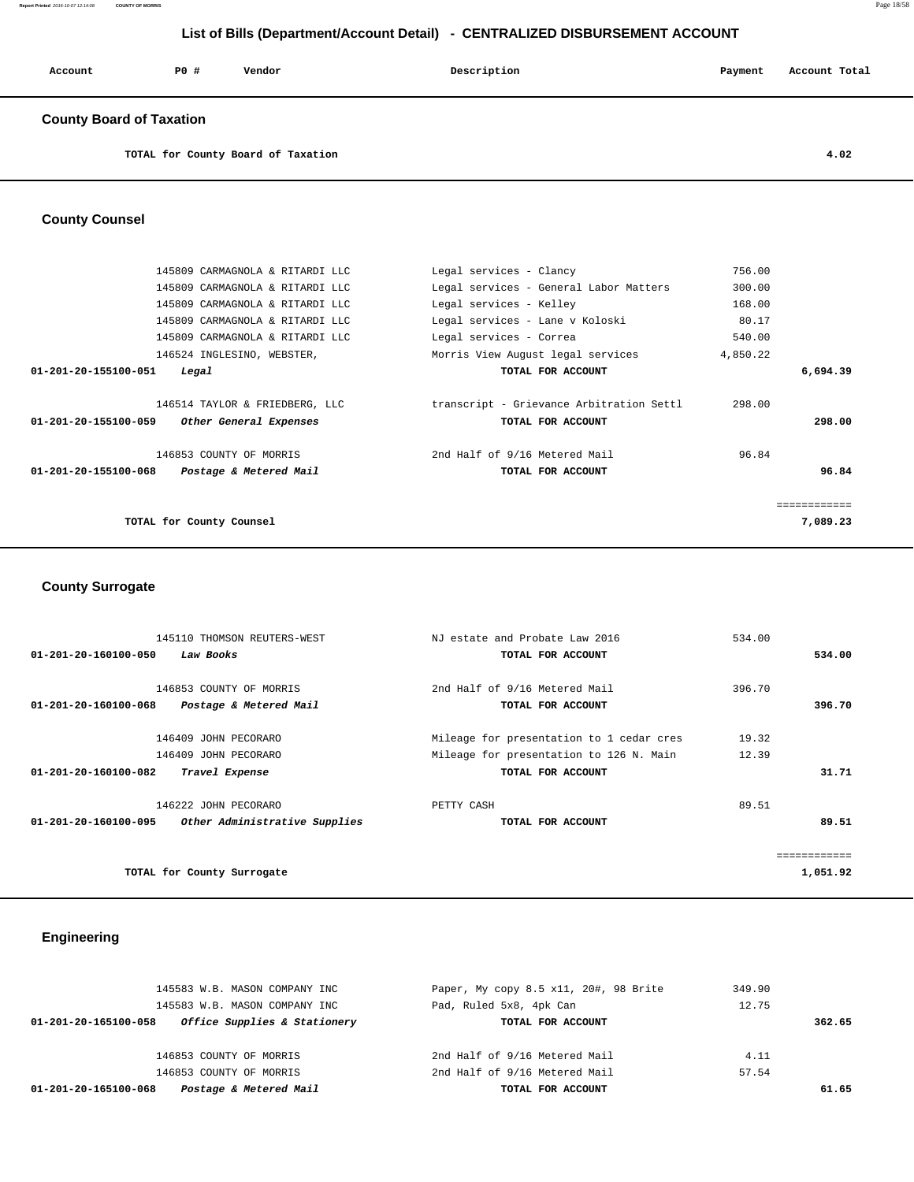| Account | P0 # | Vendor | Description | Payment | Account Total |
|---------|------|--------|-------------|---------|---------------|
|         |      |        |             |         |               |

## **County Board of Taxation**

**TOTAL for County Board of Taxation 4.02**

## **County Counsel**

| 145809 CARMAGNOLA & RITARDI LLC                | Legal services - Clancy                  | 756.00       |  |
|------------------------------------------------|------------------------------------------|--------------|--|
| 145809 CARMAGNOLA & RITARDI LLC                | Legal services - General Labor Matters   | 300.00       |  |
| 145809 CARMAGNOLA & RITARDI LLC                | Legal services - Kelley                  | 168.00       |  |
| 145809 CARMAGNOLA & RITARDI LLC                | Legal services - Lane v Koloski          | 80.17        |  |
| 145809 CARMAGNOLA & RITARDI LLC                | Legal services - Correa                  | 540.00       |  |
| 146524 INGLESINO, WEBSTER,                     | Morris View August legal services        | 4,850.22     |  |
| 01-201-20-155100-051<br>Legal                  | TOTAL FOR ACCOUNT                        | 6,694.39     |  |
|                                                |                                          |              |  |
| 146514 TAYLOR & FRIEDBERG, LLC                 | transcript - Grievance Arbitration Settl | 298.00       |  |
| 01-201-20-155100-059<br>Other General Expenses | TOTAL FOR ACCOUNT                        | 298.00       |  |
|                                                |                                          |              |  |
| 146853 COUNTY OF MORRIS                        | 2nd Half of 9/16 Metered Mail            | 96.84        |  |
| 01-201-20-155100-068<br>Postage & Metered Mail | TOTAL FOR ACCOUNT                        | 96.84        |  |
|                                                |                                          |              |  |
|                                                |                                          | ============ |  |
| TOTAL for County Counsel                       |                                          | 7,089.23     |  |
|                                                |                                          |              |  |

# **County Surrogate**

| 145110 THOMSON REUTERS-WEST                           | NJ estate and Probate Law 2016           | 534.00 |              |
|-------------------------------------------------------|------------------------------------------|--------|--------------|
| 01-201-20-160100-050<br>Law Books                     | TOTAL FOR ACCOUNT                        |        | 534.00       |
|                                                       |                                          |        |              |
| 146853 COUNTY OF MORRIS                               | 2nd Half of 9/16 Metered Mail            | 396.70 |              |
| 01-201-20-160100-068<br>Postage & Metered Mail        | TOTAL FOR ACCOUNT                        |        | 396.70       |
|                                                       |                                          |        |              |
| 146409 JOHN PECORARO                                  | Mileage for presentation to 1 cedar cres | 19.32  |              |
| 146409 JOHN PECORARO                                  | Mileage for presentation to 126 N. Main  | 12.39  |              |
| $01 - 201 - 20 - 160100 - 082$<br>Travel Expense      | TOTAL FOR ACCOUNT                        |        | 31.71        |
| 146222 JOHN PECORARO                                  | PETTY CASH                               | 89.51  |              |
| Other Administrative Supplies<br>01-201-20-160100-095 | TOTAL FOR ACCOUNT                        |        | 89.51        |
|                                                       |                                          |        |              |
|                                                       |                                          |        | ============ |
| TOTAL for County Surrogate                            |                                          |        | 1,051.92     |

# **Engineering**

| 145583 W.B. MASON COMPANY INC                        | Paper, My copy 8.5 x11, 20#, 98 Brite | 349.90 |        |
|------------------------------------------------------|---------------------------------------|--------|--------|
| 145583 W.B. MASON COMPANY INC                        | Pad, Ruled 5x8, 4pk Can               | 12.75  |        |
| Office Supplies & Stationery<br>01-201-20-165100-058 | TOTAL FOR ACCOUNT                     |        | 362.65 |
|                                                      |                                       |        |        |
| 146853 COUNTY OF MORRIS                              | 2nd Half of 9/16 Metered Mail         | 4.11   |        |
| 146853 COUNTY OF MORRIS                              | 2nd Half of 9/16 Metered Mail         | 57.54  |        |
| Postage & Metered Mail<br>01-201-20-165100-068       | TOTAL FOR ACCOUNT                     |        | 61.65  |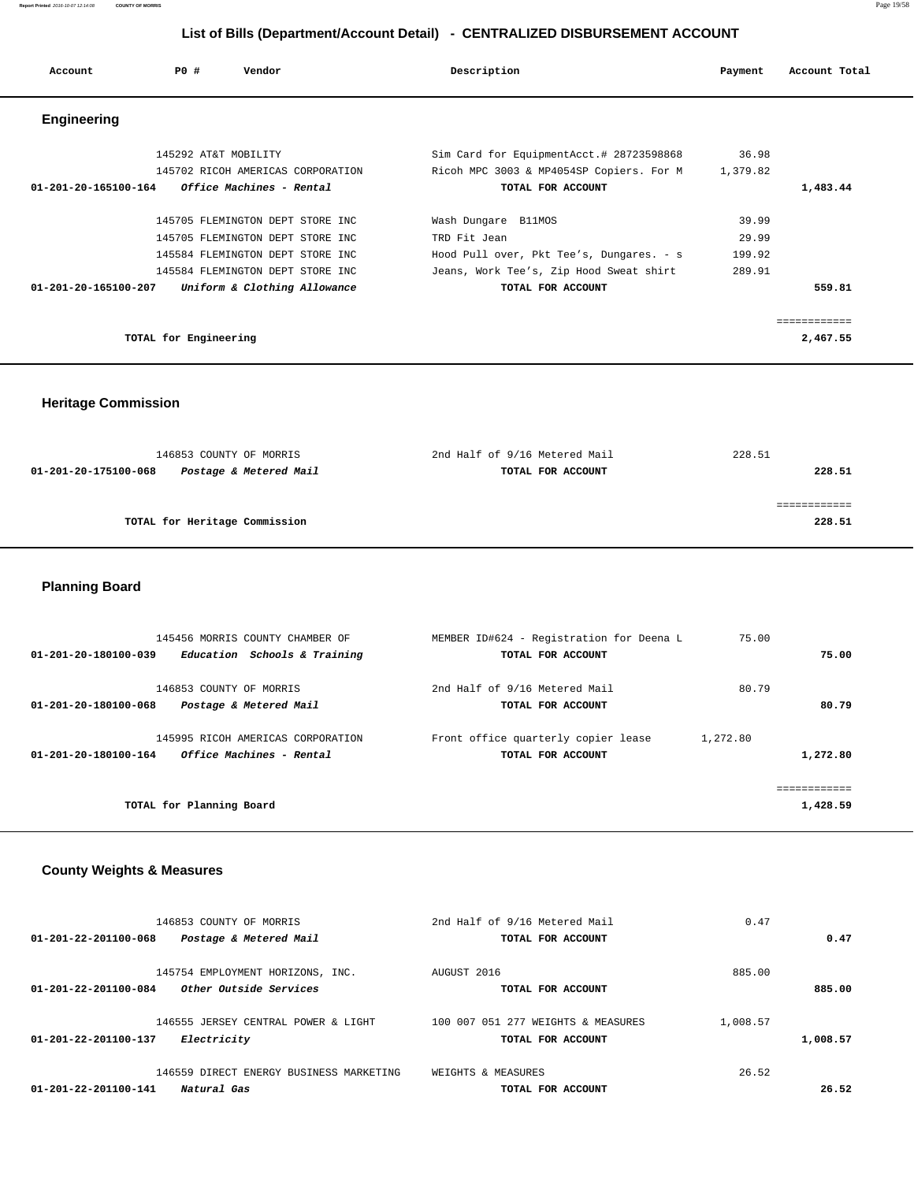| Account              | PO#                   | Vendor                            | Description                                                                          | Payment           | Account Total |
|----------------------|-----------------------|-----------------------------------|--------------------------------------------------------------------------------------|-------------------|---------------|
| Engineering          |                       |                                   |                                                                                      |                   |               |
|                      | 145292 AT&T MOBILITY  | 145702 RICOH AMERICAS CORPORATION | Sim Card for EquipmentAcct.# 28723598868<br>Ricoh MPC 3003 & MP4054SP Copiers. For M | 36.98<br>1,379.82 |               |
| 01-201-20-165100-164 |                       | Office Machines - Rental          | TOTAL FOR ACCOUNT                                                                    |                   | 1,483.44      |
|                      |                       | 145705 FLEMINGTON DEPT STORE INC  | Wash Dungare B11MOS                                                                  | 39.99             |               |
|                      |                       | 145705 FLEMINGTON DEPT STORE INC  | TRD Fit Jean                                                                         | 29.99             |               |
|                      |                       | 145584 FLEMINGTON DEPT STORE INC  | Hood Pull over, Pkt Tee's, Dungares. - s                                             | 199.92            |               |
|                      |                       | 145584 FLEMINGTON DEPT STORE INC  | Jeans, Work Tee's, Zip Hood Sweat shirt                                              | 289.91            |               |
| 01-201-20-165100-207 |                       | Uniform & Clothing Allowance      | TOTAL FOR ACCOUNT                                                                    |                   | 559.81        |
|                      |                       |                                   |                                                                                      |                   | ------------  |
|                      | TOTAL for Engineering |                                   |                                                                                      |                   | 2,467.55      |

 **Heritage Commission** 

| 146853 COUNTY OF MORRIS                        | 2nd Half of 9/16 Metered Mail | 228.51 |
|------------------------------------------------|-------------------------------|--------|
| Postage & Metered Mail<br>01-201-20-175100-068 | TOTAL FOR ACCOUNT             | 228.51 |
|                                                |                               |        |
|                                                |                               |        |
| TOTAL for Heritage Commission                  |                               | 228.51 |
|                                                |                               |        |

# **Planning Board**

| 145456 MORRIS COUNTY CHAMBER OF                      | MEMBER ID#624 - Registration for Deena L      | 75.00    |              |
|------------------------------------------------------|-----------------------------------------------|----------|--------------|
| Education Schools & Training<br>01-201-20-180100-039 | TOTAL FOR ACCOUNT                             |          | 75.00        |
| 146853 COUNTY OF MORRIS                              | 2nd Half of 9/16 Metered Mail                 |          |              |
|                                                      |                                               | 80.79    |              |
| 01-201-20-180100-068<br>Postage & Metered Mail       | TOTAL FOR ACCOUNT                             |          | 80.79        |
|                                                      |                                               |          |              |
| 145995 RICOH AMERICAS CORPORATION                    | Front office quarterly copier lease $\hat{a}$ | 1,272.80 |              |
| Office Machines - Rental<br>01-201-20-180100-164     | TOTAL FOR ACCOUNT                             |          | 1,272.80     |
|                                                      |                                               |          |              |
|                                                      |                                               |          | ============ |
| TOTAL for Planning Board                             |                                               |          | 1,428.59     |
|                                                      |                                               |          |              |

# **County Weights & Measures**

|          | 0.47     | 2nd Half of 9/16 Metered Mail      | 146853 COUNTY OF MORRIS                        |
|----------|----------|------------------------------------|------------------------------------------------|
| 0.47     |          | TOTAL FOR ACCOUNT                  | 01-201-22-201100-068<br>Postage & Metered Mail |
|          | 885.00   | AUGUST 2016                        | 145754 EMPLOYMENT HORIZONS, INC.               |
| 885.00   |          | TOTAL FOR ACCOUNT                  | Other Outside Services<br>01-201-22-201100-084 |
|          | 1,008.57 | 100 007 051 277 WEIGHTS & MEASURES | 146555 JERSEY CENTRAL POWER & LIGHT            |
| 1,008.57 |          | TOTAL FOR ACCOUNT                  | 01-201-22-201100-137<br>Electricity            |
|          |          |                                    |                                                |
|          | 26.52    | WEIGHTS & MEASURES                 | 146559 DIRECT ENERGY BUSINESS MARKETING        |
| 26.52    |          | TOTAL FOR ACCOUNT                  | 01-201-22-201100-141<br>Natural Gas            |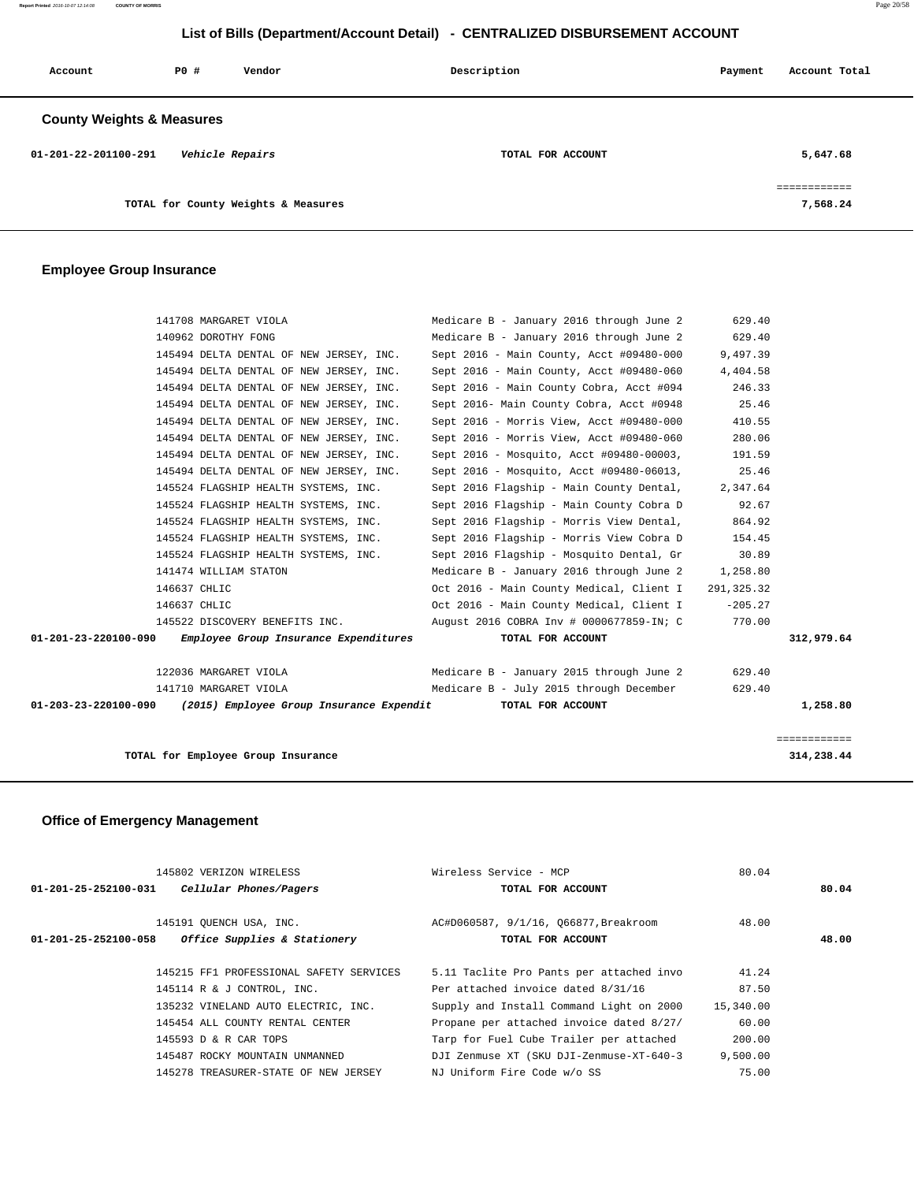**Report Printed** 2016-10-07 12:14:08 **COUNTY OF MORRIS** Page 20/58

# **List of Bills (Department/Account Detail) - CENTRALIZED DISBURSEMENT ACCOUNT**

| Account                              | PO# | Vendor                              | Description       | Payment | Account Total            |
|--------------------------------------|-----|-------------------------------------|-------------------|---------|--------------------------|
| <b>County Weights &amp; Measures</b> |     |                                     |                   |         |                          |
| 01-201-22-201100-291                 |     | Vehicle Repairs                     | TOTAL FOR ACCOUNT |         | 5,647.68                 |
|                                      |     | TOTAL for County Weights & Measures |                   |         | ============<br>7,568.24 |

## **Employee Group Insurance**

| 141708 MARGARET VIOLA                                           | Medicare B - January 2016 through June 2 | 629.40      |              |
|-----------------------------------------------------------------|------------------------------------------|-------------|--------------|
| 140962 DOROTHY FONG                                             | Medicare B - January 2016 through June 2 | 629.40      |              |
| 145494 DELTA DENTAL OF NEW JERSEY, INC.                         | Sept 2016 - Main County, Acct #09480-000 | 9,497.39    |              |
| 145494 DELTA DENTAL OF NEW JERSEY, INC.                         | Sept 2016 - Main County, Acct #09480-060 | 4,404.58    |              |
| 145494 DELTA DENTAL OF NEW JERSEY, INC.                         | Sept 2016 - Main County Cobra, Acct #094 | 246.33      |              |
| 145494 DELTA DENTAL OF NEW JERSEY, INC.                         | Sept 2016- Main County Cobra, Acct #0948 | 25.46       |              |
| 145494 DELTA DENTAL OF NEW JERSEY, INC.                         | Sept 2016 - Morris View, Acct #09480-000 | 410.55      |              |
| 145494 DELTA DENTAL OF NEW JERSEY, INC.                         | Sept 2016 - Morris View, Acct #09480-060 | 280.06      |              |
| 145494 DELTA DENTAL OF NEW JERSEY, INC.                         | Sept 2016 - Mosquito, Acct #09480-00003, | 191.59      |              |
| 145494 DELTA DENTAL OF NEW JERSEY, INC.                         | Sept 2016 - Mosquito, Acct #09480-06013, | 25.46       |              |
| 145524 FLAGSHIP HEALTH SYSTEMS, INC.                            | Sept 2016 Flagship - Main County Dental, | 2,347.64    |              |
| 145524 FLAGSHIP HEALTH SYSTEMS, INC.                            | Sept 2016 Flagship - Main County Cobra D | 92.67       |              |
| 145524 FLAGSHIP HEALTH SYSTEMS, INC.                            | Sept 2016 Flagship - Morris View Dental, | 864.92      |              |
| 145524 FLAGSHIP HEALTH SYSTEMS, INC.                            | Sept 2016 Flagship - Morris View Cobra D | 154.45      |              |
| 145524 FLAGSHIP HEALTH SYSTEMS, INC.                            | Sept 2016 Flagship - Mosquito Dental, Gr | 30.89       |              |
| 141474 WILLIAM STATON                                           | Medicare B - January 2016 through June 2 | 1,258.80    |              |
| 146637 CHLIC                                                    | Oct 2016 - Main County Medical, Client I | 291, 325.32 |              |
| 146637 CHLIC                                                    | Oct 2016 - Main County Medical, Client I | $-205.27$   |              |
| 145522 DISCOVERY BENEFITS INC.                                  | August 2016 COBRA Inv # 0000677859-IN; C | 770.00      |              |
| 01-201-23-220100-090<br>Employee Group Insurance Expenditures   | TOTAL FOR ACCOUNT                        |             | 312,979.64   |
| 122036 MARGARET VIOLA                                           | Medicare B - January 2015 through June 2 | 629.40      |              |
| 141710 MARGARET VIOLA                                           | Medicare B - July 2015 through December  | 629.40      |              |
| $01-203-23-220100-090$ (2015) Employee Group Insurance Expendit | TOTAL FOR ACCOUNT                        |             | 1,258.80     |
|                                                                 |                                          |             |              |
|                                                                 |                                          |             | ============ |
| TOTAL for Employee Group Insurance                              |                                          | 314,238.44  |              |

# **Office of Emergency Management**

|                                | 145802 VERIZON WIRELESS                 | Wireless Service - MCP                   | 80.04     |       |
|--------------------------------|-----------------------------------------|------------------------------------------|-----------|-------|
| $01 - 201 - 25 - 252100 - 031$ | Cellular Phones/Pagers                  | TOTAL FOR ACCOUNT                        |           | 80.04 |
|                                | 145191 QUENCH USA, INC.                 | AC#D060587, 9/1/16, 066877, Breakroom    | 48.00     |       |
| $01 - 201 - 25 - 252100 - 058$ | Office Supplies & Stationery            | TOTAL FOR ACCOUNT                        |           | 48.00 |
|                                | 145215 FF1 PROFESSIONAL SAFETY SERVICES | 5.11 Taclite Pro Pants per attached invo | 41.24     |       |
|                                | 145114 R & J CONTROL, INC.              | Per attached invoice dated 8/31/16       | 87.50     |       |
|                                | 135232 VINELAND AUTO ELECTRIC, INC.     | Supply and Install Command Light on 2000 | 15,340.00 |       |
|                                | 145454 ALL COUNTY RENTAL CENTER         | Propane per attached invoice dated 8/27/ | 60.00     |       |
|                                | 145593 D & R CAR TOPS                   | Tarp for Fuel Cube Trailer per attached  | 200.00    |       |
|                                | 145487 ROCKY MOUNTAIN UNMANNED          | DJI Zenmuse XT (SKU DJI-Zenmuse-XT-640-3 | 9,500.00  |       |
|                                | 145278 TREASURER-STATE OF NEW JERSEY    | NJ Uniform Fire Code w/o SS              | 75.00     |       |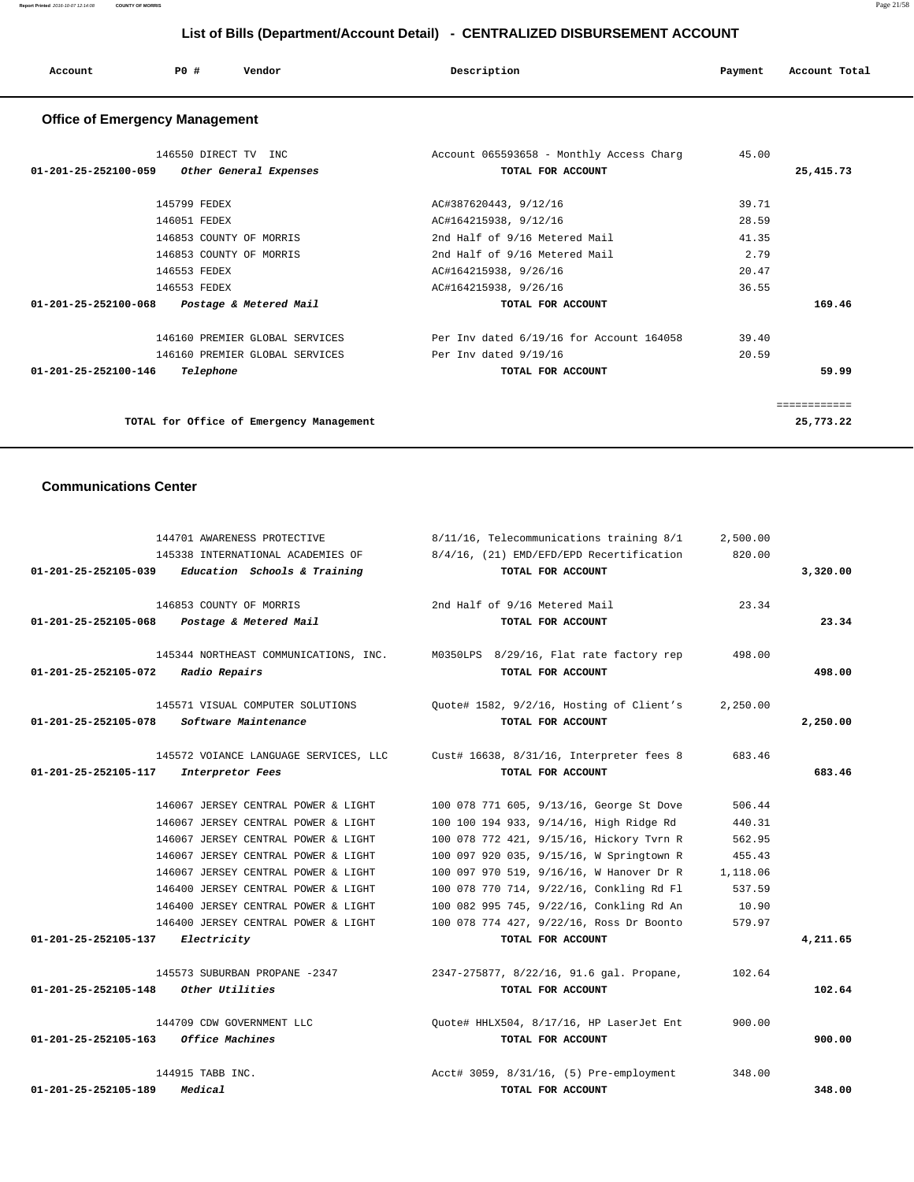| Account | P <sub>0</sub> | Vendor | Description | Payment | Account Total |
|---------|----------------|--------|-------------|---------|---------------|
|         |                |        |             |         |               |

# **Office of Emergency Management**

| 146550 DIRECT TV INC                                     | Account 065593658 - Monthly Access Charg | 45.00        |
|----------------------------------------------------------|------------------------------------------|--------------|
| 01-201-25-252100-059<br>Other General Expenses           | TOTAL FOR ACCOUNT                        | 25,415.73    |
| 145799 FEDEX                                             | AC#387620443, 9/12/16                    | 39.71        |
| 146051 FEDEX                                             | AC#164215938, 9/12/16                    | 28.59        |
| 146853 COUNTY OF MORRIS                                  | 2nd Half of 9/16 Metered Mail            | 41.35        |
| 146853 COUNTY OF MORRIS                                  | 2nd Half of 9/16 Metered Mail            | 2.79         |
| 146553 FEDEX                                             | AC#164215938, 9/26/16                    | 20.47        |
| 146553 FEDEX                                             | AC#164215938, 9/26/16                    | 36.55        |
| $01 - 201 - 25 - 252100 - 068$<br>Postage & Metered Mail | TOTAL FOR ACCOUNT                        | 169.46       |
| 146160 PREMIER GLOBAL SERVICES                           | Per Inv dated 6/19/16 for Account 164058 | 39.40        |
| 146160 PREMIER GLOBAL SERVICES                           | Per Inv dated 9/19/16                    | 20.59        |
| $01 - 201 - 25 - 252100 - 146$<br>Telephone              | TOTAL FOR ACCOUNT                        | 59.99        |
|                                                          |                                          |              |
|                                                          |                                          | ============ |
| TOTAL for Office of Emergency Management                 |                                          | 25,773.22    |

## **Communications Center**

| 144701 AWARENESS PROTECTIVE                          | 8/11/16, Telecommunications training 8/1                                      | 2,500.00 |          |
|------------------------------------------------------|-------------------------------------------------------------------------------|----------|----------|
| 145338 INTERNATIONAL ACADEMIES OF                    | 8/4/16, (21) EMD/EFD/EPD Recertification                                      | 820.00   |          |
| Education Schools & Training<br>01-201-25-252105-039 | TOTAL FOR ACCOUNT                                                             |          | 3,320.00 |
| 146853 COUNTY OF MORRIS                              | 2nd Half of 9/16 Metered Mail                                                 | 23.34    |          |
| 01-201-25-252105-068<br>Postage & Metered Mail       | TOTAL FOR ACCOUNT                                                             |          | 23.34    |
|                                                      | 145344 NORTHEAST COMMUNICATIONS, INC. M0350LPS 8/29/16, Flat rate factory rep | 498.00   |          |
| 01-201-25-252105-072 Radio Repairs                   | TOTAL FOR ACCOUNT                                                             |          | 498.00   |
| 145571 VISUAL COMPUTER SOLUTIONS                     | Quote# 1582, 9/2/16, Hosting of Client's                                      | 2,250.00 |          |
| Software Maintenance<br>01-201-25-252105-078         | TOTAL FOR ACCOUNT                                                             |          | 2,250.00 |
| 145572 VOIANCE LANGUAGE SERVICES, LLC                | Cust# 16638, 8/31/16, Interpreter fees 8                                      | 683.46   |          |
| 01-201-25-252105-117<br>Interpretor Fees             | TOTAL FOR ACCOUNT                                                             |          | 683.46   |
| 146067 JERSEY CENTRAL POWER & LIGHT                  | 100 078 771 605, 9/13/16, George St Dove                                      | 506.44   |          |
| 146067 JERSEY CENTRAL POWER & LIGHT                  | 100 100 194 933, 9/14/16, High Ridge Rd                                       | 440.31   |          |
| 146067 JERSEY CENTRAL POWER & LIGHT                  | 100 078 772 421, 9/15/16, Hickory Tvrn R                                      | 562.95   |          |
| 146067 JERSEY CENTRAL POWER & LIGHT                  | 100 097 920 035, 9/15/16, W Springtown R                                      | 455.43   |          |
| 146067 JERSEY CENTRAL POWER & LIGHT                  | 100 097 970 519, 9/16/16, W Hanover Dr R                                      | 1,118.06 |          |
| 146400 JERSEY CENTRAL POWER & LIGHT                  | 100 078 770 714, 9/22/16, Conkling Rd Fl                                      | 537.59   |          |
| 146400 JERSEY CENTRAL POWER & LIGHT                  | 100 082 995 745, 9/22/16, Conkling Rd An                                      | 10.90    |          |
| 146400 JERSEY CENTRAL POWER & LIGHT                  | 100 078 774 427, 9/22/16, Ross Dr Boonto                                      | 579.97   |          |
| Electricity<br>01-201-25-252105-137                  | TOTAL FOR ACCOUNT                                                             |          | 4,211.65 |
| 145573 SUBURBAN PROPANE -2347                        | 2347-275877, 8/22/16, 91.6 gal. Propane,                                      | 102.64   |          |
| $01-201-25-252105-148$ Other Utilities               | TOTAL FOR ACCOUNT                                                             |          | 102.64   |
| 144709 CDW GOVERNMENT LLC                            | Quote# HHLX504, 8/17/16, HP LaserJet Ent                                      | 900.00   |          |
| Office Machines<br>01-201-25-252105-163              | TOTAL FOR ACCOUNT                                                             |          | 900.00   |
| 144915 TABB INC.                                     | Acct# 3059, 8/31/16, (5) Pre-employment                                       | 348.00   |          |
| $01 - 201 - 25 - 252105 - 189$<br>Medical            | TOTAL FOR ACCOUNT                                                             |          | 348.00   |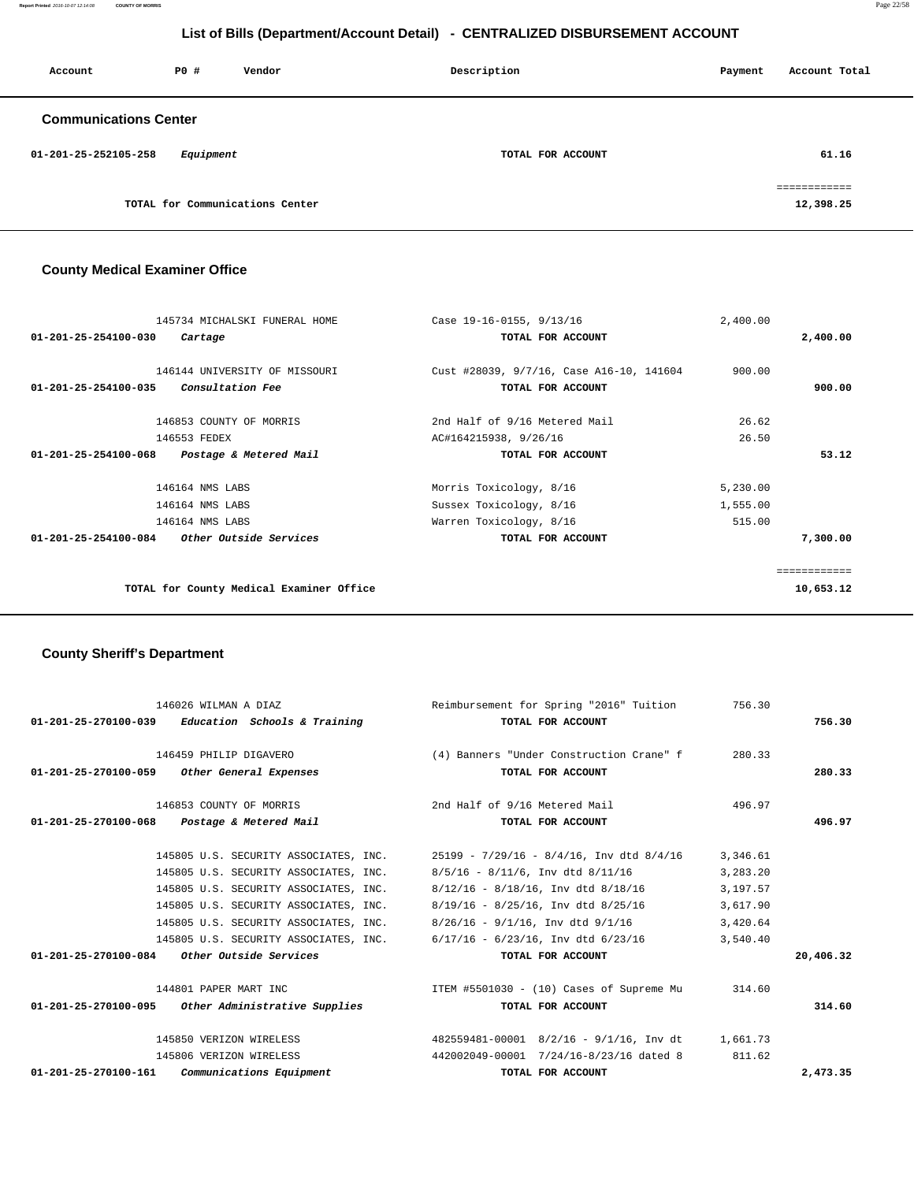**Report Printed** 2016-10-07 12:14:08 **COUNTY OF MORRIS** Page 22/58

# **List of Bills (Department/Account Detail) - CENTRALIZED DISBURSEMENT ACCOUNT**

| Account                      | PO#       | Vendor                          | Description       | Payment | Account Total             |
|------------------------------|-----------|---------------------------------|-------------------|---------|---------------------------|
| <b>Communications Center</b> |           |                                 |                   |         |                           |
| 01-201-25-252105-258         | Equipment |                                 | TOTAL FOR ACCOUNT |         | 61.16                     |
|                              |           | TOTAL for Communications Center |                   |         | ============<br>12,398.25 |

# **County Medical Examiner Office**

|                                | 145734 MICHALSKI FUNERAL HOME                 | Case 19-16-0155, 9/13/16                 | 2,400.00 |              |
|--------------------------------|-----------------------------------------------|------------------------------------------|----------|--------------|
| 01-201-25-254100-030           | Cartage                                       | TOTAL FOR ACCOUNT                        |          | 2,400.00     |
|                                | 146144 UNIVERSITY OF MISSOURI                 | Cust #28039, 9/7/16, Case A16-10, 141604 | 900.00   |              |
| $01 - 201 - 25 - 254100 - 035$ | <i>Consultation Fee</i>                       | TOTAL FOR ACCOUNT                        |          | 900.00       |
|                                | 146853 COUNTY OF MORRIS                       | 2nd Half of 9/16 Metered Mail            | 26.62    |              |
|                                | 146553 FEDEX                                  | AC#164215938, 9/26/16                    | 26.50    |              |
| 01-201-25-254100-068           | Postage & Metered Mail                        | TOTAL FOR ACCOUNT                        |          | 53.12        |
|                                | 146164 NMS LABS                               | Morris Toxicology, 8/16                  | 5,230.00 |              |
|                                | 146164 NMS LABS                               | Sussex Toxicology, 8/16                  | 1,555.00 |              |
|                                | 146164 NMS LABS                               | Warren Toxicology, 8/16                  | 515.00   |              |
|                                | $01-201-25-254100-084$ Other Outside Services | TOTAL FOR ACCOUNT                        |          | 7,300.00     |
|                                |                                               |                                          |          | ------------ |
|                                | TOTAL for County Medical Examiner Office      |                                          |          | 10,653.12    |
|                                |                                               |                                          |          |              |

# **County Sheriff's Department**

| 146026 WILMAN A DIAZ                                | Reimbursement for Spring "2016" Tuition                                        | 756.30   |           |
|-----------------------------------------------------|--------------------------------------------------------------------------------|----------|-----------|
| $01-201-25-270100-039$ Education Schools & Training | TOTAL FOR ACCOUNT                                                              |          | 756.30    |
| 146459 PHILIP DIGAVERO                              | (4) Banners "Under Construction Crane" f                                       | 280.33   |           |
| 01-201-25-270100-059 Other General Expenses         | TOTAL FOR ACCOUNT                                                              |          | 280.33    |
| 146853 COUNTY OF MORRIS                             | 2nd Half of 9/16 Metered Mail                                                  | 496.97   |           |
| 01-201-25-270100-068 Postage & Metered Mail         | TOTAL FOR ACCOUNT                                                              |          | 496.97    |
|                                                     | 145805 U.S. SECURITY ASSOCIATES, INC. 25199 - 7/29/16 - 8/4/16, Inv dtd 8/4/16 | 3,346.61 |           |
| 145805 U.S. SECURITY ASSOCIATES, INC.               | $8/5/16 - 8/11/6$ , Inv dtd $8/11/16$                                          | 3,283.20 |           |
| 145805 U.S. SECURITY ASSOCIATES, INC.               | $8/12/16 - 8/18/16$ , Inv dtd $8/18/16$                                        | 3,197.57 |           |
| 145805 U.S. SECURITY ASSOCIATES, INC.               | $8/19/16 - 8/25/16$ , Inv dtd $8/25/16$                                        | 3,617.90 |           |
| 145805 U.S. SECURITY ASSOCIATES, INC.               | $8/26/16$ - $9/1/16$ , Inv dtd $9/1/16$                                        | 3,420.64 |           |
| 145805 U.S. SECURITY ASSOCIATES, INC.               | $6/17/16$ - $6/23/16$ , Inv dtd $6/23/16$                                      | 3,540.40 |           |
| $01-201-25-270100-084$ Other Outside Services       | TOTAL FOR ACCOUNT                                                              |          | 20,406.32 |
| 144801 PAPER MART INC                               | ITEM #5501030 - (10) Cases of Supreme Mu                                       | 314.60   |           |
| 01-201-25-270100-095 Other Administrative Supplies  | TOTAL FOR ACCOUNT                                                              |          | 314.60    |
| 145850 VERIZON WIRELESS                             | 482559481-00001 8/2/16 - 9/1/16, Inv dt 1,661.73                               |          |           |
| 145806 VERIZON WIRELESS                             | 442002049-00001 7/24/16-8/23/16 dated 8                                        | 811.62   |           |
| $01-201-25-270100-161$ Communications Equipment     | TOTAL FOR ACCOUNT                                                              |          | 2,473.35  |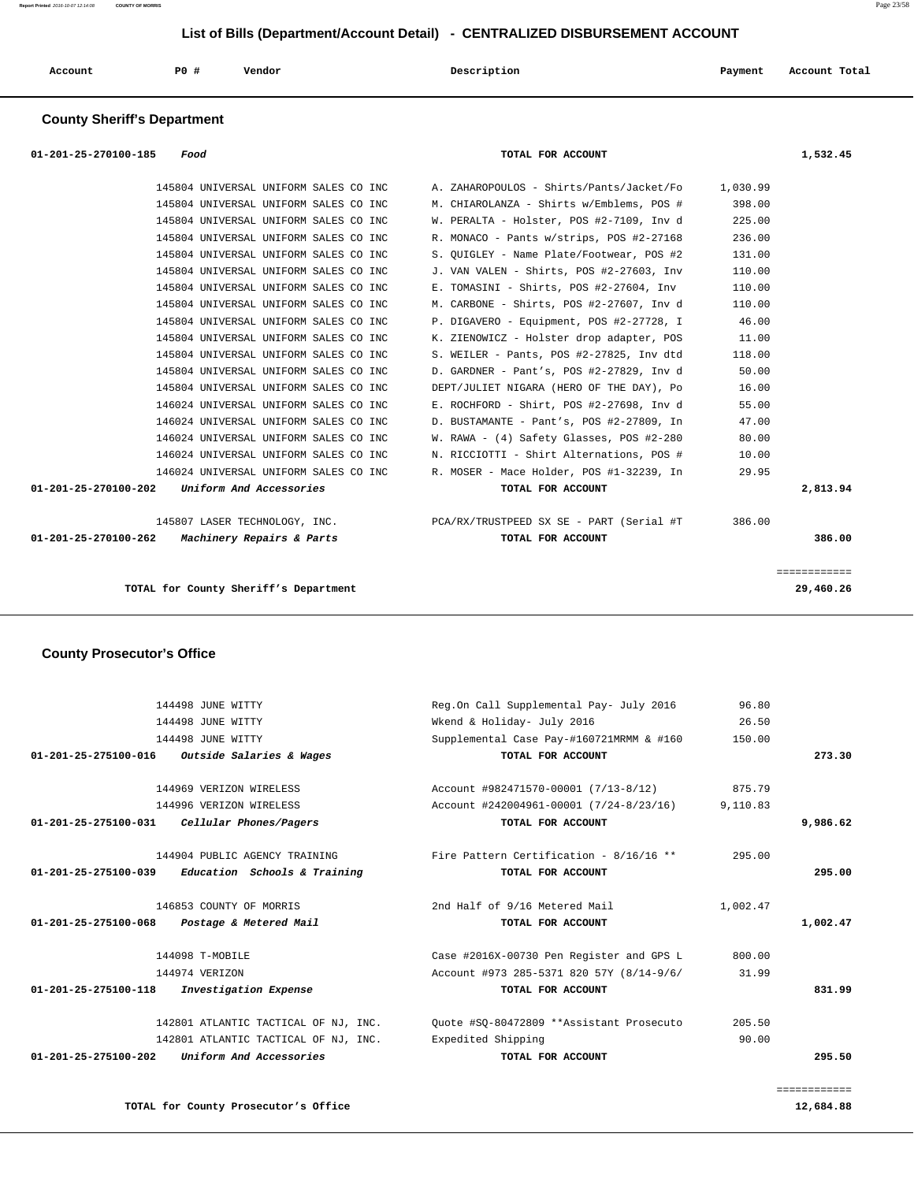|  | Account<br>. | <b>PO #</b> | Vendor | Description | Payment | Account Total |
|--|--------------|-------------|--------|-------------|---------|---------------|
|--|--------------|-------------|--------|-------------|---------|---------------|

## **County Sheriff's Department**

| 01-201-25-270100-185<br>Food                                 | TOTAL FOR ACCOUNT                                                               |          | 1,532.45                  |
|--------------------------------------------------------------|---------------------------------------------------------------------------------|----------|---------------------------|
| 145804 UNIVERSAL UNIFORM SALES CO INC                        | A. ZAHAROPOULOS - Shirts/Pants/Jacket/Fo                                        | 1,030.99 |                           |
| 145804 UNIVERSAL UNIFORM SALES CO INC                        | M. CHIAROLANZA - Shirts w/Emblems, POS #                                        | 398.00   |                           |
| 145804 UNIVERSAL UNIFORM SALES CO INC                        | W. PERALTA - Holster, POS #2-7109, Inv d                                        | 225.00   |                           |
| 145804 UNIVERSAL UNIFORM SALES CO INC                        | R. MONACO - Pants w/strips, POS #2-27168                                        | 236.00   |                           |
| 145804 UNIVERSAL UNIFORM SALES CO INC                        | S. OUIGLEY - Name Plate/Footwear, POS #2                                        | 131.00   |                           |
| 145804 UNIVERSAL UNIFORM SALES CO INC                        | J. VAN VALEN - Shirts, POS #2-27603, Inv                                        | 110.00   |                           |
| 145804 UNIVERSAL UNIFORM SALES CO INC                        | E. TOMASINI - Shirts, POS #2-27604, Inv                                         | 110.00   |                           |
| 145804 UNIVERSAL UNIFORM SALES CO INC                        | M. CARBONE - Shirts, POS #2-27607, Inv d                                        | 110.00   |                           |
| 145804 UNIVERSAL UNIFORM SALES CO INC                        | P. DIGAVERO - Equipment, POS #2-27728, I                                        | 46.00    |                           |
| 145804 UNIVERSAL UNIFORM SALES CO INC                        | K. ZIENOWICZ - Holster drop adapter, POS                                        | 11.00    |                           |
| 145804 UNIVERSAL UNIFORM SALES CO INC                        | S. WEILER - Pants, POS #2-27825, Inv dtd                                        | 118.00   |                           |
| 145804 UNIVERSAL UNIFORM SALES CO INC                        | D. GARDNER - Pant's, POS #2-27829, Inv d                                        | 50.00    |                           |
| 145804 UNIVERSAL UNIFORM SALES CO INC                        | DEPT/JULIET NIGARA (HERO OF THE DAY), Po                                        | 16.00    |                           |
| 146024 UNIVERSAL UNIFORM SALES CO INC                        | E. ROCHFORD - Shirt, POS #2-27698, Inv d                                        | 55.00    |                           |
| 146024 UNIVERSAL UNIFORM SALES CO INC                        | D. BUSTAMANTE - Pant's, POS #2-27809, In                                        | 47.00    |                           |
| 146024 UNIVERSAL UNIFORM SALES CO INC                        | W. RAWA - (4) Safety Glasses, POS #2-280                                        | 80.00    |                           |
| 146024 UNIVERSAL UNIFORM SALES CO INC                        | N. RICCIOTTI - Shirt Alternations, POS #                                        | 10.00    |                           |
| 146024 UNIVERSAL UNIFORM SALES CO INC                        | R. MOSER - Mace Holder, POS #1-32239, In                                        | 29.95    |                           |
| Uniform And Accessories<br>01-201-25-270100-202              | TOTAL FOR ACCOUNT                                                               |          | 2,813.94                  |
|                                                              | 145807 LASER TECHNOLOGY, INC. THE REAGNER POR PORT PORT IS A SET ART (Serial #T | 386.00   |                           |
| <i>Machinery Repairs &amp; Parts</i><br>01-201-25-270100-262 | TOTAL FOR ACCOUNT                                                               |          | 386.00                    |
| TOTAL for County Sheriff's Department                        |                                                                                 |          | ============<br>29,460.26 |

## **County Prosecutor's Office**

|                                                                |                                          |                                                               | ============                                                                        |
|----------------------------------------------------------------|------------------------------------------|---------------------------------------------------------------|-------------------------------------------------------------------------------------|
| Uniform And Accessories<br>$01 - 201 - 25 - 275100 - 202$      | TOTAL FOR ACCOUNT                        |                                                               | 295.50                                                                              |
| 142801 ATLANTIC TACTICAL OF NJ, INC.                           | Expedited Shipping                       | 90.00                                                         |                                                                                     |
| 142801 ATLANTIC TACTICAL OF NJ, INC.                           |                                          | 205.50                                                        |                                                                                     |
| $01 - 201 - 25 - 275100 - 118$<br><i>Investigation Expense</i> | TOTAL FOR ACCOUNT                        |                                                               | 831.99                                                                              |
| 144974 VERIZON                                                 | Account #973 285-5371 820 57Y (8/14-9/6/ | 31.99                                                         |                                                                                     |
| 144098 T-MOBILE                                                | Case #2016X-00730 Pen Register and GPS L | 800.00                                                        |                                                                                     |
| Postage & Metered Mail                                         | TOTAL FOR ACCOUNT                        |                                                               | 1,002.47                                                                            |
| 146853 COUNTY OF MORRIS                                        | 2nd Half of 9/16 Metered Mail            | 1,002.47                                                      |                                                                                     |
| Education Schools & Training<br>$01 - 201 - 25 - 275100 - 039$ | TOTAL FOR ACCOUNT                        |                                                               | 295.00                                                                              |
| 144904 PUBLIC AGENCY TRAINING                                  | Fire Pattern Certification - 8/16/16 **  | 295.00                                                        |                                                                                     |
| Cellular Phones/Pagers                                         | TOTAL FOR ACCOUNT                        |                                                               | 9,986.62                                                                            |
| 144996 VERIZON WIRELESS                                        |                                          | 9,110.83                                                      |                                                                                     |
| 144969 VERIZON WIRELESS                                        | Account #982471570-00001 (7/13-8/12)     | 875.79                                                        |                                                                                     |
| $01 - 201 - 25 - 275100 - 016$                                 |                                          |                                                               | 273.30                                                                              |
| 144498 JUNE WITTY                                              |                                          | 150.00                                                        |                                                                                     |
| 144498 JUNE WITTY                                              | Wkend & Holiday- July 2016               | 26.50                                                         |                                                                                     |
| 144498 JUNE WITTY                                              | Reg.On Call Supplemental Pay- July 2016  | 96.80                                                         |                                                                                     |
|                                                                | <i>Outside Salaries &amp; Wages</i>      | TOTAL FOR ACCOUNT<br>Ouote #SO-80472809 **Assistant Prosecuto | Supplemental Case Pay-#160721MRMM & #160<br>Account #242004961-00001 (7/24-8/23/16) |

**TOTAL for County Prosecutor's Office 12,684.88**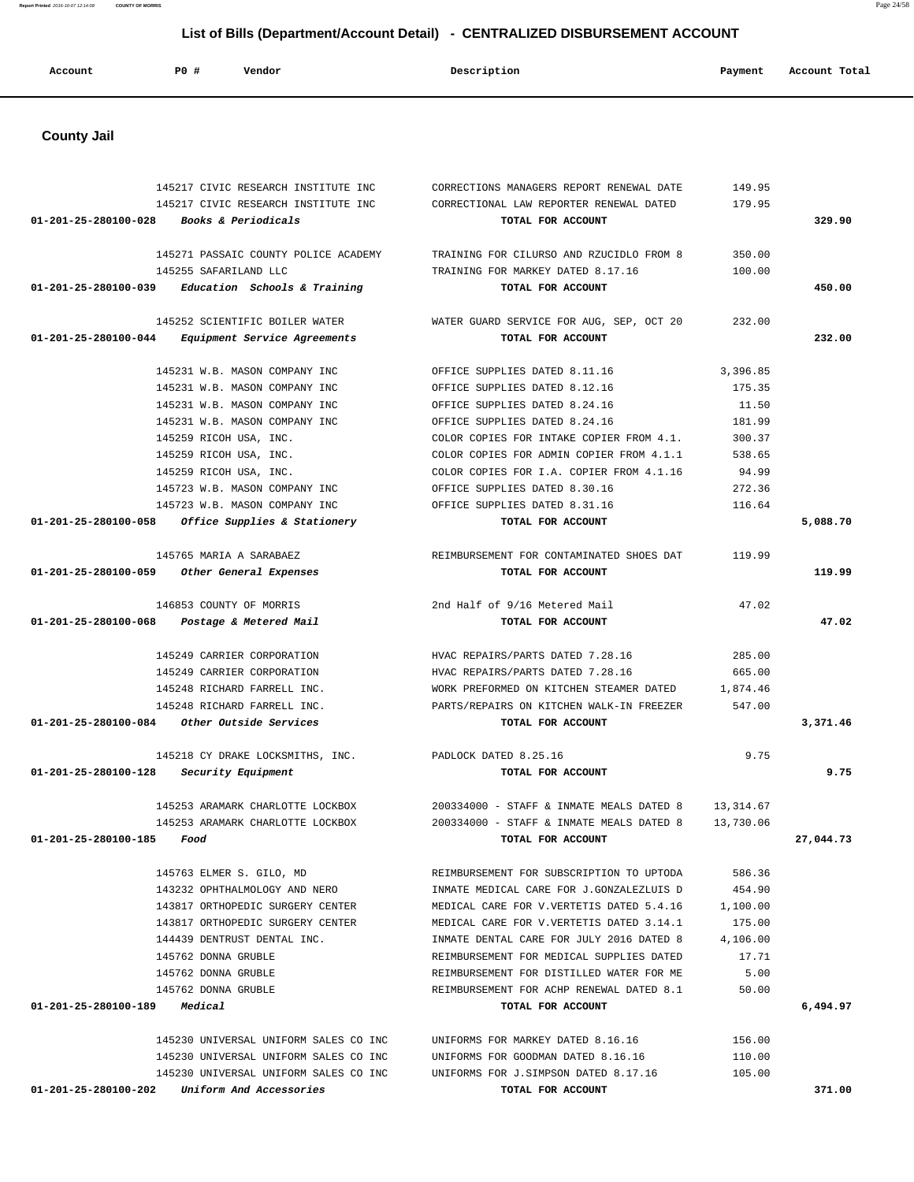| Account                        | PO#<br>Vendor                                                  | Description                                                    | Payment         | Account Total |
|--------------------------------|----------------------------------------------------------------|----------------------------------------------------------------|-----------------|---------------|
| <b>County Jail</b>             |                                                                |                                                                |                 |               |
|                                |                                                                |                                                                |                 |               |
|                                |                                                                |                                                                |                 |               |
|                                | 145217 CIVIC RESEARCH INSTITUTE INC                            | CORRECTIONS MANAGERS REPORT RENEWAL DATE                       | 149.95          |               |
| 01-201-25-280100-028           | 145217 CIVIC RESEARCH INSTITUTE INC<br>Books & Periodicals     | CORRECTIONAL LAW REPORTER RENEWAL DATED<br>TOTAL FOR ACCOUNT   | 179.95          | 329.90        |
|                                |                                                                |                                                                |                 |               |
|                                | 145271 PASSAIC COUNTY POLICE ACADEMY                           | TRAINING FOR CILURSO AND RZUCIDLO FROM 8                       | 350.00          |               |
|                                | 145255 SAFARILAND LLC                                          | TRAINING FOR MARKEY DATED 8.17.16                              | 100.00          |               |
| 01-201-25-280100-039           | Education Schools & Training                                   | TOTAL FOR ACCOUNT                                              |                 | 450.00        |
|                                |                                                                |                                                                |                 |               |
|                                | 145252 SCIENTIFIC BOILER WATER                                 | WATER GUARD SERVICE FOR AUG, SEP, OCT 20                       | 232.00          |               |
| 01-201-25-280100-044           | Equipment Service Agreements                                   | TOTAL FOR ACCOUNT                                              |                 | 232.00        |
|                                |                                                                |                                                                |                 |               |
|                                | 145231 W.B. MASON COMPANY INC                                  | OFFICE SUPPLIES DATED 8.11.16                                  | 3,396.85        |               |
|                                | 145231 W.B. MASON COMPANY INC                                  | OFFICE SUPPLIES DATED 8.12.16                                  | 175.35          |               |
|                                | 145231 W.B. MASON COMPANY INC<br>145231 W.B. MASON COMPANY INC | OFFICE SUPPLIES DATED 8.24.16<br>OFFICE SUPPLIES DATED 8.24.16 | 11.50<br>181.99 |               |
|                                | 145259 RICOH USA, INC.                                         | COLOR COPIES FOR INTAKE COPIER FROM 4.1.                       | 300.37          |               |
|                                | 145259 RICOH USA, INC.                                         | COLOR COPIES FOR ADMIN COPIER FROM 4.1.1                       | 538.65          |               |
|                                | 145259 RICOH USA, INC.                                         | COLOR COPIES FOR I.A. COPIER FROM 4.1.16                       | 94.99           |               |
|                                | 145723 W.B. MASON COMPANY INC                                  | OFFICE SUPPLIES DATED 8.30.16                                  | 272.36          |               |
|                                | 145723 W.B. MASON COMPANY INC                                  | OFFICE SUPPLIES DATED 8.31.16                                  | 116.64          |               |
| 01-201-25-280100-058           | Office Supplies & Stationery                                   | TOTAL FOR ACCOUNT                                              |                 | 5,088.70      |
|                                |                                                                |                                                                |                 |               |
|                                | 145765 MARIA A SARABAEZ                                        | REIMBURSEMENT FOR CONTAMINATED SHOES DAT                       | 119.99          |               |
| 01-201-25-280100-059           | Other General Expenses                                         | TOTAL FOR ACCOUNT                                              |                 | 119.99        |
|                                |                                                                |                                                                |                 |               |
|                                | 146853 COUNTY OF MORRIS                                        | 2nd Half of 9/16 Metered Mail                                  | 47.02           |               |
| 01-201-25-280100-068           | Postage & Metered Mail                                         | TOTAL FOR ACCOUNT                                              |                 | 47.02         |
|                                | 145249 CARRIER CORPORATION                                     | HVAC REPAIRS/PARTS DATED 7.28.16                               | 285.00          |               |
|                                | 145249 CARRIER CORPORATION                                     | HVAC REPAIRS/PARTS DATED 7.28.16                               | 665.00          |               |
|                                | 145248 RICHARD FARRELL INC.                                    | WORK PREFORMED ON KITCHEN STEAMER DATED                        | 1,874.46        |               |
|                                | 145248 RICHARD FARRELL INC.                                    | PARTS/REPAIRS ON KITCHEN WALK-IN FREEZER                       | 547.00          |               |
| 01-201-25-280100-084           | <i>Other Outside Services</i>                                  | TOTAL FOR ACCOUNT                                              |                 | 3,371.46      |
|                                |                                                                |                                                                |                 |               |
|                                | 145218 CY DRAKE LOCKSMITHS, INC.                               | PADLOCK DATED 8.25.16                                          | 9.75            |               |
| $01 - 201 - 25 - 280100 - 128$ | Security Equipment                                             | TOTAL FOR ACCOUNT                                              |                 | 9.75          |
|                                |                                                                |                                                                |                 |               |
|                                | 145253 ARAMARK CHARLOTTE LOCKBOX                               | 200334000 - STAFF & INMATE MEALS DATED 8                       | 13,314.67       |               |
|                                | 145253 ARAMARK CHARLOTTE LOCKBOX                               | 200334000 - STAFF & INMATE MEALS DATED 8                       | 13,730.06       |               |
| 01-201-25-280100-185           | Food                                                           | TOTAL FOR ACCOUNT                                              |                 | 27,044.73     |
|                                | 145763 ELMER S. GILO, MD                                       | REIMBURSEMENT FOR SUBSCRIPTION TO UPTODA                       | 586.36          |               |
|                                | 143232 OPHTHALMOLOGY AND NERO                                  | INMATE MEDICAL CARE FOR J.GONZALEZLUIS D                       | 454.90          |               |
|                                | 143817 ORTHOPEDIC SURGERY CENTER                               | MEDICAL CARE FOR V. VERTETIS DATED 5.4.16                      | 1,100.00        |               |
|                                | 143817 ORTHOPEDIC SURGERY CENTER                               | MEDICAL CARE FOR V. VERTETIS DATED 3.14.1                      | 175.00          |               |
|                                | 144439 DENTRUST DENTAL INC.                                    | INMATE DENTAL CARE FOR JULY 2016 DATED 8                       | 4,106.00        |               |
|                                | 145762 DONNA GRUBLE                                            | REIMBURSEMENT FOR MEDICAL SUPPLIES DATED                       | 17.71           |               |
|                                | 145762 DONNA GRUBLE                                            | REIMBURSEMENT FOR DISTILLED WATER FOR ME                       | 5.00            |               |
|                                | 145762 DONNA GRUBLE                                            | REIMBURSEMENT FOR ACHP RENEWAL DATED 8.1                       | 50.00           |               |
| 01-201-25-280100-189           | Medical                                                        | TOTAL FOR ACCOUNT                                              |                 | 6,494.97      |
|                                |                                                                |                                                                |                 |               |
|                                | 145230 UNIVERSAL UNIFORM SALES CO INC                          | UNIFORMS FOR MARKEY DATED 8.16.16                              | 156.00          |               |
|                                | 145230 UNIVERSAL UNIFORM SALES CO INC                          | UNIFORMS FOR GOODMAN DATED 8.16.16                             | 110.00          |               |
|                                | 145230 UNIVERSAL UNIFORM SALES CO INC                          | UNIFORMS FOR J.SIMPSON DATED 8.17.16                           | 105.00          |               |
| 01-201-25-280100-202           | Uniform And Accessories                                        | TOTAL FOR ACCOUNT                                              |                 | 371.00        |

**Report Printed** 2016-10-07 12:14:08 **COUNTY OF MORRIS** Page 24/58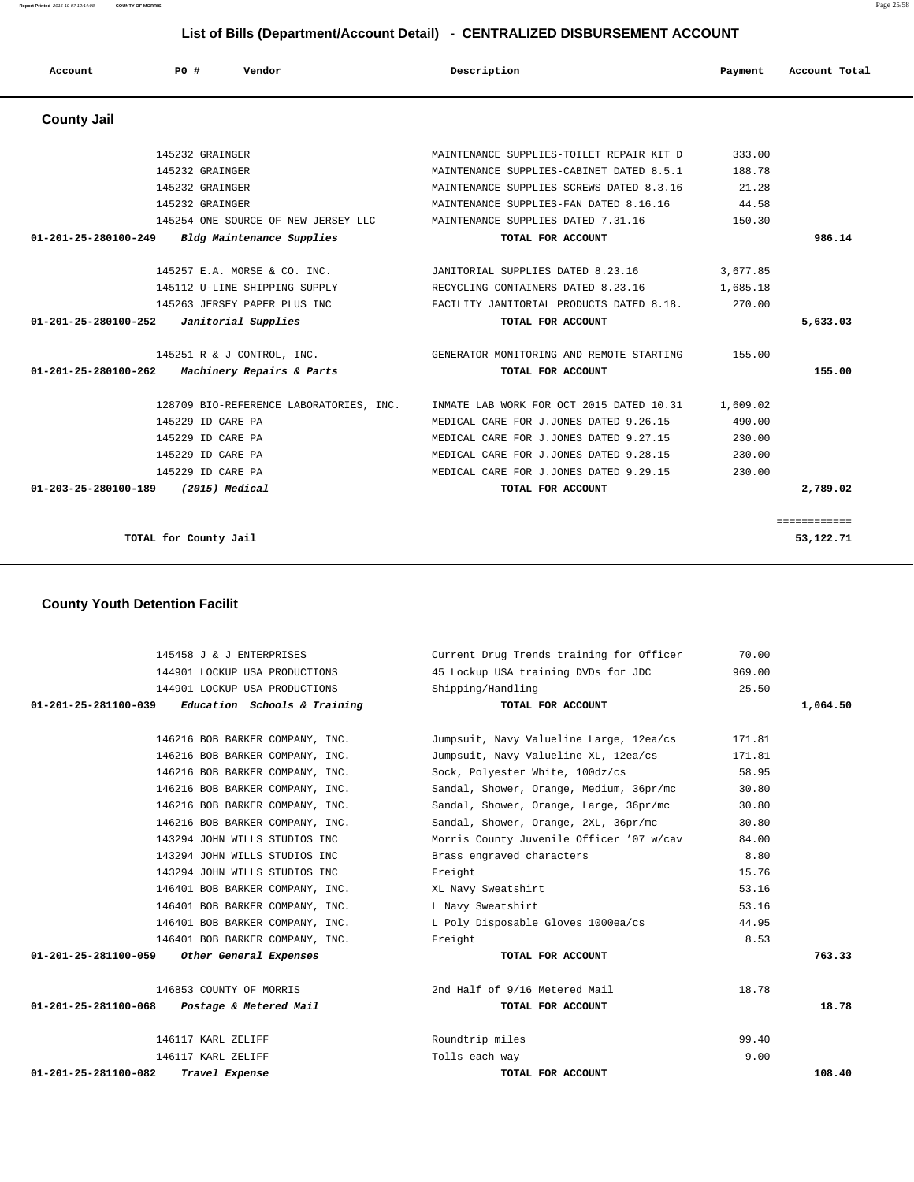**Report Printed** 2016-10-07 12:14:08 **COUNTY OF MORRIS** Page 25/58

# **List of Bills (Department/Account Detail) - CENTRALIZED DISBURSEMENT ACCOUNT**

| Account                        | PO# | Vendor                                  | Description                              | Payment  | Account Total |
|--------------------------------|-----|-----------------------------------------|------------------------------------------|----------|---------------|
| <b>County Jail</b>             |     |                                         |                                          |          |               |
|                                |     | 145232 GRAINGER                         | MAINTENANCE SUPPLIES-TOILET REPAIR KIT D | 333.00   |               |
|                                |     | 145232 GRAINGER                         | MAINTENANCE SUPPLIES-CABINET DATED 8.5.1 | 188.78   |               |
|                                |     | 145232 GRAINGER                         | MAINTENANCE SUPPLIES-SCREWS DATED 8.3.16 | 21.28    |               |
|                                |     | 145232 GRAINGER                         | MAINTENANCE SUPPLIES-FAN DATED 8.16.16   | 44.58    |               |
|                                |     | 145254 ONE SOURCE OF NEW JERSEY LLC     | MAINTENANCE SUPPLIES DATED 7.31.16       | 150.30   |               |
| 01-201-25-280100-249           |     | Bldg Maintenance Supplies               | TOTAL FOR ACCOUNT                        |          | 986.14        |
|                                |     | 145257 E.A. MORSE & CO. INC.            | JANITORIAL SUPPLIES DATED 8.23.16        | 3,677.85 |               |
|                                |     | 145112 U-LINE SHIPPING SUPPLY           | RECYCLING CONTAINERS DATED 8.23.16       | 1,685.18 |               |
|                                |     | 145263 JERSEY PAPER PLUS INC            | FACILITY JANITORIAL PRODUCTS DATED 8.18. | 270.00   |               |
| 01-201-25-280100-252           |     | Janitorial Supplies                     | TOTAL FOR ACCOUNT                        |          | 5,633.03      |
|                                |     | 145251 R & J CONTROL, INC.              | GENERATOR MONITORING AND REMOTE STARTING | 155.00   |               |
| $01 - 201 - 25 - 280100 - 262$ |     | Machinery Repairs & Parts               | TOTAL FOR ACCOUNT                        |          | 155.00        |
|                                |     | 128709 BIO-REFERENCE LABORATORIES, INC. | INMATE LAB WORK FOR OCT 2015 DATED 10.31 | 1,609.02 |               |
|                                |     | 145229 ID CARE PA                       | MEDICAL CARE FOR J.JONES DATED 9.26.15   | 490.00   |               |
|                                |     | 145229 ID CARE PA                       | MEDICAL CARE FOR J.JONES DATED 9.27.15   | 230.00   |               |
|                                |     | 145229 ID CARE PA                       | MEDICAL CARE FOR J.JONES DATED 9.28.15   | 230.00   |               |
|                                |     | 145229 ID CARE PA                       | MEDICAL CARE FOR J.JONES DATED 9.29.15   | 230.00   |               |
| 01-203-25-280100-189           |     | (2015) Medical                          | TOTAL FOR ACCOUNT                        |          | 2,789.02      |
|                                |     |                                         |                                          |          | ============  |
|                                |     | TOTAL for County Jail                   |                                          |          | 53,122.71     |

# **County Youth Detention Facilit**

| 145458 J & J ENTERPRISES                            | Current Drug Trends training for Officer | 70.00  |          |
|-----------------------------------------------------|------------------------------------------|--------|----------|
| 144901 LOCKUP USA PRODUCTIONS                       | 45 Lockup USA training DVDs for JDC      | 969.00 |          |
| 144901 LOCKUP USA PRODUCTIONS                       | Shipping/Handling                        | 25.50  |          |
| $01-201-25-281100-039$ Education Schools & Training | TOTAL FOR ACCOUNT                        |        | 1,064.50 |
|                                                     |                                          |        |          |
| 146216 BOB BARKER COMPANY, INC.                     | Jumpsuit, Navy Valueline Large, 12ea/cs  | 171.81 |          |
| 146216 BOB BARKER COMPANY, INC.                     | Jumpsuit, Navy Valueline XL, 12ea/cs     | 171.81 |          |
| 146216 BOB BARKER COMPANY, INC.                     | Sock, Polyester White, 100dz/cs          | 58.95  |          |
| 146216 BOB BARKER COMPANY, INC.                     | Sandal, Shower, Orange, Medium, 36pr/mc  | 30.80  |          |
| 146216 BOB BARKER COMPANY, INC.                     | Sandal, Shower, Orange, Large, 36pr/mc   | 30.80  |          |
| 146216 BOB BARKER COMPANY, INC.                     | Sandal, Shower, Orange, 2XL, 36pr/mc     | 30.80  |          |
| 143294 JOHN WILLS STUDIOS INC                       | Morris County Juvenile Officer '07 w/cav | 84.00  |          |
| 143294 JOHN WILLS STUDIOS INC                       | Brass engraved characters                | 8.80   |          |
| 143294 JOHN WILLS STUDIOS INC                       | Freight                                  | 15.76  |          |
| 146401 BOB BARKER COMPANY, INC.                     | XL Navy Sweatshirt                       | 53.16  |          |
| 146401 BOB BARKER COMPANY, INC.                     | L Navy Sweatshirt                        | 53.16  |          |
| 146401 BOB BARKER COMPANY, INC.                     | L Poly Disposable Gloves 1000ea/cs       | 44.95  |          |
| 146401 BOB BARKER COMPANY, INC.                     | Freight                                  | 8.53   |          |
| 01-201-25-281100-059 Other General Expenses         | TOTAL FOR ACCOUNT                        |        | 763.33   |
| 146853 COUNTY OF MORRIS                             | 2nd Half of 9/16 Metered Mail            | 18.78  |          |
| 01-201-25-281100-068 Postage & Metered Mail         | TOTAL FOR ACCOUNT                        |        | 18.78    |
|                                                     |                                          |        |          |
| 146117 KARL ZELIFF                                  | Roundtrip miles                          | 99.40  |          |
| 146117 KARL ZELIFF                                  | Tolls each way                           | 9.00   |          |
| $01 - 201 - 25 - 281100 - 082$<br>Travel Expense    | TOTAL FOR ACCOUNT                        |        | 108.40   |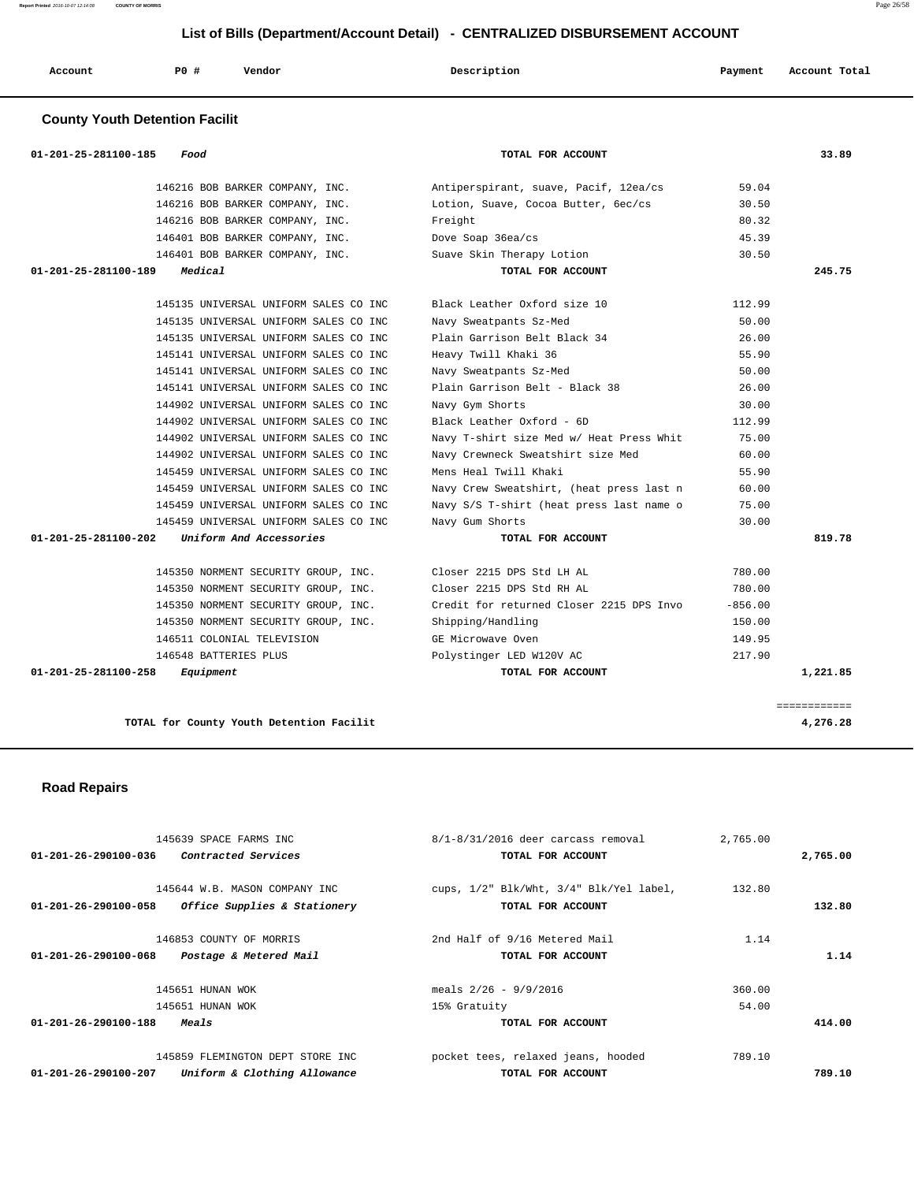| Account | PO# | Vendor | Description | Payment | Account Total<br>. |
|---------|-----|--------|-------------|---------|--------------------|
|         |     |        |             |         |                    |

# **County Youth Detention Facilit**

| 33.89    |           | TOTAL FOR ACCOUNT                        | 01-201-25-281100-185<br>Food                              |
|----------|-----------|------------------------------------------|-----------------------------------------------------------|
|          | 59.04     | Antiperspirant, suave, Pacif, 12ea/cs    | 146216 BOB BARKER COMPANY, INC.                           |
|          | 30.50     | Lotion, Suave, Cocoa Butter, 6ec/cs      | 146216 BOB BARKER COMPANY, INC.                           |
|          | 80.32     | Freight                                  | 146216 BOB BARKER COMPANY, INC.                           |
|          | 45.39     | Dove Soap 36ea/cs                        | 146401 BOB BARKER COMPANY, INC.                           |
|          | 30.50     | Suave Skin Therapy Lotion                | 146401 BOB BARKER COMPANY, INC.                           |
| 245.75   |           | TOTAL FOR ACCOUNT                        | Medical<br>01-201-25-281100-189                           |
|          | 112.99    | Black Leather Oxford size 10             | 145135 UNIVERSAL UNIFORM SALES CO INC                     |
|          | 50.00     | Navy Sweatpants Sz-Med                   | 145135 UNIVERSAL UNIFORM SALES CO INC                     |
|          | 26.00     | Plain Garrison Belt Black 34             | 145135 UNIVERSAL UNIFORM SALES CO INC                     |
|          | 55.90     | Heavy Twill Khaki 36                     | 145141 UNIVERSAL UNIFORM SALES CO INC                     |
|          | 50.00     | Navy Sweatpants Sz-Med                   | 145141 UNIVERSAL UNIFORM SALES CO INC                     |
|          | 26.00     | Plain Garrison Belt - Black 38           | 145141 UNIVERSAL UNIFORM SALES CO INC                     |
|          | 30.00     | Navy Gym Shorts                          | 144902 UNIVERSAL UNIFORM SALES CO INC                     |
|          | 112.99    | Black Leather Oxford - 6D                | 144902 UNIVERSAL UNIFORM SALES CO INC                     |
|          | 75.00     | Navy T-shirt size Med w/ Heat Press Whit | 144902 UNIVERSAL UNIFORM SALES CO INC                     |
|          | 60.00     | Navy Crewneck Sweatshirt size Med        | 144902 UNIVERSAL UNIFORM SALES CO INC                     |
|          | 55.90     | Mens Heal Twill Khaki                    | 145459 UNIVERSAL UNIFORM SALES CO INC                     |
|          | 60.00     | Navy Crew Sweatshirt, (heat press last n | 145459 UNIVERSAL UNIFORM SALES CO INC                     |
|          | 75.00     | Navy S/S T-shirt (heat press last name o | 145459 UNIVERSAL UNIFORM SALES CO INC                     |
|          | 30.00     | Navy Gum Shorts                          | 145459 UNIVERSAL UNIFORM SALES CO INC                     |
| 819.78   |           | TOTAL FOR ACCOUNT                        | Uniform And Accessories<br>$01 - 201 - 25 - 281100 - 202$ |
|          | 780.00    | Closer 2215 DPS Std LH AL                | 145350 NORMENT SECURITY GROUP, INC.                       |
|          | 780.00    | Closer 2215 DPS Std RH AL                | 145350 NORMENT SECURITY GROUP, INC.                       |
|          | $-856.00$ | Credit for returned Closer 2215 DPS Invo | 145350 NORMENT SECURITY GROUP, INC.                       |
|          | 150.00    | Shipping/Handling                        | 145350 NORMENT SECURITY GROUP, INC.                       |
|          | 149.95    | GE Microwave Oven                        | 146511 COLONIAL TELEVISION                                |
|          | 217.90    | Polystinger LED W120V AC                 | 146548 BATTERIES PLUS                                     |
| 1,221.85 |           | TOTAL FOR ACCOUNT                        | 01-201-25-281100-258<br>Equipment                         |

# **Road Repairs**

| $8/1 - 8/31/2016$ deer carcass removal<br>145639 SPACE FARMS INC<br>01-201-26-290100-036<br><i>Contracted Services</i><br>TOTAL FOR ACCOUNT                     | 2,765.00<br>2,765.00      |
|-----------------------------------------------------------------------------------------------------------------------------------------------------------------|---------------------------|
| cups, 1/2" Blk/Wht, 3/4" Blk/Yel label,<br>145644 W.B. MASON COMPANY INC<br>Office Supplies & Stationery<br>$01 - 201 - 26 - 290100 - 058$<br>TOTAL FOR ACCOUNT | 132.80<br>132.80          |
| 2nd Half of 9/16 Metered Mail<br>146853 COUNTY OF MORRIS<br>Postage & Metered Mail<br>01-201-26-290100-068<br>TOTAL FOR ACCOUNT                                 | 1.14<br>1.14              |
| meals $2/26 - 9/9/2016$<br>145651 HUNAN WOK<br>145651 HUNAN WOK<br>15% Gratuity<br>$01 - 201 - 26 - 290100 - 188$<br><i>Meals</i><br>TOTAL FOR ACCOUNT          | 360.00<br>54.00<br>414.00 |
| pocket tees, relaxed jeans, hooded<br>145859 FLEMINGTON DEPT STORE INC<br>Uniform & Clothing Allowance<br>$01 - 201 - 26 - 290100 - 207$<br>TOTAL FOR ACCOUNT   | 789.10<br>789.10          |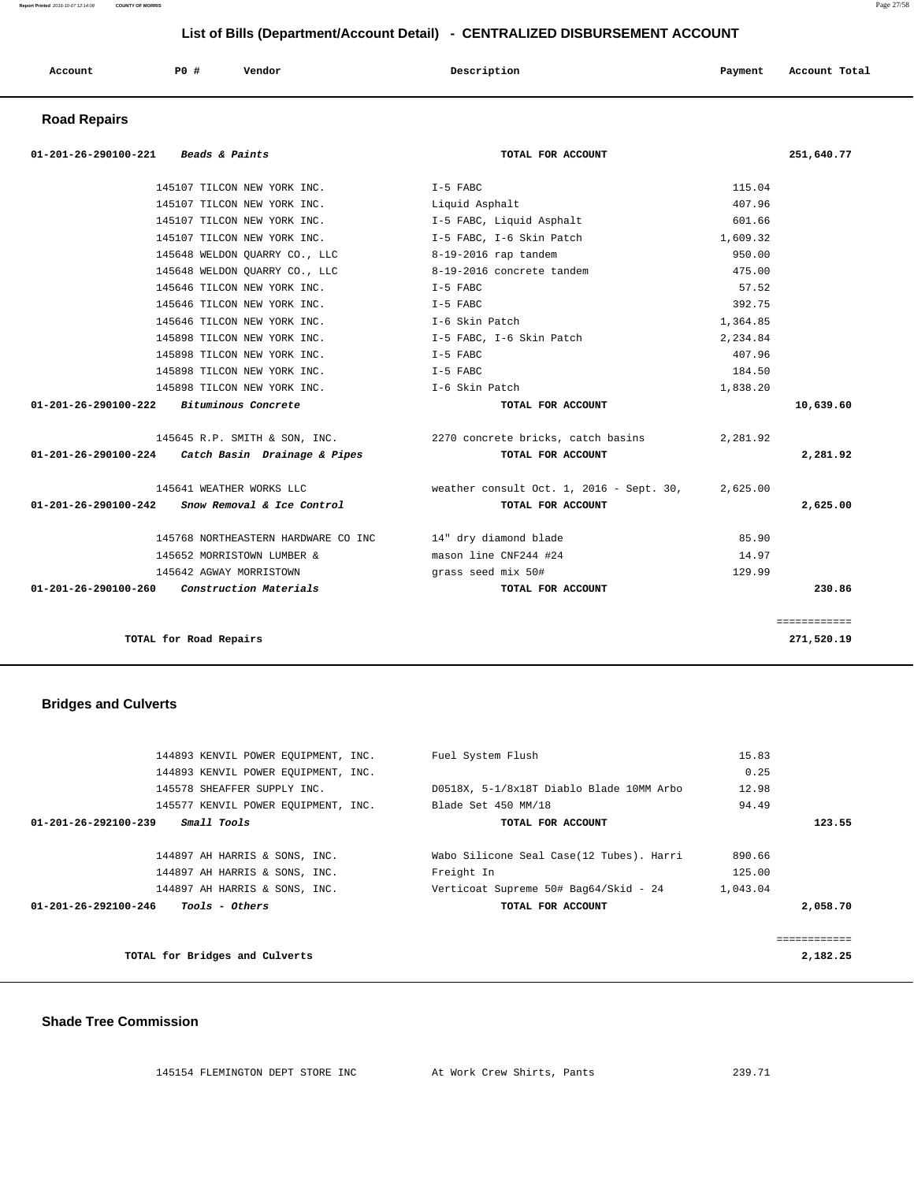| Account | PO# | Vendor | Description | Payment | Account Total |
|---------|-----|--------|-------------|---------|---------------|
|         |     |        |             |         |               |

## **Road Repairs**

| 01-201-26-290100-221<br><i>Beads &amp; Paints</i>       | TOTAL FOR ACCOUNT                                                |          | 251,640.77   |
|---------------------------------------------------------|------------------------------------------------------------------|----------|--------------|
| 145107 TILCON NEW YORK INC. T-5 FABC                    |                                                                  | 115.04   |              |
| 145107 TILCON NEW YORK INC.                             | Liquid Asphalt                                                   | 407.96   |              |
| 145107 TILCON NEW YORK INC.                             | I-5 FABC, Liquid Asphalt                                         | 601.66   |              |
| 145107 TILCON NEW YORK INC.                             | I-5 FABC, I-6 Skin Patch                                         | 1,609.32 |              |
| 145648 WELDON QUARRY CO., LLC 8-19-2016 rap tandem      |                                                                  | 950.00   |              |
| 145648 WELDON QUARRY CO., LLC 8-19-2016 concrete tandem |                                                                  | 475.00   |              |
| 145646 TILCON NEW YORK INC.                             | I-5 FABC                                                         | 57.52    |              |
| 145646 TILCON NEW YORK INC. T-5 FABC                    |                                                                  | 392.75   |              |
| 145646 TILCON NEW YORK INC.                             | I-6 Skin Patch                                                   | 1,364.85 |              |
| 145898 TILCON NEW YORK INC. T-5 FABC, I-6 Skin Patch    |                                                                  | 2,234.84 |              |
| 145898 TILCON NEW YORK INC.                             | $I-5$ FABC                                                       | 407.96   |              |
| 145898 TILCON NEW YORK INC. T-5 FABC                    |                                                                  | 184.50   |              |
| 145898 TILCON NEW YORK INC. T-6 Skin Patch              |                                                                  | 1,838.20 |              |
| $01-201-26-290100-222$ Bituminous Concrete              | TOTAL FOR ACCOUNT                                                |          | 10,639.60    |
|                                                         | 145645 R.P. SMITH & SON, INC. 2270 concrete bricks, catch basins | 2,281.92 |              |
| $01-201-26-290100-224$ Catch Basin Drainage & Pipes     | TOTAL FOR ACCOUNT                                                |          | 2,281.92     |
| 145641 WEATHER WORKS LLC                                | weather consult Oct. 1, 2016 - Sept. 30,                         | 2,625.00 |              |
| 01-201-26-290100-242<br>Snow Removal & Ice Control      | TOTAL FOR ACCOUNT                                                |          | 2,625.00     |
| 145768 NORTHEASTERN HARDWARE CO INC                     | 14" dry diamond blade                                            | 85.90    |              |
| 145652 MORRISTOWN LUMBER &                              | mason line CNF244 #24                                            | 14.97    |              |
| 145642 AGWAY MORRISTOWN                                 | grass seed mix 50#                                               | 129.99   |              |
| 01-201-26-290100-260 Construction Materials             | TOTAL FOR ACCOUNT                                                |          | 230.86       |
|                                                         |                                                                  |          | ============ |
| TOTAL for Road Repairs                                  |                                                                  |          | 271,520.19   |

# **Bridges and Culverts**

| 144893 KENVIL POWER EQUIPMENT, INC.                     | Fuel System Flush                        | 15.83    |          |
|---------------------------------------------------------|------------------------------------------|----------|----------|
| 144893 KENVIL POWER EOUIPMENT, INC.                     |                                          | 0.25     |          |
| 145578 SHEAFFER SUPPLY INC.                             | D0518X, 5-1/8x18T Diablo Blade 10MM Arbo | 12.98    |          |
| 145577 KENVIL POWER EOUIPMENT, INC.                     | Blade Set 450 MM/18                      | 94.49    |          |
| Small Tools<br>$01 - 201 - 26 - 292100 - 239$           | TOTAL FOR ACCOUNT                        |          | 123.55   |
|                                                         |                                          |          |          |
| 144897 AH HARRIS & SONS, INC.                           | Wabo Silicone Seal Case(12 Tubes). Harri | 890.66   |          |
| 144897 AH HARRIS & SONS, INC.                           | Freight In                               | 125.00   |          |
| 144897 AH HARRIS & SONS, INC.                           | Verticoat Supreme 50# Bag64/Skid - 24    | 1,043.04 |          |
| $01 - 201 - 26 - 292100 - 246$<br><i>Tools - Others</i> | TOTAL FOR ACCOUNT                        |          | 2,058.70 |
|                                                         |                                          |          |          |
| TOTAL for Bridges and Culverts                          |                                          |          | 2,182.25 |

#### **Shade Tree Commission**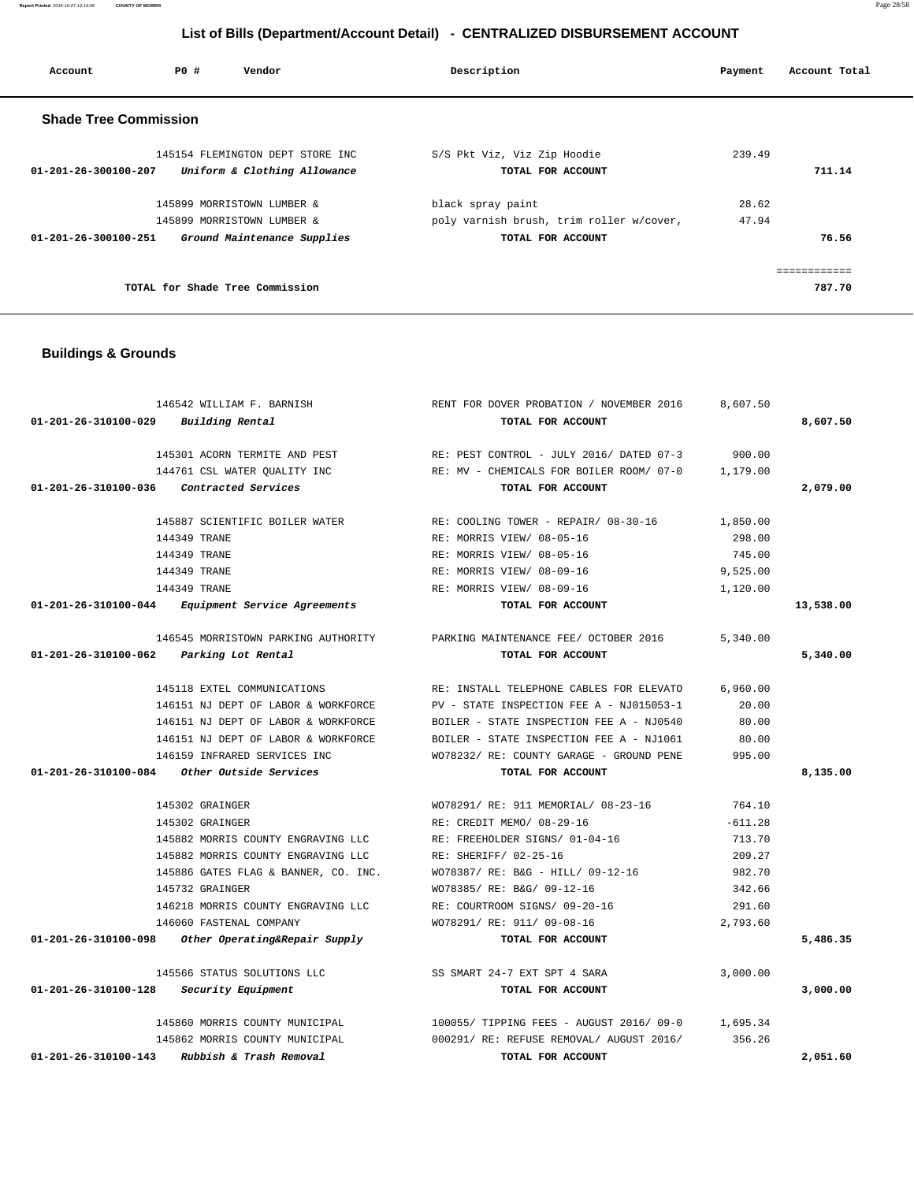**Account P0 # Vendor Description Payment Account Total Shade Tree Commission** 

| 145154 FLEMINGTON DEPT STORE INC                     | S/S Pkt Viz, Viz Zip Hoodie              | 239.49 |        |
|------------------------------------------------------|------------------------------------------|--------|--------|
| Uniform & Clothing Allowance<br>01-201-26-300100-207 | TOTAL FOR ACCOUNT                        |        | 711.14 |
| 145899 MORRISTOWN LUMBER &                           | black spray paint                        | 28.62  |        |
| 145899 MORRISTOWN LUMBER &                           | poly varnish brush, trim roller w/cover, | 47.94  |        |
| Ground Maintenance Supplies<br>01-201-26-300100-251  | TOTAL FOR ACCOUNT                        |        | 76.56  |
|                                                      |                                          |        |        |
| TOTAL for Shade Tree Commission                      |                                          |        | 787.70 |

# **Buildings & Grounds**

| 146542 WILLIAM F. BARNISH                                       | RENT FOR DOVER PROBATION / NOVEMBER 2016 | 8,607.50  |           |
|-----------------------------------------------------------------|------------------------------------------|-----------|-----------|
| 01-201-26-310100-029<br>Building Rental                         | TOTAL FOR ACCOUNT                        |           | 8,607.50  |
| 145301 ACORN TERMITE AND PEST                                   | RE: PEST CONTROL - JULY 2016/ DATED 07-3 | 900.00    |           |
| 144761 CSL WATER QUALITY INC                                    | RE: MV - CHEMICALS FOR BOILER ROOM/ 07-0 | 1,179.00  |           |
| 01-201-26-310100-036<br>Contracted Services                     | TOTAL FOR ACCOUNT                        |           | 2,079.00  |
| 145887 SCIENTIFIC BOILER WATER                                  | RE: COOLING TOWER - REPAIR/ 08-30-16     | 1,850.00  |           |
| 144349 TRANE                                                    | RE: MORRIS VIEW/ 08-05-16                | 298.00    |           |
| 144349 TRANE                                                    | RE: MORRIS VIEW/ 08-05-16                | 745.00    |           |
| 144349 TRANE                                                    | RE: MORRIS VIEW/ 08-09-16                | 9,525.00  |           |
| 144349 TRANE                                                    | RE: MORRIS VIEW/ 08-09-16                | 1,120.00  |           |
| 01-201-26-310100-044<br>Equipment Service Agreements            | TOTAL FOR ACCOUNT                        |           | 13,538.00 |
| 146545 MORRISTOWN PARKING AUTHORITY                             | PARKING MAINTENANCE FEE/ OCTOBER 2016    | 5,340.00  |           |
| 01-201-26-310100-062 Parking Lot Rental                         | TOTAL FOR ACCOUNT                        |           | 5,340.00  |
| 145118 EXTEL COMMUNICATIONS                                     | RE: INSTALL TELEPHONE CABLES FOR ELEVATO | 6,960.00  |           |
| 146151 NJ DEPT OF LABOR & WORKFORCE                             | PV - STATE INSPECTION FEE A - NJ015053-1 | 20.00     |           |
| 146151 NJ DEPT OF LABOR & WORKFORCE                             | BOILER - STATE INSPECTION FEE A - NJ0540 | 80.00     |           |
| 146151 NJ DEPT OF LABOR & WORKFORCE                             | BOILER - STATE INSPECTION FEE A - NJ1061 | 80.00     |           |
| 146159 INFRARED SERVICES INC                                    | WO78232/ RE: COUNTY GARAGE - GROUND PENE | 995.00    |           |
| 01-201-26-310100-084<br><i>Other Outside Services</i>           | TOTAL FOR ACCOUNT                        |           | 8,135.00  |
| 145302 GRAINGER                                                 | WO78291/ RE: 911 MEMORIAL/ 08-23-16      | 764.10    |           |
| 145302 GRAINGER                                                 | RE: CREDIT MEMO/ 08-29-16                | $-611.28$ |           |
| 145882 MORRIS COUNTY ENGRAVING LLC                              | RE: FREEHOLDER SIGNS/ 01-04-16           | 713.70    |           |
| 145882 MORRIS COUNTY ENGRAVING LLC                              | RE: SHERIFF/ 02-25-16                    | 209.27    |           |
| 145886 GATES FLAG & BANNER, CO. INC.                            | WO78387/ RE: B&G - HILL/ 09-12-16        | 982.70    |           |
| 145732 GRAINGER                                                 | WO78385/ RE: B&G/ 09-12-16               | 342.66    |           |
| 146218 MORRIS COUNTY ENGRAVING LLC                              | RE: COURTROOM SIGNS/ 09-20-16            | 291.60    |           |
| 146060 FASTENAL COMPANY                                         | WO78291/ RE: 911/ 09-08-16               | 2,793.60  |           |
| $01 - 201 - 26 - 310100 - 098$<br>Other Operating&Repair Supply | TOTAL FOR ACCOUNT                        |           | 5,486.35  |
| 145566 STATUS SOLUTIONS LLC                                     | SS SMART 24-7 EXT SPT 4 SARA             | 3,000.00  |           |
| 01-201-26-310100-128<br>Security Equipment                      | TOTAL FOR ACCOUNT                        |           | 3,000.00  |
| 145860 MORRIS COUNTY MUNICIPAL                                  | 100055/ TIPPING FEES - AUGUST 2016/ 09-0 | 1,695.34  |           |
| 145862 MORRIS COUNTY MUNICIPAL                                  | 000291/ RE: REFUSE REMOVAL/ AUGUST 2016/ | 356.26    |           |
| 01-201-26-310100-143<br>Rubbish & Trash Removal                 | TOTAL FOR ACCOUNT                        |           | 2,051.60  |

**Report Printed** 2016-10-07 12:14:08 **COUNTY OF MORRIS** Page 28/58

# **List of Bills (Department/Account Detail) - CENTRALIZED DISBURSEMENT ACCOUNT**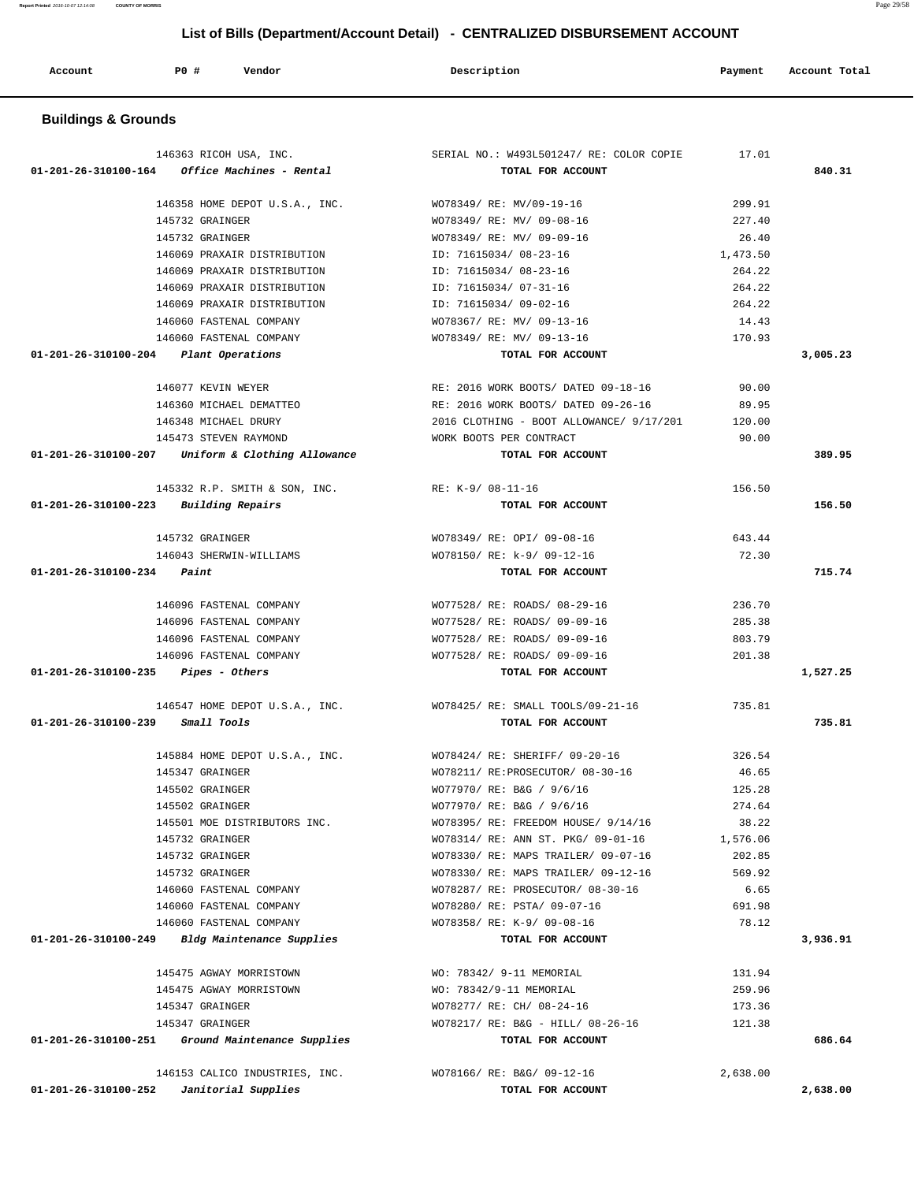**Account P0 # Vendor Description Payment Account Total Buildings & Grounds**  146363 RICOH USA, INC. SERIAL NO.: W493L501247/ RE: COLOR COPIE 17.01  **01-201-26-310100-164 Office Machines - Rental TOTAL FOR ACCOUNT 840.31** 146358 HOME DEPOT U.S.A., INC. WO78349/ RE: MV/09-19-16 299.91 145732 GRAINGER WO78349/ RE: MV/ 09-08-16 227.40 145732 GRAINGER WO78349/ RE: MV/ 09-09-16 26.40 146069 PRAXAIR DISTRIBUTION ID: 71615034/ 08-23-16 1,473.50 146069 PRAXAIR DISTRIBUTION ID: 71615034/ 08-23-16 264.22 146069 PRAXAIR DISTRIBUTION ID: 71615034/ 07-31-16 264.22 146069 PRAXAIR DISTRIBUTION ID: 71615034/ 09-02-16 264.22 146060 FASTENAL COMPANY WO78367/ RE: MV/ 09-13-16 14.43 146060 FASTENAL COMPANY WO78349/ RE: MV/ 09-13-16 170.93  **01-201-26-310100-204 Plant Operations TOTAL FOR ACCOUNT 3,005.23** 146077 KEVIN WEYER RE: 2016 WORK BOOTS/ DATED 09-18-16 90.00 146360 MICHAEL DEMATTEO RE: 2016 WORK BOOTS/ DATED 09-26-16 89.95 146348 MICHAEL DRURY 2016 CLOTHING - BOOT ALLOWANCE/ 9/17/201 120.00 145473 STEVEN RAYMOND WORK BOOTS PER CONTRACT 90.00  **01-201-26-310100-207 Uniform & Clothing Allowance TOTAL FOR ACCOUNT 389.95** 145332 R.P. SMITH & SON, INC. RE: K-9/ 08-11-16 156.50  **01-201-26-310100-223 Building Repairs TOTAL FOR ACCOUNT 156.50** 145732 GRAINGER WO78349/ RE: OPI/ 09-08-16 643.44 146043 SHERWIN-WILLIAMS WO78150/ RE: k-9/ 09-12-16 72.30  **01-201-26-310100-234 Paint TOTAL FOR ACCOUNT 715.74** 146096 FASTENAL COMPANY WO77528/ RE: ROADS/ 08-29-16 236.70 146096 FASTENAL COMPANY WO77528/ RE: ROADS/ 09-09-16 285.38 146096 FASTENAL COMPANY WO77528/ RE: ROADS/ 09-09-16 803.79 146096 FASTENAL COMPANY WO77528/ RE: ROADS/ 09-09-16 201.38  **01-201-26-310100-235 Pipes - Others TOTAL FOR ACCOUNT 1,527.25** 146547 HOME DEPOT U.S.A., INC. WO78425/ RE: SMALL TOOLS/09-21-16 735.81  **01-201-26-310100-239 Small Tools TOTAL FOR ACCOUNT 735.81** 145884 HOME DEPOT U.S.A., INC. WO78424/ RE: SHERIFF/ 09-20-16 326.54 145347 GRAINGER WO78211/ RE:PROSECUTOR/ 08-30-16 46.65 145502 GRAINGER WO77970/ RE: B&G / 9/6/16 125.28 145502 GRAINGER WO77970/ RE: B&G / 9/6/16 274.64 145501 MOE DISTRIBUTORS INC. WO78395/ RE: FREEDOM HOUSE/ 9/14/16 38.22 145732 GRAINGER WO78314/ RE: ANN ST. PKG/ 09-01-16 1,576.06 145732 GRAINGER WO78330/ RE: MAPS TRAILER/ 09-07-16 202.85 145732 GRAINGER WO78330/ RE: MAPS TRAILER/ 09-12-16 569.92 146060 FASTENAL COMPANY WO78287/ RE: PROSECUTOR/ 08-30-16 6.65 146060 FASTENAL COMPANY WO78280/ RE: PSTA/ 09-07-16 691.98 146060 FASTENAL COMPANY WO78358/ RE: K-9/ 09-08-16 78.12  **01-201-26-310100-249 Bldg Maintenance Supplies TOTAL FOR ACCOUNT 3,936.91** 145475 AGWAY MORRISTOWN WO: 78342/ 9-11 MEMORIAL 131.94 145475 AGWAY MORRISTOWN WO: 78342/9-11 MEMORIAL 259.96 145347 GRAINGER WO78277/ RE: CH/ 08-24-16 173.36 145347 GRAINGER WO78217/ RE: B&G - HILL/ 08-26-16 121.38  **01-201-26-310100-251 Ground Maintenance Supplies TOTAL FOR ACCOUNT 686.64** 146153 CALICO INDUSTRIES, INC. WO78166/ RE: B&G/ 09-12-16 2,638.00  **01-201-26-310100-252 Janitorial Supplies TOTAL FOR ACCOUNT 2,638.00**

 **List of Bills (Department/Account Detail) - CENTRALIZED DISBURSEMENT ACCOUNT**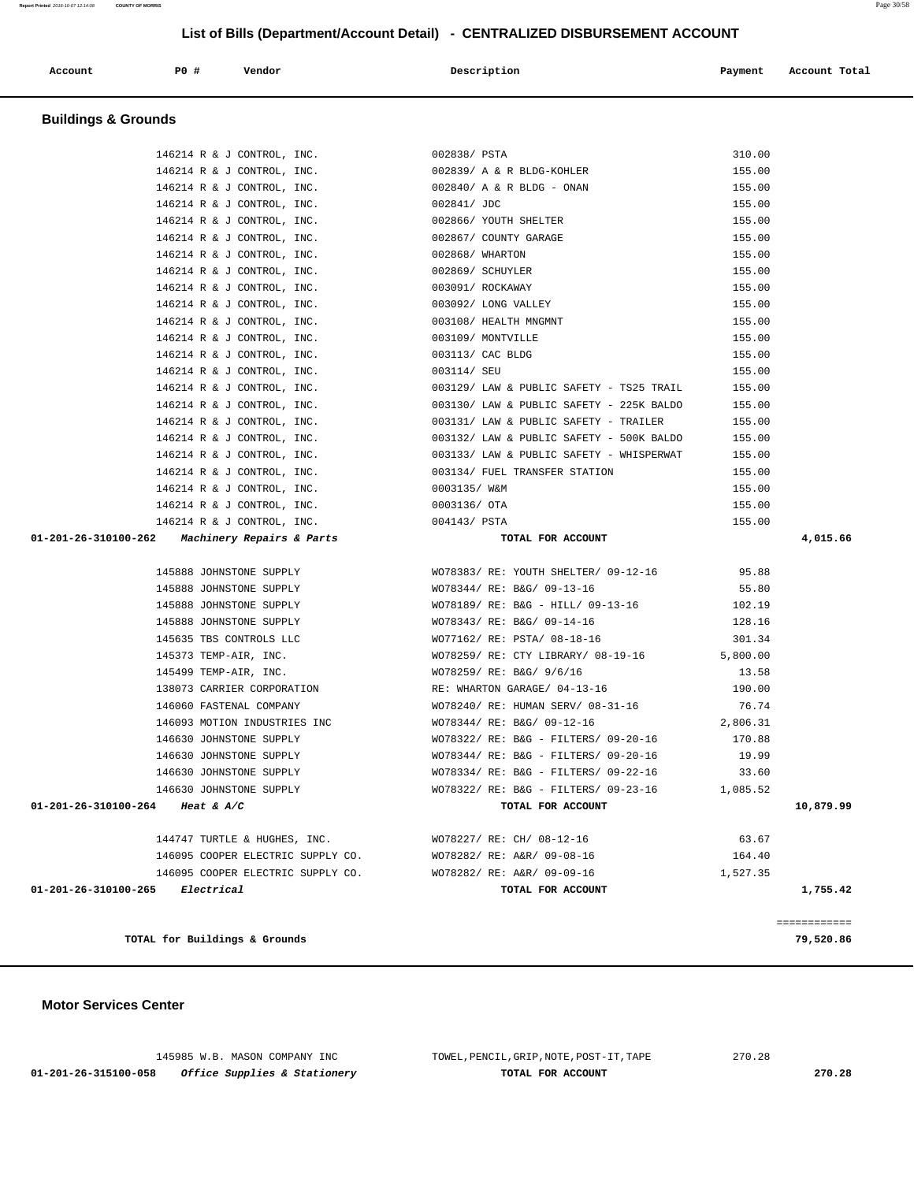| Report Printed 2016-10-07 12:14:08 COUNTY OF MORRIS |  | Page $30/5$ |
|-----------------------------------------------------|--|-------------|
|                                                     |  |             |
|                                                     |  |             |

| Account                        | P0 #<br>Vendor                                 | Description                              | Payment  | Account Total |
|--------------------------------|------------------------------------------------|------------------------------------------|----------|---------------|
| <b>Buildings &amp; Grounds</b> |                                                |                                          |          |               |
|                                | 146214 R & J CONTROL, INC.                     | 002838/ PSTA                             | 310.00   |               |
|                                | 146214 R & J CONTROL, INC.                     | 002839/ A & R BLDG-KOHLER                | 155.00   |               |
|                                | 146214 R & J CONTROL, INC.                     | $002840/$ A & R BLDG - ONAN              | 155.00   |               |
|                                | 146214 R & J CONTROL, INC.                     | 002841/ JDC                              | 155.00   |               |
|                                | 146214 R & J CONTROL, INC.                     | 002866/ YOUTH SHELTER                    | 155.00   |               |
|                                | 146214 R & J CONTROL, INC.                     | 002867/ COUNTY GARAGE                    | 155.00   |               |
|                                | 146214 R & J CONTROL, INC.                     | 002868/ WHARTON                          | 155.00   |               |
|                                | 146214 R & J CONTROL, INC.                     | 002869/ SCHUYLER                         | 155.00   |               |
|                                | 146214 R & J CONTROL, INC.                     | 003091/ ROCKAWAY                         | 155.00   |               |
|                                | 146214 R & J CONTROL, INC.                     | 003092/ LONG VALLEY                      | 155.00   |               |
|                                | 146214 R & J CONTROL, INC.                     | 003108/ HEALTH MNGMNT                    | 155.00   |               |
|                                | 146214 R & J CONTROL, INC.                     | 003109/ MONTVILLE                        | 155.00   |               |
|                                | 146214 R & J CONTROL, INC.                     | 003113/ CAC BLDG                         | 155.00   |               |
|                                | 146214 R & J CONTROL, INC.                     | 003114/ SEU                              | 155.00   |               |
|                                | 146214 R & J CONTROL, INC.                     | 003129/ LAW & PUBLIC SAFETY - TS25 TRAIL | 155.00   |               |
|                                | 146214 R & J CONTROL, INC.                     | 003130/ LAW & PUBLIC SAFETY - 225K BALDO | 155.00   |               |
|                                | 146214 R & J CONTROL, INC.                     | 003131/ LAW & PUBLIC SAFETY - TRAILER    | 155.00   |               |
|                                | 146214 R & J CONTROL, INC.                     | 003132/ LAW & PUBLIC SAFETY - 500K BALDO | 155.00   |               |
|                                | 146214 R & J CONTROL, INC.                     | 003133/ LAW & PUBLIC SAFETY - WHISPERWAT | 155.00   |               |
|                                | 146214 R & J CONTROL, INC.                     | 003134/ FUEL TRANSFER STATION            | 155.00   |               |
|                                | 146214 R & J CONTROL, INC.                     | 0003135/ W&M                             | 155.00   |               |
|                                | 146214 R & J CONTROL, INC.                     | 0003136/ OTA                             | 155.00   |               |
|                                | 146214 R & J CONTROL, INC.                     | 004143/ PSTA                             | 155.00   |               |
|                                | 01-201-26-310100-262 Machinery Repairs & Parts | TOTAL FOR ACCOUNT                        |          | 4,015.66      |
|                                | 145888 JOHNSTONE SUPPLY                        | WO78383/RE: YOUTH SHELTER/ 09-12-16      | 95.88    |               |
|                                | 145888 JOHNSTONE SUPPLY                        | WO78344/ RE: B&G/ 09-13-16               | 55.80    |               |
|                                | 145888 JOHNSTONE SUPPLY                        | WO78189/ RE: B&G - HILL/ 09-13-16        | 102.19   |               |
|                                | 145888 JOHNSTONE SUPPLY                        | WO78343/ RE: B&G/ 09-14-16               | 128.16   |               |
|                                | 145635 TBS CONTROLS LLC                        | WO77162/ RE: PSTA/ 08-18-16              | 301.34   |               |
|                                | 145373 TEMP-AIR, INC.                          | WO78259/ RE: CTY LIBRARY/ 08-19-16       | 5,800.00 |               |
|                                | 145499 TEMP-AIR, INC.                          | WO78259/ RE: B&G/ 9/6/16                 | 13.58    |               |
|                                | 138073 CARRIER CORPORATION                     | RE: WHARTON GARAGE/ 04-13-16             | 190.00   |               |
|                                | 146060 FASTENAL COMPANY                        | WO78240/ RE: HUMAN SERV/ 08-31-16        | 76.74    |               |
|                                | 146093 MOTION INDUSTRIES INC                   | WO78344/ RE: B&G/ 09-12-16               | 2,806.31 |               |
|                                | 146630 JOHNSTONE SUPPLY                        | WO78322/ RE: B&G - FILTERS/ 09-20-16     | 170.88   |               |
|                                | 146630 JOHNSTONE SUPPLY                        | WO78344/ RE: B&G - FILTERS/ 09-20-16     | 19.99    |               |
|                                | 146630 JOHNSTONE SUPPLY                        | WO78334/ RE: B&G - FILTERS/ 09-22-16     | 33.60    |               |
|                                | 146630 JOHNSTONE SUPPLY                        | WO78322/ RE: B&G - FILTERS/ 09-23-16     | 1,085.52 |               |
|                                | 01-201-26-310100-264 Heat & A/C                | TOTAL FOR ACCOUNT                        |          | 10,879.99     |
|                                | 144747 TURTLE & HUGHES, INC.                   | WO78227/ RE: CH/ 08-12-16                | 63.67    |               |
|                                | 146095 COOPER ELECTRIC SUPPLY CO.              | WO78282/ RE: A&R/ 09-08-16               | 164.40   |               |
|                                | 146095 COOPER ELECTRIC SUPPLY CO.              | WO78282/ RE: A&R/ 09-09-16               | 1,527.35 |               |
|                                | $01 - 201 - 26 - 310100 - 265$ Electrical      | TOTAL FOR ACCOUNT                        |          | 1,755.42      |
|                                |                                                |                                          |          | ============  |
|                                | TOTAL for Buildings & Grounds                  |                                          |          | 79,520.86     |

 **Motor Services Center** 

 145985 W.B. MASON COMPANY INC TOWEL,PENCIL,GRIP,NOTE,POST-IT,TAPE 270.28  **01-201-26-315100-058 Office Supplies & Stationery TOTAL FOR ACCOUNT 270.28**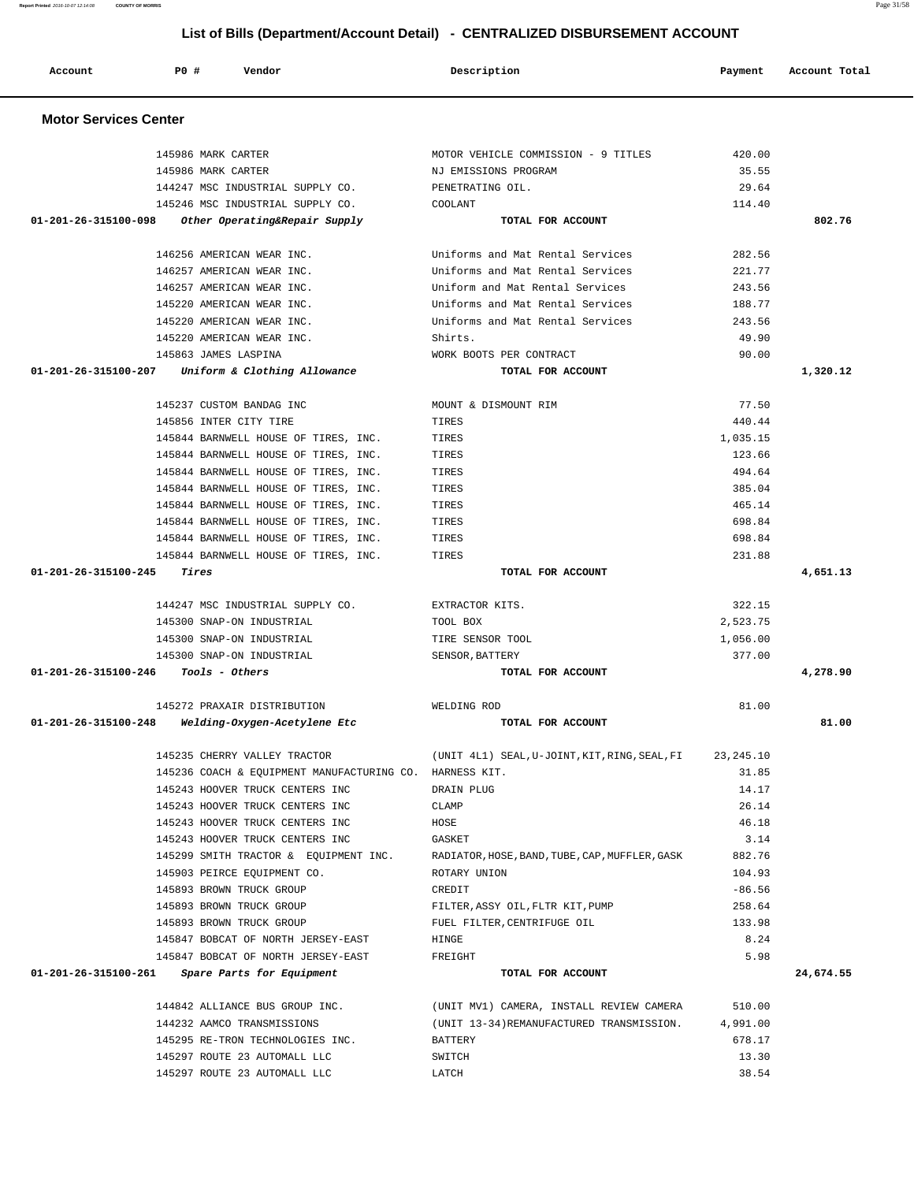| Motor Services Center                 |                                                         |                                                |                  |           |
|---------------------------------------|---------------------------------------------------------|------------------------------------------------|------------------|-----------|
|                                       | 145986 MARK CARTER                                      | MOTOR VEHICLE COMMISSION - 9 TITLES            | 420.00           |           |
|                                       | 145986 MARK CARTER                                      | NJ EMISSIONS PROGRAM                           | 35.55            |           |
|                                       | 144247 MSC INDUSTRIAL SUPPLY CO.                        | PENETRATING OIL.                               | 29.64            |           |
|                                       | 145246 MSC INDUSTRIAL SUPPLY CO.                        | COOLANT                                        | 114.40           |           |
| 01-201-26-315100-098                  | Other Operating&Repair Supply                           | TOTAL FOR ACCOUNT                              |                  | 802.76    |
|                                       | 146256 AMERICAN WEAR INC.                               | Uniforms and Mat Rental Services               | 282.56           |           |
|                                       | 146257 AMERICAN WEAR INC.                               | Uniforms and Mat Rental Services               | 221.77           |           |
|                                       | 146257 AMERICAN WEAR INC.                               | Uniform and Mat Rental Services                | 243.56           |           |
|                                       | 145220 AMERICAN WEAR INC.                               | Uniforms and Mat Rental Services               | 188.77           |           |
|                                       | 145220 AMERICAN WEAR INC.                               | Uniforms and Mat Rental Services               | 243.56           |           |
|                                       | 145220 AMERICAN WEAR INC.                               | Shirts.                                        | 49.90            |           |
|                                       | 145863 JAMES LASPINA                                    | WORK BOOTS PER CONTRACT                        | 90.00            |           |
| 01-201-26-315100-207                  | Uniform & Clothing Allowance                            | TOTAL FOR ACCOUNT                              |                  | 1,320.12  |
|                                       | 145237 CUSTOM BANDAG INC                                | MOUNT & DISMOUNT RIM                           | 77.50            |           |
|                                       | 145856 INTER CITY TIRE                                  | TIRES                                          | 440.44           |           |
|                                       | 145844 BARNWELL HOUSE OF TIRES, INC.                    | TIRES                                          | 1,035.15         |           |
|                                       | 145844 BARNWELL HOUSE OF TIRES, INC.                    | TIRES                                          | 123.66           |           |
|                                       | 145844 BARNWELL HOUSE OF TIRES, INC.                    | TIRES                                          | 494.64           |           |
|                                       | 145844 BARNWELL HOUSE OF TIRES, INC.                    | TIRES                                          | 385.04           |           |
|                                       | 145844 BARNWELL HOUSE OF TIRES, INC.                    | TIRES                                          | 465.14           |           |
|                                       |                                                         |                                                | 698.84           |           |
|                                       | 145844 BARNWELL HOUSE OF TIRES, INC.                    | TIRES                                          |                  |           |
|                                       | 145844 BARNWELL HOUSE OF TIRES, INC.                    | TIRES                                          | 698.84<br>231.88 |           |
| $01 - 201 - 26 - 315100 - 245$ Tires  | 145844 BARNWELL HOUSE OF TIRES, INC.                    | TIRES<br>TOTAL FOR ACCOUNT                     |                  | 4,651.13  |
|                                       |                                                         |                                                |                  |           |
|                                       | 144247 MSC INDUSTRIAL SUPPLY CO.                        | EXTRACTOR KITS.                                | 322.15           |           |
|                                       | 145300 SNAP-ON INDUSTRIAL                               | TOOL BOX                                       | 2,523.75         |           |
|                                       | 145300 SNAP-ON INDUSTRIAL                               | TIRE SENSOR TOOL                               | 1,056.00         |           |
|                                       | 145300 SNAP-ON INDUSTRIAL                               | SENSOR, BATTERY                                | 377.00           |           |
| $01-201-26-315100-246$ Tools - Others |                                                         | TOTAL FOR ACCOUNT                              |                  | 4,278.90  |
|                                       | 145272 PRAXAIR DISTRIBUTION                             | WELDING ROD                                    | 81.00            |           |
| 01-201-26-315100-248                  | Welding-Oxygen-Acetylene Etc                            | TOTAL FOR ACCOUNT                              |                  | 81.00     |
|                                       | 145235 CHERRY VALLEY TRACTOR                            | (UNIT 4L1) SEAL, U-JOINT, KIT, RING, SEAL, FI  | 23, 245. 10      |           |
|                                       | 145236 COACH & EQUIPMENT MANUFACTURING CO. HARNESS KIT. |                                                | 31.85            |           |
|                                       | 145243 HOOVER TRUCK CENTERS INC                         | DRAIN PLUG                                     | 14.17            |           |
|                                       | 145243 HOOVER TRUCK CENTERS INC                         | CLAMP                                          | 26.14            |           |
|                                       | 145243 HOOVER TRUCK CENTERS INC                         | HOSE                                           | 46.18            |           |
|                                       | 145243 HOOVER TRUCK CENTERS INC                         | GASKET                                         | 3.14             |           |
|                                       | 145299 SMITH TRACTOR & EQUIPMENT INC.                   | RADIATOR, HOSE, BAND, TUBE, CAP, MUFFLER, GASK | 882.76           |           |
|                                       | 145903 PEIRCE EQUIPMENT CO.                             | ROTARY UNION                                   | 104.93           |           |
|                                       | 145893 BROWN TRUCK GROUP                                | CREDIT                                         | $-86.56$         |           |
|                                       | 145893 BROWN TRUCK GROUP                                | FILTER, ASSY OIL, FLTR KIT, PUMP               | 258.64           |           |
|                                       | 145893 BROWN TRUCK GROUP                                | FUEL FILTER, CENTRIFUGE OIL                    | 133.98           |           |
|                                       | 145847 BOBCAT OF NORTH JERSEY-EAST                      | HINGE                                          | 8.24             |           |
|                                       | 145847 BOBCAT OF NORTH JERSEY-EAST                      | FREIGHT                                        | 5.98             |           |
| 01-201-26-315100-261                  | Spare Parts for Equipment                               | TOTAL FOR ACCOUNT                              |                  | 24,674.55 |
|                                       | 144842 ALLIANCE BUS GROUP INC.                          | (UNIT MV1) CAMERA, INSTALL REVIEW CAMERA       | 510.00           |           |
|                                       | 144232 AAMCO TRANSMISSIONS                              | (UNIT 13-34) REMANUFACTURED TRANSMISSION.      | 4,991.00         |           |
|                                       | 145295 RE-TRON TECHNOLOGIES INC.                        | BATTERY                                        | 678.17           |           |
|                                       | 145297 ROUTE 23 AUTOMALL LLC                            | SWITCH                                         | 13.30            |           |
|                                       | 145297 ROUTE 23 AUTOMALL LLC                            | LATCH                                          | 38.54            |           |
|                                       |                                                         |                                                |                  |           |

 **Motor Services Center** 

 **List of Bills (Department/Account Detail) - CENTRALIZED DISBURSEMENT ACCOUNT**

Account **PO #** Vendor **Description Description Payment** Account Total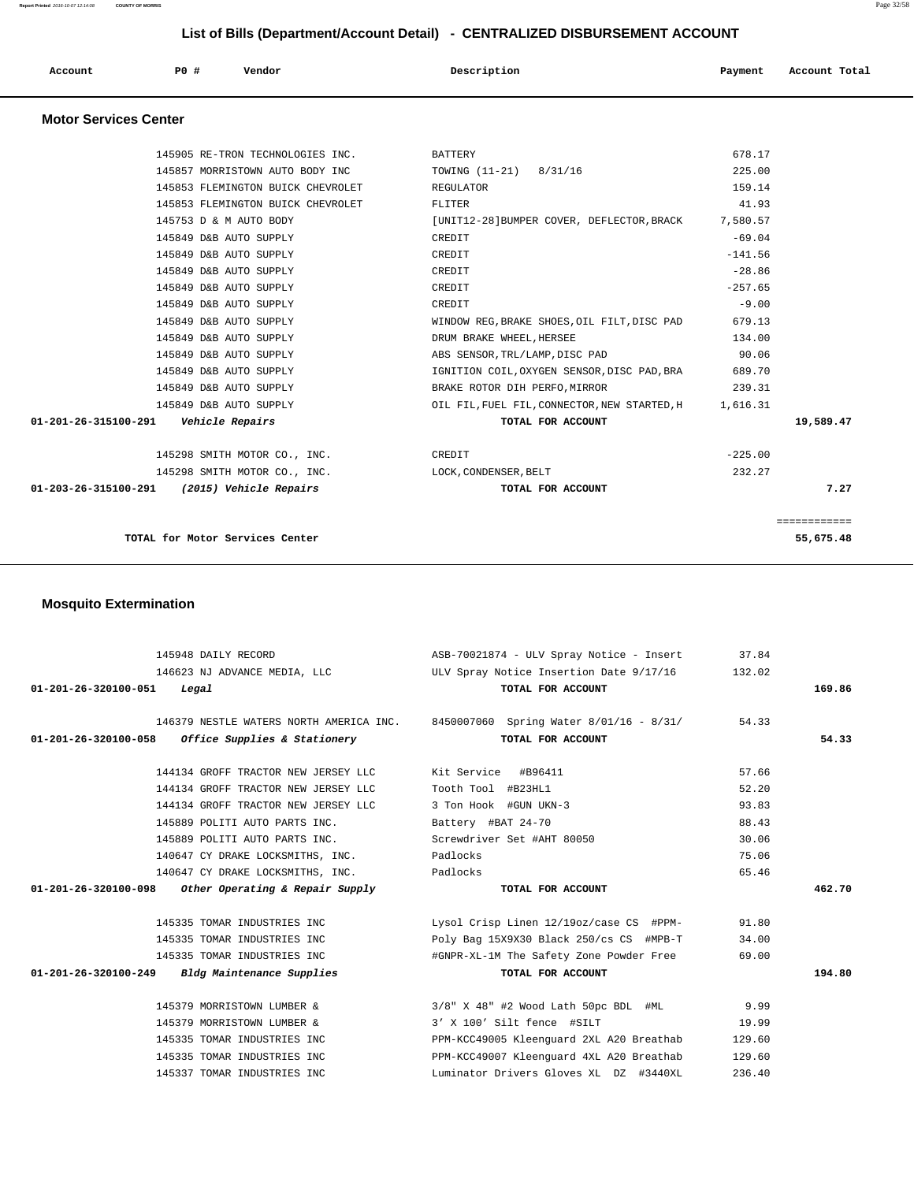**Report Printed** 2016-10-07 12:14:08 **COUNTY OF MORRIS** Page 32/58

# **List of Bills (Department/Account Detail) - CENTRALIZED DISBURSEMENT ACCOUNT**

| Account<br>. | P0 # | Vendor | Description | Payment | Account Total |
|--------------|------|--------|-------------|---------|---------------|
|              |      |        |             |         |               |

## **Motor Services Center**

| TOTAL for Motor Services Center                  |                                                        |                       | 55,675.48    |
|--------------------------------------------------|--------------------------------------------------------|-----------------------|--------------|
|                                                  |                                                        |                       | ============ |
| 01-203-26-315100-291<br>(2015) Vehicle Repairs   | TOTAL FOR ACCOUNT                                      |                       | 7.27         |
| 145298 SMITH MOTOR CO., INC.                     | LOCK, CONDENSER, BELT                                  | 232.27                |              |
| 145298 SMITH MOTOR CO., INC.                     | CREDIT                                                 | $-225.00$             |              |
| 01-201-26-315100-291    Vehicle Repairs          | TOTAL FOR ACCOUNT                                      |                       | 19,589.47    |
| 145849 D&B AUTO SUPPLY                           | OIL FIL, FUEL FIL, CONNECTOR, NEW STARTED, H 1, 616.31 |                       |              |
| 145849 D&B AUTO SUPPLY                           | BRAKE ROTOR DIH PERFO, MIRROR                          | 239.31                |              |
| 145849 D&B AUTO SUPPLY                           | IGNITION COIL, OXYGEN SENSOR, DISC PAD, BRA            | 689.70                |              |
| 145849 D&B AUTO SUPPLY                           | ABS SENSOR, TRL/LAMP, DISC PAD                         | 90.06                 |              |
| 145849 D&B AUTO SUPPLY                           | DRUM BRAKE WHEEL, HERSEE                               | 134.00                |              |
| 145849 D&B AUTO SUPPLY                           | WINDOW REG, BRAKE SHOES, OIL FILT, DISC PAD            | 679.13                |              |
| 145849 D&B AUTO SUPPLY<br>145849 D&B AUTO SUPPLY | CREDIT<br>CREDIT                                       | $-9.00$               |              |
| 145849 D&B AUTO SUPPLY                           | CREDIT                                                 | $-28.86$<br>$-257.65$ |              |
| 145849 D&B AUTO SUPPLY                           | CREDIT                                                 | $-141.56$             |              |
| 145849 D&B AUTO SUPPLY                           | CREDIT                                                 | $-69.04$              |              |
| 145753 D & M AUTO BODY                           | [UNIT12-28] BUMPER COVER, DEFLECTOR, BRACK             | 7,580.57              |              |
| 145853 FLEMINGTON BUICK CHEVROLET                | FLITER                                                 | 41.93                 |              |
| 145853 FLEMINGTON BUICK CHEVROLET                | REGULATOR                                              | 159.14                |              |
| 145857 MORRISTOWN AUTO BODY INC                  | TOWING (11-21) 8/31/16                                 | 225.00                |              |
| 145905 RE-TRON TECHNOLOGIES INC.                 | BATTERY                                                | 678.17                |              |
|                                                  |                                                        |                       |              |

# **Mosquito Extermination**

|                                | 145948 DAILY RECORD                                 | ASB-70021874 - ULV Spray Notice - Insert 37.84                                  |        |        |
|--------------------------------|-----------------------------------------------------|---------------------------------------------------------------------------------|--------|--------|
|                                | 146623 NJ ADVANCE MEDIA, LLC                        | ULV Spray Notice Insertion Date 9/17/16                                         | 132.02 |        |
| $01 - 201 - 26 - 320100 - 051$ | Legal                                               | TOTAL FOR ACCOUNT                                                               |        | 169.86 |
|                                |                                                     |                                                                                 |        |        |
|                                |                                                     | 146379 NESTLE WATERS NORTH AMERICA INC. 8450007060 Spring Water 8/01/16 - 8/31/ | 54.33  |        |
|                                | $01-201-26-320100-058$ Office Supplies & Stationery | TOTAL FOR ACCOUNT                                                               |        | 54.33  |
|                                | 144134 GROFF TRACTOR NEW JERSEY LLC                 | Kit Service #B96411                                                             | 57.66  |        |
|                                | 144134 GROFF TRACTOR NEW JERSEY LLC                 | Tooth Tool #B23HL1                                                              | 52.20  |        |
|                                | 144134 GROFF TRACTOR NEW JERSEY LLC                 | 3 Ton Hook #GUN UKN-3                                                           | 93.83  |        |
|                                | 145889 POLITI AUTO PARTS INC.                       | Battery #BAT 24-70                                                              | 88.43  |        |
|                                | 145889 POLITI AUTO PARTS INC.                       | Screwdriver Set #AHT 80050                                                      | 30.06  |        |
|                                | 140647 CY DRAKE LOCKSMITHS, INC.                    | Padlocks                                                                        | 75.06  |        |
|                                | 140647 CY DRAKE LOCKSMITHS, INC.                    | Padlocks                                                                        | 65.46  |        |
| $01 - 201 - 26 - 320100 - 098$ | Other Operating & Repair Supply                     | TOTAL FOR ACCOUNT                                                               |        | 462.70 |
|                                |                                                     |                                                                                 |        |        |
|                                | 145335 TOMAR INDUSTRIES INC                         | Lysol Crisp Linen 12/19oz/case CS #PPM-                                         | 91.80  |        |
|                                | 145335 TOMAR INDUSTRIES INC                         | Poly Bag 15X9X30 Black 250/cs CS #MPB-T                                         | 34.00  |        |
|                                | 145335 TOMAR INDUSTRIES INC                         | #GNPR-XL-1M The Safety Zone Powder Free                                         | 69.00  |        |
|                                | 01-201-26-320100-249 Bldg Maintenance Supplies      | TOTAL FOR ACCOUNT                                                               |        | 194.80 |
|                                | 145379 MORRISTOWN LUMBER &                          | $3/8$ " X $48$ " #2 Wood Lath 50pc BDL #ML                                      | 9.99   |        |
|                                | 145379 MORRISTOWN LUMBER &                          | 3' X 100' Silt fence #SILT                                                      | 19.99  |        |
|                                | 145335 TOMAR INDUSTRIES INC                         | PPM-KCC49005 Kleenquard 2XL A20 Breathab                                        | 129.60 |        |
|                                | 145335 TOMAR INDUSTRIES INC                         | PPM-KCC49007 Kleenquard 4XL A20 Breathab                                        | 129.60 |        |
|                                | 145337 TOMAR INDUSTRIES INC                         | Luminator Drivers Gloves XL DZ #3440XL                                          | 236.40 |        |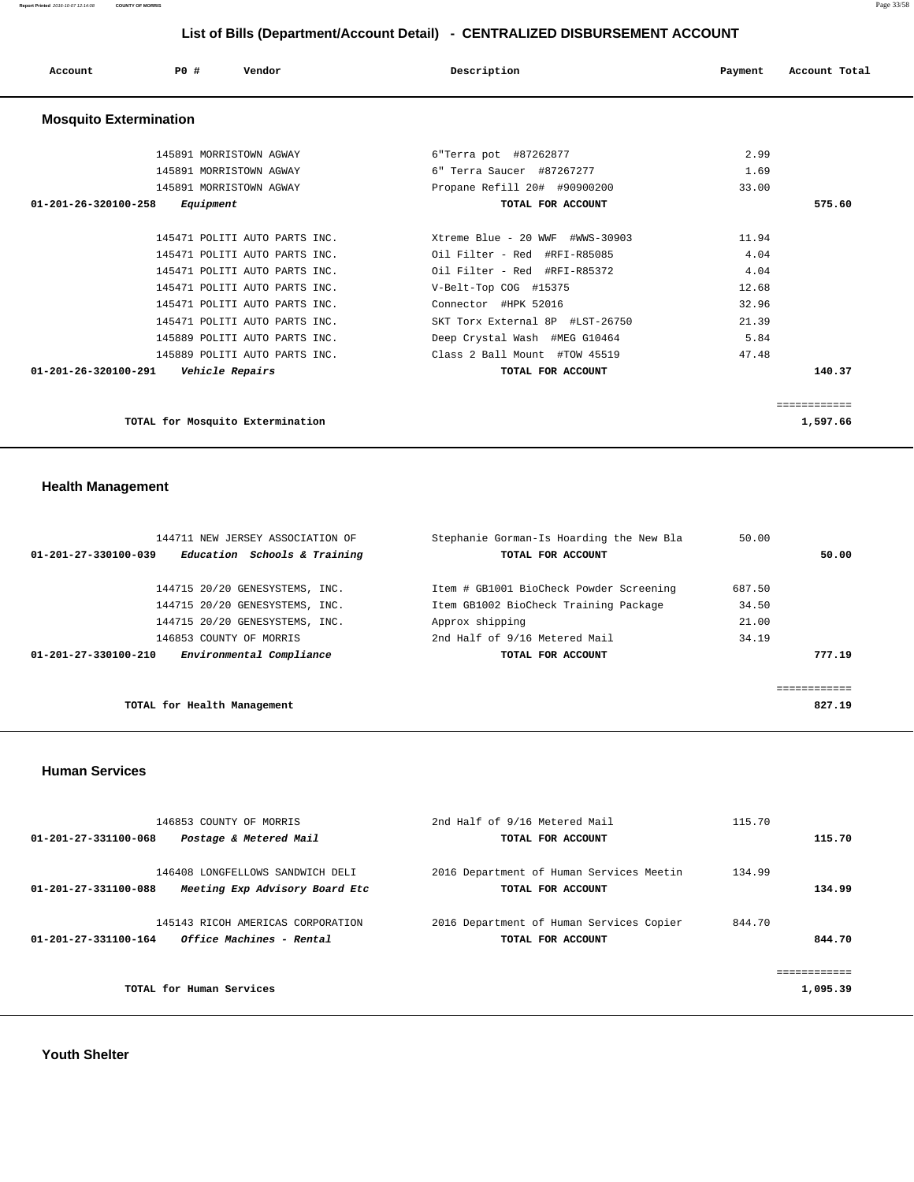**Report Printed** 2016-10-07 12:14:08 **COUNTY OF MORRIS** Page 33/58

## **List of Bills (Department/Account Detail) - CENTRALIZED DISBURSEMENT ACCOUNT**

| Account                       | P0 #<br>Vendor                | Description                     | Account Total<br>Payment |
|-------------------------------|-------------------------------|---------------------------------|--------------------------|
| <b>Mosquito Extermination</b> |                               |                                 |                          |
|                               | 145891 MORRISTOWN AGWAY       | 6"Terra pot #87262877           | 2.99                     |
|                               | 145891 MORRISTOWN AGWAY       | 6" Terra Saucer #87267277       | 1.69                     |
|                               | 145891 MORRISTOWN AGWAY       | Propane Refill 20# #90900200    | 33.00                    |
| 01-201-26-320100-258          | Equipment                     | TOTAL FOR ACCOUNT               | 575.60                   |
|                               |                               |                                 |                          |
|                               | 145471 POLITI AUTO PARTS INC. | Xtreme Blue - 20 WWF #WWS-30903 | 11.94                    |
|                               | 145471 POLITI AUTO PARTS INC. | Oil Filter - Red #RFI-R85085    | 4.04                     |
|                               | 145471 POLITI AUTO PARTS INC. | Oil Filter - Red #RFI-R85372    | 4.04                     |
|                               | 145471 POLITI AUTO PARTS INC. | V-Belt-Top COG #15375           | 12.68                    |
|                               | 145471 POLITI AUTO PARTS INC. | Connector #HPK 52016            | 32.96                    |
|                               | 145471 POLITI AUTO PARTS INC. | SKT Torx External 8P #LST-26750 | 21.39                    |

| 145889 POLITI AUTO PARTS INC.                  | Deep Crystal Wash #MEG G10464 | 5.84     |
|------------------------------------------------|-------------------------------|----------|
| 145889 POLITI AUTO PARTS INC.                  | Class 2 Ball Mount #TOW 45519 | 47.48    |
| <i>Vehicle Repairs</i><br>01-201-26-320100-291 | TOTAL FOR ACCOUNT             | 140.37   |
|                                                |                               |          |
|                                                |                               |          |
| TOTAL for Mosquito Extermination               |                               | 1,597.66 |
|                                                |                               |          |

## **Health Management**

| 144711 NEW JERSEY ASSOCIATION OF                     | Stephanie Gorman-Is Hoarding the New Bla | 50.00  |        |
|------------------------------------------------------|------------------------------------------|--------|--------|
| Education Schools & Training<br>01-201-27-330100-039 | TOTAL FOR ACCOUNT                        |        | 50.00  |
| 144715 20/20 GENESYSTEMS, INC.                       | Item # GB1001 BioCheck Powder Screening  | 687.50 |        |
| 144715 20/20 GENESYSTEMS, INC.                       | Item GB1002 BioCheck Training Package    | 34.50  |        |
| 144715 20/20 GENESYSTEMS, INC.                       | Approx shipping                          | 21.00  |        |
| 146853 COUNTY OF MORRIS                              | 2nd Half of 9/16 Metered Mail            | 34.19  |        |
| Environmental Compliance<br>01-201-27-330100-210     | TOTAL FOR ACCOUNT                        |        | 777.19 |
|                                                      |                                          |        |        |
|                                                      |                                          |        |        |
| TOTAL for Health Management                          |                                          |        | 827.19 |

## **Human Services**

| 146853 COUNTY OF MORRIS                                                                    | 2nd Half of 9/16 Metered Mail                                 | 115.70           |
|--------------------------------------------------------------------------------------------|---------------------------------------------------------------|------------------|
| Postage & Metered Mail<br>01-201-27-331100-068                                             | TOTAL FOR ACCOUNT                                             | 115.70           |
| 146408 LONGFELLOWS SANDWICH DELI<br>Meeting Exp Advisory Board Etc<br>01-201-27-331100-088 | 2016 Department of Human Services Meetin<br>TOTAL FOR ACCOUNT | 134.99<br>134.99 |
| 145143 RICOH AMERICAS CORPORATION<br>01-201-27-331100-164<br>Office Machines - Rental      | 2016 Department of Human Services Copier<br>TOTAL FOR ACCOUNT | 844.70<br>844.70 |
| TOTAL for Human Services                                                                   |                                                               | 1,095.39         |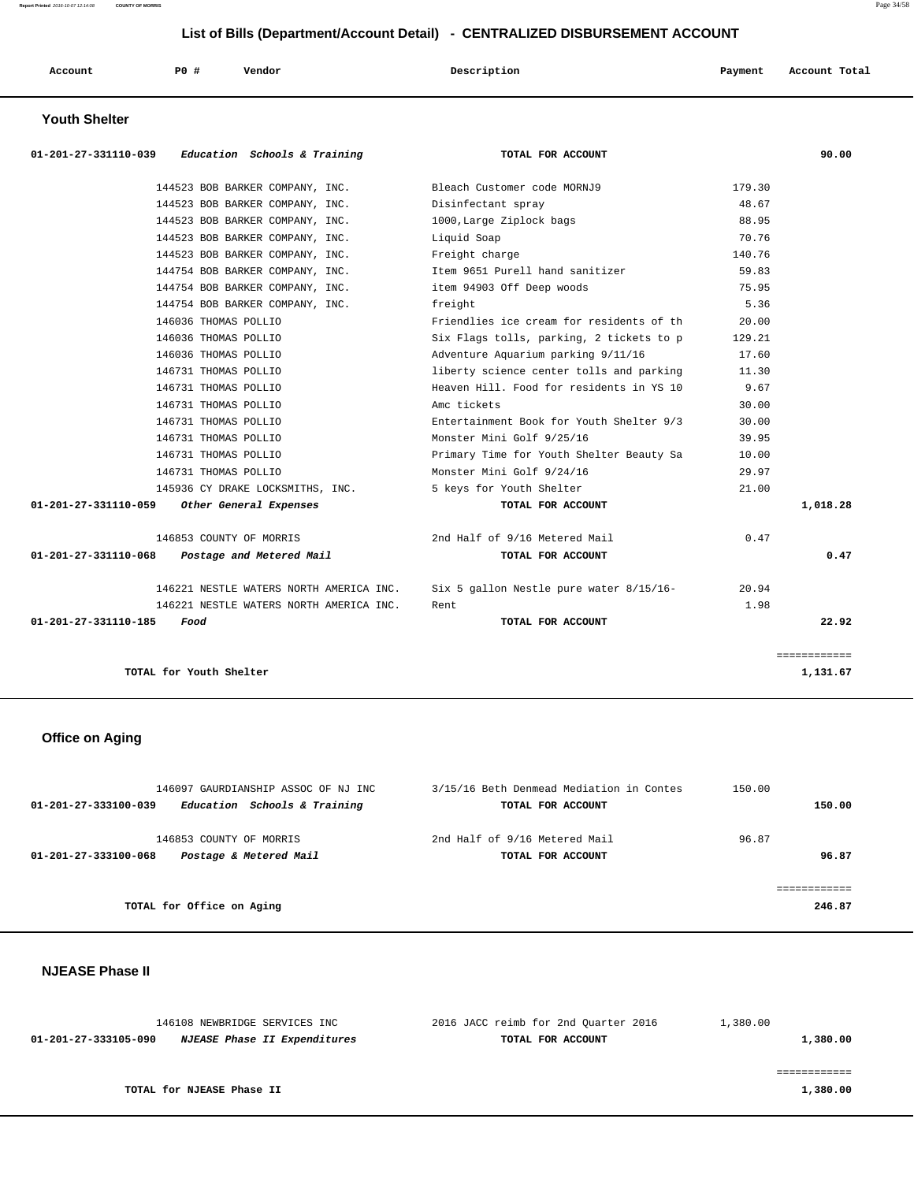| Account | P <sub>0</sub> | Vendor | Description | Payment | Account Total |
|---------|----------------|--------|-------------|---------|---------------|
|         |                |        |             |         |               |

## **Youth Shelter**

| $01-201-27-331110-039$ Education Schools & Training | TOTAL FOR ACCOUNT                        |        | 90.00        |
|-----------------------------------------------------|------------------------------------------|--------|--------------|
| 144523 BOB BARKER COMPANY, INC.                     | Bleach Customer code MORNJ9              | 179.30 |              |
| 144523 BOB BARKER COMPANY, INC.                     | Disinfectant spray                       | 48.67  |              |
| 144523 BOB BARKER COMPANY, INC.                     | 1000, Large Ziplock bags                 | 88.95  |              |
| 144523 BOB BARKER COMPANY, INC.                     | Liquid Soap                              | 70.76  |              |
| 144523 BOB BARKER COMPANY, INC.                     | Freight charge                           | 140.76 |              |
| 144754 BOB BARKER COMPANY, INC.                     | Item 9651 Purell hand sanitizer          | 59.83  |              |
| 144754 BOB BARKER COMPANY, INC.                     | item 94903 Off Deep woods                | 75.95  |              |
| 144754 BOB BARKER COMPANY, INC.                     | freight                                  | 5.36   |              |
| 146036 THOMAS POLLIO                                | Friendlies ice cream for residents of th | 20.00  |              |
| 146036 THOMAS POLLIO                                | Six Flags tolls, parking, 2 tickets to p | 129.21 |              |
| 146036 THOMAS POLLIO                                | Adventure Aquarium parking 9/11/16       | 17.60  |              |
| 146731 THOMAS POLLIO                                | liberty science center tolls and parking | 11.30  |              |
| 146731 THOMAS POLLIO                                | Heaven Hill. Food for residents in YS 10 | 9.67   |              |
| 146731 THOMAS POLLIO                                | Amc tickets                              | 30.00  |              |
| 146731 THOMAS POLLIO                                | Entertainment Book for Youth Shelter 9/3 | 30.00  |              |
| 146731 THOMAS POLLIO                                | Monster Mini Golf 9/25/16                | 39.95  |              |
| 146731 THOMAS POLLIO                                | Primary Time for Youth Shelter Beauty Sa | 10.00  |              |
| 146731 THOMAS POLLIO                                | Monster Mini Golf 9/24/16                | 29.97  |              |
| 145936 CY DRAKE LOCKSMITHS, INC.                    | 5 keys for Youth Shelter                 | 21.00  |              |
| Other General Expenses<br>01-201-27-331110-059      | TOTAL FOR ACCOUNT                        |        | 1,018.28     |
| 146853 COUNTY OF MORRIS                             | 2nd Half of 9/16 Metered Mail            | 0.47   |              |
| 01-201-27-331110-068<br>Postage and Metered Mail    | TOTAL FOR ACCOUNT                        |        | 0.47         |
| 146221 NESTLE WATERS NORTH AMERICA INC.             | Six 5 gallon Nestle pure water 8/15/16-  | 20.94  |              |
| 146221 NESTLE WATERS NORTH AMERICA INC.             | Rent.                                    | 1.98   |              |
| 01-201-27-331110-185<br>Food                        | TOTAL FOR ACCOUNT                        |        | 22.92        |
|                                                     |                                          |        | ============ |
| TOTAL for Youth Shelter                             |                                          |        | 1,131.67     |

# **Office on Aging**

| 146097 GAURDIANSHIP ASSOC OF NJ INC                  | 3/15/16 Beth Denmead Mediation in Contes | 150.00 |
|------------------------------------------------------|------------------------------------------|--------|
| Education Schools & Training<br>01-201-27-333100-039 | TOTAL FOR ACCOUNT                        | 150.00 |
| 146853 COUNTY OF MORRIS                              | 2nd Half of 9/16 Metered Mail            | 96.87  |
| Postage & Metered Mail<br>01-201-27-333100-068       | TOTAL FOR ACCOUNT                        | 96.87  |
|                                                      |                                          |        |
|                                                      |                                          |        |
| TOTAL for Office on Aging                            |                                          | 246.87 |

# **NJEASE Phase II**

| 146108 NEWBRIDGE SERVICES INC                               | 2016 JACC reimb for 2nd Ouarter 2016 | 1,380.00 |
|-------------------------------------------------------------|--------------------------------------|----------|
| <i>NJEASE Phase II Expenditures</i><br>01-201-27-333105-090 | TOTAL FOR ACCOUNT                    | 1,380.00 |
|                                                             |                                      |          |
|                                                             |                                      |          |
| TOTAL for NJEASE Phase II                                   |                                      | 1,380.00 |
|                                                             |                                      |          |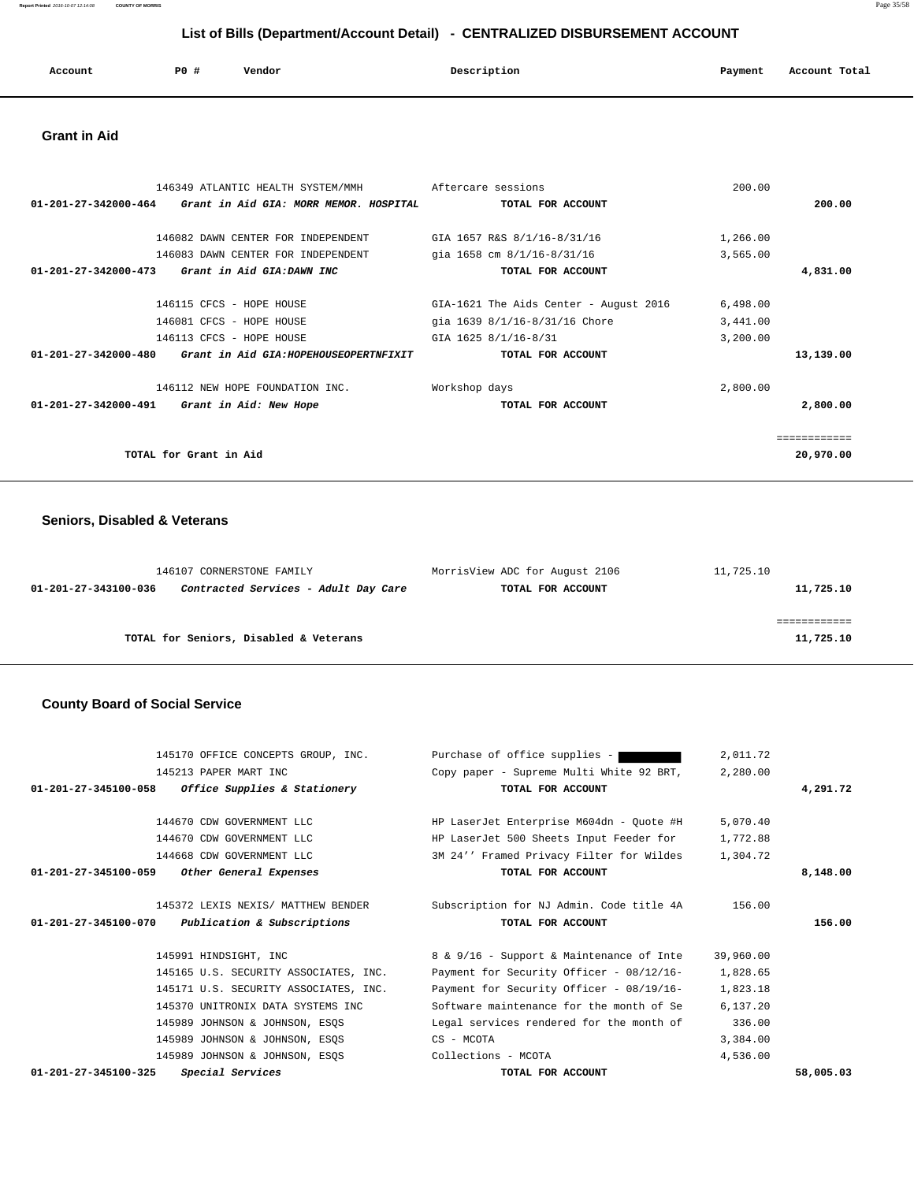**Report Printed** 2016-10-07 12:14:08 **COUNTY OF MORRIS** Page 35/58

# **List of Bills (Department/Account Detail) - CENTRALIZED DISBURSEMENT ACCOUNT**

| Account | P0 # | Vendor | Description | Payment | Account Total |
|---------|------|--------|-------------|---------|---------------|
|         |      |        |             |         |               |

## **Grant in Aid**

| 146349 ATLANTIC HEALTH SYSTEM/MMH                                        | Aftercare sessions                     | 200.00    |
|--------------------------------------------------------------------------|----------------------------------------|-----------|
| $01 - 201 - 27 - 342000 - 464$<br>Grant in Aid GIA: MORR MEMOR. HOSPITAL | TOTAL FOR ACCOUNT                      | 200.00    |
|                                                                          |                                        |           |
| 146082 DAWN CENTER FOR INDEPENDENT                                       | GIA 1657 R&S 8/1/16-8/31/16            | 1,266.00  |
| 146083 DAWN CENTER FOR INDEPENDENT                                       | qia 1658 cm 8/1/16-8/31/16             | 3,565.00  |
| Grant in Aid GIA:DAWN INC<br>$01 - 201 - 27 - 342000 - 473$              | TOTAL FOR ACCOUNT                      | 4,831.00  |
| 146115 CFCS - HOPE HOUSE                                                 | GIA-1621 The Aids Center - August 2016 | 6,498.00  |
|                                                                          |                                        |           |
| 146081 CFCS - HOPE HOUSE                                                 | gia 1639 8/1/16-8/31/16 Chore          | 3,441.00  |
| 146113 CFCS - HOPE HOUSE                                                 | GIA 1625 8/1/16-8/31                   | 3,200.00  |
| $01 - 201 - 27 - 342000 - 480$<br>Grant in Aid GIA: HOPEHOUSEOPERTNFIXIT | TOTAL FOR ACCOUNT                      | 13,139.00 |
| 146112 NEW HOPE FOUNDATION INC.                                          | Workshop days                          | 2,800.00  |
| 01-201-27-342000-491<br>Grant in Aid: New Hope                           | TOTAL FOR ACCOUNT                      | 2,800.00  |
|                                                                          |                                        |           |
| TOTAL for Grant in Aid                                                   |                                        | 20,970.00 |

# **Seniors, Disabled & Veterans**

| 146107 CORNERSTONE FAMILY                                    | MorrisView ADC for August 2106 | 11,725.10 |
|--------------------------------------------------------------|--------------------------------|-----------|
| Contracted Services - Adult Day Care<br>01-201-27-343100-036 | TOTAL FOR ACCOUNT              | 11,725.10 |
|                                                              |                                |           |
|                                                              |                                |           |
| TOTAL for Seniors, Disabled & Veterans                       |                                | 11,725.10 |

# **County Board of Social Service**

| Purchase of office supplies -<br>145170 OFFICE CONCEPTS GROUP, INC. | 2,011.72   |                                                                                                                                                                             |
|---------------------------------------------------------------------|------------|-----------------------------------------------------------------------------------------------------------------------------------------------------------------------------|
|                                                                     | 2,280.00   |                                                                                                                                                                             |
| TOTAL FOR ACCOUNT                                                   |            | 4,291.72                                                                                                                                                                    |
|                                                                     |            |                                                                                                                                                                             |
| HP LaserJet Enterprise M604dn - Quote #H                            | 5,070.40   |                                                                                                                                                                             |
|                                                                     | 1,772.88   |                                                                                                                                                                             |
|                                                                     | 1,304.72   |                                                                                                                                                                             |
| TOTAL FOR ACCOUNT                                                   |            | 8,148.00                                                                                                                                                                    |
|                                                                     |            |                                                                                                                                                                             |
|                                                                     | 156.00     |                                                                                                                                                                             |
| TOTAL FOR ACCOUNT                                                   |            | 156.00                                                                                                                                                                      |
|                                                                     |            |                                                                                                                                                                             |
| 8 & 9/16 - Support & Maintenance of Inte                            | 39,960.00  |                                                                                                                                                                             |
| Payment for Security Officer - 08/12/16-                            | 1,828.65   |                                                                                                                                                                             |
| Payment for Security Officer - 08/19/16-                            | 1,823.18   |                                                                                                                                                                             |
| Software maintenance for the month of Se                            | 6,137.20   |                                                                                                                                                                             |
| Legal services rendered for the month of                            | 336.00     |                                                                                                                                                                             |
|                                                                     | 3,384.00   |                                                                                                                                                                             |
|                                                                     |            |                                                                                                                                                                             |
| Collections - MCOTA                                                 | 4,536.00   |                                                                                                                                                                             |
|                                                                     | CS - MCOTA | Copy paper - Supreme Multi White 92 BRT,<br>HP LaserJet 500 Sheets Input Feeder for<br>3M 24'' Framed Privacy Filter for Wildes<br>Subscription for NJ Admin. Code title 4A |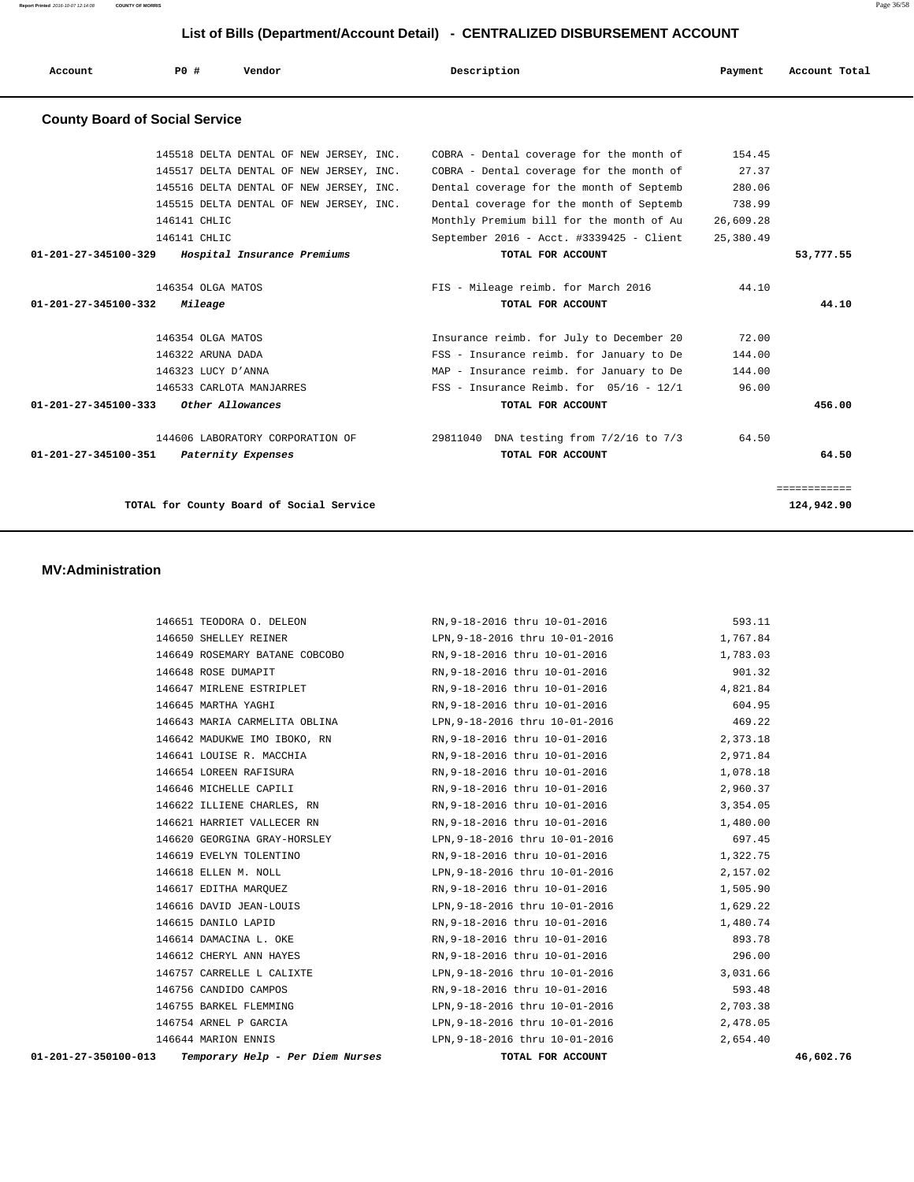**Report Printed** 2016-10-07 12:14:08 **COUNTY OF MORRIS** Page 36/58

## **List of Bills (Department/Account Detail) - CENTRALIZED DISBURSEMENT ACCOUNT**

| Account                               | <b>PO #</b>        | Vendor                                           | Description                                   | Payment   | Account Total |
|---------------------------------------|--------------------|--------------------------------------------------|-----------------------------------------------|-----------|---------------|
| <b>County Board of Social Service</b> |                    |                                                  |                                               |           |               |
|                                       |                    | 145518 DELTA DENTAL OF NEW JERSEY, INC.          | COBRA - Dental coverage for the month of      | 154.45    |               |
|                                       |                    | 145517 DELTA DENTAL OF NEW JERSEY, INC.          | COBRA - Dental coverage for the month of      | 27.37     |               |
|                                       |                    | 145516 DELTA DENTAL OF NEW JERSEY, INC.          | Dental coverage for the month of Septemb      | 280.06    |               |
|                                       |                    | 145515 DELTA DENTAL OF NEW JERSEY, INC.          | Dental coverage for the month of Septemb      | 738.99    |               |
|                                       | 146141 CHLIC       |                                                  | Monthly Premium bill for the month of Au      | 26,609.28 |               |
|                                       | 146141 CHLIC       |                                                  | September 2016 - Acct. #3339425 - Client      | 25,380.49 |               |
|                                       |                    | 01-201-27-345100-329 Hospital Insurance Premiums | TOTAL FOR ACCOUNT                             |           | 53,777.55     |
|                                       | 146354 OLGA MATOS  |                                                  | FIS - Mileage reimb. for March 2016           | 44.10     |               |
| 01-201-27-345100-332                  | <i>Mileage</i>     |                                                  | TOTAL FOR ACCOUNT                             |           | 44.10         |
|                                       | 146354 OLGA MATOS  |                                                  | Insurance reimb. for July to December 20      | 72.00     |               |
|                                       | 146322 ARUNA DADA  |                                                  | FSS - Insurance reimb. for January to De      | 144.00    |               |
|                                       | 146323 LUCY D'ANNA |                                                  | MAP - Insurance reimb. for January to De      | 144.00    |               |
|                                       |                    | 146533 CARLOTA MANJARRES                         | $FSS$ - Insurance Reimb. for $05/16$ - $12/1$ | 96.00     |               |
| 01-201-27-345100-333                  |                    | Other Allowances                                 | TOTAL FOR ACCOUNT                             |           | 456.00        |
|                                       |                    | 144606 LABORATORY CORPORATION OF                 | 29811040 DNA testing from 7/2/16 to 7/3       | 64.50     |               |
| 01-201-27-345100-351                  |                    | Paternity Expenses                               | TOTAL FOR ACCOUNT                             |           | 64.50         |
|                                       |                    |                                                  |                                               |           | ============  |
|                                       |                    | TOTAL for County Board of Social Service         |                                               |           | 124,942.90    |

#### **MV:Administration**

| Temporary Help - Per Diem Nurses<br>01-201-27-350100-013 | TOTAL FOR ACCOUNT                                                     | 46,602.76 |
|----------------------------------------------------------|-----------------------------------------------------------------------|-----------|
| 146644 MARION ENNIS                                      | LPN, 9-18-2016 thru 10-01-2016 2, 654.40                              |           |
| 146754 ARNEL P GARCIA                                    | LPN, 9-18-2016 thru 10-01-2016 2, 478.05                              |           |
|                                                          | 146755 BARKEL FLEMMING LPN, 9-18-2016 thru 10-01-2016 12, 703.38      |           |
| 146756 CANDIDO CAMPOS                                    | RN, 9-18-2016 thru 10-01-2016 593.48                                  |           |
|                                                          |                                                                       |           |
| 146612 CHERYL ANN HAYES                                  | RN, 9-18-2016 thru 10-01-2016 296.00                                  |           |
| 146614 DAMACINA L. OKE                                   | RN, 9-18-2016 thru 10-01-2016                                         | 893.78    |
|                                                          | 1,480.74 146615 DANILO LAPID RN 9-18-2016 thru 10-01-2016             |           |
|                                                          | 146616 DAVID JEAN-LOUIS LPN, 9-18-2016 thru 10-01-2016 1.629.22       |           |
|                                                          | 146617 EDITHA MARQUEZ RN, 9-18-2016 thru 10-01-2016 1,505.90          |           |
| 146618 ELLEN M. NOLL                                     | LPN, 9-18-2016 thru 10-01-2016 2, 157.02                              |           |
| 146619 EVELYN TOLENTINO                                  | RN, 9-18-2016 thru 10-01-2016 1, 322.75                               |           |
|                                                          | 146620 GEORGINA GRAY-HORSLEY LPN, 9-18-2016 thru 10-01-2016 697.45    |           |
|                                                          |                                                                       |           |
|                                                          | 146622 ILLIENE CHARLES, RN RN, 9-18-2016 thru 10-01-2016 3, 354.05    |           |
|                                                          | 146646 MICHELLE CAPILI RN, 9-18-2016 thru 10-01-2016                  | 2,960.37  |
| 146654 LOREEN RAFISURA                                   | RN, 9-18-2016 thru 10-01-2016 1, 078.18                               |           |
|                                                          |                                                                       |           |
|                                                          | 146642 MADUKWE IMO IBOKO, RN 8-18-2016 thru 10-01-2016 2,373.18       |           |
|                                                          | 146643 MARIA CARMELITA OBLINA LPN, 9-18-2016 thru 10-01-2016 469.22   |           |
| 146645 MARTHA YAGHI                                      | RN, 9-18-2016 thru 10-01-2016                                         | 604.95    |
|                                                          | 146647 MIRLENE ESTRIPLET RN, 9-18-2016 thru 10-01-2016 4, 821.84      |           |
|                                                          | 146648 ROSE DUMAPIT RN 9-18-2016 thru 10-01-2016 RN 9-18-2016         |           |
|                                                          | 1,783.03 146649 ROSEMARY BATANE COBCOBO RN, 9-18-2016 thru 10-01-2016 |           |
| 146650 SHELLEY REINER                                    | LPN, 9-18-2016 thru 10-01-2016 1, 767.84                              |           |
| 146651 TEODORA O. DELEON                                 | RN, 9-18-2016 thru 10-01-2016                                         | 593.11    |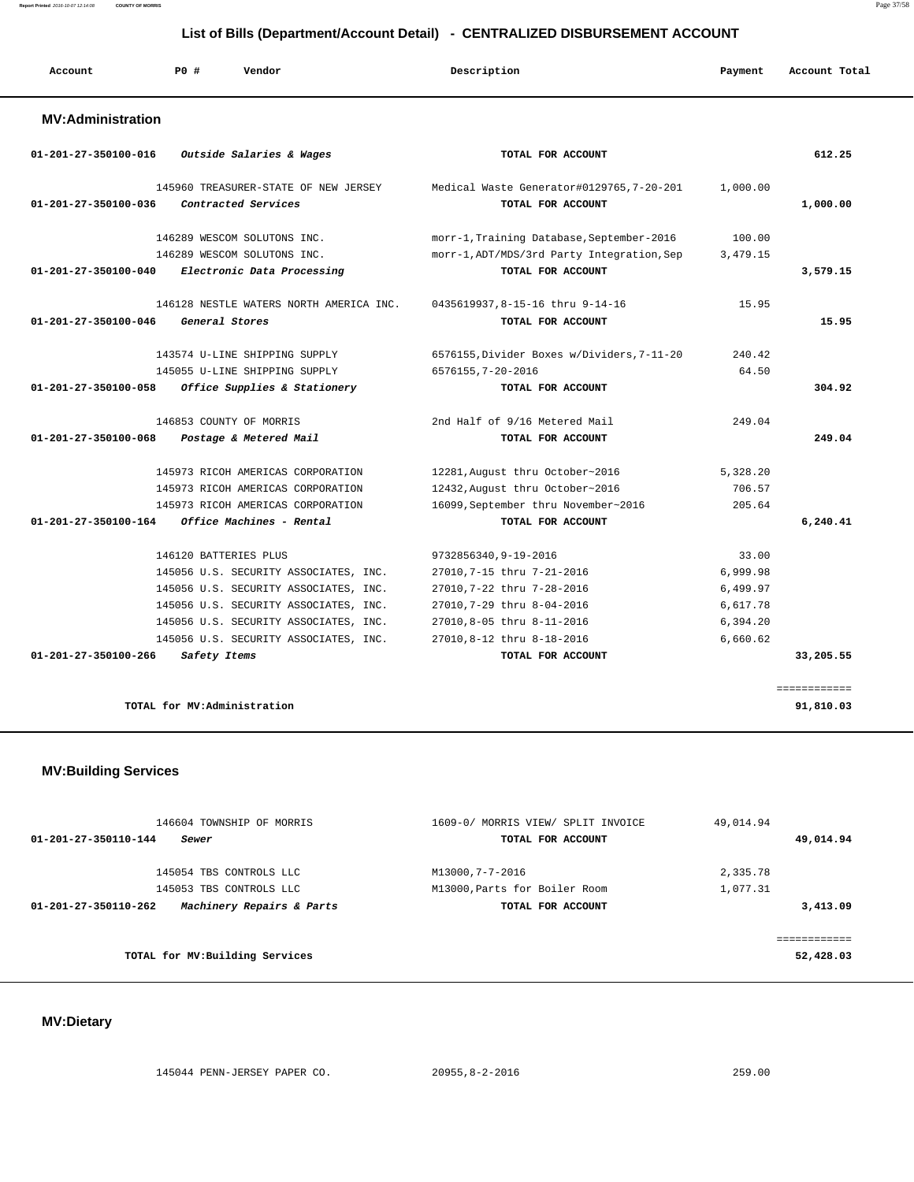#### **Report Printed** 2016-10-07 12:14:08 **COUNTY OF MORRIS** Page 37/58

 **List of Bills (Department/Account Detail) - CENTRALIZED DISBURSEMENT ACCOUNT**

| Account                        | P0#<br>Vendor                                               | Description                                                   | Payment  | Account Total |
|--------------------------------|-------------------------------------------------------------|---------------------------------------------------------------|----------|---------------|
| <b>MV:Administration</b>       |                                                             |                                                               |          |               |
| 01-201-27-350100-016           | Outside Salaries & Wages                                    | TOTAL FOR ACCOUNT                                             |          | 612.25        |
| 01-201-27-350100-036           | 145960 TREASURER-STATE OF NEW JERSEY<br>Contracted Services | Medical Waste Generator#0129765.7-20-201<br>TOTAL FOR ACCOUNT | 1,000.00 | 1,000.00      |
|                                | 146289 WESCOM SOLUTONS INC.                                 | morr-1, Training Database, September-2016                     | 100.00   |               |
|                                | 146289 WESCOM SOLUTONS INC.                                 | morr-1, ADT/MDS/3rd Party Integration, Sep                    | 3,479.15 |               |
| 01-201-27-350100-040           | Electronic Data Processing                                  | TOTAL FOR ACCOUNT                                             |          | 3,579.15      |
| $01 - 201 - 27 - 350100 - 046$ | 146128 NESTLE WATERS NORTH AMERICA INC.<br>General Stores   | 0435619937,8-15-16 thru 9-14-16<br>TOTAL FOR ACCOUNT          | 15.95    | 15.95         |
|                                | 143574 U-LINE SHIPPING SUPPLY                               | 6576155, Divider Boxes w/Dividers, 7-11-20                    | 240.42   |               |
|                                | 145055 U-LINE SHIPPING SUPPLY                               | 6576155, 7-20-2016                                            | 64.50    |               |
| 01-201-27-350100-058           | Office Supplies & Stationery                                | TOTAL FOR ACCOUNT                                             |          | 304.92        |
|                                | 146853 COUNTY OF MORRIS                                     | 2nd Half of 9/16 Metered Mail                                 | 249.04   |               |
| 01-201-27-350100-068           | Postage & Metered Mail                                      | TOTAL FOR ACCOUNT                                             |          | 249.04        |
|                                | 145973 RICOH AMERICAS CORPORATION                           | 12281, August thru October~2016                               | 5,328.20 |               |
|                                | 145973 RICOH AMERICAS CORPORATION                           | 12432, August thru October~2016                               | 706.57   |               |
|                                | 145973 RICOH AMERICAS CORPORATION                           | 16099, September thru November~2016                           | 205.64   |               |
| $01 - 201 - 27 - 350100 - 164$ | Office Machines - Rental                                    | TOTAL FOR ACCOUNT                                             |          | 6,240.41      |
|                                | 146120 BATTERIES PLUS                                       | 9732856340.9-19-2016                                          | 33.00    |               |
|                                | 145056 U.S. SECURITY ASSOCIATES, INC.                       | 27010,7-15 thru 7-21-2016                                     | 6,999.98 |               |
|                                | 145056 U.S. SECURITY ASSOCIATES, INC.                       | 27010,7-22 thru 7-28-2016                                     | 6,499.97 |               |
|                                | 145056 U.S. SECURITY ASSOCIATES, INC.                       | 27010,7-29 thru 8-04-2016                                     | 6,617.78 |               |
|                                | 145056 U.S. SECURITY ASSOCIATES, INC.                       | 27010,8-05 thru 8-11-2016                                     | 6,394.20 |               |
|                                | 145056 U.S. SECURITY ASSOCIATES, INC.                       | 27010,8-12 thru 8-18-2016                                     | 6,660.62 |               |
| 01-201-27-350100-266           | Safety Items                                                | TOTAL FOR ACCOUNT                                             |          | 33,205.55     |
|                                |                                                             |                                                               |          | ============  |
|                                | TOTAL for MV:Administration                                 |                                                               |          | 91,810.03     |

| 146604 TOWNSHIP OF MORRIS                         | 1609-0/ MORRIS VIEW/ SPLIT INVOICE | 49,014.94 |
|---------------------------------------------------|------------------------------------|-----------|
| 01-201-27-350110-144<br>Sewer                     | TOTAL FOR ACCOUNT                  | 49,014.94 |
| 145054 TBS CONTROLS LLC                           | M13000,7-7-2016                    | 2,335.78  |
| 145053 TBS CONTROLS LLC                           | M13000, Parts for Boiler Room      | 1,077.31  |
| Machinery Repairs & Parts<br>01-201-27-350110-262 | TOTAL FOR ACCOUNT                  | 3,413.09  |
|                                                   |                                    |           |
| TOTAL for MV: Building Services                   |                                    | 52,428.03 |

## **MV:Dietary**

 **MV:Building Services** 

**TOTAL for MV:Building Services 52,428.03**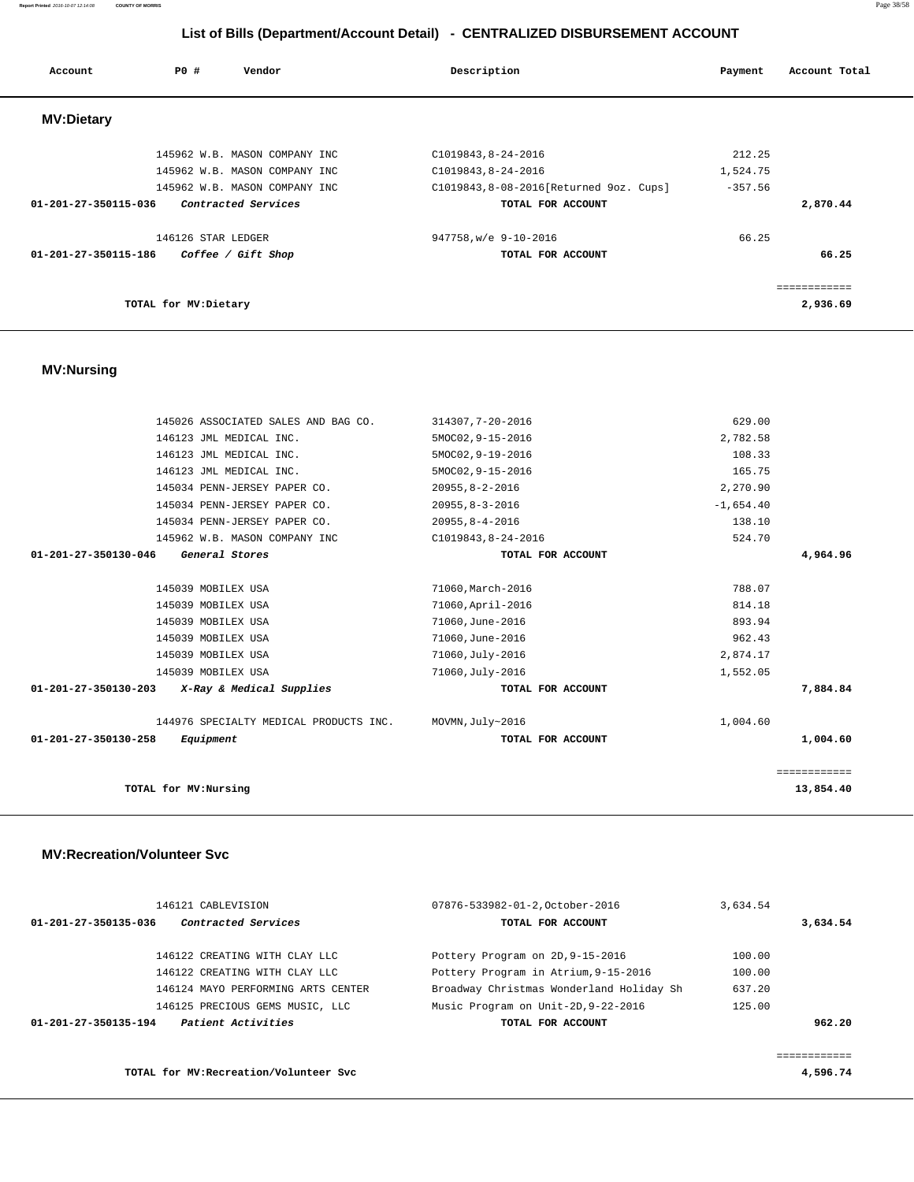**Report Printed** 2016-10-07 12:14:08 **COUNTY OF MORRIS** Page 38/58

| List of Bills (Department/Account Detail) - CENTRALIZED DISBURSEMENT ACCOUNT |                    |                               |                                          |           |               |
|------------------------------------------------------------------------------|--------------------|-------------------------------|------------------------------------------|-----------|---------------|
| Account                                                                      | <b>PO #</b>        | Vendor                        | Description                              | Payment   | Account Total |
| <b>MV:Dietary</b>                                                            |                    |                               |                                          |           |               |
|                                                                              |                    | 145962 W.B. MASON COMPANY INC | C1019843, 8-24-2016                      | 212.25    |               |
|                                                                              |                    | 145962 W.B. MASON COMPANY INC | C1019843, 8-24-2016                      | 1,524.75  |               |
|                                                                              |                    | 145962 W.B. MASON COMPANY INC | C1019843, 8-08-2016 [Returned 9oz. Cups] | $-357.56$ |               |
| 01-201-27-350115-036                                                         |                    | Contracted Services           | TOTAL FOR ACCOUNT                        |           | 2,870.44      |
|                                                                              | 146126 STAR LEDGER |                               | 947758, w/e 9-10-2016                    | 66.25     |               |
| 01-201-27-350115-186                                                         |                    | Coffee / Gift Shop            | TOTAL FOR ACCOUNT                        |           | 66.25         |
|                                                                              |                    |                               |                                          |           |               |

| 146126 STAR LEDGER                         | 947758, w/e 9-10-2016 | 66.25    |
|--------------------------------------------|-----------------------|----------|
| 01-201-27-350115-186<br>Coffee / Gift Shop | TOTAL FOR ACCOUNT     | 66.25    |
|                                            |                       |          |
|                                            |                       |          |
| TOTAL for MV:Dietary                       |                       | 2,936.69 |
|                                            |                       |          |

# **MV:Nursing**

|                      | 145026 ASSOCIATED SALES AND BAG CO.    | 314307, 7-20-2016     | 629.00      |              |
|----------------------|----------------------------------------|-----------------------|-------------|--------------|
|                      | 146123 JML MEDICAL INC.                | 5MOC02, 9-15-2016     | 2,782.58    |              |
|                      | 146123 JML MEDICAL INC.                | 5MOC02, 9-19-2016     | 108.33      |              |
|                      | 146123 JML MEDICAL INC.                | 5MOC02, 9-15-2016     | 165.75      |              |
|                      | 145034 PENN-JERSEY PAPER CO.           | $20955, 8 - 2 - 2016$ | 2,270.90    |              |
|                      | 145034 PENN-JERSEY PAPER CO.           | $20955, 8 - 3 - 2016$ | $-1,654.40$ |              |
|                      | 145034 PENN-JERSEY PAPER CO.           | $20955, 8 - 4 - 2016$ | 138.10      |              |
|                      | 145962 W.B. MASON COMPANY INC          | C1019843, 8-24-2016   | 524.70      |              |
| 01-201-27-350130-046 | General Stores                         | TOTAL FOR ACCOUNT     |             | 4,964.96     |
|                      |                                        |                       |             |              |
|                      | 145039 MOBILEX USA                     | 71060, March-2016     | 788.07      |              |
|                      | 145039 MOBILEX USA                     | 71060, April-2016     | 814.18      |              |
|                      | 145039 MOBILEX USA                     | 71060, June-2016      | 893.94      |              |
|                      | 145039 MOBILEX USA                     | 71060, June-2016      | 962.43      |              |
|                      | 145039 MOBILEX USA                     | 71060, July-2016      | 2,874.17    |              |
|                      | 145039 MOBILEX USA                     | 71060, July-2016      | 1,552.05    |              |
| 01-201-27-350130-203 | X-Ray & Medical Supplies               | TOTAL FOR ACCOUNT     |             | 7,884.84     |
|                      |                                        |                       |             |              |
|                      | 144976 SPECIALTY MEDICAL PRODUCTS INC. | MOVMN, July~2016      | 1,004.60    |              |
| 01-201-27-350130-258 | Equipment                              | TOTAL FOR ACCOUNT     |             | 1,004.60     |
|                      |                                        |                       |             |              |
|                      |                                        |                       |             | ============ |
|                      | TOTAL for MV:Nursing                   |                       |             | 13,854.40    |
|                      |                                        |                       |             |              |

## **MV:Recreation/Volunteer Svc**

| 146121 CABLEVISION                          | 07876-533982-01-2.October-2016           | 3,634.54 |          |
|---------------------------------------------|------------------------------------------|----------|----------|
| Contracted Services<br>01-201-27-350135-036 | TOTAL FOR ACCOUNT                        |          | 3,634.54 |
| 146122 CREATING WITH CLAY LLC               | Pottery Program on 2D, 9-15-2016         | 100.00   |          |
| 146122 CREATING WITH CLAY LLC               | Pottery Program in Atrium, 9-15-2016     | 100.00   |          |
| 146124 MAYO PERFORMING ARTS CENTER          | Broadway Christmas Wonderland Holiday Sh | 637.20   |          |
| 146125 PRECIOUS GEMS MUSIC, LLC             | Music Program on Unit-2D, 9-22-2016      | 125.00   |          |
| Patient Activities<br>01-201-27-350135-194  | TOTAL FOR ACCOUNT                        |          | 962.20   |
|                                             |                                          |          |          |
|                                             |                                          |          |          |
| TOTAL for MV: Recreation/Volunteer Svc      |                                          |          | 4,596.74 |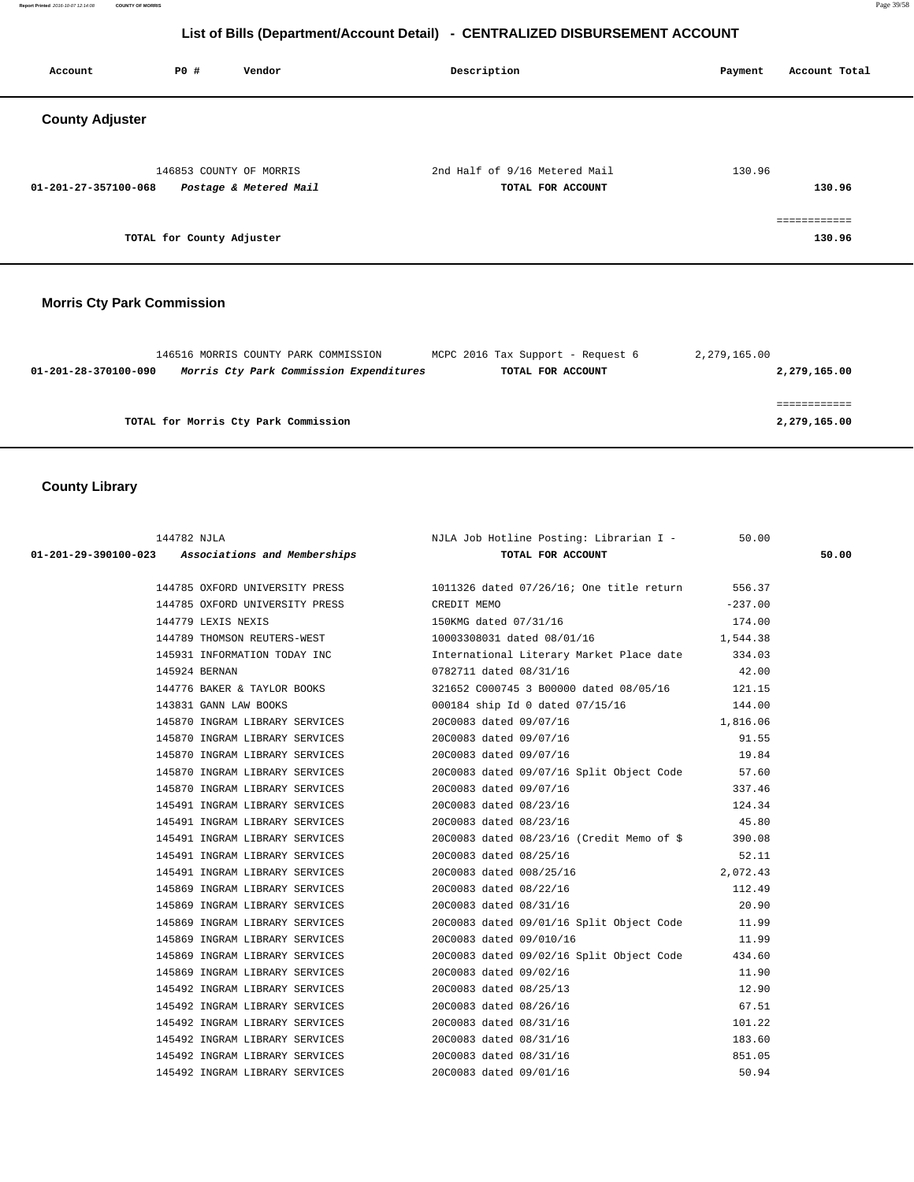**Report Printed** 2016-10-07 12:14:08 **COUNTY OF MORRIS** Page 39/58

# **List of Bills (Department/Account Detail) - CENTRALIZED DISBURSEMENT ACCOUNT**

| Account                | PO#                       | Vendor                                            | Description                                        | Account Total<br>Payment |
|------------------------|---------------------------|---------------------------------------------------|----------------------------------------------------|--------------------------|
| <b>County Adjuster</b> |                           |                                                   |                                                    |                          |
| 01-201-27-357100-068   |                           | 146853 COUNTY OF MORRIS<br>Postage & Metered Mail | 2nd Half of 9/16 Metered Mail<br>TOTAL FOR ACCOUNT | 130.96<br>130.96         |
|                        | TOTAL for County Adjuster |                                                   |                                                    | ============<br>130.96   |

# **Morris Cty Park Commission**

|                      | 146516 MORRIS COUNTY PARK COMMISSION    |  | MCPC 2016 Tax Support - Request 6 | 2,279,165.00 |              |
|----------------------|-----------------------------------------|--|-----------------------------------|--------------|--------------|
| 01-201-28-370100-090 | Morris Cty Park Commission Expenditures |  | TOTAL FOR ACCOUNT                 |              | 2,279,165.00 |
|                      |                                         |  |                                   |              |              |
|                      |                                         |  |                                   |              |              |
|                      | TOTAL for Morris Cty Park Commission    |  |                                   |              | 2,279,165.00 |
|                      |                                         |  |                                   |              |              |

# **County Library**

| 144782 NJLA                                           | NJLA Job Hotline Posting: Librarian I - 50.00                                  |           |       |
|-------------------------------------------------------|--------------------------------------------------------------------------------|-----------|-------|
| 01-201-29-390100-023 Associations and Memberships     | TOTAL FOR ACCOUNT                                                              |           | 50.00 |
|                                                       | 144785 OXFORD UNIVERSITY PRESS 1011326 dated 07/26/16; One title return 556.37 |           |       |
|                                                       |                                                                                |           |       |
| 144785 OXFORD UNIVERSITY PRESS CREDIT MEMO            |                                                                                | $-237.00$ |       |
| 144779 LEXIS NEXIS                                    | 150KMG dated 07/31/16                                                          | 174.00    |       |
| 144789 THOMSON REUTERS-WEST                           | 10003308031 dated 08/01/16                                                     | 1,544.38  |       |
| 145931 INFORMATION TODAY INC                          | International Literary Market Place date 334.03                                |           |       |
| 145924 BERNAN                                         | 0782711 dated 08/31/16                                                         | 42.00     |       |
| 144776 BAKER & TAYLOR BOOKS                           | 321652 C000745 3 B00000 dated 08/05/16 121.15                                  |           |       |
| 143831 GANN LAW BOOKS                                 | 000184 ship Id 0 dated 07/15/16 144.00                                         |           |       |
| 145870 INGRAM LIBRARY SERVICES 20C0083 dated 09/07/16 |                                                                                | 1,816.06  |       |
| 145870 INGRAM LIBRARY SERVICES                        | 20C0083 dated 09/07/16                                                         | 91.55     |       |
| 145870 INGRAM LIBRARY SERVICES                        | 20C0083 dated 09/07/16                                                         | 19.84     |       |
| 145870 INGRAM LIBRARY SERVICES                        | 20C0083 dated 09/07/16 Split Object Code 57.60                                 |           |       |
| 145870 INGRAM LIBRARY SERVICES                        | 20C0083 dated 09/07/16                                                         | 337.46    |       |
| 145491 INGRAM LIBRARY SERVICES                        | 20C0083 dated 08/23/16                                                         | 124.34    |       |
| 145491 INGRAM LIBRARY SERVICES 2000083 dated 08/23/16 |                                                                                | 45.80     |       |
|                                                       | 145491 INGRAM LIBRARY SERVICES 20C0083 dated 08/23/16 (Credit Memo of \$390.08 |           |       |
| 145491 INGRAM LIBRARY SERVICES                        | 20C0083 dated 08/25/16                                                         | 52.11     |       |
| 145491 INGRAM LIBRARY SERVICES                        | 20C0083 dated 008/25/16                                                        | 2,072.43  |       |
| 145869 INGRAM LIBRARY SERVICES                        | 20C0083 dated 08/22/16                                                         | 112.49    |       |
| 145869 INGRAM LIBRARY SERVICES                        | 20C0083 dated 08/31/16                                                         | 20.90     |       |
| 145869 INGRAM LIBRARY SERVICES                        | 20C0083 dated 09/01/16 Split Object Code 11.99                                 |           |       |
| 145869 INGRAM LIBRARY SERVICES                        | 20C0083 dated 09/010/16                                                        | 11.99     |       |
| 145869 INGRAM LIBRARY SERVICES                        | 20C0083 dated 09/02/16 Split Object Code                                       | 434.60    |       |
| 145869 INGRAM LIBRARY SERVICES                        | 20C0083 dated 09/02/16                                                         | 11.90     |       |
| 145492 INGRAM LIBRARY SERVICES                        | 20C0083 dated 08/25/13                                                         | 12.90     |       |
| 145492 INGRAM LIBRARY SERVICES                        | 20C0083 dated 08/26/16                                                         | 67.51     |       |
| 145492 INGRAM LIBRARY SERVICES 20C0083 dated 08/31/16 |                                                                                | 101.22    |       |
| 145492 INGRAM LIBRARY SERVICES                        | 20C0083 dated 08/31/16                                                         | 183.60    |       |
| 145492 INGRAM LIBRARY SERVICES 20C0083 dated 08/31/16 |                                                                                | 851.05    |       |
| 145492 INGRAM LIBRARY SERVICES                        | 20C0083 dated 09/01/16                                                         | 50.94     |       |
|                                                       |                                                                                |           |       |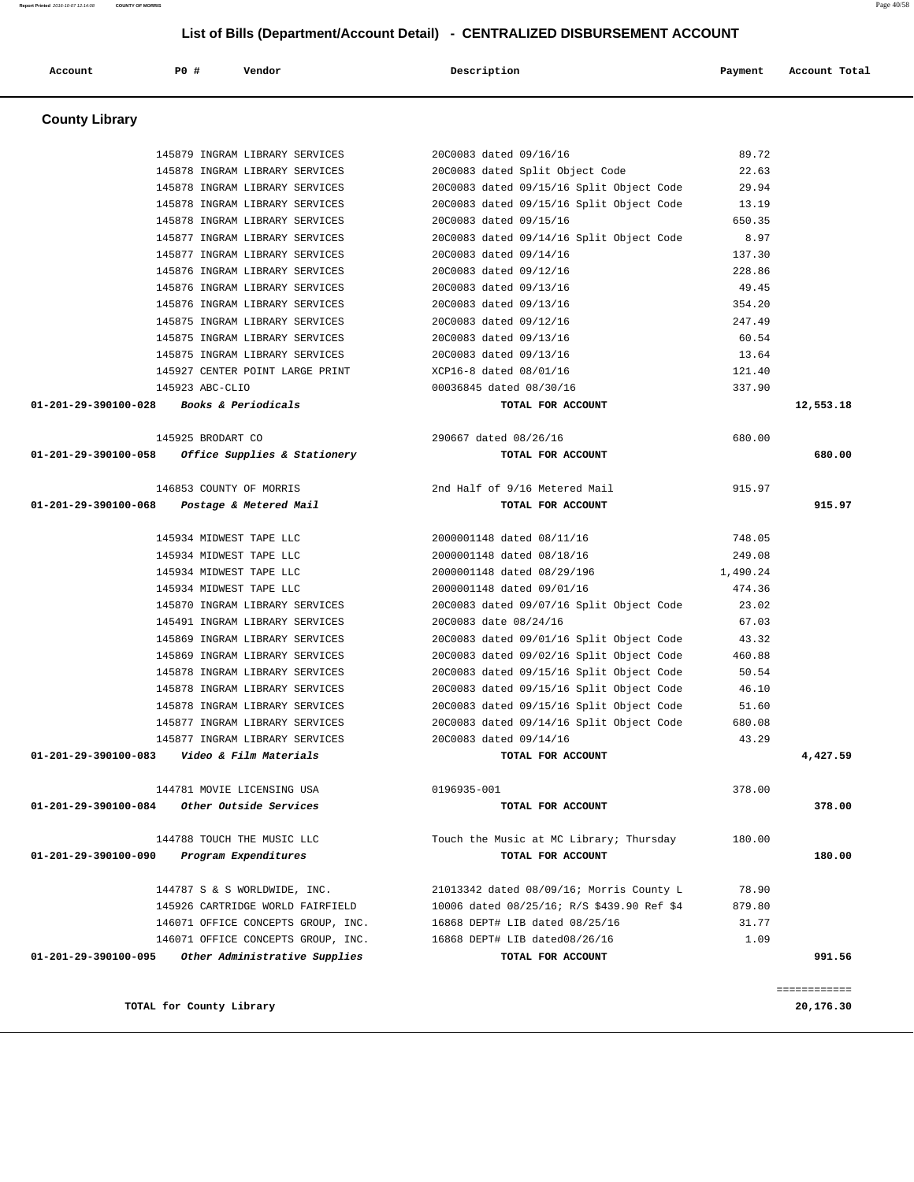**County Library**  145879 INGRAM LIBRARY SERVICES 20C0083 dated 09/16/16 89.72 145878 INGRAM LIBRARY SERVICES 20C0083 dated Split Object Code 22.63 145878 INGRAM LIBRARY SERVICES 20C0083 dated 09/15/16 Split Object Code 29.94 145878 INGRAM LIBRARY SERVICES 20C0083 dated 09/15/16 Split Object Code 13.19 145878 INGRAM LIBRARY SERVICES 20C0083 dated 09/15/16 650.35 145877 INGRAM LIBRARY SERVICES 20C0083 dated 09/14/16 Split Object Code 8.97 145877 INGRAM LIBRARY SERVICES 20C0083 dated 09/14/16 137.30 145876 INGRAM LIBRARY SERVICES 20C0083 dated 09/12/16 228.86 145876 INGRAM LIBRARY SERVICES 20C0083 dated 09/13/16 49.45 145876 INGRAM LIBRARY SERVICES 20C0083 dated 09/13/16 354.20 145875 INGRAM LIBRARY SERVICES 20C0083 dated 09/12/16 247.49 145875 INGRAM LIBRARY SERVICES 20C0083 dated 09/13/16 60.54 145875 INGRAM LIBRARY SERVICES 20C0083 dated 09/13/16 13.64 145927 CENTER POINT LARGE PRINT XCP16-8 dated 08/01/16 121.40 145923 ABC-CLIO 00036845 dated 08/30/16 337.90  **01-201-29-390100-028 Books & Periodicals TOTAL FOR ACCOUNT 12,553.18** 145925 BRODART CO 290667 dated 08/26/16 680.00  **01-201-29-390100-058 Office Supplies & Stationery TOTAL FOR ACCOUNT 680.00** 146853 COUNTY OF MORRIS 2nd Half of 9/16 Metered Mail 915.97  **01-201-29-390100-068 Postage & Metered Mail TOTAL FOR ACCOUNT 915.97** 145934 MIDWEST TAPE LLC 2000001148 dated 08/11/16 748.05 145934 MIDWEST TAPE LLC 2000001148 dated 08/18/16 249.08 145934 MIDWEST TAPE LLC 2000001148 dated 08/29/196 1,490.24 145934 MIDWEST TAPE LLC 2000001148 dated 09/01/16 474.36 145870 INGRAM LIBRARY SERVICES 20C0083 dated 09/07/16 Split Object Code 23.02 145491 INGRAM LIBRARY SERVICES 20C0083 date 08/24/16 67.03 145869 INGRAM LIBRARY SERVICES 20C0083 dated 09/01/16 Split Object Code 43.32 145869 INGRAM LIBRARY SERVICES 20C0083 dated 09/02/16 Split Object Code 460.88 145878 INGRAM LIBRARY SERVICES 20C0083 dated 09/15/16 Split Object Code 50.54 145878 INGRAM LIBRARY SERVICES 20C0083 dated 09/15/16 Split Object Code 46.10 145878 INGRAM LIBRARY SERVICES 20C0083 dated 09/15/16 Split Object Code 51.60 145877 INGRAM LIBRARY SERVICES 20C0083 dated 09/14/16 Split Object Code 680.08 145877 INGRAM LIBRARY SERVICES 20C0083 dated 09/14/16 43.29  **01-201-29-390100-083 Video & Film Materials TOTAL FOR ACCOUNT 4,427.59** 144781 MOVIE LICENSING USA 0196935-001 378.00  **01-201-29-390100-084 Other Outside Services TOTAL FOR ACCOUNT 378.00** 144788 TOUCH THE MUSIC LLC Touch the Music at MC Library; Thursday 180.00  **01-201-29-390100-090 Program Expenditures TOTAL FOR ACCOUNT 180.00** 144787 S & S WORLDWIDE, INC. 21013342 dated 08/09/16; Morris County L 78.90 145926 CARTRIDGE WORLD FAIRFIELD 10006 dated 08/25/16; R/S \$439.90 Ref \$4 879.80 146071 OFFICE CONCEPTS GROUP, INC. 16868 DEPT# LIB dated 08/25/16 31.77 146071 OFFICE CONCEPTS GROUP, INC. 16868 DEPT# LIB dated08/26/16 1.09  **01-201-29-390100-095 Other Administrative Supplies TOTAL FOR ACCOUNT 991.56** ============ **TOTAL for County Library 20,176.30**

## **List of Bills (Department/Account Detail) - CENTRALIZED DISBURSEMENT ACCOUNT**

 **Account P0 # Vendor Description Payment Account Total**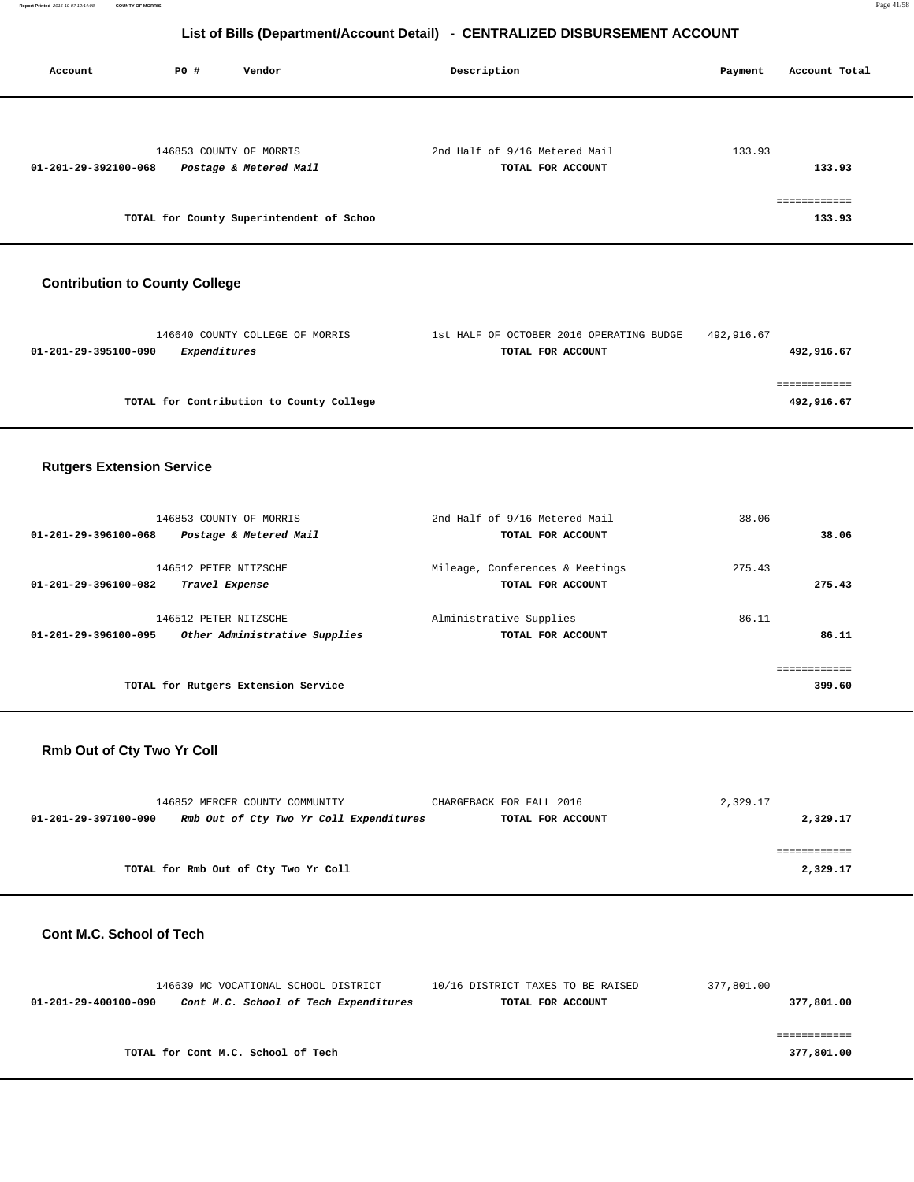**Report Printed** 2016-10-07 12:14:08 **COUNTY OF MORRIS** Page 41/58

# **List of Bills (Department/Account Detail) - CENTRALIZED DISBURSEMENT ACCOUNT**

| Account              | P0 # | Vendor                                            | Description                                        | Account Total<br>Payment |
|----------------------|------|---------------------------------------------------|----------------------------------------------------|--------------------------|
|                      |      |                                                   |                                                    |                          |
| 01-201-29-392100-068 |      | 146853 COUNTY OF MORRIS<br>Postage & Metered Mail | 2nd Half of 9/16 Metered Mail<br>TOTAL FOR ACCOUNT | 133.93<br>133.93         |
|                      |      | TOTAL for County Superintendent of Schoo          |                                                    | <br>133.93               |

# **Contribution to County College**

| 146640 COUNTY COLLEGE OF MORRIS          | 1st HALF OF OCTOBER 2016 OPERATING BUDGE | 492,916.67 |
|------------------------------------------|------------------------------------------|------------|
| Expenditures<br>01-201-29-395100-090     | TOTAL FOR ACCOUNT                        | 492,916.67 |
|                                          |                                          |            |
|                                          |                                          |            |
| TOTAL for Contribution to County College |                                          | 492,916.67 |
|                                          |                                          |            |

## **Rutgers Extension Service**

|                      | 146853 COUNTY OF MORRIS             | 2nd Half of 9/16 Metered Mail   | 38.06      |        |
|----------------------|-------------------------------------|---------------------------------|------------|--------|
| 01-201-29-396100-068 | Postage & Metered Mail              | TOTAL FOR ACCOUNT               |            | 38.06  |
|                      |                                     |                                 |            |        |
|                      | 146512 PETER NITZSCHE               | Mileage, Conferences & Meetings | 275.43     |        |
| 01-201-29-396100-082 | Travel Expense                      | TOTAL FOR ACCOUNT               |            | 275.43 |
|                      |                                     |                                 |            |        |
|                      | 146512 PETER NITZSCHE               | Alministrative Supplies         | 86.11      |        |
| 01-201-29-396100-095 | Other Administrative Supplies       | TOTAL FOR ACCOUNT               |            | 86.11  |
|                      |                                     |                                 |            |        |
|                      |                                     |                                 | eeeeeeeeee |        |
|                      | TOTAL for Rutgers Extension Service |                                 |            | 399.60 |
|                      |                                     |                                 |            |        |

## **Rmb Out of Cty Two Yr Coll**

|                      | 146852 MERCER COUNTY COMMUNITY          | CHARGEBACK FOR FALL 2016 | 2,329.17 |
|----------------------|-----------------------------------------|--------------------------|----------|
| 01-201-29-397100-090 | Rmb Out of Cty Two Yr Coll Expenditures | TOTAL FOR ACCOUNT        | 2,329.17 |
|                      |                                         |                          |          |
|                      |                                         |                          |          |
|                      | TOTAL for Rmb Out of Cty Two Yr Coll    |                          | 2,329.17 |

### **Cont M.C. School of Tech**

|                      | 146639 MC VOCATIONAL SCHOOL DISTRICT  | 10/16 DISTRICT TAXES TO BE RAISED | 377,801.00 |
|----------------------|---------------------------------------|-----------------------------------|------------|
| 01-201-29-400100-090 | Cont M.C. School of Tech Expenditures | TOTAL FOR ACCOUNT                 | 377,801.00 |
|                      |                                       |                                   |            |
|                      |                                       |                                   |            |
|                      | TOTAL for Cont M.C. School of Tech    |                                   | 377,801.00 |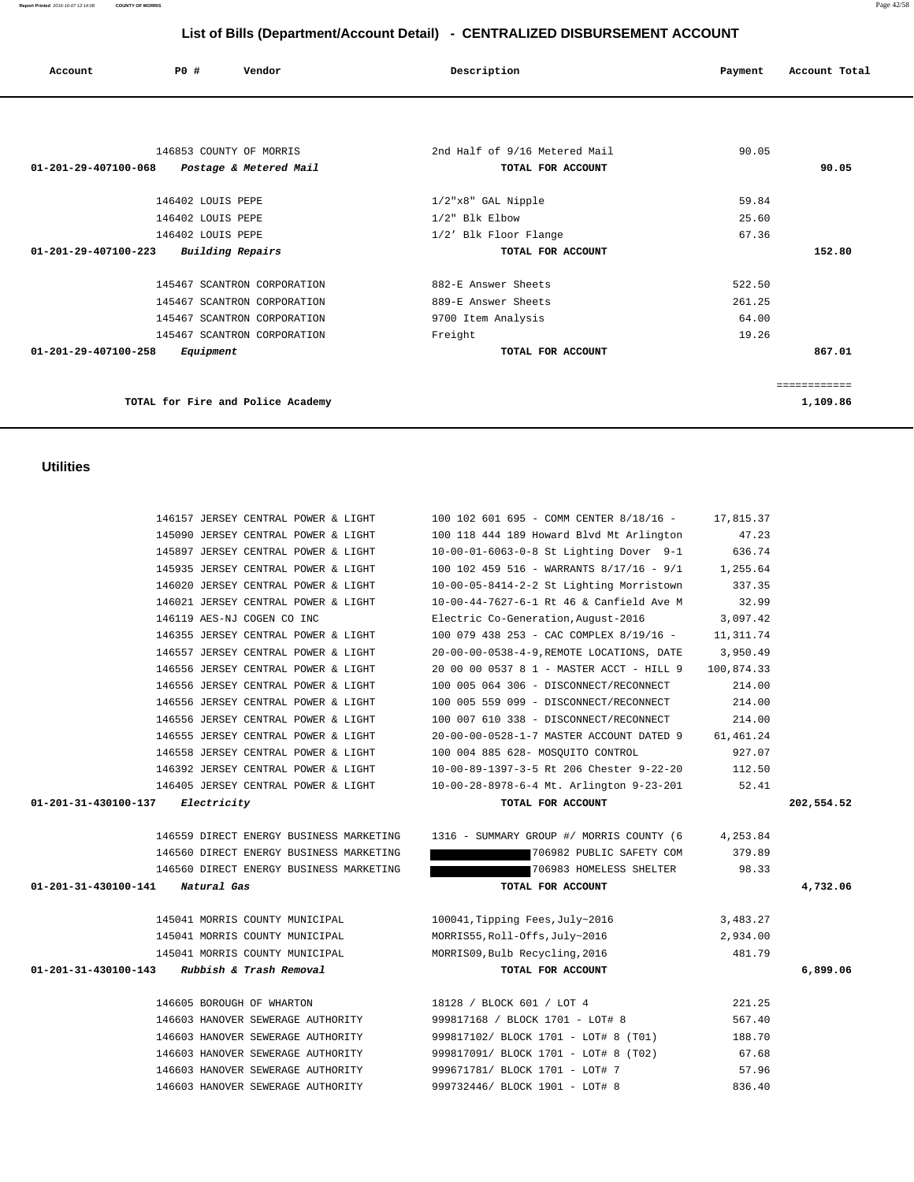| 145897 JERSEY CENTRAL POWER & LIGHT                                              | 10-00-01-6063-0-8 St Lighting Dover 9-1                          | 636.74          |            |
|----------------------------------------------------------------------------------|------------------------------------------------------------------|-----------------|------------|
| 145935 JERSEY CENTRAL POWER & LIGHT                                              | 100 102 459 516 - WARRANTS 8/17/16 - 9/1 1,255.64                |                 |            |
| 146020 JERSEY CENTRAL POWER & LIGHT                                              | 10-00-05-8414-2-2 St Lighting Morristown                         | 337.35          |            |
| 146021 JERSEY CENTRAL POWER & LIGHT                                              | 10-00-44-7627-6-1 Rt 46 & Canfield Ave M                         | 32.99           |            |
| 146119 AES-NJ COGEN CO INC                                                       | Electric Co-Generation, August-2016                              | 3,097.42        |            |
| 146355 JERSEY CENTRAL POWER & LIGHT                                              | 100 079 438 253 - CAC COMPLEX 8/19/16 -                          | 11,311.74       |            |
| 146557 JERSEY CENTRAL POWER & LIGHT                                              | 20-00-00-0538-4-9, REMOTE LOCATIONS, DATE                        | 3,950.49        |            |
| 146556 JERSEY CENTRAL POWER & LIGHT                                              | 20 00 00 0537 8 1 - MASTER ACCT - HILL 9                         | 100,874.33      |            |
| 146556 JERSEY CENTRAL POWER & LIGHT                                              | 100 005 064 306 - DISCONNECT/RECONNECT                           | 214.00          |            |
| 146556 JERSEY CENTRAL POWER & LIGHT                                              | 100 005 559 099 - DISCONNECT/RECONNECT                           | 214.00          |            |
| 146556 JERSEY CENTRAL POWER & LIGHT                                              | 100 007 610 338 - DISCONNECT/RECONNECT                           | 214.00          |            |
| 146555 JERSEY CENTRAL POWER & LIGHT                                              | 20-00-00-0528-1-7 MASTER ACCOUNT DATED 9 61,461.24               |                 |            |
| 146558 JERSEY CENTRAL POWER & LIGHT                                              | 100 004 885 628- MOSOUITO CONTROL                                | 927.07          |            |
| 146392 JERSEY CENTRAL POWER & LIGHT                                              | 10-00-89-1397-3-5 Rt 206 Chester 9-22-20                         | 112.50          |            |
| 146405 JERSEY CENTRAL POWER & LIGHT                                              | 10-00-28-8978-6-4 Mt. Arlington 9-23-201                         | 52.41           |            |
| 01-201-31-430100-137 Electricity                                                 | TOTAL FOR ACCOUNT                                                |                 | 202,554.52 |
| 146559 DIRECT ENERGY BUSINESS MARKETING                                          | 1316 - SUMMARY GROUP #/ MORRIS COUNTY (6 4,253.84                |                 |            |
|                                                                                  |                                                                  |                 |            |
| 146560 DIRECT ENERGY BUSINESS MARKETING                                          | 706982 PUBLIC SAFETY COM                                         | 379.89          |            |
| 146560 DIRECT ENERGY BUSINESS MARKETING                                          | 706983 HOMELESS SHELTER 98.33                                    |                 |            |
| 01-201-31-430100-141 Natural Gas                                                 | TOTAL FOR ACCOUNT                                                |                 | 4,732.06   |
|                                                                                  |                                                                  |                 |            |
| 145041 MORRIS COUNTY MUNICIPAL                                                   | 100041, Tipping Fees, July~2016                                  | 3,483.27        |            |
| 145041 MORRIS COUNTY MUNICIPAL                                                   | MORRIS55,Roll-Offs,July~2016                                     | 2,934.00        |            |
| 145041 MORRIS COUNTY MUNICIPAL<br>$01-201-31-430100-143$ Rubbish & Trash Removal | MORRIS09, Bulb Recycling, 2016<br>TOTAL FOR ACCOUNT              | 481.79          | 6,899.06   |
|                                                                                  |                                                                  |                 |            |
| 146605 BOROUGH OF WHARTON                                                        | 18128 / BLOCK 601 / LOT 4                                        | 221.25          |            |
| 146603 HANOVER SEWERAGE AUTHORITY                                                | 999817168 / BLOCK 1701 - LOT# 8                                  | 567.40          |            |
| 146603 HANOVER SEWERAGE AUTHORITY                                                | 999817102/ BLOCK 1701 - LOT# 8 (T01)                             | 188.70          |            |
| 146603 HANOVER SEWERAGE AUTHORITY                                                | 999817091/ BLOCK 1701 - LOT# 8 (T02)                             | 67.68           |            |
| 146603 HANOVER SEWERAGE AUTHORITY<br>146603 HANOVER SEWERAGE AUTHORITY           | 999671781/ BLOCK 1701 - LOT# 7<br>999732446/ BLOCK 1901 - LOT# 8 | 57.96<br>836.40 |            |

 146157 JERSEY CENTRAL POWER & LIGHT 100 102 601 695 - COMM CENTER 8/18/16 - 17,815.37 145090 JERSEY CENTRAL POWER & LIGHT 100 118 444 189 Howard Blvd Mt Arlington 47.23

## **Utilities**

| Account                        | PO#                     | Vendor                            | Description                   | Payment | Account Total |
|--------------------------------|-------------------------|-----------------------------------|-------------------------------|---------|---------------|
|                                |                         |                                   |                               |         |               |
|                                |                         |                                   |                               |         |               |
|                                |                         |                                   |                               |         |               |
|                                | 146853 COUNTY OF MORRIS |                                   | 2nd Half of 9/16 Metered Mail | 90.05   |               |
| 01-201-29-407100-068           |                         | Postage & Metered Mail            | TOTAL FOR ACCOUNT             |         | 90.05         |
|                                | 146402 LOUIS PEPE       |                                   | 1/2"x8" GAL Nipple            | 59.84   |               |
|                                | 146402 LOUIS PEPE       |                                   | 1/2" Blk Elbow                | 25.60   |               |
|                                | 146402 LOUIS PEPE       |                                   | 1/2' Blk Floor Flange         | 67.36   |               |
| $01 - 201 - 29 - 407100 - 223$ |                         | <b>Building Repairs</b>           | TOTAL FOR ACCOUNT             |         | 152.80        |
|                                |                         | 145467 SCANTRON CORPORATION       | 882-E Answer Sheets           | 522.50  |               |
|                                |                         | 145467 SCANTRON CORPORATION       | 889-E Answer Sheets           | 261.25  |               |
|                                |                         | 145467 SCANTRON CORPORATION       | 9700 Item Analysis            | 64.00   |               |
|                                |                         | 145467 SCANTRON CORPORATION       | Freight                       | 19.26   |               |
| $01 - 201 - 29 - 407100 - 258$ | Equipment               |                                   | TOTAL FOR ACCOUNT             |         | 867.01        |
|                                |                         |                                   |                               |         | ============  |
|                                |                         | TOTAL for Fire and Police Academy |                               |         | 1,109.86      |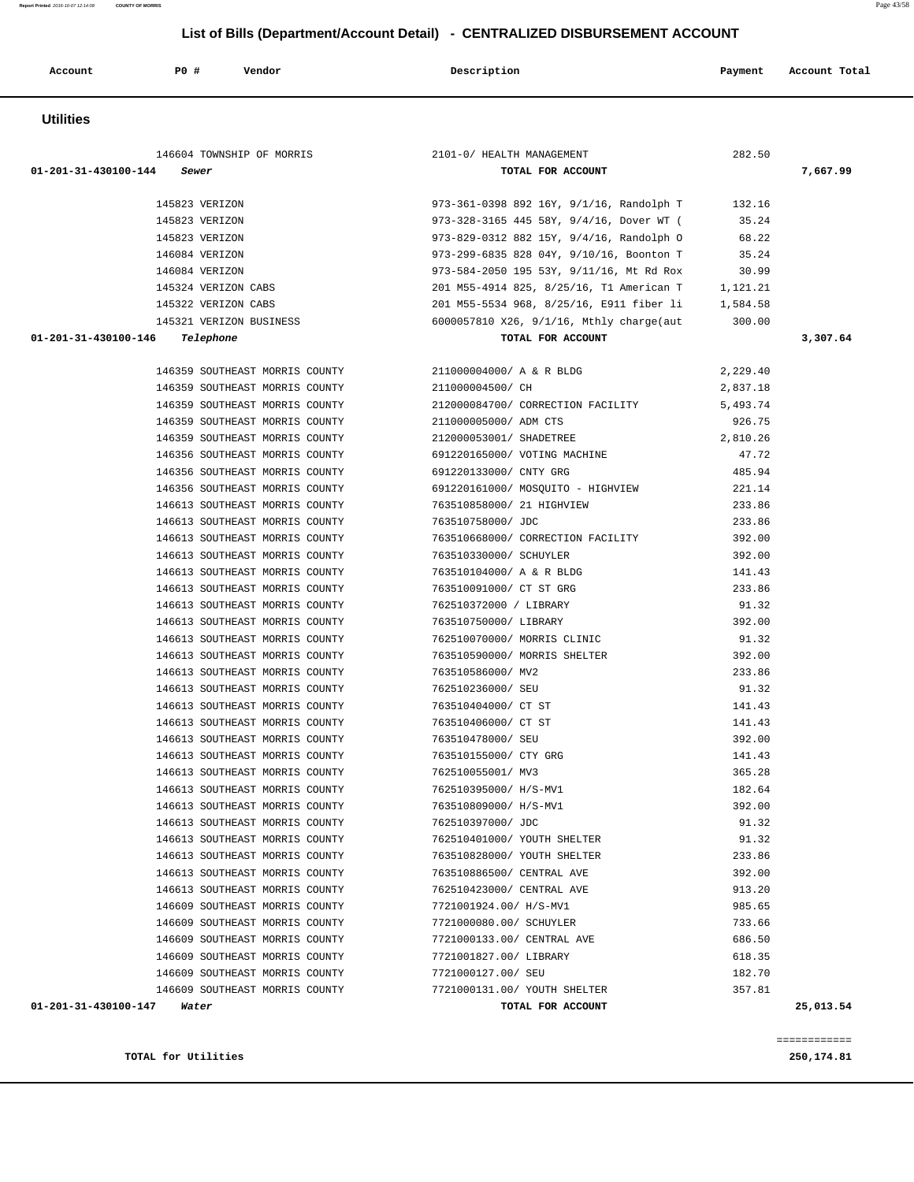| Page 43/58 |
|------------|
|            |
|            |

| Account              | P0 #<br>Vendor                                                   | Description                                        | Payment         | Account Total |
|----------------------|------------------------------------------------------------------|----------------------------------------------------|-----------------|---------------|
| <b>Utilities</b>     |                                                                  |                                                    |                 |               |
|                      | 146604 TOWNSHIP OF MORRIS                                        | 2101-0/ HEALTH MANAGEMENT                          | 282.50          |               |
| 01-201-31-430100-144 | Sewer                                                            | TOTAL FOR ACCOUNT                                  |                 | 7,667.99      |
|                      | 145823 VERIZON                                                   | 973-361-0398 892 16Y, 9/1/16, Randolph T           | 132.16          |               |
|                      | 145823 VERIZON                                                   | 973-328-3165 445 58Y, 9/4/16, Dover WT (           | 35.24           |               |
|                      | 145823 VERIZON                                                   | 973-829-0312 882 15Y, 9/4/16, Randolph O           | 68.22           |               |
|                      | 146084 VERIZON                                                   | 973-299-6835 828 04Y, 9/10/16, Boonton T           | 35.24           |               |
|                      | 146084 VERIZON                                                   | 973-584-2050 195 53Y, 9/11/16, Mt Rd Rox           | 30.99           |               |
|                      | 145324 VERIZON CABS                                              | 201 M55-4914 825, 8/25/16, T1 American T 1, 121.21 |                 |               |
|                      | 145322 VERIZON CABS                                              | 201 M55-5534 968, 8/25/16, E911 fiber li 1,584.58  |                 |               |
|                      | 145321 VERIZON BUSINESS                                          | 6000057810 X26, 9/1/16, Mthly charge(aut           | 300.00          |               |
| 01-201-31-430100-146 | Telephone                                                        | TOTAL FOR ACCOUNT                                  |                 | 3,307.64      |
|                      | 146359 SOUTHEAST MORRIS COUNTY                                   | 211000004000/ A & R BLDG                           | 2,229.40        |               |
|                      | 146359 SOUTHEAST MORRIS COUNTY                                   | 211000004500/ CH                                   | 2,837.18        |               |
|                      | 146359 SOUTHEAST MORRIS COUNTY                                   | 212000084700/ CORRECTION FACILITY                  | 5,493.74        |               |
|                      | 146359 SOUTHEAST MORRIS COUNTY                                   | 211000005000/ ADM CTS                              | 926.75          |               |
|                      | 146359 SOUTHEAST MORRIS COUNTY                                   | 212000053001/ SHADETREE                            | 2,810.26        |               |
|                      | 146356 SOUTHEAST MORRIS COUNTY                                   | 691220165000/ VOTING MACHINE                       | 47.72           |               |
|                      | 146356 SOUTHEAST MORRIS COUNTY                                   | 691220133000/ CNTY GRG                             | 485.94          |               |
|                      | 146356 SOUTHEAST MORRIS COUNTY                                   | 691220161000/ MOSOUITO - HIGHVIEW                  | 221.14          |               |
|                      | 146613 SOUTHEAST MORRIS COUNTY                                   | 763510858000/ 21 HIGHVIEW                          | 233.86          |               |
|                      | 146613 SOUTHEAST MORRIS COUNTY                                   | 763510758000/ JDC                                  | 233.86          |               |
|                      | 146613 SOUTHEAST MORRIS COUNTY                                   | 763510668000/ CORRECTION FACILITY                  | 392.00          |               |
|                      | 146613 SOUTHEAST MORRIS COUNTY                                   | 763510330000/ SCHUYLER                             | 392.00          |               |
|                      | 146613 SOUTHEAST MORRIS COUNTY                                   | 763510104000/ A & R BLDG                           | 141.43          |               |
|                      | 146613 SOUTHEAST MORRIS COUNTY                                   | 763510091000/ CT ST GRG                            | 233.86          |               |
|                      | 146613 SOUTHEAST MORRIS COUNTY                                   | 762510372000 / LIBRARY                             | 91.32           |               |
|                      | 146613 SOUTHEAST MORRIS COUNTY                                   | 763510750000/ LIBRARY                              | 392.00          |               |
|                      | 146613 SOUTHEAST MORRIS COUNTY                                   | 762510070000/ MORRIS CLINIC                        | 91.32           |               |
|                      | 146613 SOUTHEAST MORRIS COUNTY                                   | 763510590000/ MORRIS SHELTER                       | 392.00          |               |
|                      | 146613 SOUTHEAST MORRIS COUNTY<br>146613 SOUTHEAST MORRIS COUNTY | 763510586000/ MV2                                  | 233.86<br>91.32 |               |
|                      | 146613 SOUTHEAST MORRIS COUNTY                                   | 762510236000/SEU                                   | 141.43          |               |
|                      | 146613 SOUTHEAST MORRIS COUNTY                                   | 763510404000/ CT ST<br>763510406000/ CT ST         | 141.43          |               |
|                      | 146613 SOUTHEAST MORRIS COUNTY                                   | 763510478000/ SEU                                  | 392.00          |               |
|                      | 146613 SOUTHEAST MORRIS COUNTY                                   | 763510155000/ CTY GRG                              | 141.43          |               |
|                      | 146613 SOUTHEAST MORRIS COUNTY                                   | 762510055001/ MV3                                  | 365.28          |               |
|                      | 146613 SOUTHEAST MORRIS COUNTY                                   | 762510395000/ H/S-MV1                              | 182.64          |               |
|                      | 146613 SOUTHEAST MORRIS COUNTY                                   | 763510809000/ H/S-MV1                              | 392.00          |               |
|                      | 146613 SOUTHEAST MORRIS COUNTY                                   | 762510397000/ JDC                                  | 91.32           |               |
|                      | 146613 SOUTHEAST MORRIS COUNTY                                   | 762510401000/ YOUTH SHELTER                        | 91.32           |               |
|                      | 146613 SOUTHEAST MORRIS COUNTY                                   | 763510828000/ YOUTH SHELTER                        | 233.86          |               |
|                      | 146613 SOUTHEAST MORRIS COUNTY                                   | 763510886500/ CENTRAL AVE                          | 392.00          |               |
|                      | 146613 SOUTHEAST MORRIS COUNTY                                   | 762510423000/ CENTRAL AVE                          | 913.20          |               |
|                      | 146609 SOUTHEAST MORRIS COUNTY                                   | 7721001924.00/ H/S-MV1                             | 985.65          |               |
|                      | 146609 SOUTHEAST MORRIS COUNTY                                   | 7721000080.00/ SCHUYLER                            | 733.66          |               |
|                      | 146609 SOUTHEAST MORRIS COUNTY                                   | 7721000133.00/ CENTRAL AVE                         | 686.50          |               |
|                      | 146609 SOUTHEAST MORRIS COUNTY                                   | 7721001827.00/ LIBRARY                             | 618.35          |               |
|                      | 146609 SOUTHEAST MORRIS COUNTY                                   | 7721000127.00/ SEU                                 | 182.70          |               |
|                      | 146609 SOUTHEAST MORRIS COUNTY                                   | 7721000131.00/ YOUTH SHELTER                       | 357.81          |               |
| 01-201-31-430100-147 | Water                                                            | TOTAL FOR ACCOUNT                                  |                 | 25,013.54     |

**TOTAL for Utilities** 250,174.81

**Report Printed** 2016-10-07 12:14:08 **COUNTY OF MORRIS**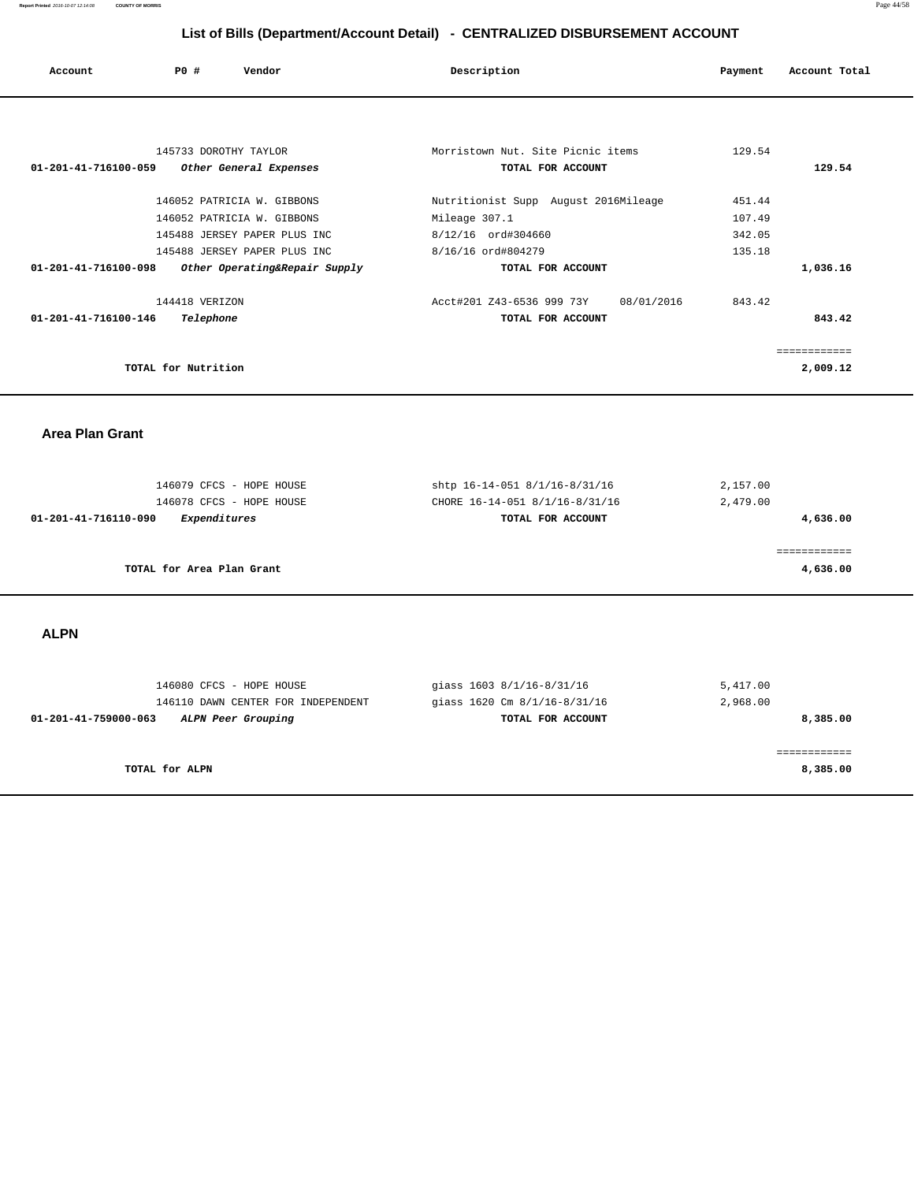**Report Printed** 2016-10-07 12:14:08 **COUNTY OF MORRIS** Page 44/58

## **List of Bills (Department/Account Detail) - CENTRALIZED DISBURSEMENT ACCOUNT**

|                                |                     |                               | __________                           |            |         |               |
|--------------------------------|---------------------|-------------------------------|--------------------------------------|------------|---------|---------------|
| Account                        | PO#                 | Vendor                        | Description                          |            | Payment | Account Total |
|                                |                     |                               |                                      |            |         |               |
|                                |                     | 145733 DOROTHY TAYLOR         | Morristown Nut. Site Picnic items    |            | 129.54  |               |
| 01-201-41-716100-059           |                     | Other General Expenses        | TOTAL FOR ACCOUNT                    |            |         | 129.54        |
|                                |                     | 146052 PATRICIA W. GIBBONS    | Nutritionist Supp August 2016Mileage |            | 451.44  |               |
|                                |                     | 146052 PATRICIA W. GIBBONS    | Mileage 307.1                        |            | 107.49  |               |
|                                |                     | 145488 JERSEY PAPER PLUS INC  | 8/12/16 ord#304660                   |            | 342.05  |               |
|                                |                     | 145488 JERSEY PAPER PLUS INC  | 8/16/16 ord#804279                   |            | 135.18  |               |
| 01-201-41-716100-098           |                     | Other Operating&Repair Supply | TOTAL FOR ACCOUNT                    |            |         | 1,036.16      |
|                                | 144418 VERIZON      |                               | Acct#201 Z43-6536 999 73Y            | 08/01/2016 | 843.42  |               |
| $01 - 201 - 41 - 716100 - 146$ | Telephone           |                               | TOTAL FOR ACCOUNT                    |            |         | 843.42        |
|                                |                     |                               |                                      |            |         | ============  |
|                                | TOTAL for Nutrition |                               |                                      |            |         | 2,009.12      |
|                                |                     |                               |                                      |            |         |               |

 **Area Plan Grant** 

| 146079 CFCS - HOPE HOUSE             | shtp 16-14-051 8/1/16-8/31/16  | 2,157.00 |
|--------------------------------------|--------------------------------|----------|
| 146078 CFCS - HOPE HOUSE             | CHORE 16-14-051 8/1/16-8/31/16 | 2,479.00 |
| Expenditures<br>01-201-41-716110-090 | TOTAL FOR ACCOUNT              | 4,636.00 |
|                                      |                                |          |
|                                      |                                |          |
| TOTAL for Area Plan Grant            |                                | 4,636.00 |
|                                      |                                |          |

 **ALPN** 

| qiass 1603 8/1/16-8/31/16 | 5,417.00<br>2,968.00         |
|---------------------------|------------------------------|
| TOTAL FOR ACCOUNT         | 8,385.00                     |
|                           |                              |
|                           | 8,385.00                     |
|                           | giass 1620 Cm 8/1/16-8/31/16 |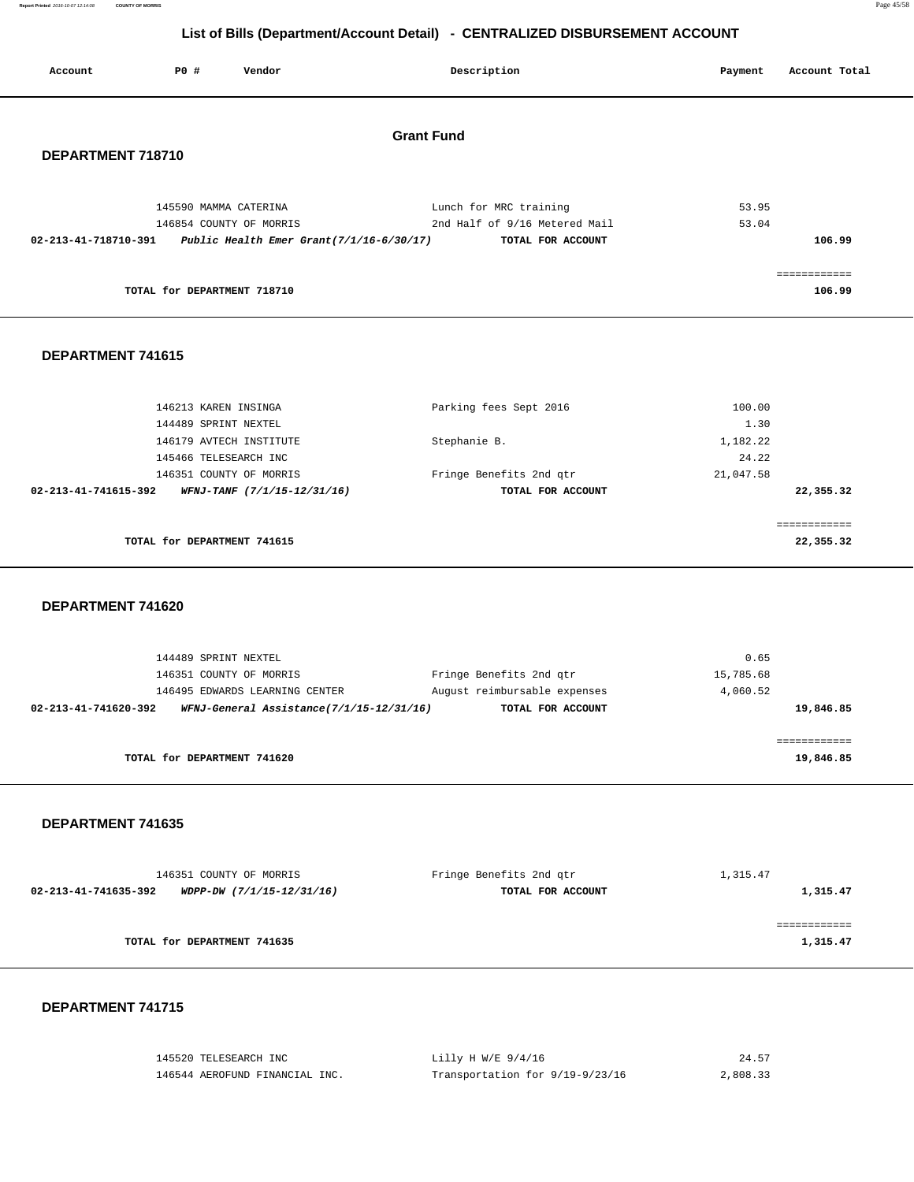**Report Printed** 2016-10-07 12:14:08 **COUNTY OF MORRIS** Page 45/58

# **List of Bills (Department/Account Detail) - CENTRALIZED DISBURSEMENT ACCOUNT**

| Account              | <b>PO #</b>          | Vendor                                                        | Description                   | Payment   | Account Total |
|----------------------|----------------------|---------------------------------------------------------------|-------------------------------|-----------|---------------|
|                      |                      |                                                               |                               |           |               |
|                      |                      |                                                               | <b>Grant Fund</b>             |           |               |
| DEPARTMENT 718710    |                      |                                                               |                               |           |               |
|                      |                      |                                                               |                               |           |               |
|                      |                      |                                                               |                               |           |               |
|                      |                      | 145590 MAMMA CATERINA                                         | Lunch for MRC training        | 53.95     |               |
|                      |                      | 146854 COUNTY OF MORRIS                                       | 2nd Half of 9/16 Metered Mail | 53.04     |               |
|                      |                      | 02-213-41-718710-391 Public Health Emer Grant(7/1/16-6/30/17) | TOTAL FOR ACCOUNT             |           | 106.99        |
|                      |                      |                                                               |                               |           |               |
|                      |                      |                                                               |                               |           | ============  |
|                      |                      | TOTAL for DEPARTMENT 718710                                   |                               |           | 106.99        |
| DEPARTMENT 741615    |                      |                                                               |                               |           |               |
|                      |                      | 146213 KAREN INSINGA                                          | Parking fees Sept 2016        | 100.00    |               |
|                      | 144489 SPRINT NEXTEL |                                                               |                               | 1.30      |               |
|                      |                      | 146179 AVTECH INSTITUTE                                       | Stephanie B.                  | 1,182.22  |               |
|                      |                      | 145466 TELESEARCH INC                                         |                               | 24.22     |               |
|                      |                      | 146351 COUNTY OF MORRIS                                       | Fringe Benefits 2nd qtr       | 21,047.58 |               |
| 02-213-41-741615-392 |                      | WFNJ-TANF (7/1/15-12/31/16)                                   | TOTAL FOR ACCOUNT             |           | 22,355.32     |
|                      |                      |                                                               |                               |           | ============  |
|                      |                      | TOTAL for DEPARTMENT 741615                                   |                               |           | 22,355.32     |
| DEPARTMENT 741620    |                      |                                                               |                               |           |               |

|                      | 144489 SPRINT NEXTEL                     |                              | 0.65      |
|----------------------|------------------------------------------|------------------------------|-----------|
|                      | 146351 COUNTY OF MORRIS                  | Fringe Benefits 2nd qtr      | 15,785.68 |
|                      | 146495 EDWARDS LEARNING CENTER           | August reimbursable expenses | 4,060.52  |
| 02-213-41-741620-392 | WFNJ-General Assistance(7/1/15-12/31/16) | TOTAL FOR ACCOUNT            | 19,846.85 |
|                      |                                          |                              |           |
|                      |                                          |                              |           |
|                      | TOTAL for DEPARTMENT 741620              |                              | 19,846.85 |

### **DEPARTMENT 741635**

| 146351 COUNTY OF MORRIS                           | Fringe Benefits 2nd qtr | 1,315.47 |  |
|---------------------------------------------------|-------------------------|----------|--|
| 02-213-41-741635-392<br>WDPP-DW (7/1/15-12/31/16) | TOTAL FOR ACCOUNT       | 1,315.47 |  |
|                                                   |                         |          |  |
|                                                   |                         |          |  |
| TOTAL for DEPARTMENT 741635                       |                         | 1,315.47 |  |
|                                                   |                         |          |  |

| 145520 TELESEARCH INC          | Lilly H W/E $9/4/16$            | 24.57    |
|--------------------------------|---------------------------------|----------|
| 146544 AEROFUND FINANCIAL INC. | Transportation for 9/19-9/23/16 | 2,808.33 |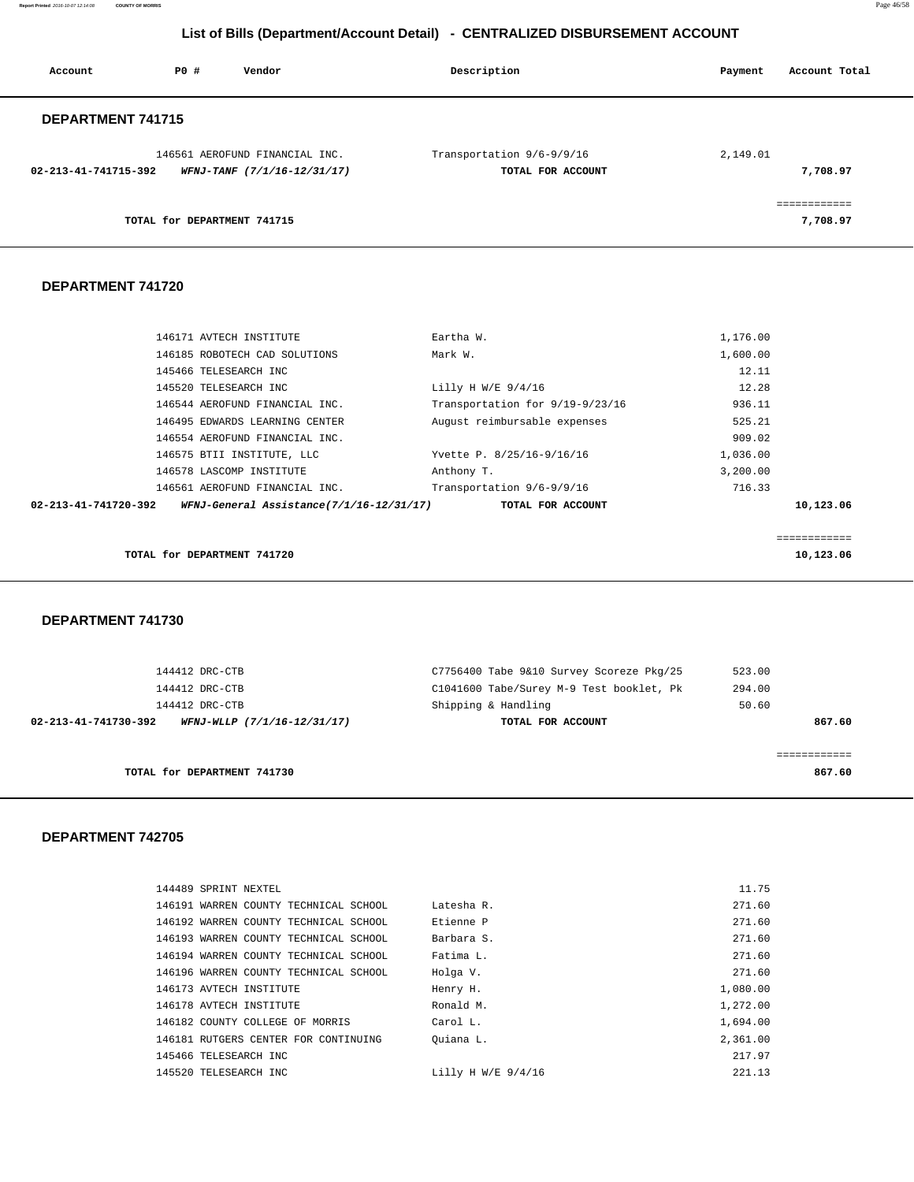**Report Printed** 2016-10-07 12:14:08 **COUNTY OF MORRIS** Page 46/58

# **List of Bills (Department/Account Detail) - CENTRALIZED DISBURSEMENT ACCOUNT**

| Account              | P0 #                        | Vendor                                                        | Description                                    | Payment  | Account Total            |
|----------------------|-----------------------------|---------------------------------------------------------------|------------------------------------------------|----------|--------------------------|
| DEPARTMENT 741715    |                             |                                                               |                                                |          |                          |
| 02-213-41-741715-392 |                             | 146561 AEROFUND FINANCIAL INC.<br>WFNJ-TANF (7/1/16-12/31/17) | Transportation 9/6-9/9/16<br>TOTAL FOR ACCOUNT | 2,149.01 | 7,708.97                 |
|                      | TOTAL for DEPARTMENT 741715 |                                                               |                                                |          | .===========<br>7,708.97 |

### **DEPARTMENT 741720**

| 146171 AVTECH INSTITUTE                                          | Eartha W.                       | 1,176.00 |              |
|------------------------------------------------------------------|---------------------------------|----------|--------------|
| 146185 ROBOTECH CAD SOLUTIONS                                    | Mark W.                         | 1,600.00 |              |
| 145466 TELESEARCH INC                                            |                                 | 12.11    |              |
| 145520 TELESEARCH INC                                            | Lilly H W/E $9/4/16$            | 12.28    |              |
| 146544 AEROFUND FINANCIAL INC.                                   | Transportation for 9/19-9/23/16 | 936.11   |              |
| 146495 EDWARDS LEARNING CENTER                                   | August reimbursable expenses    | 525.21   |              |
| 146554 AEROFUND FINANCIAL INC.                                   |                                 | 909.02   |              |
| 146575 BTII INSTITUTE, LLC                                       | Yvette P. 8/25/16-9/16/16       | 1,036.00 |              |
| 146578 LASCOMP INSTITUTE                                         | Anthony T.                      | 3,200.00 |              |
| 146561 AEROFUND FINANCIAL INC.                                   | Transportation 9/6-9/9/16       | 716.33   |              |
| WFNJ-General Assistance(7/1/16-12/31/17)<br>02-213-41-741720-392 | TOTAL FOR ACCOUNT               |          | 10,123.06    |
|                                                                  |                                 |          |              |
|                                                                  |                                 |          | ============ |
| TOTAL for DEPARTMENT 741720                                      |                                 |          | 10,123.06    |

 **DEPARTMENT 741730** 

| TOTAL for DEPARTMENT 741730                         |                                          | 867.60 |
|-----------------------------------------------------|------------------------------------------|--------|
|                                                     |                                          |        |
| 02-213-41-741730-392<br>WFNJ-WLLP (7/1/16-12/31/17) | TOTAL FOR ACCOUNT                        | 867.60 |
| 144412 DRC-CTB                                      | Shipping & Handling                      | 50.60  |
| 144412 DRC-CTB                                      | C1041600 Tabe/Surey M-9 Test booklet, Pk | 294.00 |
| 144412 DRC-CTB                                      | C7756400 Tabe 9&10 Survey Scoreze Pkg/25 | 523.00 |

| 144489 SPRINT NEXTEL                  |                      | 11.75    |
|---------------------------------------|----------------------|----------|
| 146191 WARREN COUNTY TECHNICAL SCHOOL | Latesha R.           | 271.60   |
| 146192 WARREN COUNTY TECHNICAL SCHOOL | Etienne P            | 271.60   |
| 146193 WARREN COUNTY TECHNICAL SCHOOL | Barbara S.           | 271.60   |
| 146194 WARREN COUNTY TECHNICAL SCHOOL | Fatima L.            | 271.60   |
| 146196 WARREN COUNTY TECHNICAL SCHOOL | Holga V.             | 271.60   |
| 146173 AVTECH INSTITUTE               | Henry H.             | 1,080.00 |
| 146178 AVTECH INSTITUTE               | Ronald M.            | 1,272.00 |
| 146182 COUNTY COLLEGE OF MORRIS       | Carol L.             | 1,694.00 |
| 146181 RUTGERS CENTER FOR CONTINUING  | Ouiana L.            | 2,361.00 |
| 145466 TELESEARCH INC                 |                      | 217.97   |
| 145520 TELESEARCH INC                 | Lilly H W/E $9/4/16$ | 221.13   |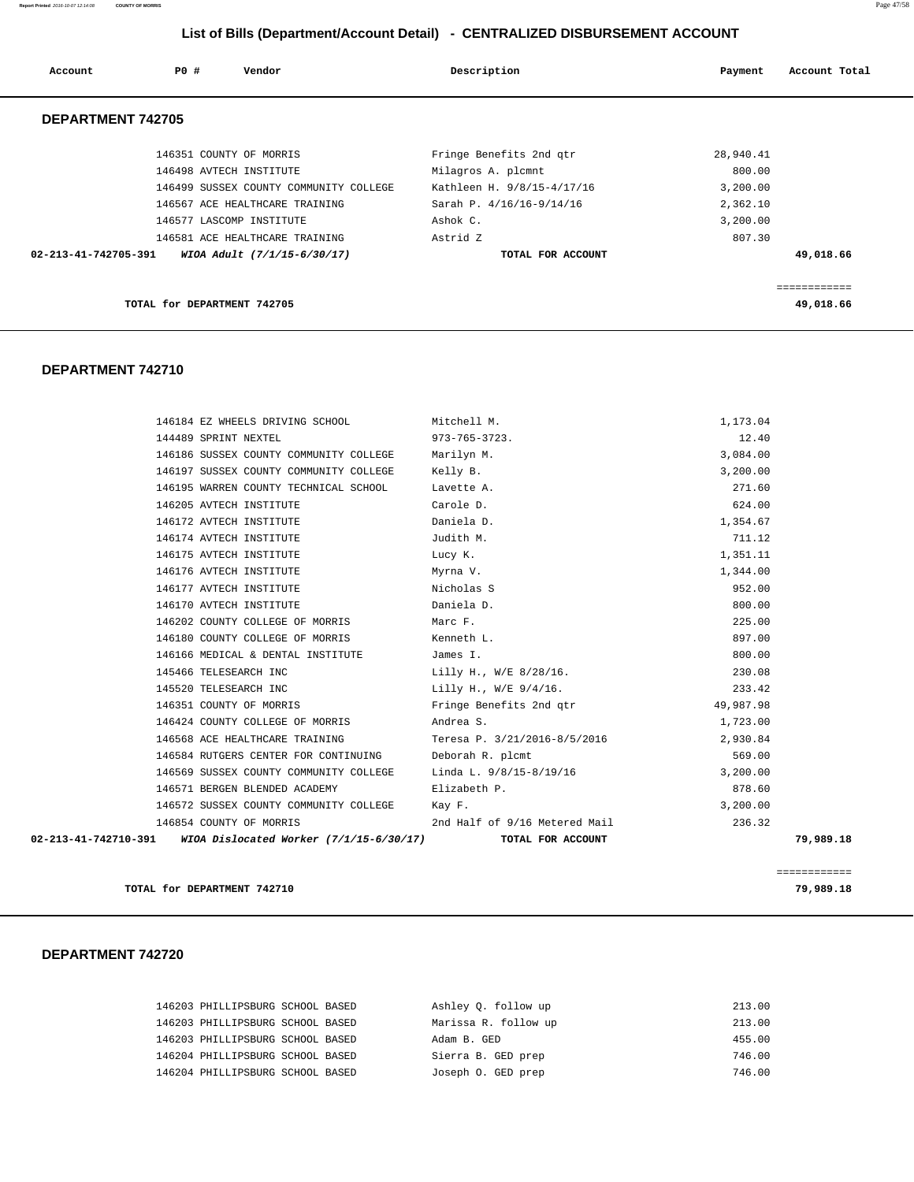**Report Printed** 2016-10-07 12:14:08 **COUNTY OF MORRIS** Page 47/58

# **List of Bills (Department/Account Detail) - CENTRALIZED DISBURSEMENT ACCOUNT**

| Account                        | PO#                         | Vendor                                 | Description                | Payment   | Account Total |
|--------------------------------|-----------------------------|----------------------------------------|----------------------------|-----------|---------------|
| DEPARTMENT 742705              |                             |                                        |                            |           |               |
|                                |                             | 146351 COUNTY OF MORRIS                | Fringe Benefits 2nd qtr    | 28,940.41 |               |
|                                |                             | 146498 AVTECH INSTITUTE                | Milagros A. plcmnt         | 800.00    |               |
|                                |                             | 146499 SUSSEX COUNTY COMMUNITY COLLEGE | Kathleen H. 9/8/15-4/17/16 | 3,200.00  |               |
|                                |                             | 146567 ACE HEALTHCARE TRAINING         | Sarah P. 4/16/16-9/14/16   | 2,362.10  |               |
|                                |                             | 146577 LASCOMP INSTITUTE               | Ashok C.                   | 3,200.00  |               |
|                                |                             | 146581 ACE HEALTHCARE TRAINING         | Astrid Z                   | 807.30    |               |
| $02 - 213 - 41 - 742705 - 391$ |                             | WIOA Adult (7/1/15-6/30/17)            | TOTAL FOR ACCOUNT          |           | 49,018.66     |
|                                |                             |                                        |                            |           |               |
|                                |                             |                                        |                            |           | ============  |
|                                | TOTAL for DEPARTMENT 742705 |                                        |                            |           | 49,018.66     |

#### **DEPARTMENT 742710**

| 146184 EZ WHEELS DRIVING SCHOOL Mitchell M.                    |                                       | 1,173.04  |
|----------------------------------------------------------------|---------------------------------------|-----------|
| 144489 SPRINT NEXTEL<br>$973 - 765 - 3723$ .                   |                                       | 12.40     |
| 146186 SUSSEX COUNTY COMMUNITY COLLEGE Marilyn M.              |                                       | 3,084.00  |
| 146197 SUSSEX COUNTY COMMUNITY COLLEGE Kelly B.                |                                       | 3,200.00  |
| 146195 WARREN COUNTY TECHNICAL SCHOOL                          | Lavette A.                            | 271.60    |
| 146205 AVTECH INSTITUTE                                        | Carole D.                             | 624.00    |
| 146172 AVTECH INSTITUTE                                        | Daniela D.                            | 1,354.67  |
| 146174 AVTECH INSTITUTE                                        | Judith M.                             | 711.12    |
| 146175 AVTECH INSTITUTE                                        | Lucy K.                               | 1,351.11  |
| 146176 AVTECH INSTITUTE                                        | Myrna V.                              | 1,344.00  |
| 146177 AVTECH INSTITUTE                                        | Nicholas S                            | 952.00    |
| 146170 AVTECH INSTITUTE                                        | Daniela D.                            | 800.00    |
| 146202 COUNTY COLLEGE OF MORRIS                                | Marc F.                               | 225.00    |
| 146180 COUNTY COLLEGE OF MORRIS 6 Kenneth L.                   |                                       | 897.00    |
| 146166 MEDICAL & DENTAL INSTITUTE                              | James I.                              | 800.00    |
| 145466 TELESEARCH INC                                          | Lilly H., W/E 8/28/16.                | 230.08    |
| 145520 TELESEARCH INC                                          | Lilly H., W/E 9/4/16.                 | 233.42    |
| 146351 COUNTY OF MORRIS THE STRINGE Benefits 2nd gtr           |                                       | 49,987.98 |
| 146424 COUNTY COLLEGE OF MORRIS Andrea S.                      |                                       | 1,723.00  |
| 146568 ACE HEALTHCARE TRAINING                                 | Teresa P. 3/21/2016-8/5/2016 2,930.84 |           |
| 146584 RUTGERS CENTER FOR CONTINUING Deborah R. plcmt          |                                       | 569.00    |
| 146569 SUSSEX COUNTY COMMUNITY COLLEGE Linda L. 9/8/15-8/19/16 |                                       | 3,200.00  |
| 146571 BERGEN BLENDED ACADEMY                                  | Elizabeth P.                          | 878.60    |
| 146572 SUSSEX COUNTY COMMUNITY COLLEGE Kay F.                  |                                       | 3,200.00  |
| 146854 COUNTY OF MORRIS                                        | 2nd Half of 9/16 Metered Mail         | 236.32    |
| 02-213-41-742710-391 WIOA Dislocated Worker (7/1/15-6/30/17)   | TOTAL FOR ACCOUNT                     | 79,989.18 |
|                                                                |                                       |           |

**TOTAL for DEPARTMENT 742710 79,989.18** 

### **DEPARTMENT 742720**

| 146203 PHILLIPSBURG SCHOOL BASED | Ashley O. follow up  | 213.00 |
|----------------------------------|----------------------|--------|
| 146203 PHILLIPSBURG SCHOOL BASED | Marissa R. follow up | 213.00 |
| 146203 PHILLIPSBURG SCHOOL BASED | Adam B. GED          | 455.00 |
| 146204 PHILLIPSBURG SCHOOL BASED | Sierra B. GED prep   | 746.00 |
| 146204 PHILLIPSBURG SCHOOL BASED | Joseph O. GED prep   | 746.00 |
|                                  |                      |        |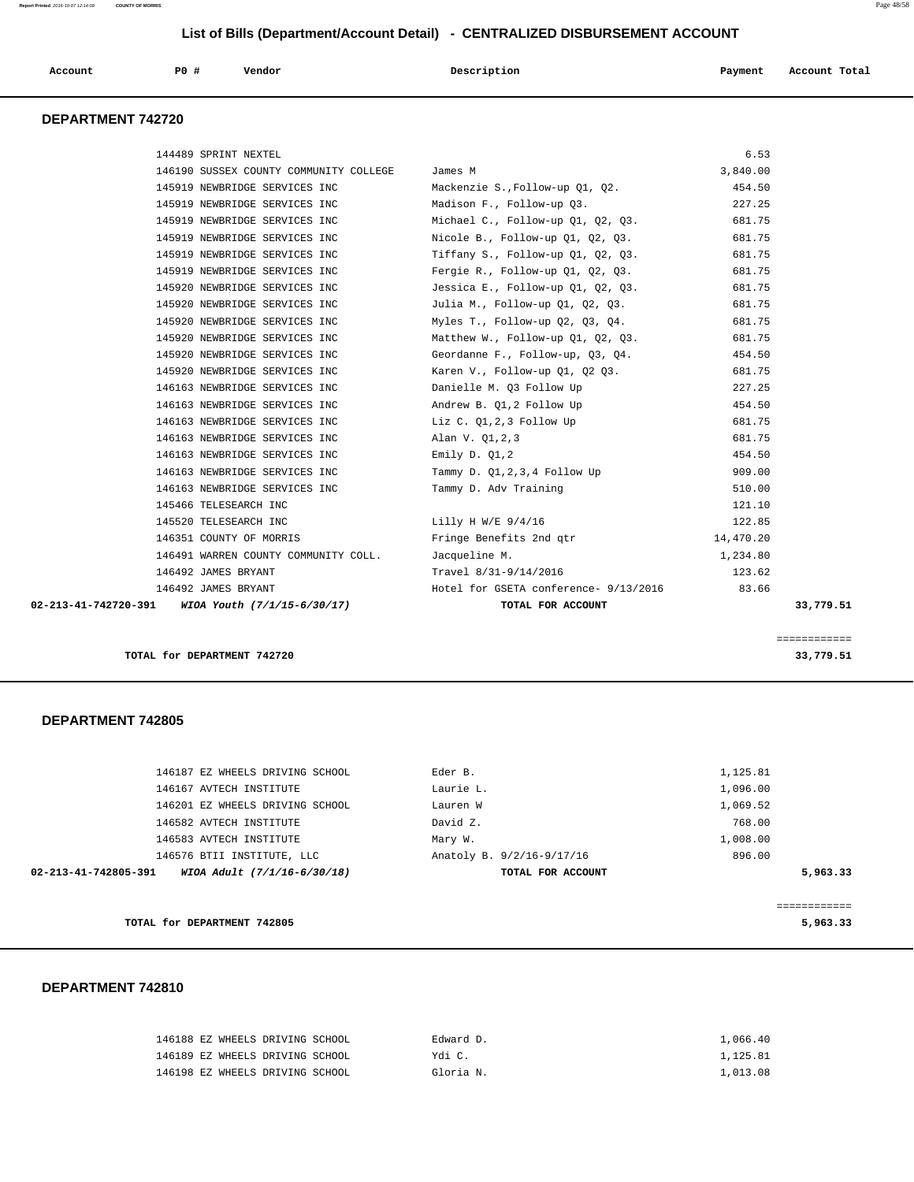| Account | P <sub>0</sub> | Vendor<br>. | Description | Payment | Account Total |
|---------|----------------|-------------|-------------|---------|---------------|
|         |                |             |             |         |               |

## **DEPARTMENT 742720**

|                      | 144489 SPRINT NEXTEL                   |                                       | 6.53      |           |
|----------------------|----------------------------------------|---------------------------------------|-----------|-----------|
|                      | 146190 SUSSEX COUNTY COMMUNITY COLLEGE | James M                               | 3,840.00  |           |
|                      | 145919 NEWBRIDGE SERVICES INC          | Mackenzie S., Follow-up Q1, Q2.       | 454.50    |           |
|                      | 145919 NEWBRIDGE SERVICES INC          | Madison F., Follow-up 03.             | 227.25    |           |
|                      | 145919 NEWBRIDGE SERVICES INC          | Michael C., Follow-up Q1, Q2, Q3.     | 681.75    |           |
|                      | 145919 NEWBRIDGE SERVICES INC          | Nicole B., Follow-up 01, 02, 03.      | 681.75    |           |
|                      | 145919 NEWBRIDGE SERVICES INC          | Tiffany S., Follow-up 01, 02, 03.     | 681.75    |           |
|                      | 145919 NEWBRIDGE SERVICES INC          | Fergie R., Follow-up Q1, Q2, Q3.      | 681.75    |           |
|                      | 145920 NEWBRIDGE SERVICES INC          | Jessica E., Follow-up 01, 02, 03.     | 681.75    |           |
|                      | 145920 NEWBRIDGE SERVICES INC          | Julia M., Follow-up Q1, Q2, Q3.       | 681.75    |           |
|                      | 145920 NEWBRIDGE SERVICES INC          | Myles T., Follow-up 02, 03, 04.       | 681.75    |           |
|                      | 145920 NEWBRIDGE SERVICES INC          | Matthew W., Follow-up 01, 02, 03.     | 681.75    |           |
|                      | 145920 NEWBRIDGE SERVICES INC          | Geordanne F., Follow-up, Q3, Q4.      | 454.50    |           |
|                      | 145920 NEWBRIDGE SERVICES INC          | Karen V., Follow-up 01, 02 03.        | 681.75    |           |
|                      | 146163 NEWBRIDGE SERVICES INC          | Danielle M. Q3 Follow Up              | 227.25    |           |
|                      | 146163 NEWBRIDGE SERVICES INC          | Andrew B. 01,2 Follow Up              | 454.50    |           |
|                      | 146163 NEWBRIDGE SERVICES INC          | Liz C. Q1,2,3 Follow Up               | 681.75    |           |
|                      | 146163 NEWBRIDGE SERVICES INC          | Alan V. Q1,2,3                        | 681.75    |           |
|                      | 146163 NEWBRIDGE SERVICES INC          | Emily D. $Q1,2$                       | 454.50    |           |
|                      | 146163 NEWBRIDGE SERVICES INC          | Tammy D. Q1, 2, 3, 4 Follow Up        | 909.00    |           |
|                      | 146163 NEWBRIDGE SERVICES INC          | Tammy D. Adv Training                 | 510.00    |           |
|                      | 145466 TELESEARCH INC                  |                                       | 121.10    |           |
|                      | 145520 TELESEARCH INC                  | Lilly H W/E $9/4/16$                  | 122.85    |           |
|                      | 146351 COUNTY OF MORRIS                | Fringe Benefits 2nd gtr               | 14,470.20 |           |
|                      | 146491 WARREN COUNTY COMMUNITY COLL.   | Jacqueline M.                         | 1,234.80  |           |
|                      | 146492 JAMES BRYANT                    | Travel 8/31-9/14/2016                 | 123.62    |           |
|                      | 146492 JAMES BRYANT                    | Hotel for GSETA conference- 9/13/2016 | 83.66     |           |
| 02-213-41-742720-391 | WIOA Youth (7/1/15-6/30/17)            | TOTAL FOR ACCOUNT                     |           | 33,779.51 |
|                      |                                        |                                       |           |           |

**TOTAL for DEPARTMENT 742720** 33,779.51

#### **DEPARTMENT 742805**

| TOTAL for DEPARTMENT 742805                         |                           | 5,963.33 |
|-----------------------------------------------------|---------------------------|----------|
| 02-213-41-742805-391<br>WIOA Adult (7/1/16-6/30/18) | TOTAL FOR ACCOUNT         | 5,963.33 |
| 146576 BTII INSTITUTE, LLC                          | Anatoly B. 9/2/16-9/17/16 | 896.00   |
| 146583 AVTECH INSTITUTE                             | Mary W.                   | 1,008.00 |
| 146582 AVTECH INSTITUTE                             | David Z.                  | 768.00   |
| 146201 EZ WHEELS DRIVING SCHOOL                     | Lauren W                  | 1,069.52 |
| 146167 AVTECH INSTITUTE                             | Laurie L.                 | 1,096.00 |
| 146187 EZ WHEELS DRIVING SCHOOL                     | Eder B.                   | 1,125.81 |
|                                                     |                           |          |

## **DEPARTMENT 742810**

| 146188 EZ WHEELS DRIVING SCHOOL | Edward D. | 1,066.40 |
|---------------------------------|-----------|----------|
| 146189 EZ WHEELS DRIVING SCHOOL | Ydi C.    | 1,125.81 |
| 146198 EZ WHEELS DRIVING SCHOOL | Gloria N. | 1,013.08 |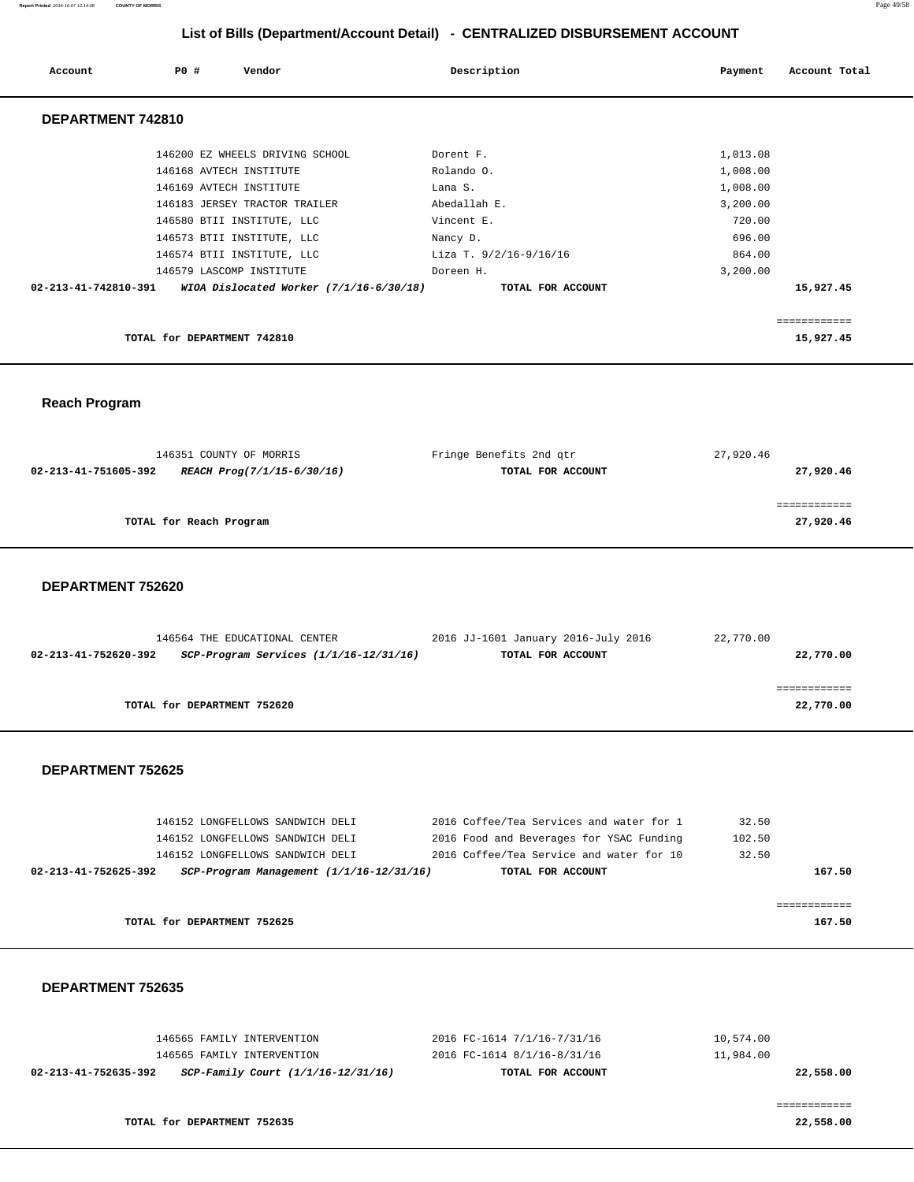**Report Printed** 2016-10-07 12:14:08 **COUNTY OF MORRIS** Page 49/58

# **List of Bills (Department/Account Detail) - CENTRALIZED DISBURSEMENT ACCOUNT**

| Account              | PO#<br>Vendor                                                         | Description                        | Account Total<br>Payment |
|----------------------|-----------------------------------------------------------------------|------------------------------------|--------------------------|
| DEPARTMENT 742810    |                                                                       |                                    |                          |
|                      | 146200 EZ WHEELS DRIVING SCHOOL<br>146168 AVTECH INSTITUTE            | Dorent F.<br>Rolando O.            | 1,013.08<br>1,008.00     |
|                      | 146169 AVTECH INSTITUTE<br>146183 JERSEY TRACTOR TRAILER              | Lana S.<br>Abedallah E.            | 1,008.00<br>3,200.00     |
|                      | 146580 BTII INSTITUTE, LLC                                            | Vincent E.                         | 720.00                   |
|                      | 146573 BTII INSTITUTE, LLC<br>146574 BTII INSTITUTE, LLC              | Nancy D.<br>Liza T. 9/2/16-9/16/16 | 696.00<br>864.00         |
| 02-213-41-742810-391 | 146579 LASCOMP INSTITUTE<br>WIOA Dislocated Worker $(7/1/16-6/30/18)$ | Doreen H.<br>TOTAL FOR ACCOUNT     | 3,200.00<br>15,927.45    |
|                      |                                                                       |                                    | ============             |
|                      | TOTAL for DEPARTMENT 742810                                           |                                    | 15,927.45                |

 **Reach Program** 

| 146351 COUNTY OF MORRIS                            | Fringe Benefits 2nd gtr | 27,920.46 |
|----------------------------------------------------|-------------------------|-----------|
| 02-213-41-751605-392<br>REACH Prog(7/1/15-6/30/16) | TOTAL FOR ACCOUNT       | 27,920.46 |
|                                                    |                         |           |
|                                                    |                         |           |
| TOTAL for Reach Program                            |                         | 27,920.46 |
|                                                    |                         |           |

### **DEPARTMENT 752620**

|                      | 146564 THE EDUCATIONAL CENTER              | 2016 JJ-1601 January 2016-July 2016 | 22,770.00 |
|----------------------|--------------------------------------------|-------------------------------------|-----------|
| 02-213-41-752620-392 | $SCP-Program$ Services $(1/1/16-12/31/16)$ | TOTAL FOR ACCOUNT                   | 22,770.00 |
|                      |                                            |                                     |           |
|                      |                                            |                                     |           |
|                      | TOTAL for DEPARTMENT 752620                |                                     | 22,770.00 |
|                      |                                            |                                     |           |

## **DEPARTMENT 752625**

| 146152 LONGFELLOWS SANDWICH DELI                                     | 2016 Coffee/Tea Services and water for 1 | 32.50  |        |
|----------------------------------------------------------------------|------------------------------------------|--------|--------|
| 146152 LONGFELLOWS SANDWICH DELI                                     | 2016 Food and Beverages for YSAC Funding | 102.50 |        |
| 146152 LONGFELLOWS SANDWICH DELI                                     | 2016 Coffee/Tea Service and water for 10 | 32.50  |        |
| $SCP-Program$ Management $(1/1/16-12/31/16)$<br>02-213-41-752625-392 | TOTAL FOR ACCOUNT                        |        | 167.50 |
|                                                                      |                                          |        |        |
|                                                                      |                                          |        |        |
| TOTAL for DEPARTMENT 752625                                          |                                          |        | 167.50 |
|                                                                      |                                          |        |        |

## **DEPARTMENT 752635**

| 02-213-41-752635-392 | SCP-Family Court (1/1/16-12/31/16) | TOTAL FOR ACCOUNT           | 22,558.00 |
|----------------------|------------------------------------|-----------------------------|-----------|
|                      | 146565 FAMILY INTERVENTION         | 2016 FC-1614 8/1/16-8/31/16 | 11,984.00 |
|                      | 146565 FAMILY INTERVENTION         | 2016 FC-1614 7/1/16-7/31/16 | 10,574.00 |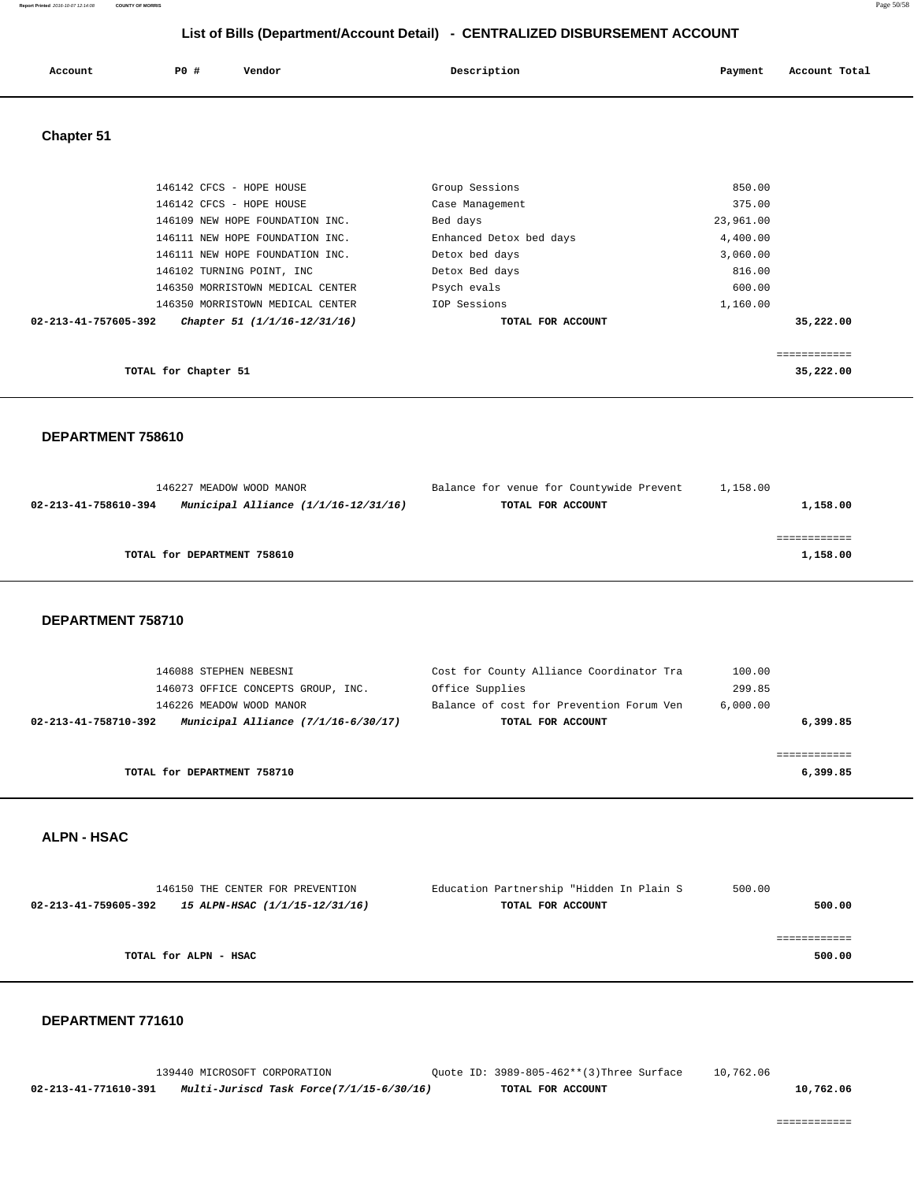| P0<br>Description<br>Account Total<br>Account<br>Payment<br>Vendor<br>. |  |
|-------------------------------------------------------------------------|--|
|-------------------------------------------------------------------------|--|

 **Chapter 51** 

| 146102 TURNING POINT, INC<br>146350 MORRISTOWN MEDICAL CENTER      | Detox Bed days<br>Psych evals             | 816.00<br>600.00     |  |
|--------------------------------------------------------------------|-------------------------------------------|----------------------|--|
|                                                                    |                                           |                      |  |
|                                                                    |                                           |                      |  |
| 146111 NEW HOPE FOUNDATION INC.<br>146111 NEW HOPE FOUNDATION INC. | Enhanced Detox bed days<br>Detox bed days | 4,400.00<br>3,060.00 |  |
| 146109 NEW HOPE FOUNDATION INC.                                    | Bed days                                  | 23,961.00            |  |
| 146142 CFCS - HOPE HOUSE<br>146142 CFCS - HOPE HOUSE               | Group Sessions<br>Case Management         | 850.00<br>375.00     |  |

## **DEPARTMENT 758610**

| 146227 MEADOW WOOD MANOR    |                                          | Balance for venue for Countywide Prevent | 1,158.00 |          |
|-----------------------------|------------------------------------------|------------------------------------------|----------|----------|
| 02-213-41-758610-394        | Municipal Alliance $(1/1/16 - 12/31/16)$ | TOTAL FOR ACCOUNT                        |          | 1,158.00 |
|                             |                                          |                                          |          |          |
|                             |                                          |                                          |          |          |
| TOTAL for DEPARTMENT 758610 |                                          |                                          |          | 1,158.00 |
|                             |                                          |                                          |          |          |

 **DEPARTMENT 758710** 

| 146088 STEPHEN NEBESNI                                        |                 | Cost for County Alliance Coordinator Tra<br>100.00   |          |
|---------------------------------------------------------------|-----------------|------------------------------------------------------|----------|
| 146073 OFFICE CONCEPTS GROUP, INC.                            | Office Supplies | 299.85                                               |          |
| 146226 MEADOW WOOD MANOR                                      |                 | Balance of cost for Prevention Forum Ven<br>6.000.00 |          |
| Municipal Alliance $(7/1/16-6/30/17)$<br>02-213-41-758710-392 |                 | TOTAL FOR ACCOUNT                                    | 6,399.85 |
|                                                               |                 |                                                      |          |
| TOTAL for DEPARTMENT 758710                                   |                 |                                                      | 6,399.85 |

## **ALPN - HSAC**

|                       | 146150 THE CENTER FOR PREVENTION | Education Partnership "Hidden In Plain S | 500.00 |
|-----------------------|----------------------------------|------------------------------------------|--------|
| 02-213-41-759605-392  | 15 ALPN-HSAC (1/1/15-12/31/16)   | TOTAL FOR ACCOUNT                        | 500.00 |
|                       |                                  |                                          |        |
|                       |                                  |                                          |        |
| TOTAL for ALPN - HSAC |                                  |                                          | 500.00 |
|                       |                                  |                                          |        |

#### **DEPARTMENT 771610**

 139440 MICROSOFT CORPORATION Quote ID: 3989-805-462\*\*(3)Three Surface 10,762.06  **02-213-41-771610-391 Multi-Juriscd Task Force(7/1/15-6/30/16) TOTAL FOR ACCOUNT 10,762.06**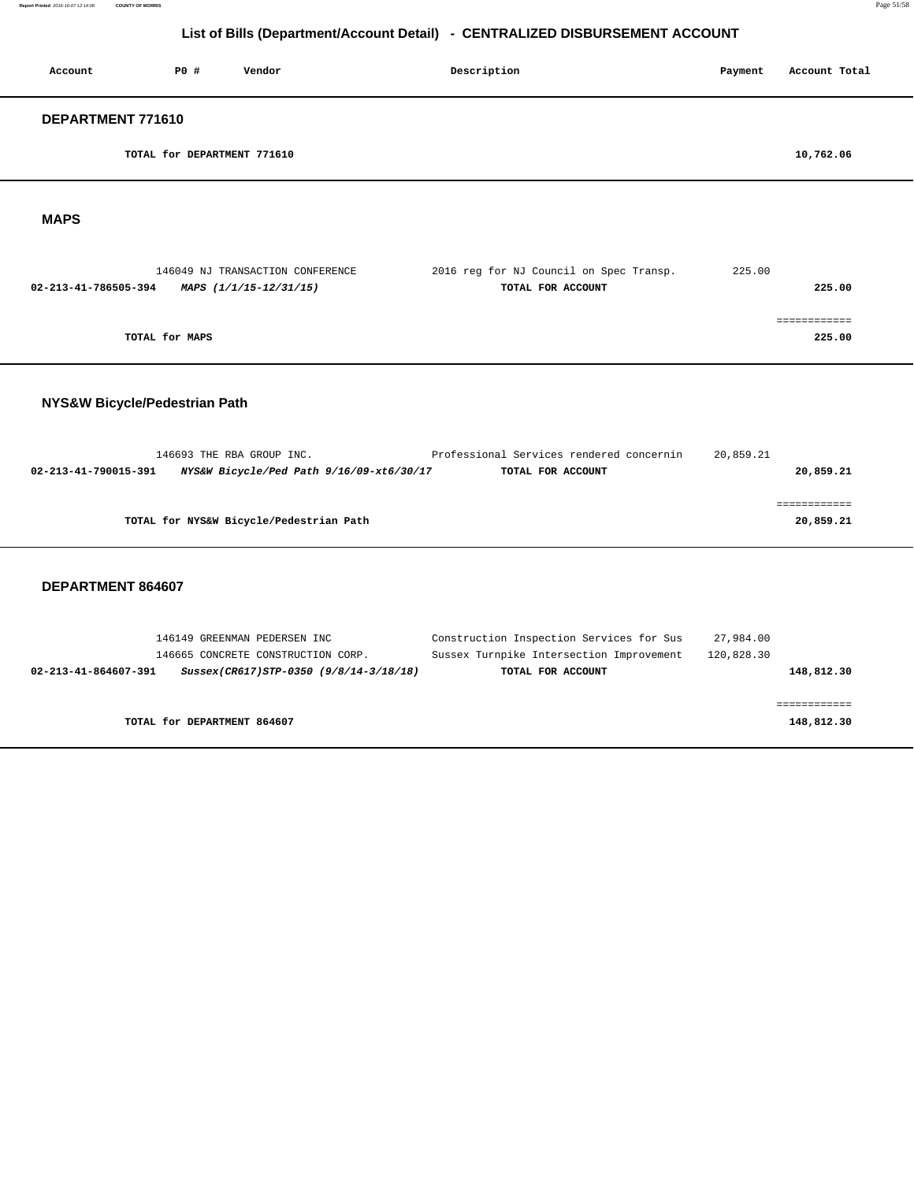**Report Printed** 2016-10-07 12:14:08 **COUNTY OF MORRIS** Page 51/58

# **List of Bills (Department/Account Detail) - CENTRALIZED DISBURSEMENT ACCOUNT**

| Account           | P0 #                        | Vendor                           | Description                             | Payment | Account Total |
|-------------------|-----------------------------|----------------------------------|-----------------------------------------|---------|---------------|
| DEPARTMENT 771610 |                             |                                  |                                         |         |               |
|                   | TOTAL for DEPARTMENT 771610 |                                  |                                         |         | 10,762.06     |
| <b>MAPS</b>       |                             |                                  |                                         |         |               |
|                   |                             | 146049 NJ TRANSACTION CONFERENCE | 2016 reg for NJ Council on Spec Transp. | 225.00  |               |

| 02-213-41-786505-394 | MAPS (1/1/15-12/31/15) | TOTAL FOR ACCOUNT | 225.00 |
|----------------------|------------------------|-------------------|--------|
|                      |                        |                   |        |
|                      |                        |                   |        |
| TOTAL for MAPS       |                        |                   | 225.00 |

## **NYS&W Bicycle/Pedestrian Path**

|                      | 146693 THE RBA GROUP INC.                | Professional Services rendered concernin | 20,859.21 |           |
|----------------------|------------------------------------------|------------------------------------------|-----------|-----------|
| 02-213-41-790015-391 | NYS&W Bicycle/Ped Path 9/16/09-xt6/30/17 | TOTAL FOR ACCOUNT                        |           | 20,859.21 |
|                      |                                          |                                          |           |           |
|                      |                                          |                                          |           |           |
|                      | TOTAL for NYS&W Bicycle/Pedestrian Path  |                                          |           | 20,859.21 |
|                      |                                          |                                          |           |           |

|                      | 146149 GREENMAN PEDERSEN INC |                                        | Construction Inspection Services for Sus | 27,984.00  |            |
|----------------------|------------------------------|----------------------------------------|------------------------------------------|------------|------------|
|                      |                              | 146665 CONCRETE CONSTRUCTION CORP.     | Sussex Turnpike Intersection Improvement | 120,828.30 |            |
| 02-213-41-864607-391 |                              | Sussex(CR617)STP-0350 (9/8/14-3/18/18) | TOTAL FOR ACCOUNT                        |            | 148,812.30 |
|                      |                              |                                        |                                          |            |            |
|                      |                              |                                        |                                          |            |            |
|                      | TOTAL for DEPARTMENT 864607  |                                        |                                          |            | 148,812.30 |
|                      |                              |                                        |                                          |            |            |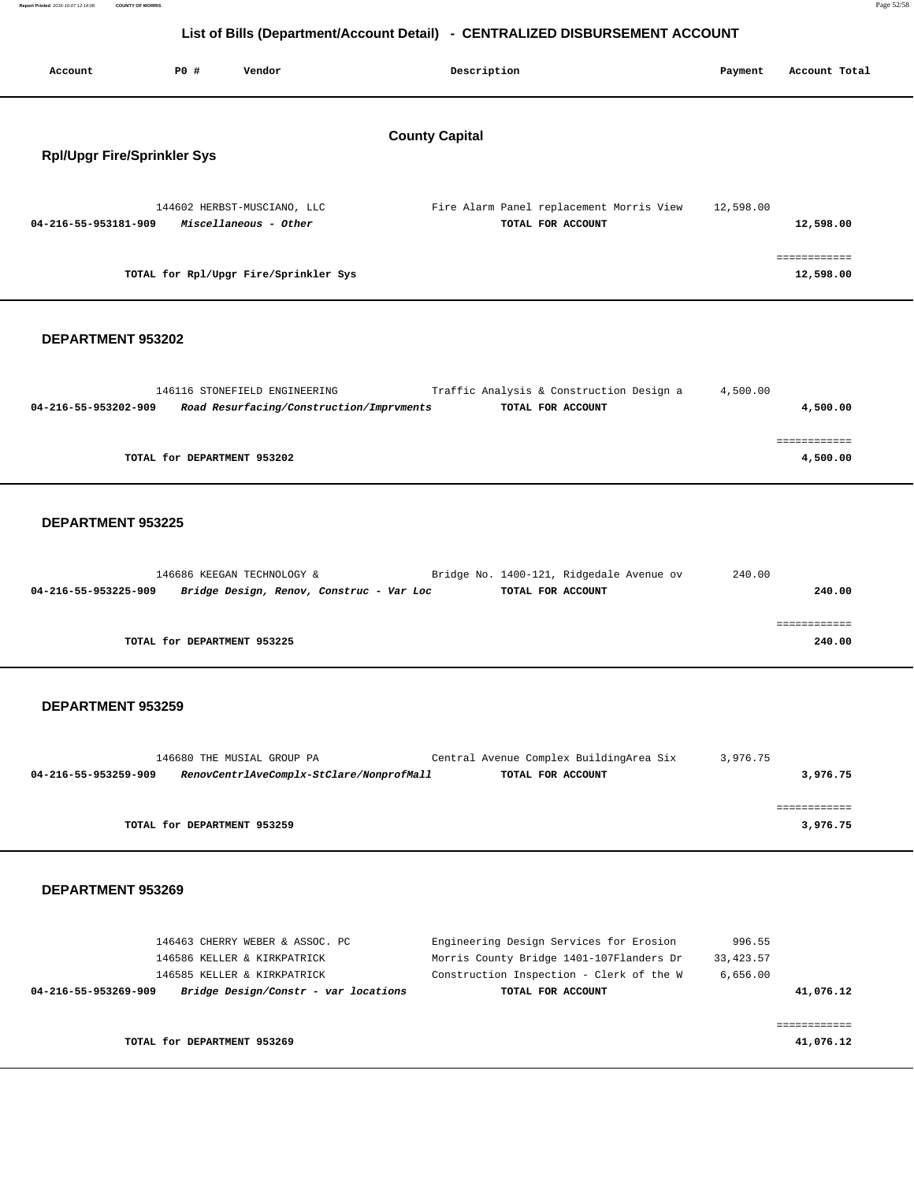| List of Bills (Department/Account Detail) - CENTRALIZED DISBURSEMENT ACCOUNT |      |                                                                           |                       |                                                               |           |                           |  |
|------------------------------------------------------------------------------|------|---------------------------------------------------------------------------|-----------------------|---------------------------------------------------------------|-----------|---------------------------|--|
| Account                                                                      | P0 # | Vendor                                                                    |                       | Description                                                   | Payment   | Account Total             |  |
| <b>Rpl/Upgr Fire/Sprinkler Sys</b>                                           |      |                                                                           | <b>County Capital</b> |                                                               |           |                           |  |
| 04-216-55-953181-909                                                         |      | 144602 HERBST-MUSCIANO, LLC<br>Miscellaneous - Other                      |                       | Fire Alarm Panel replacement Morris View<br>TOTAL FOR ACCOUNT | 12,598.00 | 12,598.00                 |  |
|                                                                              |      | TOTAL for Rpl/Upgr Fire/Sprinkler Sys                                     |                       |                                                               |           | ============<br>12,598.00 |  |
| DEPARTMENT 953202                                                            |      |                                                                           |                       |                                                               |           |                           |  |
| 04-216-55-953202-909                                                         |      | 146116 STONEFIELD ENGINEERING<br>Road Resurfacing/Construction/Imprvments |                       | Traffic Analysis & Construction Design a<br>TOTAL FOR ACCOUNT | 4,500.00  | 4,500.00                  |  |
|                                                                              |      | TOTAL for DEPARTMENT 953202                                               |                       |                                                               |           | ============<br>4,500.00  |  |
| DEPARTMENT 953225                                                            |      |                                                                           |                       |                                                               |           |                           |  |
| 04-216-55-953225-909                                                         |      | 146686 KEEGAN TECHNOLOGY &<br>Bridge Design, Renov, Construc - Var Loc    |                       | Bridge No. 1400-121, Ridgedale Avenue ov<br>TOTAL FOR ACCOUNT | 240.00    | 240.00                    |  |
|                                                                              |      | TOTAL for DEPARTMENT 953225                                               |                       |                                                               |           | ============<br>240.00    |  |
| <b>DEPARTMENT 953259</b>                                                     |      |                                                                           |                       |                                                               |           |                           |  |
|                                                                              |      | 146680 THE MUSIAL GROUP PA                                                |                       | Central Avenue Complex BuildingArea Six                       | 3,976.75  |                           |  |

| RenovCentrlAveComplx-StClare/NonprofMall | TOTAL FOR ACCOUNT           | 3,976.75 |
|------------------------------------------|-----------------------------|----------|
|                                          |                             |          |
|                                          |                             |          |
|                                          |                             | 3,976.75 |
|                                          | TOTAL for DEPARTMENT 953259 |          |

## **DEPARTMENT 953269**

**Report Printed** 2016-10-07 12:14:08 **COUNTY OF MORRIS** 

| 146463 CHERRY WEBER & ASSOC. PC                              | Engineering Design Services for Erosion  | 996.55     |
|--------------------------------------------------------------|------------------------------------------|------------|
| 146586 KELLER & KIRKPATRICK                                  | Morris County Bridge 1401-107Flanders Dr | 33, 423.57 |
| 146585 KELLER & KIRKPATRICK                                  | Construction Inspection - Clerk of the W | 6.656.00   |
| Bridge Design/Constr - var locations<br>04-216-55-953269-909 | TOTAL FOR ACCOUNT                        | 41,076.12  |
|                                                              |                                          |            |
|                                                              |                                          |            |
| TOTAL for DEPARTMENT 953269                                  |                                          | 41,076.12  |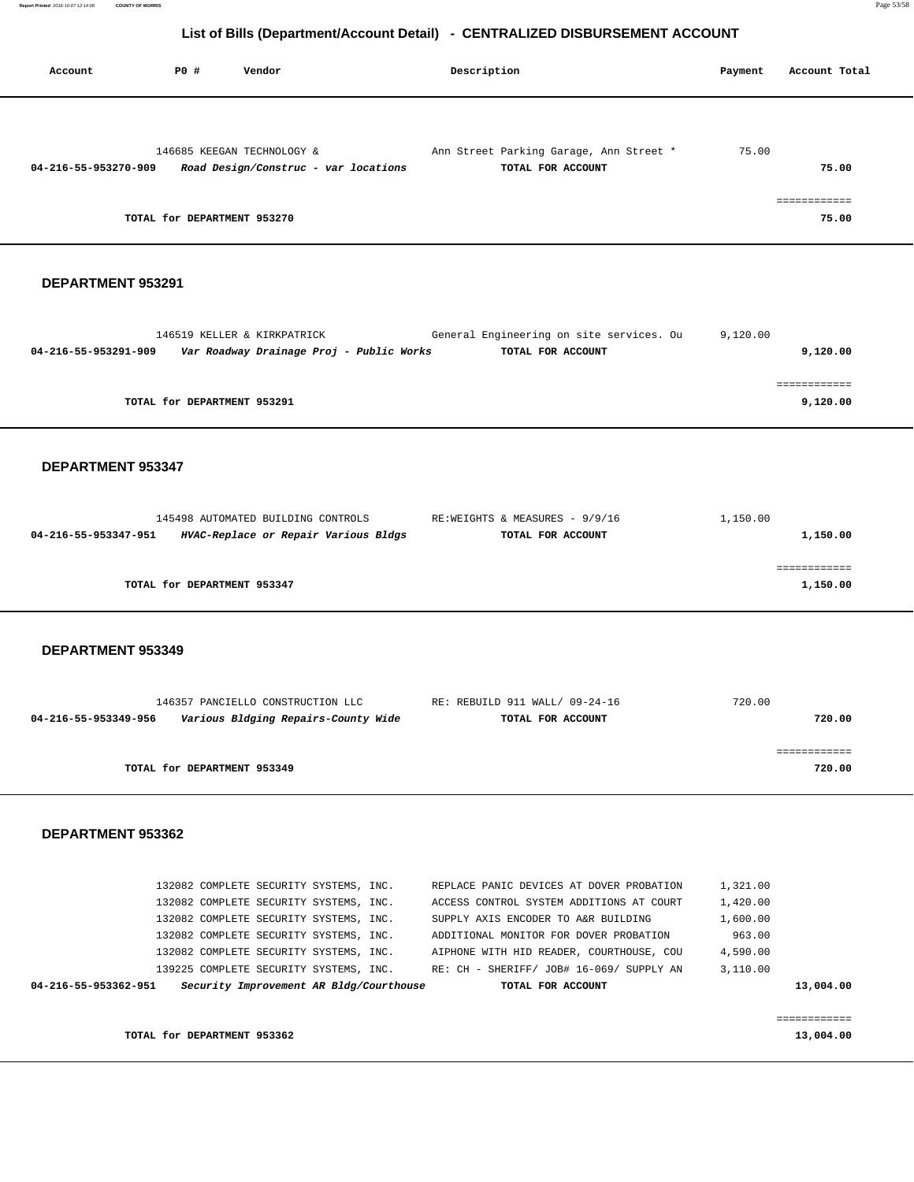| Account              | PO#                         | Vendor                               | Description                             | Payment | Account Total |
|----------------------|-----------------------------|--------------------------------------|-----------------------------------------|---------|---------------|
|                      |                             |                                      |                                         |         |               |
|                      |                             | 146685 KEEGAN TECHNOLOGY &           | Ann Street Parking Garage, Ann Street * | 75.00   |               |
| 04-216-55-953270-909 |                             | Road Design/Construc - var locations | TOTAL FOR ACCOUNT                       |         | 75.00         |
|                      |                             |                                      |                                         |         |               |
|                      |                             |                                      |                                         |         | ===========   |
|                      | TOTAL for DEPARTMENT 953270 |                                      |                                         |         | 75.00         |

#### **DEPARTMENT 953291**

| General Engineering on site services. Ou                   | 9,120.00                                 |
|------------------------------------------------------------|------------------------------------------|
| TOTAL FOR ACCOUNT                                          | 9,120.00                                 |
|                                                            |                                          |
|                                                            |                                          |
|                                                            | 9,120.00                                 |
| 146519 KELLER & KIRKPATRICK<br>TOTAL for DEPARTMENT 953291 | Var Roadway Drainage Proj - Public Works |

#### **DEPARTMENT 953347**

|                             | 145498 AUTOMATED BUILDING CONTROLS   | RE:WEIGHTS & MEASURES - 9/9/16 | 1,150.00 |
|-----------------------------|--------------------------------------|--------------------------------|----------|
| 04-216-55-953347-951        | HVAC-Replace or Repair Various Bldgs | TOTAL FOR ACCOUNT              | 1,150.00 |
|                             |                                      |                                |          |
|                             |                                      |                                |          |
| TOTAL for DEPARTMENT 953347 |                                      |                                | 1,150.00 |
|                             |                                      |                                |          |

#### **DEPARTMENT 953349**

|                      | 146357 PANCIELLO CONSTRUCTION LLC   | RE: REBUILD 911 WALL/ 09-24-16 | 720.00 |
|----------------------|-------------------------------------|--------------------------------|--------|
| 04-216-55-953349-956 | Various Bldging Repairs-County Wide | TOTAL FOR ACCOUNT              | 720.00 |
|                      |                                     |                                |        |
|                      |                                     |                                |        |
|                      | TOTAL for DEPARTMENT 953349         |                                | 720.00 |

|                             | 132082 COMPLETE SECURITY SYSTEMS, INC.  |  | REPLACE PANIC DEVICES AT DOVER PROBATION | 1,321.00 |           |
|-----------------------------|-----------------------------------------|--|------------------------------------------|----------|-----------|
|                             | 132082 COMPLETE SECURITY SYSTEMS, INC.  |  | ACCESS CONTROL SYSTEM ADDITIONS AT COURT | 1,420.00 |           |
|                             | 132082 COMPLETE SECURITY SYSTEMS, INC.  |  | SUPPLY AXIS ENCODER TO A&R BUILDING      | 1,600.00 |           |
|                             | 132082 COMPLETE SECURITY SYSTEMS, INC.  |  | ADDITIONAL MONITOR FOR DOVER PROBATION   | 963.00   |           |
|                             | 132082 COMPLETE SECURITY SYSTEMS, INC.  |  | AIPHONE WITH HID READER, COURTHOUSE, COU | 4,590.00 |           |
|                             | 139225 COMPLETE SECURITY SYSTEMS, INC.  |  | RE: CH - SHERIFF/ JOB# 16-069/ SUPPLY AN | 3,110.00 |           |
| 04-216-55-953362-951        | Security Improvement AR Bldg/Courthouse |  | TOTAL FOR ACCOUNT                        |          | 13,004.00 |
|                             |                                         |  |                                          |          |           |
|                             |                                         |  |                                          |          |           |
| TOTAL for DEPARTMENT 953362 |                                         |  |                                          |          | 13,004.00 |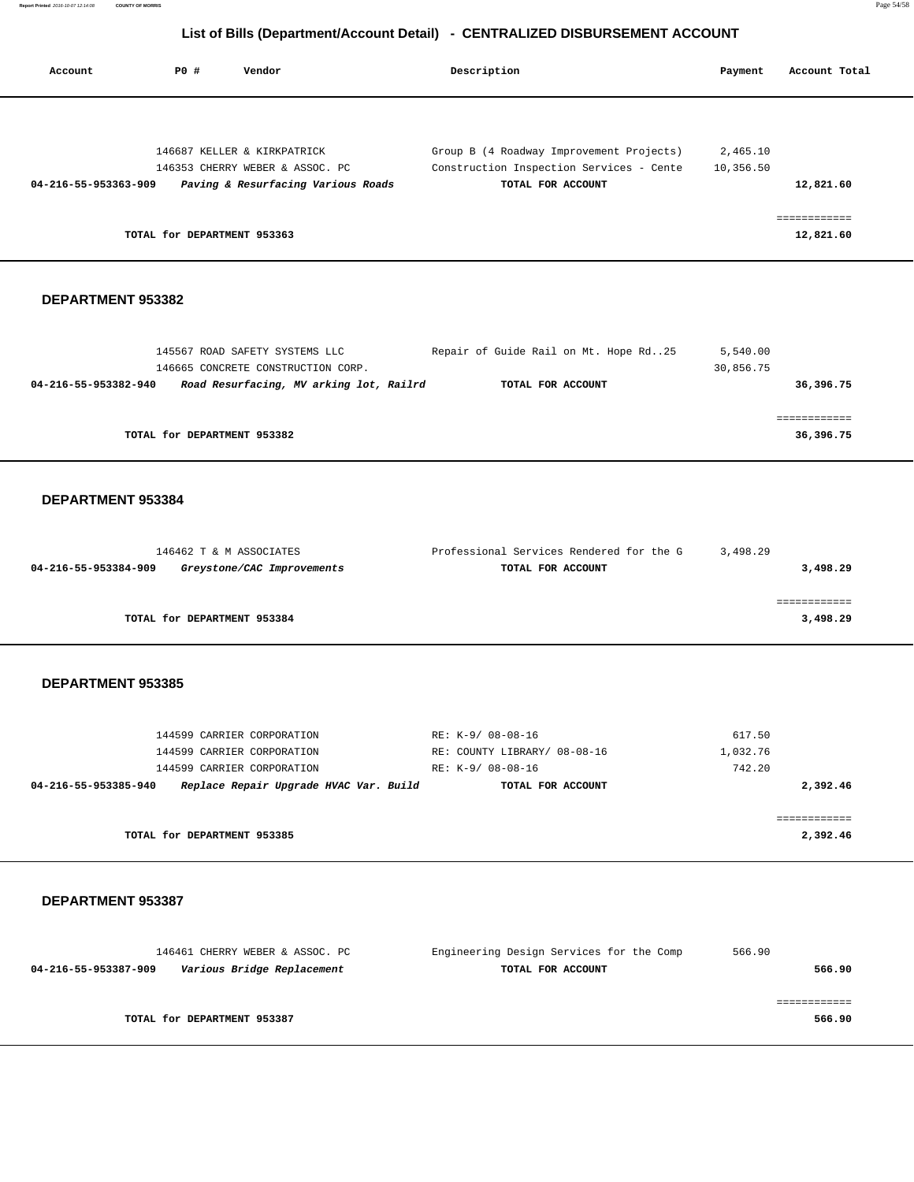| Account              | PO#                         | Vendor                             | Description                              | Payment   | Account Total |
|----------------------|-----------------------------|------------------------------------|------------------------------------------|-----------|---------------|
|                      |                             |                                    |                                          |           |               |
|                      |                             | 146687 KELLER & KIRKPATRICK        | Group B (4 Roadway Improvement Projects) | 2,465.10  |               |
|                      |                             | 146353 CHERRY WEBER & ASSOC. PC    | Construction Inspection Services - Cente | 10,356.50 |               |
| 04-216-55-953363-909 |                             | Paving & Resurfacing Various Roads | TOTAL FOR ACCOUNT                        |           | 12,821.60     |
|                      |                             |                                    |                                          |           |               |
|                      | TOTAL for DEPARTMENT 953363 |                                    |                                          |           | 12,821.60     |

#### **DEPARTMENT 953382**

| 145567 ROAD SAFETY SYSTEMS LLC                                  | Repair of Guide Rail on Mt. Hope Rd25 | 5,540.00  |
|-----------------------------------------------------------------|---------------------------------------|-----------|
| 146665 CONCRETE CONSTRUCTION CORP.                              |                                       | 30,856.75 |
| Road Resurfacing, MV arking lot, Railrd<br>04-216-55-953382-940 | TOTAL FOR ACCOUNT                     | 36,396.75 |
|                                                                 |                                       |           |
|                                                                 |                                       |           |
| TOTAL for DEPARTMENT 953382                                     |                                       | 36,396.75 |
|                                                                 |                                       |           |

#### **DEPARTMENT 953384**

| 146462 T & M ASSOCIATES                            | Professional Services Rendered for the G | 3,498.29 |
|----------------------------------------------------|------------------------------------------|----------|
| 04-216-55-953384-909<br>Greystone/CAC Improvements | TOTAL FOR ACCOUNT                        | 3,498.29 |
|                                                    |                                          |          |
|                                                    |                                          |          |
| TOTAL for DEPARTMENT 953384                        |                                          | 3,498.29 |
|                                                    |                                          |          |

## **DEPARTMENT 953385**

| 144599 CARRIER CORPORATION                                     | RE: K-9/ 08-08-16            | 617.50   |
|----------------------------------------------------------------|------------------------------|----------|
| 144599 CARRIER CORPORATION                                     | RE: COUNTY LIBRARY/ 08-08-16 | 1,032.76 |
| 144599 CARRIER CORPORATION                                     | RE: K-9/ 08-08-16            | 742.20   |
| Replace Repair Upgrade HVAC Var. Build<br>04-216-55-953385-940 | TOTAL FOR ACCOUNT            | 2,392.46 |
|                                                                |                              |          |
|                                                                |                              |          |
| TOTAL for DEPARTMENT 953385                                    |                              | 2,392.46 |

| 146461 CHERRY WEBER & ASSOC. PC                    | Engineering Design Services for the Comp | 566.90 |
|----------------------------------------------------|------------------------------------------|--------|
| Various Bridge Replacement<br>04-216-55-953387-909 | TOTAL FOR ACCOUNT                        | 566.90 |
|                                                    |                                          |        |
|                                                    |                                          |        |
| TOTAL for DEPARTMENT 953387                        |                                          | 566.90 |
|                                                    |                                          |        |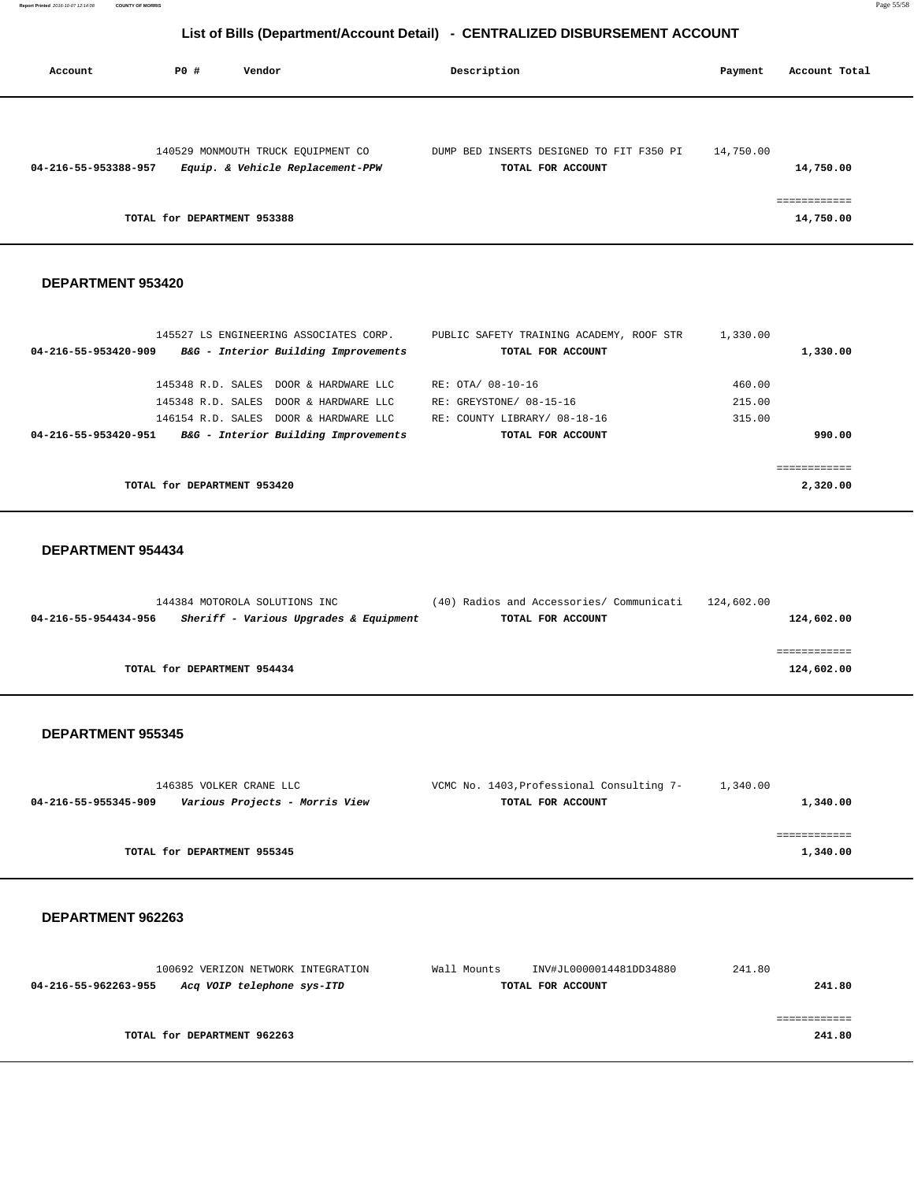| Account              | PO#                         | Vendor                             | Description                              | Payment   | Account Total |
|----------------------|-----------------------------|------------------------------------|------------------------------------------|-----------|---------------|
|                      |                             | 140529 MONMOUTH TRUCK EQUIPMENT CO | DUMP BED INSERTS DESIGNED TO FIT F350 PI | 14,750.00 |               |
| 04-216-55-953388-957 |                             | Equip. & Vehicle Replacement-PPW   | TOTAL FOR ACCOUNT                        |           | 14,750.00     |
|                      | TOTAL for DEPARTMENT 953388 |                                    |                                          |           | 14,750.00     |

## **DEPARTMENT 953420**

|                             | 145527 LS ENGINEERING ASSOCIATES CORP. | PUBLIC SAFETY TRAINING ACADEMY, ROOF STR | 1,330.00 |          |
|-----------------------------|----------------------------------------|------------------------------------------|----------|----------|
| 04-216-55-953420-909        | B&G - Interior Building Improvements   | TOTAL FOR ACCOUNT                        |          | 1,330.00 |
|                             | 145348 R.D. SALES DOOR & HARDWARE LLC  | RE: OTA/ 08-10-16                        | 460.00   |          |
|                             | 145348 R.D. SALES DOOR & HARDWARE LLC  | RE: GREYSTONE/ 08-15-16                  | 215.00   |          |
|                             | 146154 R.D. SALES DOOR & HARDWARE LLC  | RE: COUNTY LIBRARY/ 08-18-16             | 315.00   |          |
| 04-216-55-953420-951        | B&G - Interior Building Improvements   | TOTAL FOR ACCOUNT                        |          | 990.00   |
|                             |                                        |                                          |          |          |
|                             |                                        |                                          |          |          |
| TOTAL for DEPARTMENT 953420 |                                        |                                          |          | 2,320.00 |

## **DEPARTMENT 954434**

| 144384 MOTOROLA SOLUTIONS INC                                  | (40) Radios and Accessories/ Communicati | 124,602.00 |
|----------------------------------------------------------------|------------------------------------------|------------|
| Sheriff - Various Upgrades & Equipment<br>04-216-55-954434-956 | TOTAL FOR ACCOUNT                        | 124,602.00 |
|                                                                |                                          |            |
|                                                                |                                          |            |
| TOTAL for DEPARTMENT 954434                                    |                                          | 124,602.00 |

### **DEPARTMENT 955345**

| 146385 VOLKER CRANE LLC                                | VCMC No. 1403, Professional Consulting 7- | 1,340.00 |
|--------------------------------------------------------|-------------------------------------------|----------|
| Various Projects - Morris View<br>04-216-55-955345-909 | TOTAL FOR ACCOUNT                         | 1,340.00 |
|                                                        |                                           |          |
|                                                        |                                           |          |
| TOTAL for DEPARTMENT 955345                            |                                           | 1,340.00 |

|                      | 100692 VERIZON NETWORK INTEGRATION | Wall Mounts |                   | INV#JL0000014481DD34880 | 241.80 |        |
|----------------------|------------------------------------|-------------|-------------------|-------------------------|--------|--------|
| 04-216-55-962263-955 | Acq VOIP telephone sys-ITD         |             | TOTAL FOR ACCOUNT |                         |        | 241.80 |
|                      |                                    |             |                   |                         |        |        |
|                      |                                    |             |                   |                         |        |        |
|                      | TOTAL for DEPARTMENT 962263        |             |                   |                         |        | 241.80 |
|                      |                                    |             |                   |                         |        |        |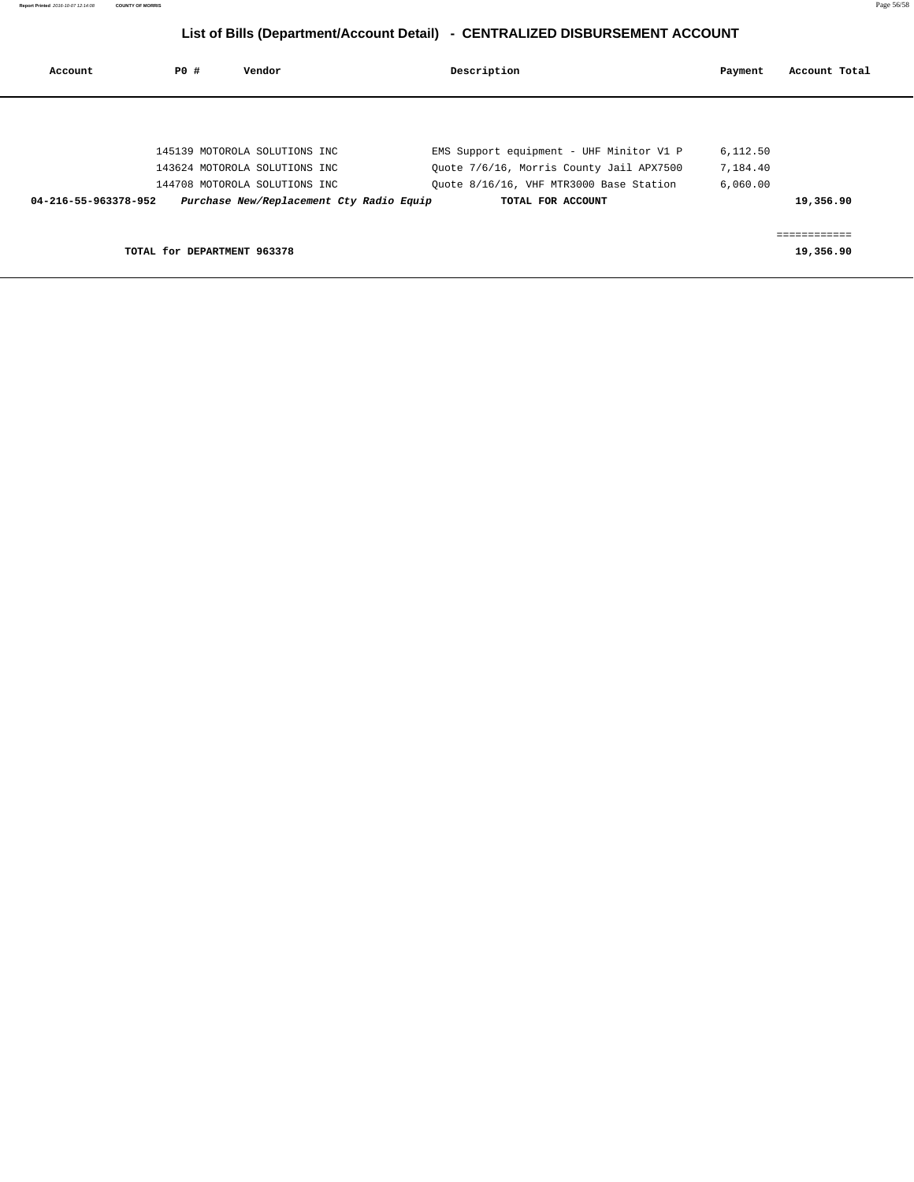| Account              | PO#                         | Vendor                                   | Description                              | Payment  | Account Total |
|----------------------|-----------------------------|------------------------------------------|------------------------------------------|----------|---------------|
|                      |                             |                                          |                                          |          |               |
|                      |                             | 145139 MOTOROLA SOLUTIONS INC            | EMS Support equipment - UHF Minitor V1 P | 6,112.50 |               |
|                      |                             | 143624 MOTOROLA SOLUTIONS INC            | Quote 7/6/16, Morris County Jail APX7500 | 7,184.40 |               |
|                      |                             | 144708 MOTOROLA SOLUTIONS INC            | Quote 8/16/16, VHF MTR3000 Base Station  | 6,060.00 |               |
| 04-216-55-963378-952 |                             | Purchase New/Replacement Cty Radio Equip | TOTAL FOR ACCOUNT                        |          | 19,356.90     |
|                      |                             |                                          |                                          |          |               |
|                      |                             |                                          |                                          |          |               |
|                      |                             |                                          |                                          |          |               |
|                      | TOTAL for DEPARTMENT 963378 |                                          |                                          |          | 19,356.90     |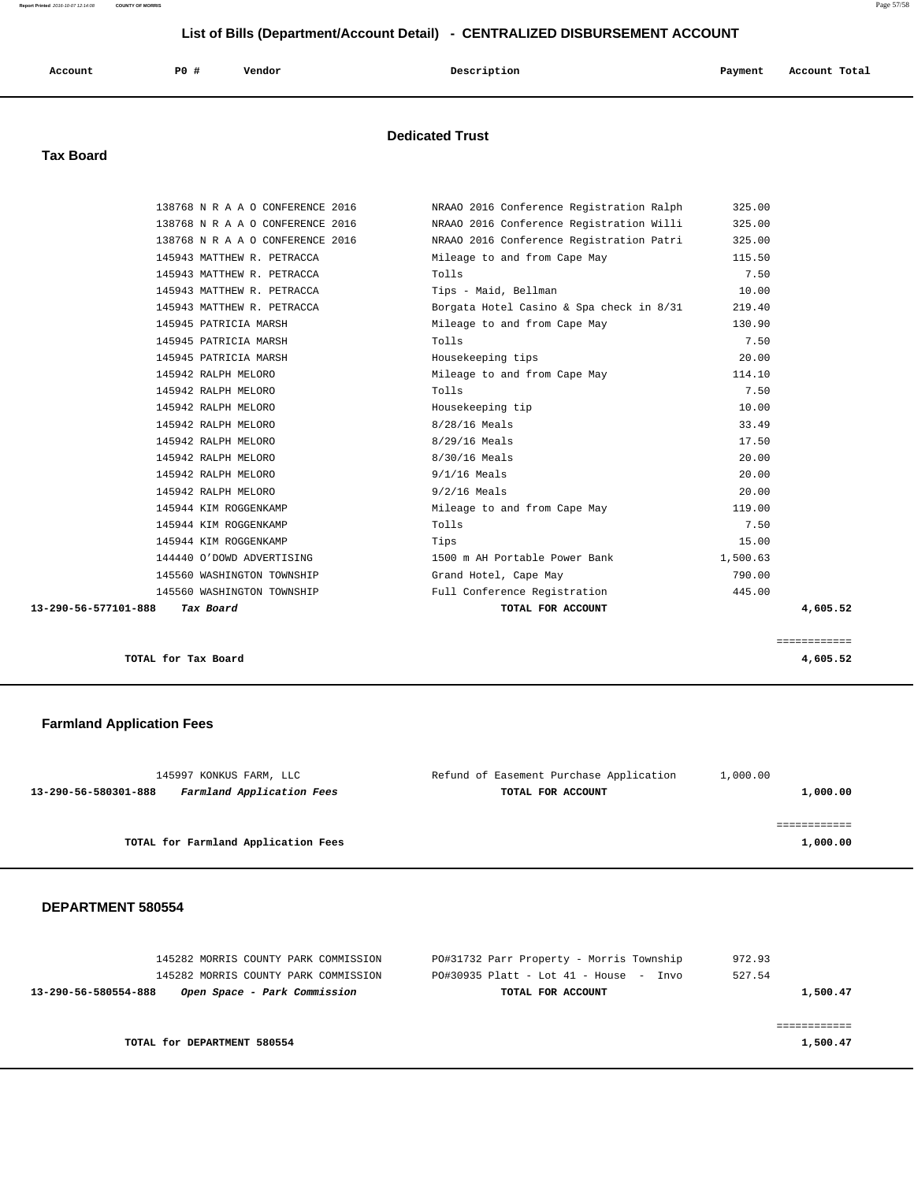#### **Report Printed** 2016-10-07 12:14:08 **COUNTY OF MORRIS** Page 57/58

# **List of Bills (Department/Account Detail) - CENTRALIZED DISBURSEMENT ACCOUNT**

| Account<br>. | PO# | Vendor | Description | Payment | Account Total<br>. |
|--------------|-----|--------|-------------|---------|--------------------|
|              |     |        |             |         |                    |

## **Dedicated Trust**

## **Tax Board**

| TOTAL FOR ACCOUNT                                                                      | 4,605.52 |
|----------------------------------------------------------------------------------------|----------|
| Full Conference Registration<br>445.00<br>145560 WASHINGTON TOWNSHIP                   |          |
| 145560 WASHINGTON TOWNSHIP<br>790.00<br>Grand Hotel, Cape May                          |          |
| 144440 O'DOWD ADVERTISING<br>1500 m AH Portable Power Bank<br>1,500.63                 |          |
| 15.00<br>Tips                                                                          |          |
| Tolls<br>7.50                                                                          |          |
| 119.00<br>Mileage to and from Cape May                                                 |          |
| $9/2/16$ Meals<br>20.00                                                                |          |
| 20.00<br>$9/1/16$ Meals                                                                |          |
| 8/30/16 Meals<br>20.00                                                                 |          |
| 17.50<br>8/29/16 Meals                                                                 |          |
| 8/28/16 Meals<br>33.49                                                                 |          |
| 10.00<br>Housekeeping tip                                                              |          |
| Tolls<br>7.50                                                                          |          |
| Mileage to and from Cape May<br>114.10                                                 |          |
| 20.00<br>Housekeeping tips                                                             |          |
| Tolls<br>7.50                                                                          |          |
| Mileage to and from Cape May<br>130.90                                                 |          |
| Borgata Hotel Casino & Spa check in 8/31<br>145943 MATTHEW R. PETRACCA<br>219.40       |          |
| 10.00<br>145943 MATTHEW R. PETRACCA<br>Tips - Maid, Bellman                            |          |
| 7.50<br>Tolls<br>145943 MATTHEW R. PETRACCA                                            |          |
| 145943 MATTHEW R. PETRACCA<br>Mileage to and from Cape May<br>115.50                   |          |
| 138768 N R A A O CONFERENCE 2016<br>NRAAO 2016 Conference Registration Patri<br>325.00 |          |
| NRAAO 2016 Conference Registration Willi<br>138768 N R A A O CONFERENCE 2016<br>325.00 |          |
| NRAAO 2016 Conference Registration Ralph<br>138768 N R A A O CONFERENCE 2016<br>325.00 |          |
|                                                                                        |          |

**TOTAL for Tax Board 4,605.52**

## **Farmland Application Fees**

| 145997 KONKUS FARM, LLC                           | Refund of Easement Purchase Application | 1,000.00 |
|---------------------------------------------------|-----------------------------------------|----------|
| Farmland Application Fees<br>13-290-56-580301-888 | TOTAL FOR ACCOUNT                       | 1,000.00 |
|                                                   |                                         |          |
|                                                   |                                         |          |
| TOTAL for Farmland Application Fees               |                                         | 1,000.00 |
|                                                   |                                         |          |

============

| 145282 MORRIS COUNTY PARK COMMISSION                 | PO#31732 Parr Property - Morris Township   | 972.93   |
|------------------------------------------------------|--------------------------------------------|----------|
| 145282 MORRIS COUNTY PARK COMMISSION                 | $PO#30935$ Platt - Lot $41$ - House - Invo | 527.54   |
| Open Space - Park Commission<br>13-290-56-580554-888 | TOTAL FOR ACCOUNT                          | 1,500.47 |
|                                                      |                                            |          |
|                                                      |                                            |          |
| TOTAL for DEPARTMENT 580554                          |                                            | 1,500.47 |
|                                                      |                                            |          |